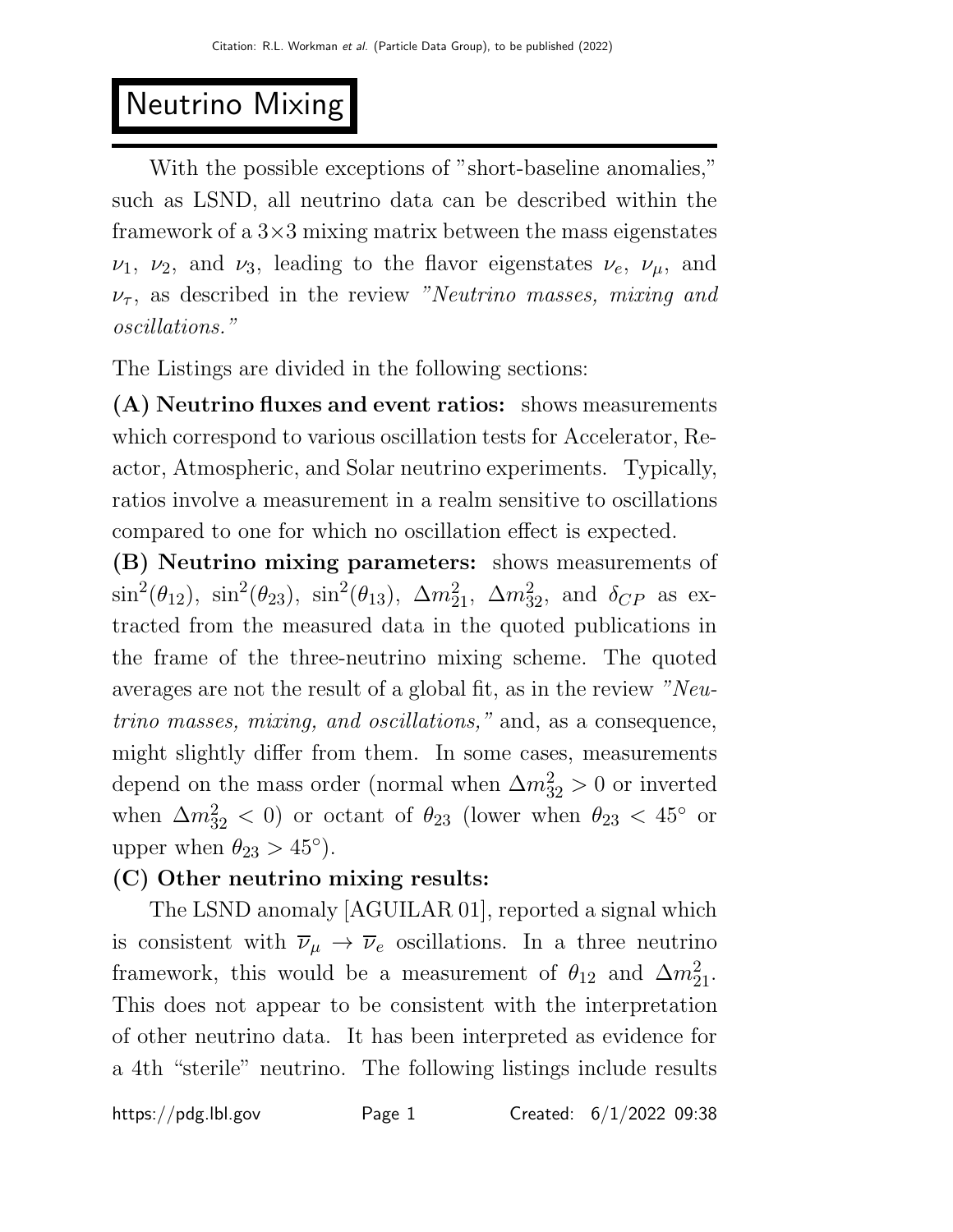# Neutrino Mixing

With the possible exceptions of "short-baseline anomalies," such as LSND, all neutrino data can be described within the framework of a  $3\times3$  mixing matrix between the mass eigenstates  $\nu_1$ ,  $\nu_2$ , and  $\nu_3$ , leading to the flavor eigenstates  $\nu_e$ ,  $\nu_\mu$ , and  $\nu_{\tau}$ , as described in the review "Neutrino masses, mixing and oscillations."

The Listings are divided in the following sections:

(A) Neutrino fluxes and event ratios: shows measurements which correspond to various oscillation tests for Accelerator, Reactor, Atmospheric, and Solar neutrino experiments. Typically, ratios involve a measurement in a realm sensitive to oscillations compared to one for which no oscillation effect is expected.

(B) Neutrino mixing parameters: shows measurements of  $\sin^2(\theta_{12})$ ,  $\sin^2(\theta_{23})$ ,  $\sin^2(\theta_{13})$ ,  $\Delta m_{21}^2$ ,  $\Delta m_{32}^2$ , and  $\delta_{CP}$  as extracted from the measured data in the quoted publications in the frame of the three-neutrino mixing scheme. The quoted averages are not the result of a global fit, as in the review "Neutrino masses, mixing, and oscillations," and, as a consequence, might slightly differ from them. In some cases, measurements depend on the mass order (normal when  $\Delta m_{32}^2 > 0$  or inverted when  $\Delta m_{32}^2 < 0$  or octant of  $\theta_{23}$  (lower when  $\theta_{23} < 45^\circ$  or upper when  $\theta_{23} > 45^{\circ}$ ).

## (C) Other neutrino mixing results:

The LSND anomaly [AGUILAR 01], reported a signal which is consistent with  $\overline{\nu}_{\mu} \rightarrow \overline{\nu}_{e}$  oscillations. In a three neutrino framework, this would be a measurement of  $\theta_{12}$  and  $\Delta m_{21}^2$ . This does not appear to be consistent with the interpretation of other neutrino data. It has been interpreted as evidence for a 4th "sterile" neutrino. The following listings include results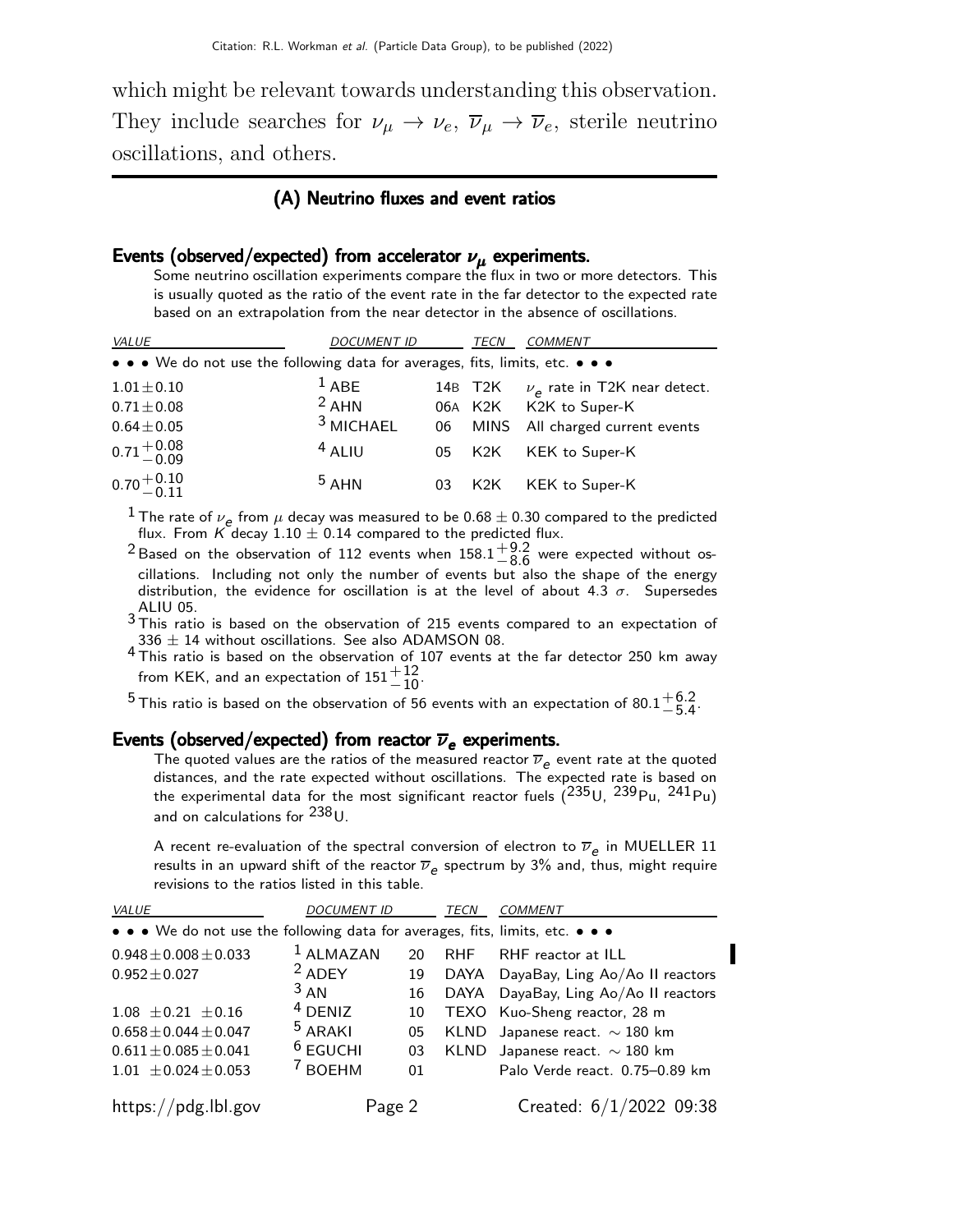which might be relevant towards understanding this observation. They include searches for  $\nu_{\mu} \to \nu_{e}$ ,  $\overline{\nu}_{\mu} \to \overline{\nu}_{e}$ , sterile neutrino oscillations, and others.

#### (A) Neutrino fluxes and event ratios

### Events (observed/expected) from accelerator  $\nu_{\mu}$  experiments.

Some neutrino oscillation experiments compare the flux in two or more detectors. This is usually quoted as the ratio of the event rate in the far detector to the expected rate based on an extrapolation from the near detector in the absence of oscillations.

| <i>VALUE</i>                                                                  | <i>DOCUMENT ID</i>   |    | TECN    | <b>COMMENT</b>                        |
|-------------------------------------------------------------------------------|----------------------|----|---------|---------------------------------------|
| • • • We do not use the following data for averages, fits, limits, etc. • • • |                      |    |         |                                       |
| $1.01 \pm 0.10$                                                               | $1$ ABE              |    | 14B T2K | $\nu_{\rho}$ rate in T2K near detect. |
| $0.71 \pm 0.08$                                                               | $2$ AHN              |    | 06A K2K | K2K to Super-K                        |
| $0.64 \pm 0.05$                                                               | <sup>3</sup> MICHAEL | 06 | MINS    | All charged current events            |
| $0.71^{+0.08}_{-0.09}$                                                        | $4$ ALIU             | 05 | K2K     | KEK to Super-K                        |
| $0.70 + 0.10$                                                                 | 5AHM                 | 03 | K2K     | KEK to Super-K                        |

<sup>1</sup> The rate of  $\nu_e$  from  $\mu$  decay was measured to be 0.68  $\pm$  0.30 compared to the predicted flux. From K decay 1.10  $\pm$  0.14 compared to the predicted flux.

<sup>2</sup> Based on the observation of 112 events when  $158.1^{+9.2}_{-8.6}$  $^{+9.2}_{-8.6}$  were expected without oscillations. Including not only the number of events but also the shape of the energy distribution, the evidence for oscillation is at the level of about 4.3  $\sigma$ . Supersedes

 $^3$ This ratio is based on the observation of 215 events compared to an expectation of  $336 \pm 14$  without oscillations. See also ADAMSON 08.

4 This ratio is based on the observation of 107 events at the far detector 250 km away from KEK, and an expectation of  $151^{+12}_{-10}$ .

 $^5$ This ratio is based on the observation of 56 events with an expectation of 80.1 $^{\rm +6.2}_{\rm -5.4}$  $-5.4$ 

#### Events (observed/expected) from reactor  $\overline{\nu}_e$  experiments.

The quoted values are the ratios of the measured reactor  $\overline{\nu}_e$  event rate at the quoted distances, and the rate expected without oscillations. The expected rate is based on the experimental data for the most significant reactor fuels  $(^{235}$ U,  $^{239}$ Pu,  $^{241}$ Pu) and on calculations for <sup>238</sup>U.

A recent re-evaluation of the spectral conversion of electron to  $\overline{\nu}_e$  in MUELLER 11 results in an upward shift of the reactor  $\overline{\nu}_e$  spectrum by 3% and, thus, might require revisions to the ratios listed in this table.

| <b>VALUE</b>                                                                  | <b>DOCUMENT ID</b> |    | TECN       | <b>COMMENT</b>                       |
|-------------------------------------------------------------------------------|--------------------|----|------------|--------------------------------------|
| • • • We do not use the following data for averages, fits, limits, etc. • • • |                    |    |            |                                      |
| $0.948 \pm 0.008 \pm 0.033$                                                   | $1$ ALMAZAN        | 20 | <b>RHF</b> | RHF reactor at ILL                   |
| $0.952 \pm 0.027$                                                             | $2$ ADEY           | 19 |            | DAYA DayaBay, Ling Ao/Ao II reactors |
|                                                                               | $3 \text{ AN}$     | 16 | DAYA       | DayaBay, Ling Ao/Ao II reactors      |
| $1.08 \pm 0.21 \pm 0.16$                                                      | $4$ DENIZ          | 10 |            | TEXO Kuo-Sheng reactor, 28 m         |
| $0.658 \pm 0.044 \pm 0.047$                                                   | $5$ ARAKI          | 05 |            | KLND Japanese react. $\sim$ 180 km   |
| $0.611 \pm 0.085 \pm 0.041$                                                   | $6$ EGUCHI         | 03 |            | KLND Japanese react. $\sim$ 180 km   |
| $1.01 \pm 0.024 \pm 0.053$                                                    | <sup>7</sup> BOEHM | 01 |            | Palo Verde react. 0.75-0.89 km       |
|                                                                               |                    |    |            |                                      |
| https://pdg.lbl.gov                                                           | Page 2             |    |            | Created: $6/1/2022$ 09:38            |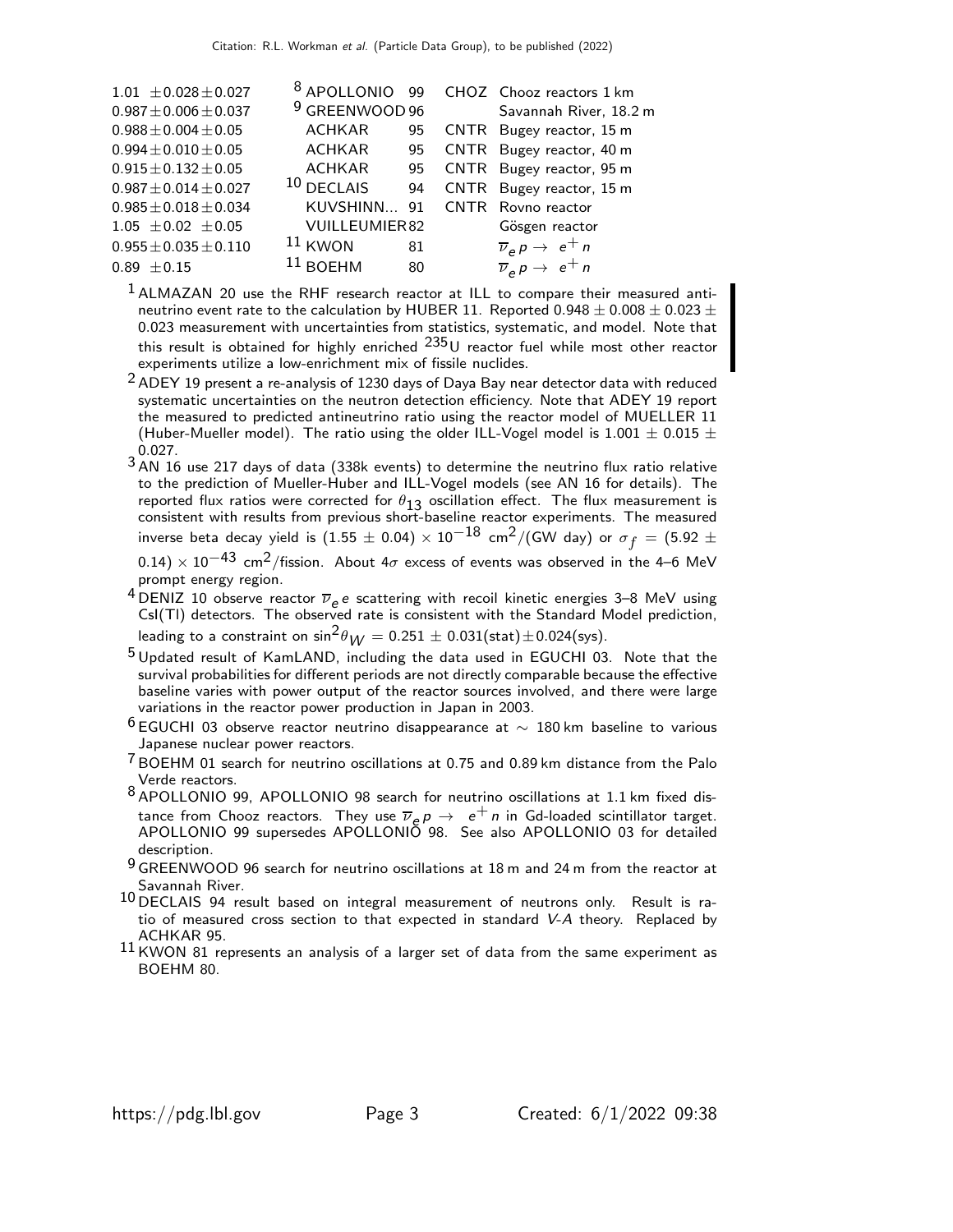| $1.01 \pm 0.028 \pm 0.027$  | 8 APOLLONIO               | 99 | CHOZ Chooz reactors 1 km                                           |
|-----------------------------|---------------------------|----|--------------------------------------------------------------------|
| $0.987 \pm 0.006 \pm 0.037$ | <sup>9</sup> GREENWOOD 96 |    | Savannah River, 18.2 m                                             |
| $0.988 \pm 0.004 \pm 0.05$  | <b>ACHKAR</b>             | 95 | CNTR Bugey reactor, 15 m                                           |
| $0.994 \pm 0.010 \pm 0.05$  | <b>ACHKAR</b>             | 95 | CNTR Bugey reactor, 40 m                                           |
| $0.915 \pm 0.132 \pm 0.05$  | <b>ACHKAR</b>             | 95 | CNTR Bugey reactor, 95 m                                           |
| $0.987 \pm 0.014 \pm 0.027$ | 10 DECLAIS                | 94 | CNTR Bugey reactor, 15 m                                           |
| $0.985 \pm 0.018 \pm 0.034$ | KUVSHINN                  | 91 | CNTR Rovno reactor                                                 |
| $1.05 \pm 0.02 \pm 0.05$    | <b>VUILLEUMIER82</b>      |    | Gösgen reactor                                                     |
| $0.955 \pm 0.035 \pm 0.110$ | $11$ KWON                 | 81 | $\overline{\nu}_e p \rightarrow e^+ n$                             |
| $0.89 \pm 0.15$             | $11$ ROEHM                | 80 | $\overline{\nu}_e \overline{\rho} \rightarrow e^+ \overline{\rho}$ |

<sup>1</sup> ALMAZAN 20 use the RHF research reactor at ILL to compare their measured antineutrino event rate to the calculation by HUBER 11. Reported 0.948  $\pm$  0.008  $\pm$  0.023  $\pm$ 0.023 measurement with uncertainties from statistics, systematic, and model. Note that this result is obtained for highly enriched  $^{235}$ U reactor fuel while most other reactor experiments utilize a low-enrichment mix of fissile nuclides.

- $2$  ADEY 19 present a re-analysis of 1230 days of Daya Bay near detector data with reduced systematic uncertainties on the neutron detection efficiency. Note that ADEY 19 report the measured to predicted antineutrino ratio using the reactor model of MUELLER 11 (Huber-Mueller model). The ratio using the older ILL-Vogel model is 1.001  $\pm$  0.015  $\pm$ 0.027.
- $3$  AN 16 use 217 days of data (338k events) to determine the neutrino flux ratio relative to the prediction of Mueller-Huber and ILL-Vogel models (see AN 16 for details). The reported flux ratios were corrected for  $\theta_{13}$  oscillation effect. The flux measurement is consistent with results from previous short-baseline reactor experiments. The measured inverse beta decay yield is  $(1.55\pm 0.04)\times 10^{-18}$  cm $^2/$ (GW day) or  $\sigma_f = (5.92\pm$
- $(0.14) \times 10^{-43}$  cm<sup>2</sup>/fission. About  $4\sigma$  excess of events was observed in the 4–6 MeV prompt energy region.
- <sup>4</sup> DENIZ 10 observe reactor  $\overline{\nu}_e e$  scattering with recoil kinetic energies 3–8 MeV using CsI(Tl) detectors. The observed rate is consistent with the Standard Model prediction, leading to a constraint on  $\sin^2\theta_{\text{W}} = 0.251 \pm 0.031 \text{(stat)} \pm 0.024 \text{(sys)}.$
- 5 Updated result of KamLAND, including the data used in EGUCHI 03. Note that the survival probabilities for different periods are not directly comparable because the effective baseline varies with power output of the reactor sources involved, and there were large variations in the reactor power production in Japan in 2003.
- $^6$ EGUCHI 03 observe reactor neutrino disappearance at  $\sim$  180 km baseline to various Japanese nuclear power reactors.
- 7 BOEHM 01 search for neutrino oscillations at 0.75 and 0.89 km distance from the Palo Verde reactors.
- 8 APOLLONIO 99, APOLLONIO 98 search for neutrino oscillations at 1.1 km fixed distance from Chooz reactors. They use  $\overline{\nu}_e p \rightarrow e^+ n$  in Gd-loaded scintillator target. APOLLONIO 99 supersedes APOLLONIO 98. See also APOLLONIO 03 for detailed description.
- $9$  GREENWOOD 96 search for neutrino oscillations at 18 m and 24 m from the reactor at Savannah River.
- 10 DECLAIS 94 result based on integral measurement of neutrons only. Result is ratio of measured cross section to that expected in standard V-A theory. Replaced by ACHKAR 95.
- $^{11}$  KWON 81 represents an analysis of a larger set of data from the same experiment as BOEHM 80.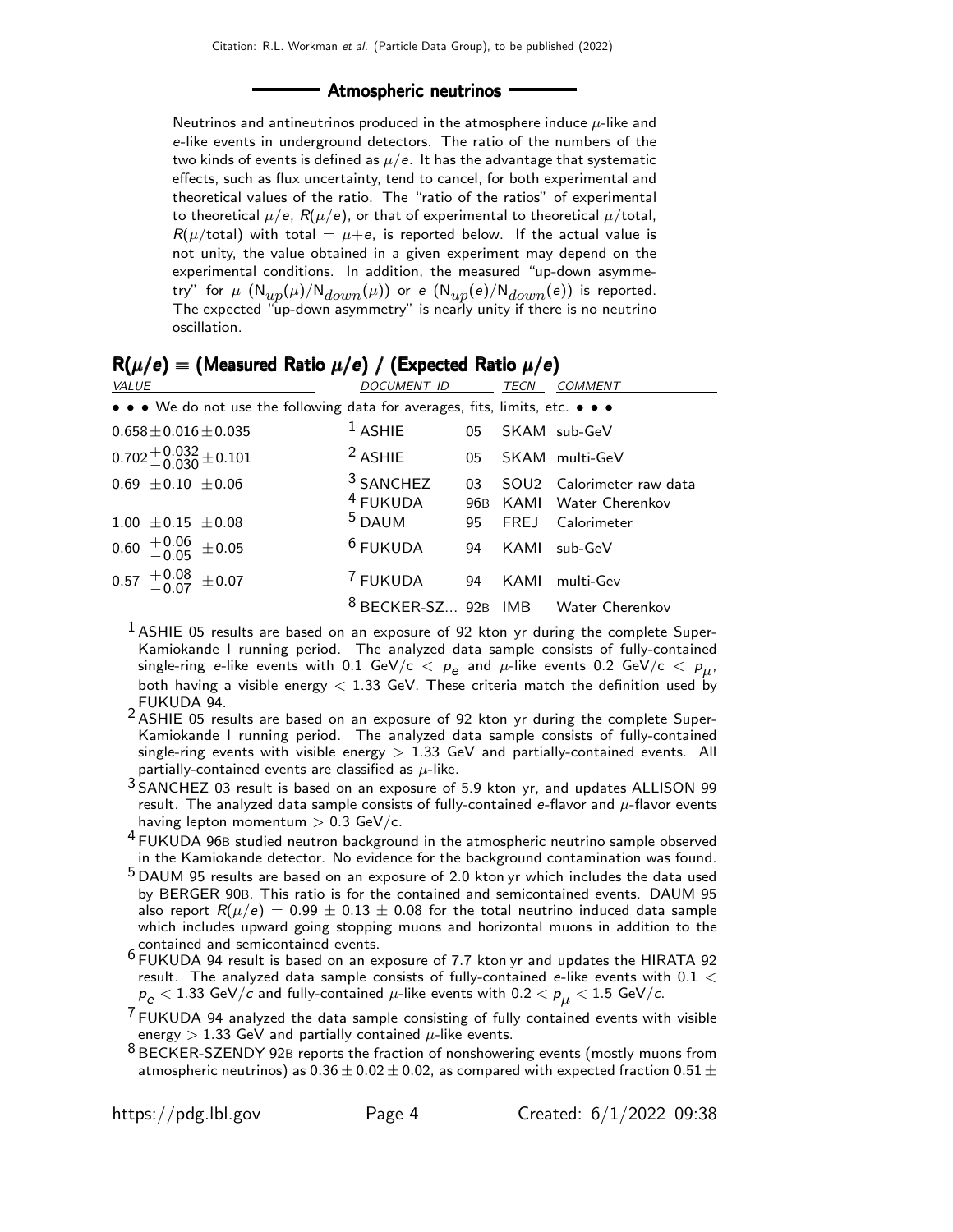#### - Atmospheric neutrinos -

Neutrinos and antineutrinos produced in the atmosphere induce  $\mu$ -like and e-like events in underground detectors. The ratio of the numbers of the two kinds of events is defined as  $\mu/e$ . It has the advantage that systematic effects, such as flux uncertainty, tend to cancel, for both experimental and theoretical values of the ratio. The "ratio of the ratios" of experimental to theoretical  $\mu/e$ ,  $R(\mu/e)$ , or that of experimental to theoretical  $\mu$ /total,  $R(\mu/\text{total})$  with total =  $\mu + e$ , is reported below. If the actual value is not unity, the value obtained in a given experiment may depend on the experimental conditions. In addition, the measured "up-down asymmetry" for  $\mu$   $(N_{up}(\mu)/N_{down}(\mu))$  or e  $(N_{up}(e)/N_{down}(e))$  is reported. The expected "up-down asymmetry" is nearly unity if there is no neutrino oscillation.

| $\mathbf{v}$ , $\mathbf{v}$<br>VALUE                                          | .<br>DOCUMENT ID                            |           | TECN | <b>COMMENT</b>                                    |
|-------------------------------------------------------------------------------|---------------------------------------------|-----------|------|---------------------------------------------------|
|                                                                               |                                             |           |      |                                                   |
| • • • We do not use the following data for averages, fits, limits, etc. • • • |                                             |           |      |                                                   |
| $0.658 \pm 0.016 \pm 0.035$                                                   | $1$ ASHIE                                   | 05        |      | SKAM sub-GeV                                      |
| $0.702 + 0.032 + 0.101$                                                       | <sup>2</sup> ASHIE                          | 05        |      | SKAM multi-GeV                                    |
| $0.69 \pm 0.10 \pm 0.06$                                                      | <sup>3</sup> SANCHEZ<br><sup>4</sup> FUKUDA | 03<br>96B |      | SOU2 Calorimeter raw data<br>KAMI Water Cherenkov |
| $1.00 \pm 0.15 \pm 0.08$                                                      | <sup>5</sup> DAUM                           | 95        |      | FREJ Calorimeter                                  |
| $0.60$ $^{+0.06}_{-0.05}$ $\pm 0.05$                                          | $6$ FUKUDA                                  | 94        | KAMI | $sub-GeV$                                         |
| $0.57 \begin{array}{c} +0.08 \\ -0.07 \end{array} \pm 0.07$                   | <sup>7</sup> FUKUDA                         | 94        | KAMI | multi-Gev                                         |
|                                                                               |                                             |           |      | <sup>8</sup> BECKER-SZ 92B IMB Water Cherenkov    |

|  | $R(\mu/e) =$ (Measured Ratio $\mu/e$ ) / (Expected Ratio $\mu/e$ ) |  |  |
|--|--------------------------------------------------------------------|--|--|
|--|--------------------------------------------------------------------|--|--|

- $<sup>1</sup>$  ASHIE 05 results are based on an exposure of 92 kton yr during the complete Super-</sup> Kamiokande I running period. The analyzed data sample consists of fully-contained single-ring e-like events with 0.1 GeV/c  $<~\rho_e^{}$  and  $\mu$ -like events 0.2 GeV/c  $<~\rho_{\mu}^{},$ both having a visible energy  $<$  1.33 GeV. These criteria match the definition used by FUKUDA 94.
- 2 ASHIE 05 results are based on an exposure of 92 kton yr during the complete Super-Kamiokande I running period. The analyzed data sample consists of fully-contained single-ring events with visible energy  $> 1.33$  GeV and partially-contained events. All partially-contained events are classified as  $\mu$ -like.
- 3 SANCHEZ 03 result is based on an exposure of 5.9 kton yr, and updates ALLISON 99 result. The analyzed data sample consists of fully-contained e-flavor and  $\mu$ -flavor events having lepton momentum  $> 0.3$  GeV/c.
- <sup>4</sup> FUKUDA 96B studied neutron background in the atmospheric neutrino sample observed in the Kamiokande detector. No evidence for the background contamination was found.
- 5 DAUM 95 results are based on an exposure of 2.0 kton yr which includes the data used by BERGER 90B. This ratio is for the contained and semicontained events. DAUM 95 also report  $R(\mu/e) = 0.99 \pm 0.13 \pm 0.08$  for the total neutrino induced data sample which includes upward going stopping muons and horizontal muons in addition to the contained and semicontained events.
- 6 FUKUDA 94 result is based on an exposure of 7.7 kton yr and updates the HIRATA 92 result. The analyzed data sample consists of fully-contained e-like events with 0.1  $<$  $p_e < 1.33$  GeV/c and fully-contained  $\mu$ -like events with 0.2  $\lt p_{\mu} < 1.5$  GeV/c.
- $7$  FUKUDA 94 analyzed the data sample consisting of fully contained events with visible energy  $> 1.33$  GeV and partially contained  $\mu$ -like events.
- <sup>8</sup> BECKER-SZENDY 92B reports the fraction of nonshowering events (mostly muons from atmospheric neutrinos) as  $0.36 \pm 0.02 \pm 0.02$ , as compared with expected fraction  $0.51 \pm$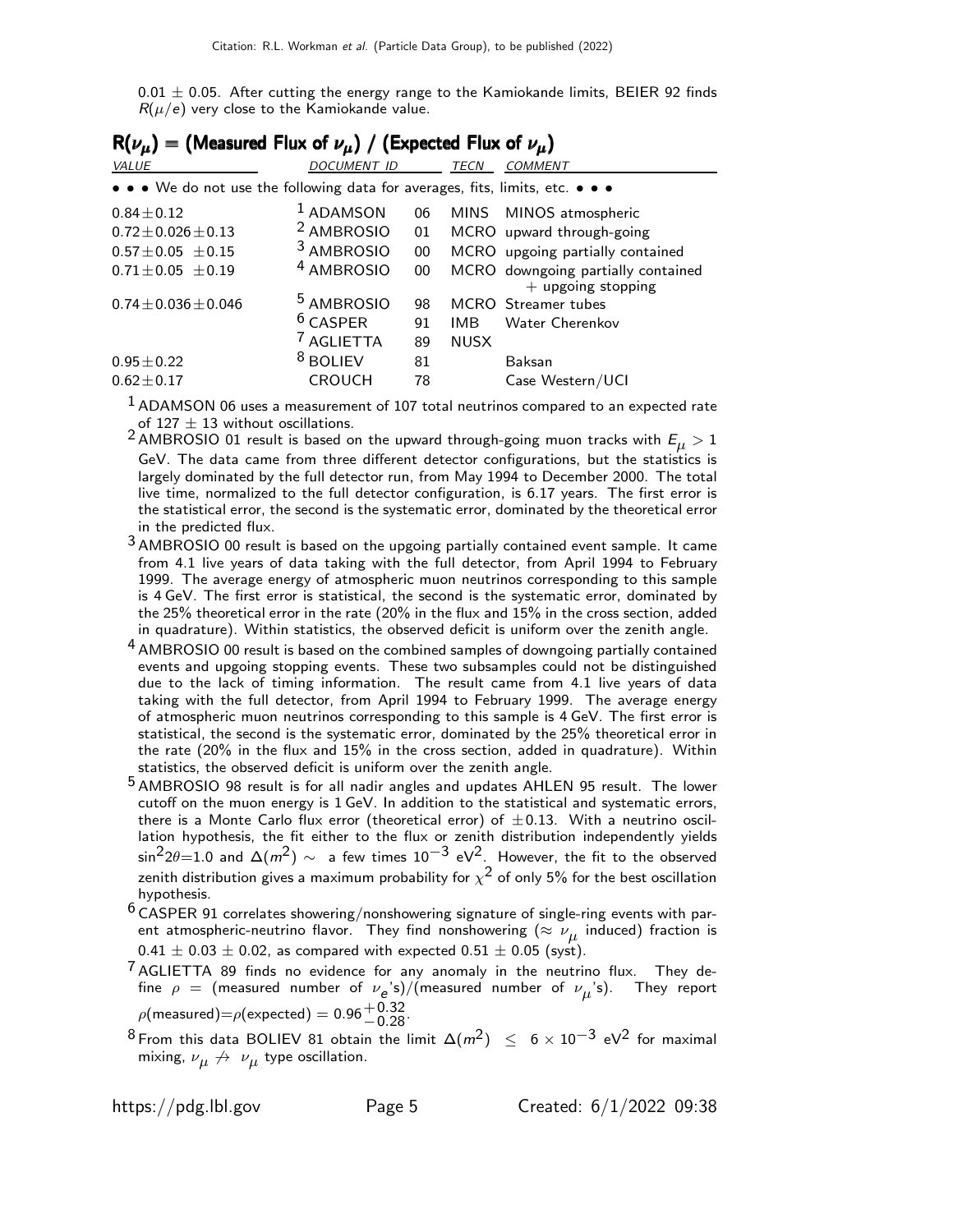0.01  $\pm$  0.05. After cutting the energy range to the Kamiokande limits, BEIER 92 finds  $R(\mu/e)$  very close to the Kamiokande value.

| $R(\nu_{\mu})$ = (Measured Flux of $\nu_{\mu}$ ) / (Expected Flux of $\nu_{\mu}$ ) |                       |    |             |                                                            |  |  |
|------------------------------------------------------------------------------------|-----------------------|----|-------------|------------------------------------------------------------|--|--|
| VALUE                                                                              | <b>DOCUMENT ID</b>    |    | TECN        | <b>COMMENT</b>                                             |  |  |
| • • • We do not use the following data for averages, fits, limits, etc. • • •      |                       |    |             |                                                            |  |  |
| $0.84 \pm 0.12$                                                                    | $1$ ADAMSON           | 06 | MINS        | MINOS atmospheric                                          |  |  |
| $0.72 \pm 0.026 \pm 0.13$                                                          | <sup>2</sup> AMBROSIO | 01 |             | MCRO upward through-going                                  |  |  |
| $0.57 \pm 0.05 \pm 0.15$                                                           | <sup>3</sup> AMBROSIO | 00 |             | MCRO upgoing partially contained                           |  |  |
| $0.71 \pm 0.05 \pm 0.19$                                                           | <sup>4</sup> AMBROSIO | 00 |             | MCRO downgoing partially contained<br>$+$ upgoing stopping |  |  |
| $0.74 \pm 0.036 \pm 0.046$                                                         | <sup>5</sup> AMBROSIO | 98 |             | MCRO Streamer tubes                                        |  |  |
|                                                                                    | $6$ CASPER            | 91 | <b>IMB</b>  | Water Cherenkov                                            |  |  |
|                                                                                    | <b>AGLIETTA</b>       | 89 | <b>NUSX</b> |                                                            |  |  |
| $0.95 \pm 0.22$                                                                    | <sup>8</sup> BOLIEV   | 81 |             | Baksan                                                     |  |  |
| $0.62 \pm 0.17$                                                                    | <b>CROUCH</b>         | 78 |             | Case Western/UCI                                           |  |  |

 $<sup>1</sup>$  ADAMSON 06 uses a measurement of 107 total neutrinos compared to an expected rate</sup> of 127  $\pm$  13 without oscillations.

<sup>2</sup> AMBROSIO 01 result is based on the upward through-going muon tracks with  $E_{\mu} > 1$ GeV. The data came from three different detector configurations, but the statistics is largely dominated by the full detector run, from May 1994 to December 2000. The total live time, normalized to the full detector configuration, is 6.17 years. The first error is the statistical error, the second is the systematic error, dominated by the theoretical error in the predicted flux.

- <sup>3</sup> AMBROSIO 00 result is based on the upgoing partially contained event sample. It came from 4.1 live years of data taking with the full detector, from April 1994 to February 1999. The average energy of atmospheric muon neutrinos corresponding to this sample is 4 GeV. The first error is statistical, the second is the systematic error, dominated by the 25% theoretical error in the rate (20% in the flux and 15% in the cross section, added in quadrature). Within statistics, the observed deficit is uniform over the zenith angle.
- <sup>4</sup> AMBROSIO 00 result is based on the combined samples of downgoing partially contained events and upgoing stopping events. These two subsamples could not be distinguished due to the lack of timing information. The result came from 4.1 live years of data taking with the full detector, from April 1994 to February 1999. The average energy of atmospheric muon neutrinos corresponding to this sample is 4 GeV. The first error is statistical, the second is the systematic error, dominated by the 25% theoretical error in the rate (20% in the flux and 15% in the cross section, added in quadrature). Within statistics, the observed deficit is uniform over the zenith angle.
- 5 AMBROSIO 98 result is for all nadir angles and updates AHLEN 95 result. The lower cutoff on the muon energy is 1 GeV. In addition to the statistical and systematic errors, there is a Monte Carlo flux error (theoretical error) of  $\pm 0.13$ . With a neutrino oscillation hypothesis, the fit either to the flux or zenith distribution independently yields  $\sin^2 2\theta=1.0$  and  $\Delta(m^2) \sim$  a few times  $10^{-3}$  eV<sup>2</sup>. However, the fit to the observed zenith distribution gives a maximum probability for  $\chi^2$  of only 5% for the best oscillation hypothesis.
- $6$  CASPER 91 correlates showering/nonshowering signature of single-ring events with parent atmospheric-neutrino flavor. They find nonshowering  $(\approx \nu_\mu$  induced) fraction is  $0.41 \pm 0.03 \pm 0.02$ , as compared with expected  $0.51 \pm 0.05$  (syst).

 $7$  AGLIETTA 89 finds no evidence for any anomaly in the neutrino flux. They define  $\rho~=~$  (measured number of  $\nu_{\bm{e}}$ 's)/(measured number of  $\nu_{\bm{\mu}}$ 's). They report  $\rho$ (measured) $=$  $\rho$ (expected)  $= 0.96 {+ 0.32\atop -0.28}$ .

8 From this data BOLIEV 81 obtain the limit  $\Delta(m^2) \leq 6 \times 10^{-3}$  eV<sup>2</sup> for maximal mixing,  $\nu_{\mu} \not\rightarrow \ \nu_{\mu}$  type oscillation.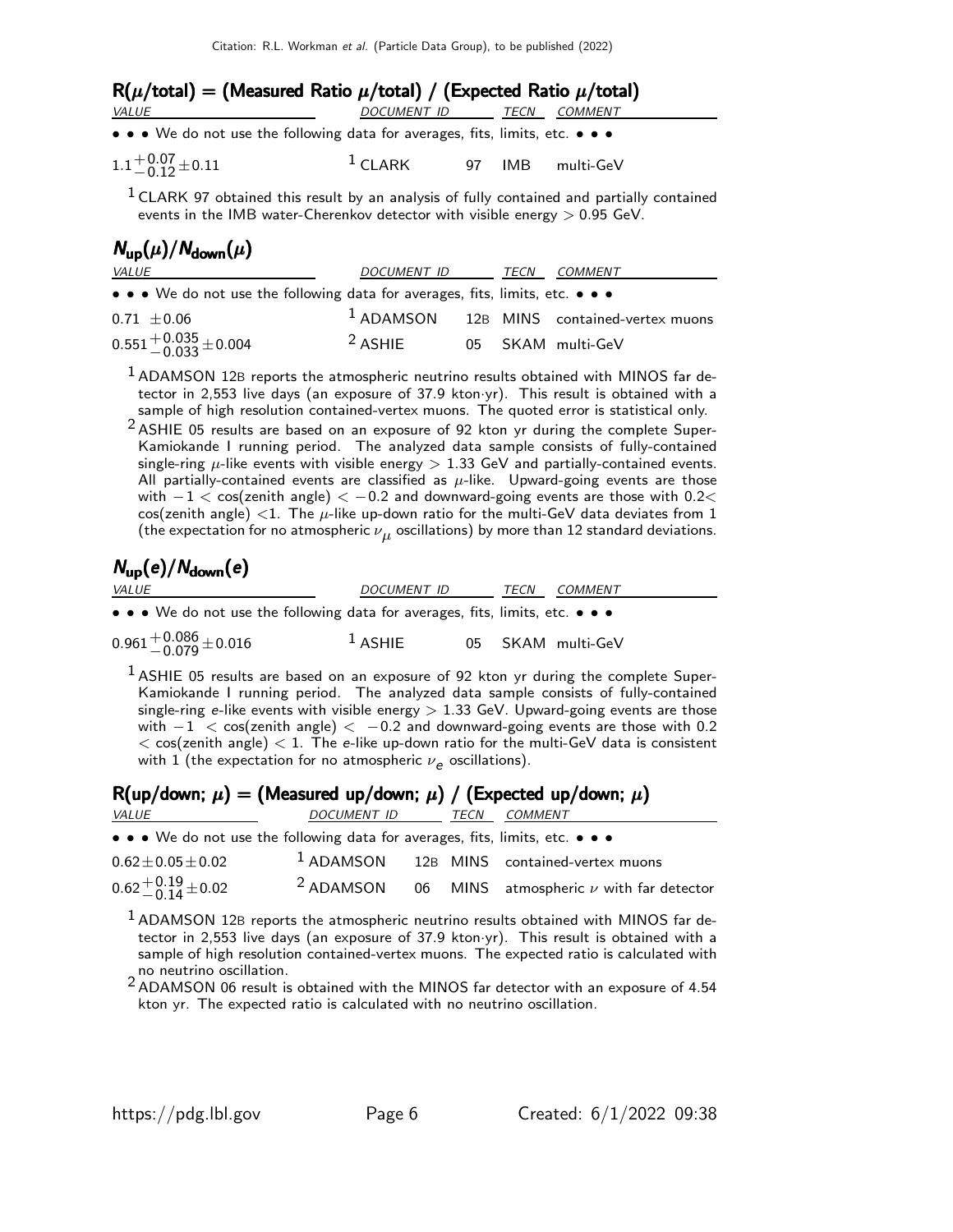| $R(\mu/\text{total}) = (M$ easured Ratio $\mu/\text{total}) / (E$ xpected Ratio $\mu/\text{total})$                   |                          |  |  |                  |
|-----------------------------------------------------------------------------------------------------------------------|--------------------------|--|--|------------------|
| <i>VALUE</i>                                                                                                          | DOCUMENT ID TECN COMMENT |  |  |                  |
| $\bullet \bullet \bullet$ We do not use the following data for averages, fits, limits, etc. $\bullet \bullet \bullet$ |                          |  |  |                  |
| $1.1 + 0.07 + 0.11$                                                                                                   | $1$ CLARK                |  |  | 97 IMB multi-GeV |

 $1$  CLARK 97 obtained this result by an analysis of fully contained and partially contained events in the IMB water-Cherenkov detector with visible energy  $> 0.95$  GeV.

# $N_{\text{up}}(\mu)/N_{\text{down}}(\mu)$

| <i>VALUE</i>                                                                                                          | DOCUMENT ID        | TECN | <i>COMMENT</i>                                |
|-----------------------------------------------------------------------------------------------------------------------|--------------------|------|-----------------------------------------------|
| $\bullet \bullet \bullet$ We do not use the following data for averages, fits, limits, etc. $\bullet \bullet \bullet$ |                    |      |                                               |
| $0.71 \pm 0.06$                                                                                                       |                    |      | $1$ ADAMSON $12B$ MINS contained-vertex muons |
| $0.551^{+0.035}_{-0.033}$ ± 0.004                                                                                     | <sup>2</sup> ASHIE |      | 05 SKAM multi-GeV                             |

 $1$  ADAMSON 12B reports the atmospheric neutrino results obtained with MINOS far detector in 2,553 live days (an exposure of 37.9 kton·yr). This result is obtained with a sample of high resolution contained-vertex muons. The quoted error is statistical only.

 $2$  ASHIE 05 results are based on an exposure of 92 kton yr during the complete Super-Kamiokande I running period. The analyzed data sample consists of fully-contained single-ring  $\mu$ -like events with visible energy  $> 1.33$  GeV and partially-contained events. All partially-contained events are classified as  $\mu$ -like. Upward-going events are those with  $-1 < \cos(\text{zenith angle}) < -0.2$  and downward-going events are those with 0.2< cos(zenith angle) <1. The  $\mu$ -like up-down ratio for the multi-GeV data deviates from 1 (the expectation for no atmospheric  $\nu_{\boldsymbol{\mu}}$  oscillations) by more than 12 standard deviations.

# $N_{\text{up}}(e)/N_{\text{down}}(e)$

| <i>VALUE</i>                                                                  | DOCUMENT ID | TECN<br><i>COMMENT</i> |
|-------------------------------------------------------------------------------|-------------|------------------------|
| • • • We do not use the following data for averages, fits, limits, etc. • • • |             |                        |
| $0.961^{+0.086}_{-0.079}$ ± 0.016                                             | $1$ ASHIE   | 05 SKAM multi-GeV      |

 $1$  ASHIE 05 results are based on an exposure of 92 kton yr during the complete Super-Kamiokande I running period. The analyzed data sample consists of fully-contained single-ring e-like events with visible energy  $> 1.33$  GeV. Upward-going events are those with  $-1$  < cos(zenith angle) < -0.2 and downward-going events are those with 0.2  $<$  cos(zenith angle)  $<$  1. The e-like up-down ratio for the multi-GeV data is consistent with  $1$  (the expectation for no atmospheric  $\nu_{\bm e}$  oscillations).

|                          |                                                                               |      | $R(up/down; \mu) = (Measured up/down; \mu) / (Expected up/down; \mu)$ |
|--------------------------|-------------------------------------------------------------------------------|------|-----------------------------------------------------------------------|
| <i>VALUE</i>             | DOCUMENT ID                                                                   | TECN | <i>COMMENT</i>                                                        |
|                          | • • • We do not use the following data for averages, fits, limits, etc. • • • |      |                                                                       |
| $0.62 \pm 0.05 \pm 0.02$ |                                                                               |      | $1$ ADAMSON 12B MINS contained-vertex muons                           |
| $0.62 + 0.19 + 0.02$     |                                                                               |      | <sup>2</sup> ADAMSON 06 MINS atmospheric $\nu$ with far detector      |

<sup>1</sup> ADAMSON 12B reports the atmospheric neutrino results obtained with MINOS far detector in 2,553 live days (an exposure of 37.9 kton·yr). This result is obtained with a sample of high resolution contained-vertex muons. The expected ratio is calculated with no neutrino oscillation.

2 ADAMSON 06 result is obtained with the MINOS far detector with an exposure of 4.54 kton yr. The expected ratio is calculated with no neutrino oscillation.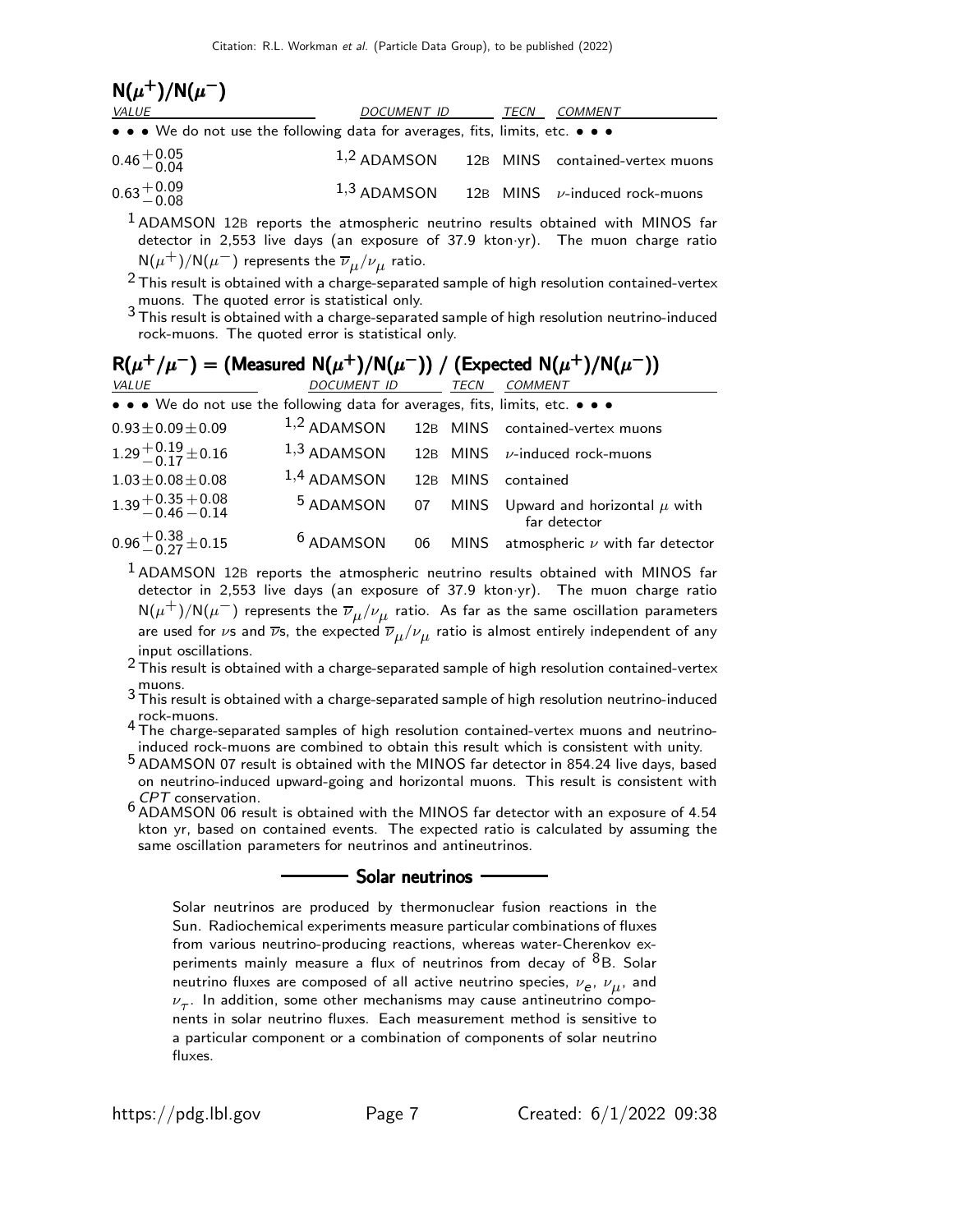| $N(\mu^+)/N(\mu^-)$                                                           |             |      |                                                  |
|-------------------------------------------------------------------------------|-------------|------|--------------------------------------------------|
| <i>VALUE</i>                                                                  | DOCUMENT ID | TECN | COMMENT                                          |
| • • • We do not use the following data for averages, fits, limits, etc. • • • |             |      |                                                  |
| $0.46 + 0.05$                                                                 |             |      | $1,2$ ADAMSON 12B MINS contained-vertex muons    |
| $0.63 + 0.09$<br>$-0.08$                                                      |             |      | $1,3$ ADAMSON 12B MINS $\nu$ -induced rock-muons |
|                                                                               |             |      |                                                  |

<sup>1</sup> ADAMSON 12B reports the atmospheric neutrino results obtained with MINOS far detector in 2,553 live days (an exposure of 37.9 kton·yr). The muon charge ratio  ${\sf N}(\mu^+)/{\sf N}(\mu^-)$  represents the  $\overline{\nu}_\mu/\nu_\mu$  ratio.

 $2$  This result is obtained with a charge-separated sample of high resolution contained-vertex muons. The quoted error is statistical only.

 $3$  This result is obtained with a charge-separated sample of high resolution neutrino-induced rock-muons. The quoted error is statistical only.

| $R(\mu^+/\mu^-)$ = (Measured N( $\mu^+$ )/N( $\mu^-$ )) / (Expected N( $\mu^+$ )/N( $\mu^-$ )) |                      |    |          |                                                       |  |
|------------------------------------------------------------------------------------------------|----------------------|----|----------|-------------------------------------------------------|--|
| VALUE                                                                                          | DOCUMENT ID          |    | TECN     | <b>COMMENT</b>                                        |  |
| • • • We do not use the following data for averages, fits, limits, etc. • • •                  |                      |    |          |                                                       |  |
| $0.93 \pm 0.09 \pm 0.09$                                                                       |                      |    |          | 1,2 ADAMSON 12B MINS contained-vertex muons           |  |
| $1.29 + 0.19 + 0.16$                                                                           | $1,3$ ADAMSON        |    |          | 12B MINS $\nu$ -induced rock-muons                    |  |
| $1.03 \pm 0.08 \pm 0.08$                                                                       | $1,4$ ADAMSON        |    | 12B MINS | contained                                             |  |
| $1.39 + 0.35 + 0.08$<br>-0.46 -0.14                                                            | <sup>5</sup> ADAMSON | 07 |          | MINS Upward and horizontal $\mu$ with<br>far detector |  |
| $0.96 + 0.38 + 0.15$                                                                           | <sup>6</sup> ADAMSON |    |          | 06 MINS atmospheric $\nu$ with far detector           |  |

 $<sup>1</sup>$  ADAMSON 12B reports the atmospheric neutrino results obtained with MINOS far</sup> detector in 2,553 live days (an exposure of 37.9 kton·yr). The muon charge ratio  ${\sf N}(\mu^+)/{\sf N}(\mu^-)$  represents the  $\overline{\nu}_\mu/\nu_\mu$  ratio. As far as the same oscillation parameters are used for  $\nu$ s and  $\overline{\nu}$ s, the expected  $\overline{\nu}_\mu/\nu_\mu$  ratio is almost entirely independent of any input oscillations.

2 This result is obtained with a charge-separated sample of high resolution contained-vertex

 $^3$  This result is obtained with a charge-separated sample of high resolution neutrino-induced rock-muons. <sup>4</sup> The charge-separated samples of high resolution contained-vertex muons and neutrino-

induced rock-muons are combined to obtain this result which is consistent with unity.

5 ADAMSON 07 result is obtained with the MINOS far detector in 854.24 live days, based on neutrino-induced upward-going and horizontal muons. This result is consistent with CPT conservation. <sup>6</sup> ADAMSON 06 result is obtained with the MINOS far detector with an exposure of 4.54

kton yr, based on contained events. The expected ratio is calculated by assuming the same oscillation parameters for neutrinos and antineutrinos.

#### <u>saar neutrinos</u>

Solar neutrinos are produced by thermonuclear fusion reactions in the Sun. Radiochemical experiments measure particular combinations of fluxes from various neutrino-producing reactions, whereas water-Cherenkov experiments mainly measure a flux of neutrinos from decay of  $8B$ . Solar neutrino fluxes are composed of all active neutrino species,  $\nu_e$ ,  $\nu_\mu$ , and  $\nu_{\tau}$ . In addition, some other mechanisms may cause antineutrino components in solar neutrino fluxes. Each measurement method is sensitive to a particular component or a combination of components of solar neutrino fluxes.

 $+$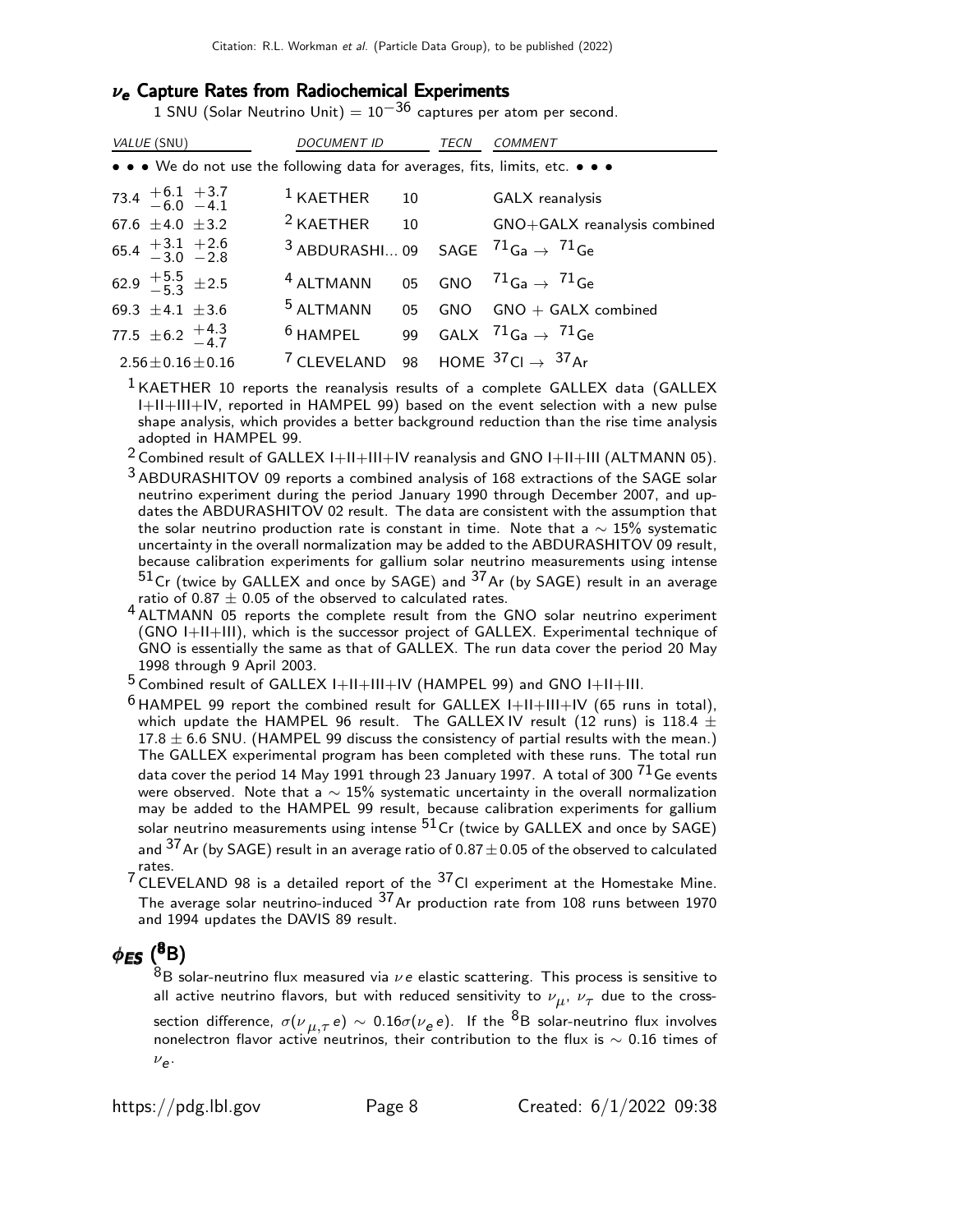## $\nu_e$  Capture Rates from Radiochemical Experiments

1 SNU (Solar Neutrino Unit) =  $10^{-36}$  captures per atom per second.

| <i>VALUE</i> (SNU)                                                                                                    | <i>DOCUMENT ID</i>                                                 | TECN | COMMENT                                     |
|-----------------------------------------------------------------------------------------------------------------------|--------------------------------------------------------------------|------|---------------------------------------------|
| $\bullet \bullet \bullet$ We do not use the following data for averages, fits, limits, etc. $\bullet \bullet \bullet$ |                                                                    |      |                                             |
| $73.4$ $+6.1$ $+3.7$<br>$-6.0$ $-4.1$                                                                                 | $1$ KAETHER $10$                                                   |      | GALX reanalysis                             |
| 67.6 $\pm$ 4.0 $\pm$ 3.2                                                                                              |                                                                    |      | $2$ KAETHER 10 GNO+GALX reanalysis combined |
| $65.4 + 3.1 + 2.6$<br>$-3.0 - 2.8$                                                                                    | <sup>3</sup> ABDURASHI 09 SAGE $^{71}$ Ga $\rightarrow$ $^{71}$ Ge |      |                                             |
| 62.9 $\frac{+5.5}{-5.3}$ ± 2.5                                                                                        | $4$ ALTMANN 05 GNO $71$ Ga $\rightarrow$ $71$ Ge                   |      |                                             |
| 69.3 $\pm$ 4.1 $\pm$ 3.6                                                                                              |                                                                    |      | $5$ ALTMANN 05 GNO GNO + GALX combined      |
| 77.5 $\pm$ 6.2 $+$ 4.3                                                                                                | $6$ HAMPEL 99 GALX $71$ Ga $\rightarrow$ $71$ Ge                   |      |                                             |
| $2.56 \pm 0.16 \pm 0.16$                                                                                              | <sup>7</sup> CLEVELAND 98 HOME $37$ Cl $\rightarrow$ $37$ Ar       |      |                                             |

 $<sup>1</sup>$  KAETHER 10 reports the reanalysis results of a complete GALLEX data (GALLEX</sup> I+II+III+IV, reported in HAMPEL 99) based on the event selection with a new pulse shape analysis, which provides a better background reduction than the rise time analysis adopted in HAMPEL 99.

2 Combined result of GALLEX I+II+III+IV reanalysis and GNO I+II+III (ALTMANN 05).

3 ABDURASHITOV 09 reports a combined analysis of 168 extractions of the SAGE solar neutrino experiment during the period January 1990 through December 2007, and updates the ABDURASHITOV 02 result. The data are consistent with the assumption that the solar neutrino production rate is constant in time. Note that a  $\sim 15\%$  systematic uncertainty in the overall normalization may be added to the ABDURASHITOV 09 result, because calibration experiments for gallium solar neutrino measurements using intense  $51$ Cr (twice by GALLEX and once by SAGE) and  $37$ Ar (by SAGE) result in an average ratio of 0.87  $\pm$  0.05 of the observed to calculated rates.

4 ALTMANN 05 reports the complete result from the GNO solar neutrino experiment (GNO I+II+III), which is the successor project of GALLEX. Experimental technique of GNO is essentially the same as that of GALLEX. The run data cover the period 20 May 1998 through 9 April 2003.

 $5$  Combined result of GALLEX I+II+III+IV (HAMPEL 99) and GNO I+II+III.

 $6$  HAMPEL 99 report the combined result for GALLEX I+II+III+IV (65 runs in total), which update the HAMPEL 96 result. The GALLEX IV result (12 runs) is 118.4  $\pm$  $17.8 \pm 6.6$  SNU. (HAMPEL 99 discuss the consistency of partial results with the mean.) The GALLEX experimental program has been completed with these runs. The total run data cover the period 14 May 1991 through 23 January 1997. A total of 300  $71$  Ge events were observed. Note that a ∼ 15% systematic uncertainty in the overall normalization may be added to the HAMPEL 99 result, because calibration experiments for gallium solar neutrino measurements using intense  $51Cr$  (twice by GALLEX and once by SAGE) and  $37$  Ar (by SAGE) result in an average ratio of 0.87  $\pm$  0.05 of the observed to calculated rates.

 $7$  CLEVELAND 98 is a detailed report of the  $37$ CI experiment at the Homestake Mine. The average solar neutrino-induced  $37$  Ar production rate from 108 runs between 1970 and 1994 updates the DAVIS 89 result.

## $\phi_{\textsf{ES}}~(^{8} {\rm B})$

 $8B$  solar-neutrino flux measured via  $\nu e$  elastic scattering. This process is sensitive to all active neutrino flavors, but with reduced sensitivity to  $\nu_{\mu},~\nu_{\tau}$  due to the crosssection difference,  $\sigma(\nu_{,\mu,\tau}\,e)\,\sim\,0.16\sigma(\nu_e\,e)$ . If the  $^8{\sf B}$  solar-neutrino flux involves nonelectron flavor active neutrinos, their contribution to the flux is  $\sim$  0.16 times of  $v_{e}$ .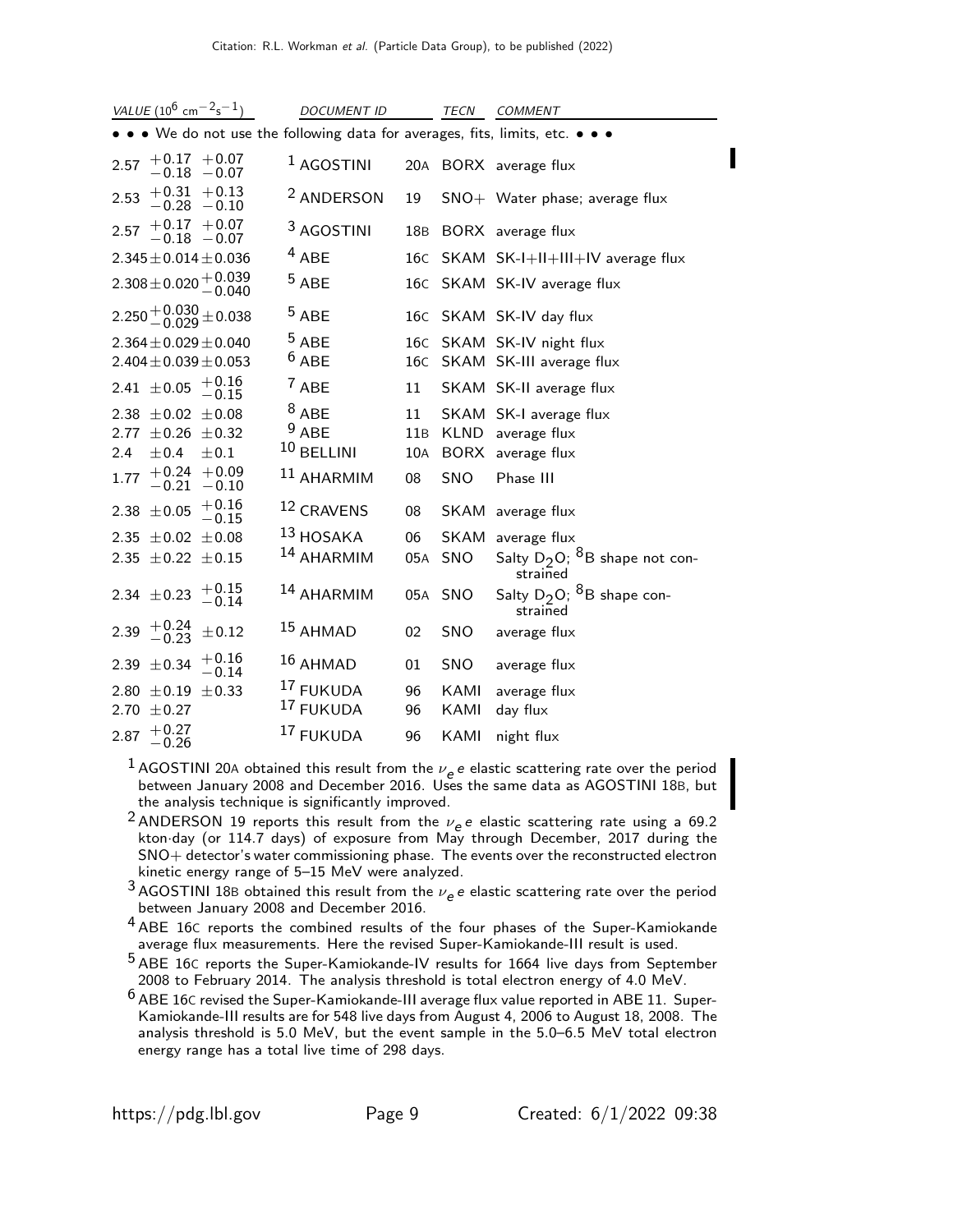| VALUE (10 <sup>6</sup> cm <sup>-2</sup> s <sup>-1</sup> )                     | <b>DOCUMENT ID</b>    |     | <b>TECN</b> | <b>COMMENT</b>                                            |
|-------------------------------------------------------------------------------|-----------------------|-----|-------------|-----------------------------------------------------------|
| • • • We do not use the following data for averages, fits, limits, etc. • • • |                       |     |             |                                                           |
| $+0.17 + 0.07$<br>2.57<br>$-0.18 - 0.07$                                      | <sup>1</sup> AGOSTINI |     |             | 20A BORX average flux                                     |
| $+0.31 + 0.13$<br>2.53<br>$-0.28 - 0.10$                                      | <sup>2</sup> ANDERSON | 19  |             | SNO+ Water phase; average flux                            |
| $+0.17 + 0.07$<br>2.57<br>$-0.18 - 0.07$                                      | <sup>3</sup> AGOSTINI | 18B |             | BORX average flux                                         |
| $2.345 \pm 0.014 \pm 0.036$                                                   | $4$ ABE               |     |             | 16C SKAM SK-I+II+III+IV average flux                      |
| $2.308 \pm 0.020 \begin{array}{c} +0.039 \\ -0.040 \end{array}$               | $5$ ABE               |     |             | 16C SKAM SK-IV average flux                               |
| $2.250 + 0.030 + 0.038$                                                       | $5$ ABE               |     |             | 16C SKAM SK-IV day flux                                   |
| $2.364 \pm 0.029 \pm 0.040$<br>$2.404 \pm 0.039 \pm 0.053$                    | $^5$ ABE<br>$6$ ABE   |     |             | 16C SKAM SK-IV night flux<br>16C SKAM SK-III average flux |
|                                                                               |                       |     |             |                                                           |
| $^{+0.16}_{-0.15}$<br>2.41 $\pm 0.05$                                         | $7$ ABE               | 11  |             | SKAM SK-II average flux                                   |
| 2.38 $\pm$ 0.02 $\pm$ 0.08                                                    | $8$ ABE               | 11  |             | SKAM SK-I average flux                                    |
| 2.77<br>$\pm 0.26 \pm 0.32$                                                   | $9$ ABE               | 11B | KLND        | average flux                                              |
| 2.4<br>±0.4<br>$\pm 0.1$                                                      | 10 BELLINI            | 10A |             | BORX average flux                                         |
| $+0.24 + 0.09$<br>1.77<br>$-0.21$<br>$-0.10$                                  | 11 AHARMIM            | 08  | SNO         | Phase III                                                 |
| $+0.16$<br>$\pm 0.05$<br>2.38<br>$-0.15$                                      | 12 CRAVENS            | 08  |             | SKAM average flux                                         |
| 2.35 $\pm$ 0.02 $\pm$ 0.08                                                    | $13$ HOSAKA           | 06  | <b>SKAM</b> | average flux                                              |
| 2.35 $\pm$ 0.22 $\pm$ 0.15                                                    | <sup>14</sup> AHARMIM | 05A | SNO         | Salty $D_2O$ ; $8B$ shape not con-<br>strained            |
| $+0.15$<br>2.34 $\pm$ 0.23<br>$-0.14$                                         | <sup>14</sup> AHARMIM | 05A | <b>SNO</b>  | Salty $D_2O$ ; <sup>8</sup> B shape con-<br>strained      |
| $+0.24$<br>-0.23<br>2.39<br>$\pm 0.12$                                        | $15$ AHMAD            | 02  | SNO         | average flux                                              |
| $+0.16$<br>± 0.34<br>2.39<br>$-0.14$                                          | $16$ AHMAD            | 01  | <b>SNO</b>  | average flux                                              |
| $2.80 \pm 0.19$<br>$\pm$ 0.33                                                 | 17 FUKUDA             | 96  | KAMI        | average flux                                              |
| $\pm 0.27$<br>2.70                                                            | 17 FUKUDA             | 96  | KAMI        | day flux                                                  |
| $+0.27$<br>2.87<br>$-0.26$                                                    | 17 FUKUDA             | 96  | KAMI        | night flux                                                |

- <sup>1</sup> AGOSTINI 20A obtained this result from the  $\nu_e e$  e elastic scattering rate over the period between January 2008 and December 2016. Uses the same data as AGOSTINI 18B, but the analysis technique is significantly improved.
- <sup>2</sup> ANDERSON 19 reports this result from the  $\nu_e e$  elastic scattering rate using a 69.2 kton·day (or 114.7 days) of exposure from May through December, 2017 during the SNO+ detector's water commissioning phase. The events over the reconstructed electron kinetic energy range of 5–15 MeV were analyzed.
- <sup>3</sup> AGOSTINI 18B obtained this result from the  $\nu_e$  e elastic scattering rate over the period between January 2008 and December 2016.
- <sup>4</sup> ABE 16C reports the combined results of the four phases of the Super-Kamiokande average flux measurements. Here the revised Super-Kamiokande-III result is used.
- 5 ABE 16<sup>C</sup> reports the Super-Kamiokande-IV results for 1664 live days from September 2008 to February 2014. The analysis threshold is total electron energy of 4.0 MeV.
- $^6$  ABE 16C revised the Super-Kamiokande-III average flux value reported in ABE 11. Super-Kamiokande-III results are for 548 live days from August 4, 2006 to August 18, 2008. The analysis threshold is 5.0 MeV, but the event sample in the 5.0–6.5 MeV total electron energy range has a total live time of 298 days.

П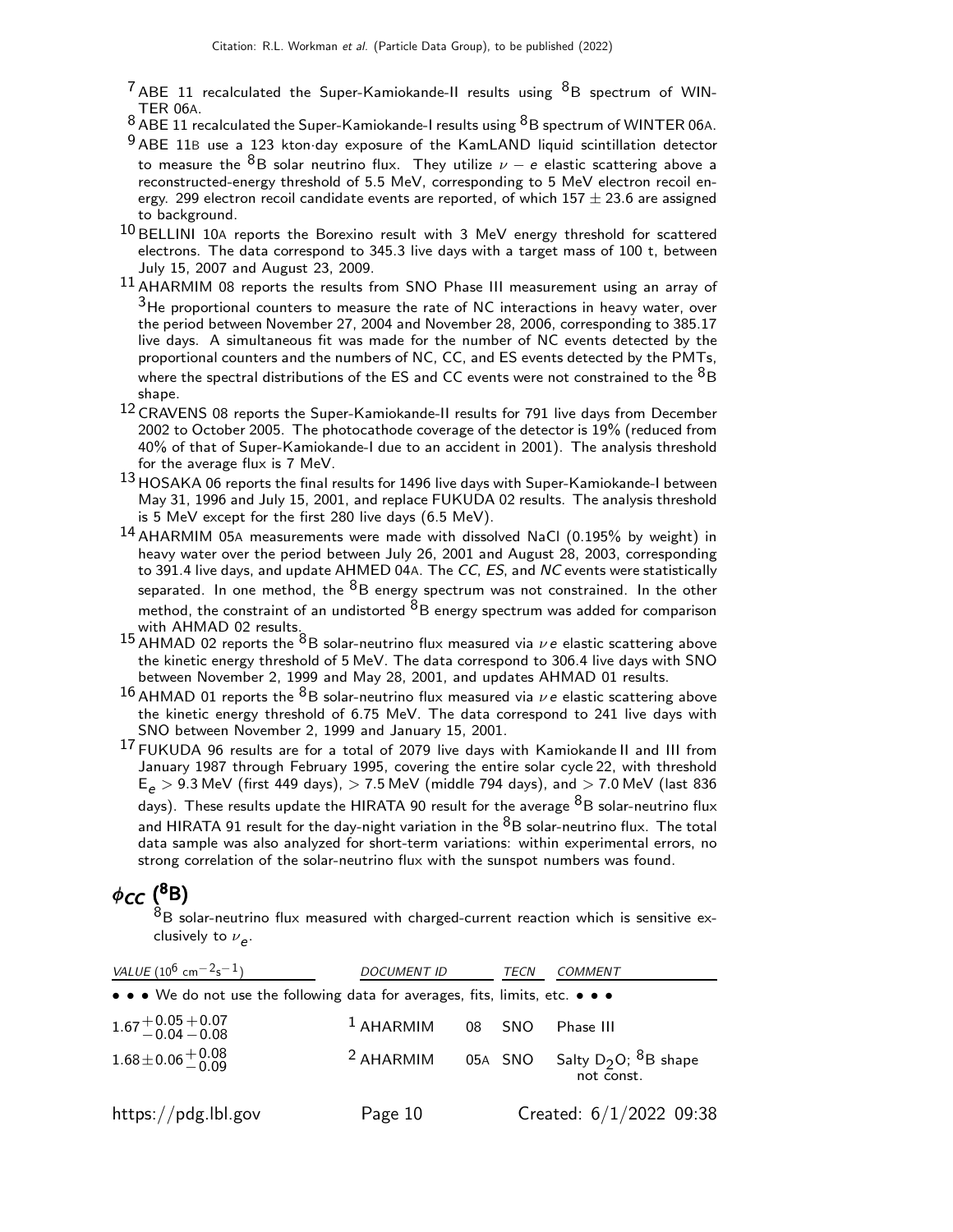$7$  ABE 11 recalculated the Super-Kamiokande-II results using  $8B$  spectrum of WIN-TER 06A.

- $8$  ABE 11 recalculated the Super-Kamiokande-I results using  $8$ B spectrum of WINTER 06A.
- 9 ABE 11B use a 123 kton day exposure of the KamLAND liquid scintillation detector to measure the  $^8\mathsf{B}$  solar neutrino flux. They utilize  $\nu$   $e$  elastic scattering above a reconstructed-energy threshold of 5.5 MeV, corresponding to 5 MeV electron recoil energy. 299 electron recoil candidate events are reported, of which  $157 \pm 23.6$  are assigned to background.
- $10$  BELLINI 10A reports the Borexino result with 3 MeV energy threshold for scattered electrons. The data correspond to 345.3 live days with a target mass of 100 t, between July 15, 2007 and August 23, 2009.
- 11 AHARMIM 08 reports the results from SNO Phase III measurement using an array of  $3$ He proportional counters to measure the rate of NC interactions in heavy water, over the period between November 27, 2004 and November 28, 2006, corresponding to 385.17 live days. A simultaneous fit was made for the number of NC events detected by the proportional counters and the numbers of NC, CC, and ES events detected by the PMTs, where the spectral distributions of the ES and CC events were not constrained to the  ${}^{8}B$ shape.
- 12 CRAVENS 08 reports the Super-Kamiokande-II results for 791 live days from December 2002 to October 2005. The photocathode coverage of the detector is 19% (reduced from 40% of that of Super-Kamiokande-I due to an accident in 2001). The analysis threshold for the average flux is 7 MeV.
- $^{13}$  HOSAKA 06 reports the final results for 1496 live days with Super-Kamiokande-I between May 31, 1996 and July 15, 2001, and replace FUKUDA 02 results. The analysis threshold is 5 MeV except for the first 280 live days (6.5 MeV).
- 14 AHARMIM 05<sup>A</sup> measurements were made with dissolved NaCl (0.195% by weight) in heavy water over the period between July 26, 2001 and August 28, 2003, corresponding to 391.4 live days, and update AHMED 04A. The CC, ES, and NC events were statistically separated. In one method, the  ${}^{8}B$  energy spectrum was not constrained. In the other method, the constraint of an undistorted  ${}^{8}B$  energy spectrum was added for comparison with AHMAD 02 results.
- 15 AHMAD 02 reports the  $8B$  solar-neutrino flux measured via  $\nu e$  elastic scattering above the kinetic energy threshold of 5 MeV. The data correspond to 306.4 live days with SNO between November 2, 1999 and May 28, 2001, and updates AHMAD 01 results.
- 16 AHMAD 01 reports the  ${}^{8}B$  solar-neutrino flux measured via  $\nu e$  elastic scattering above the kinetic energy threshold of 6.75 MeV. The data correspond to 241 live days with SNO between November 2, 1999 and January 15, 2001.
- <sup>17</sup> FUKUDA 96 results are for a total of 2079 live days with Kamiokande II and III from January 1987 through February 1995, covering the entire solar cycle 22, with threshold  $E_{\rho}$  > 9.3 MeV (first 449 days), > 7.5 MeV (middle 794 days), and > 7.0 MeV (last 836 days). These results update the HIRATA 90 result for the average  $8B$  solar-neutrino flux and HIRATA 91 result for the day-night variation in the  ${}^{8}B$  solar-neutrino flux. The total data sample was also analyzed for short-term variations: within experimental errors, no strong correlation of the solar-neutrino flux with the sunspot numbers was found.

# $\phi_{\mathsf{CC}}({}^{8}B)$

 $8B$  solar-neutrino flux measured with charged-current reaction which is sensitive exclusively to  $\nu_{\bm{e}}$ .

| VALUE $(10^6 \text{ cm}^{-2} \text{s}^{-1})$                                                                          | <b>DOCUMENT ID</b>   |  | TECN   | <b>COMMENT</b>                                                     |
|-----------------------------------------------------------------------------------------------------------------------|----------------------|--|--------|--------------------------------------------------------------------|
| $\bullet \bullet \bullet$ We do not use the following data for averages, fits, limits, etc. $\bullet \bullet \bullet$ |                      |  |        |                                                                    |
| $1.67 + 0.05 + 0.07$<br>$-0.04 - 0.08$                                                                                | $^1$ AHARMIM         |  | 08 SNO | Phase III                                                          |
| $1.68 \pm 0.06 \begin{array}{c} +0.08 \\ -0.09 \end{array}$                                                           | <sup>2</sup> AHARMIM |  |        | 05A SNO Salty D <sub>2</sub> O; <sup>8</sup> B shape<br>not const. |
| $\frac{https://pdg.1b1.gov}{%$                                                                                        | Page 10              |  |        | Created: 6/1/2022 09:38                                            |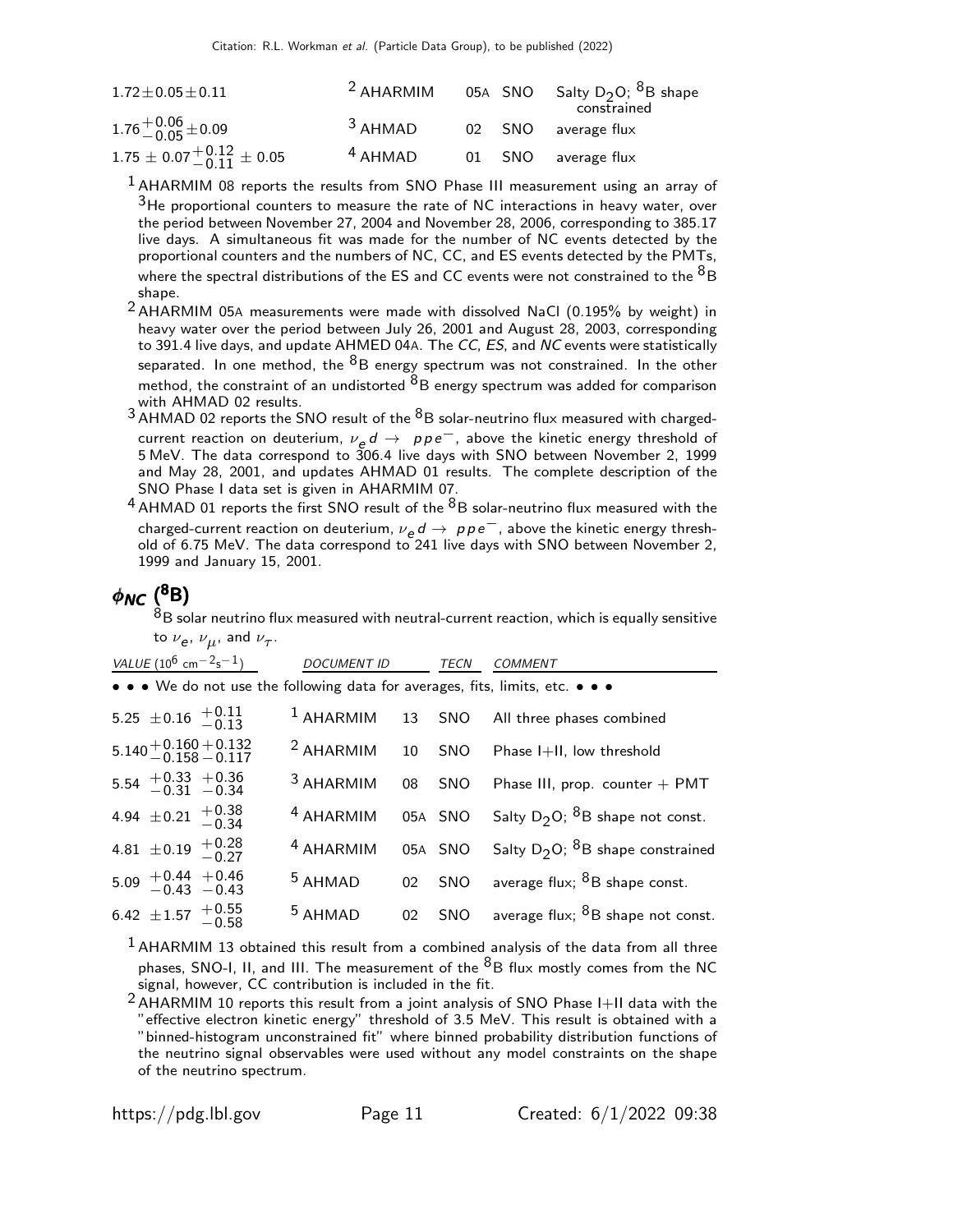| $1.72 \pm 0.05 \pm 0.11$                   | $2$ AHARMIM |  | 05A $\,$ SNO $\,$ Salty D <sub>2</sub> O; $^{8}$ B shape<br>constrained |
|--------------------------------------------|-------------|--|-------------------------------------------------------------------------|
| $1.76^{+0.06}_{-0.05}$ ± 0.09              | $3$ AHMAD   |  | 02 SNO average flux                                                     |
| $1.75 \pm 0.07_{ -0.11}^{ +0.12} \pm 0.05$ | $4$ AHMAD   |  | 01 SNO average flux                                                     |

 $1$  AHARMIM 08 reports the results from SNO Phase III measurement using an array of  $3$ He proportional counters to measure the rate of NC interactions in heavy water, over the period between November 27, 2004 and November 28, 2006, corresponding to 385.17 live days. A simultaneous fit was made for the number of NC events detected by the proportional counters and the numbers of NC, CC, and ES events detected by the PMTs, where the spectral distributions of the ES and CC events were not constrained to the  ${}^{8}B$ shape.

- 2 AHARMIM 05<sup>A</sup> measurements were made with dissolved NaCl (0.195% by weight) in heavy water over the period between July 26, 2001 and August 28, 2003, corresponding to 391.4 live days, and update AHMED 04A. The CC, ES, and NC events were statistically separated. In one method, the  ${}^{8}B$  energy spectrum was not constrained. In the other method, the constraint of an undistorted  ${}^{8}B$  energy spectrum was added for comparison with AHMAD 02 results.
- $3$  AHMAD 02 reports the SNO result of the  $8B$  solar-neutrino flux measured with chargedcurrent reaction on deuterium,  $\nu_e d \rightarrow p \rho e^-$ , above the kinetic energy threshold of 5 MeV. The data correspond to 306.4 live days with SNO between November 2, 1999 and May 28, 2001, and updates AHMAD 01 results. The complete description of the SNO Phase I data set is given in AHARMIM 07.
- $<sup>4</sup>$  AHMAD 01 reports the first SNO result of the  $<sup>8</sup>$ B solar-neutrino flux measured with the</sup></sup> charged-current reaction on deuterium,  $v_e d \rightarrow p p e^-$ , above the kinetic energy threshold of 6.75 MeV. The data correspond to 241 live days with SNO between November 2, 1999 and January 15, 2001.

## φ<sub>NC</sub> ( $^8$ B)

 $^8\mathsf{B}$  solar neutrino flux measured with neutral-current reaction, which is equally sensitive to  $\nu_{\bf e},\,\nu_{\mu},$  and  $\nu_{\tau}.$ 

|                                     | VALUE (10 <sup>6</sup> cm <sup>-2</sup> s <sup>-1</sup> ) | <b>DOCUMENT ID</b>   |    | TECN    | <b>COMMENT</b>                                                                |
|-------------------------------------|-----------------------------------------------------------|----------------------|----|---------|-------------------------------------------------------------------------------|
|                                     |                                                           |                      |    |         | • • • We do not use the following data for averages, fits, limits, etc. • • • |
| 5.25 $\pm$ 0.16 $+$ 0.11<br>-0.13   |                                                           |                      |    |         | <sup>1</sup> AHARMIM 13 SNO All three phases combined                         |
|                                     | $5.140 + 0.160 + 0.132$<br>$-0.158 - 0.117$               | $2$ AHARMIM          | 10 |         | SNO Phase I+II, low threshold                                                 |
|                                     | $5.54$ + 0.33 + 0.36<br>-0.31 -0.34                       | <sup>3</sup> AHARMIM | 08 | SNO     | Phase III, prop. counter $+$ PMT                                              |
| 4.94 $\pm$ 0.21 $^{+0.38}_{-0.34}$  |                                                           | <sup>4</sup> AHARMIM |    | 05A SNO | Salty $D_2O$ ; ${}^8B$ shape not const.                                       |
| 4.81 $\pm$ 0.19 $^{+0.28}_{-0.27}$  |                                                           | <sup>4</sup> AHARMIM |    |         | 05A SNO Salty $D_2O$ ; <sup>8</sup> B shape constrained                       |
| $5.09 + 0.44 + 0.46$<br>-0.43 -0.43 |                                                           | <sup>5</sup> AHMAD   | 02 |         | SNO average flux; $8B$ shape const.                                           |
| 6.42 $\pm 1.57$ $^{+0.55}_{-0.58}$  |                                                           | <sup>5</sup> AHMAD   |    |         | 02 SNO average flux; <sup>8</sup> B shape not const.                          |

 $<sup>1</sup>$  AHARMIM 13 obtained this result from a combined analysis of the data from all three</sup> phases, SNO-I, II, and III. The measurement of the  ${}^{8}B$  flux mostly comes from the NC signal, however, CC contribution is included in the fit.

2 AHARMIM 10 reports this result from a joint analysis of SNO Phase I+II data with the "effective electron kinetic energy" threshold of 3.5 MeV. This result is obtained with a "binned-histogram unconstrained fit" where binned probability distribution functions of the neutrino signal observables were used without any model constraints on the shape of the neutrino spectrum.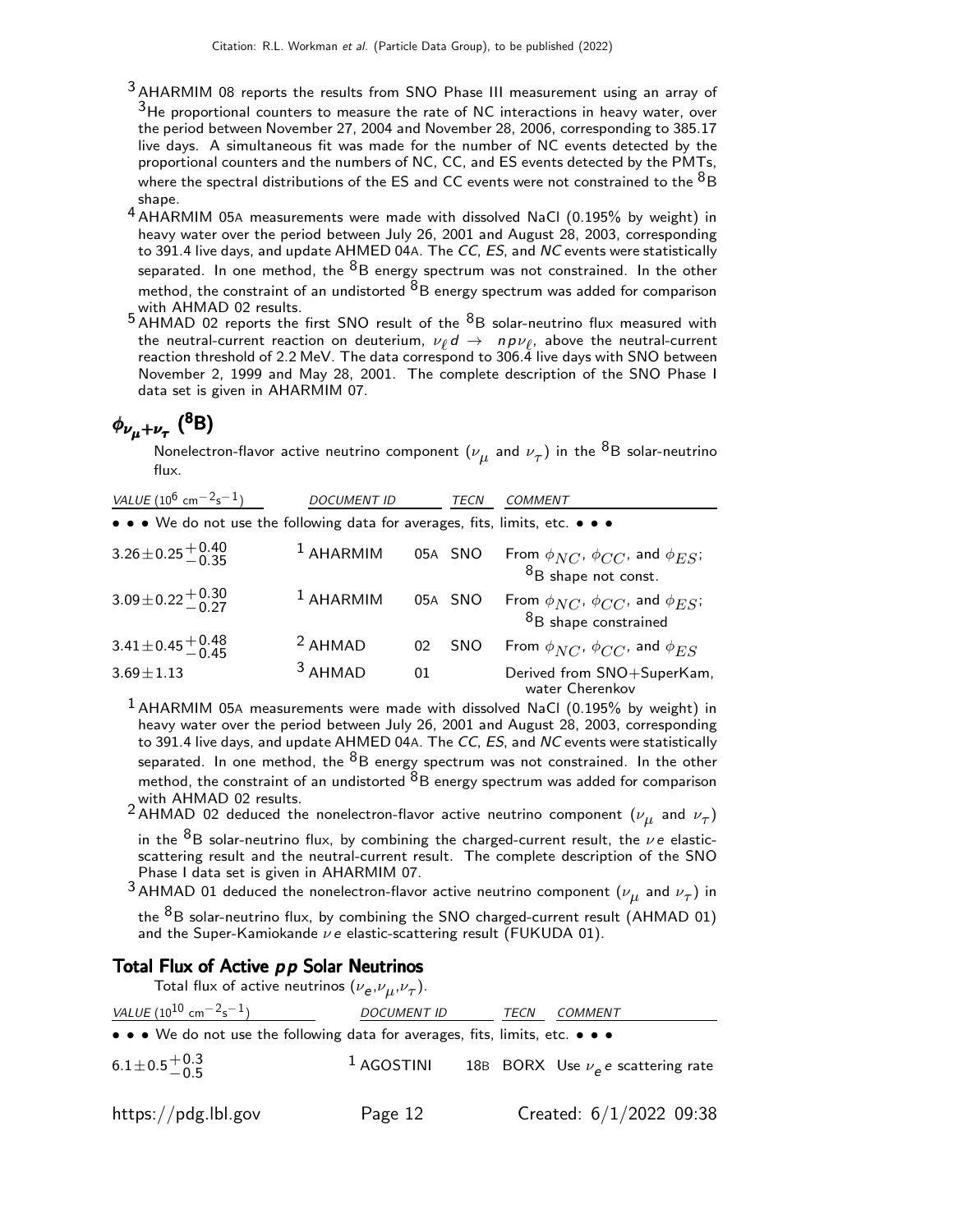- <sup>3</sup> AHARMIM 08 reports the results from SNO Phase III measurement using an array of  $3$ He proportional counters to measure the rate of NC interactions in heavy water, over the period between November 27, 2004 and November 28, 2006, corresponding to 385.17 live days. A simultaneous fit was made for the number of NC events detected by the proportional counters and the numbers of NC, CC, and ES events detected by the PMTs, where the spectral distributions of the ES and CC events were not constrained to the  ${}^{8}B$ shape.
- 4 AHARMIM 05<sup>A</sup> measurements were made with dissolved NaCl (0.195% by weight) in heavy water over the period between July 26, 2001 and August 28, 2003, corresponding to 391.4 live days, and update AHMED 04A. The CC, ES, and NC events were statistically separated. In one method, the  ${}^{8}B$  energy spectrum was not constrained. In the other method, the constraint of an undistorted  ${}^{8}B$  energy spectrum was added for comparison
- with AHMAD 02 results.<br><sup>5</sup> AHMAD 02 reports the first SNO result of the <sup>8</sup>B solar-neutrino flux measured with the neutral-current reaction on deuterium,  $\nu_{\ell} d \rightarrow np \nu_{\ell}$ , above the neutral-current reaction threshold of 2.2 MeV. The data correspond to 306.4 live days with SNO between November 2, 1999 and May 28, 2001. The complete description of the SNO Phase I data set is given in AHARMIM 07.

# $\phi_{\nu_{\mu}+\nu_{\tau}}$  (<sup>8</sup>B)

Nonelectron-flavor active neutrino component  $(\nu_{\mu}^{}$  and  $\nu_{\tau}^{})$  in the  $^8$ B solar-neutrino flux.

| VALUE (10 <sup>6</sup> cm <sup>-2</sup> s <sup>-1</sup> )<br><b>DOCUMENT ID</b> |             | TECN | COMMENT    |                                                                                        |
|---------------------------------------------------------------------------------|-------------|------|------------|----------------------------------------------------------------------------------------|
| • • • We do not use the following data for averages, fits, limits, etc. • • •   |             |      |            |                                                                                        |
| $3.26 \pm 0.25 \begin{array}{c} +0.40 \\ -0.35 \end{array}$                     | $1$ AHARMIM |      | 05A SNO    | From $\phi_{NC}$ , $\phi_{CC}$ , and $\phi_{ES}$ ;<br>$8B$ shape not const.            |
| $3.09 \pm 0.22 \begin{array}{c} +0.30 \\ -0.27 \end{array}$                     | $1$ AHARMIM |      | 05A SNO    | From $\phi_{NC}$ , $\phi_{CC}$ , and $\phi_{ES}$ ;<br><sup>8</sup> B shape constrained |
| $3.41 \pm 0.45 \begin{array}{c} +0.48 \\ -0.45 \end{array}$                     | $2$ AHMAD   | 02   | <b>SNO</b> | From $\phi_{NC}$ , $\phi_{CC}$ , and $\phi_{ES}$                                       |
| $3.69 \pm 1.13$                                                                 | $3$ AHMAD   | 01   |            | Derived from SNO+SuperKam,<br>water Cherenkov                                          |

 $1$  AHARMIM 05A measurements were made with dissolved NaCl (0.195% by weight) in heavy water over the period between July 26, 2001 and August 28, 2003, corresponding to 391.4 live days, and update AHMED 04A. The CC, ES, and NC events were statistically separated. In one method, the  ${}^{8}B$  energy spectrum was not constrained. In the other method, the constraint of an undistorted  ${}^{8}B$  energy spectrum was added for comparison with AHMAD 02 results.

 $^2$  AHMAD 02 deduced the nonelectron-flavor active neutrino component  $(\nu_{\mu}^{\phantom{\dag}}$  and  $\nu_{\tau})$ 

in the  ${}^{8}B$  solar-neutrino flux, by combining the charged-current result, the  $\nu e$  elasticscattering result and the neutral-current result. The complete description of the SNO Phase I data set is given in AHARMIM 07.

 $^3$ AHMAD 01 deduced the nonelectron-flavor active neutrino component  $(\nu_{\mu}^{}$  and  $\nu_{\tau})$  in

the  ${}^{8}B$  solar-neutrino flux, by combining the SNO charged-current result (AHMAD 01) and the Super-Kamiokande  $\nu e$  elastic-scattering result (FUKUDA 01).

#### Total Flux of Active  $pp$  Solar Neutrinos

Total flux of active neutrinos  $(\nu_{\bm e},\nu_{\mu},\nu_{\tau}).$ 

| VALUE (10 <sup>10</sup> cm <sup>-2</sup> s <sup>-1</sup> )                    | <b>DOCUMENT ID</b> | TECN | COMMENT                                |  |
|-------------------------------------------------------------------------------|--------------------|------|----------------------------------------|--|
| • • • We do not use the following data for averages, fits, limits, etc. • • • |                    |      |                                        |  |
| $6.1 \pm 0.5 \begin{array}{c} +0.3 \\ -0.5 \end{array}$                       | $^1$ AGOSTINI      |      | 18B BORX Use $\nu_e$ e scattering rate |  |
| https://pdg.lbl.gov                                                           | Page 12            |      | Created: 6/1/2022 09:38                |  |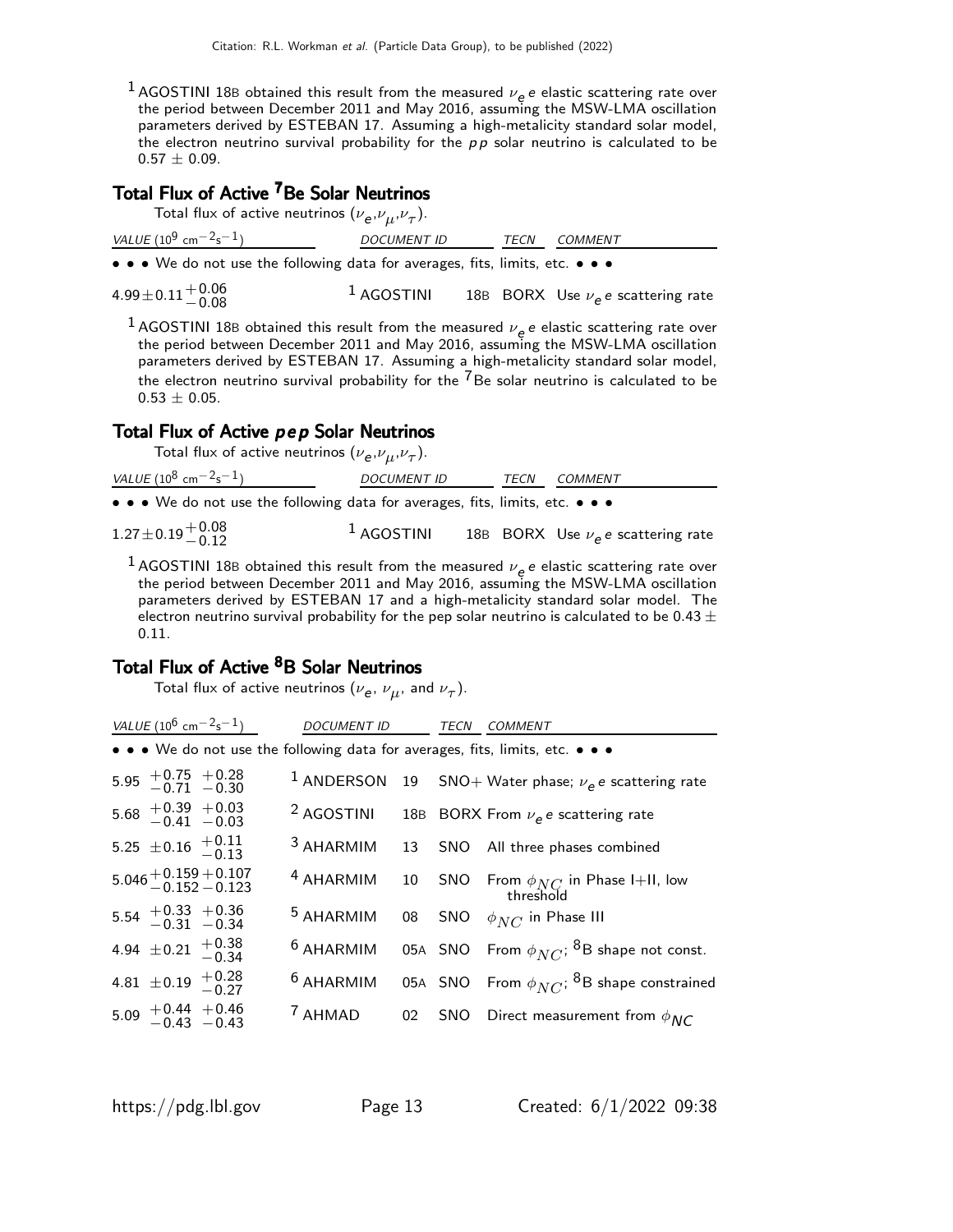1 AGOSTINI 18B obtained this result from the measured  $\nu_e e$  e elastic scattering rate over the period between December 2011 and May 2016, assuming the MSW-LMA oscillation parameters derived by ESTEBAN 17. Assuming a high-metalicity standard solar model, the electron neutrino survival probability for the  $p p$  solar neutrino is calculated to be  $0.57 \pm 0.09$ .

## Total Flux of Active <sup>7</sup>Be Solar Neutrinos

| Total flux of active neutrinos $(\nu_e, \nu_{\mu}, \nu_{\tau}).$ |  |  |  |  |
|------------------------------------------------------------------|--|--|--|--|
|------------------------------------------------------------------|--|--|--|--|

| VALUE (10 <sup>9</sup> cm <sup>-2</sup> s <sup>-1</sup> )                     | <b>DOCUMENT ID</b> | <i>TECN COMMENT</i> |  |
|-------------------------------------------------------------------------------|--------------------|---------------------|--|
| • • • We do not use the following data for averages, fits, limits, etc. • • • |                    |                     |  |

 $^{4.99\pm0.11}_{-0.08}$  $^1$  AGOSTINI  $^1$  18B  $^1$  BORX Use  $\nu_e$  e scattering rate

1 AGOSTINI 18B obtained this result from the measured  $\nu_e e$  e elastic scattering rate over the period between December 2011 and May 2016, assuming the MSW-LMA oscillation parameters derived by ESTEBAN 17. Assuming a high-metalicity standard solar model, the electron neutrino survival probability for the  $\overline{7}$ Be solar neutrino is calculated to be  $0.53 \pm 0.05$ .

#### Total Flux of Active pep Solar Neutrinos

Total flux of active neutrinos  $(\nu_{\bm e},\nu_{\mu},\nu_{\tau}).$ 

| VALUE $(10^8 \text{ cm}^{-2} \text{s}^{-1})$                                  | <b>DOCUMENT ID</b> | <i>TECN COMMENT</i>                    |
|-------------------------------------------------------------------------------|--------------------|----------------------------------------|
| • • • We do not use the following data for averages, fits, limits, etc. • • • |                    |                                        |
| $1.27 \pm 0.19 \begin{array}{c} +0.08 \\ -0.12 \end{array}$                   | $1$ AGOSTINI       | 18B BORX Use $\nu_e e$ scattering rate |

1 AGOSTINI 18B obtained this result from the measured  $\nu_e e$  elastic scattering rate over the period between December 2011 and May 2016, assuming the MSW-LMA oscillation parameters derived by ESTEBAN 17 and a high-metalicity standard solar model. The electron neutrino survival probability for the pep solar neutrino is calculated to be 0.43  $\pm$ 0.11.

### Total Flux of Active <sup>8</sup>B Solar Neutrinos

Total flux of active neutrinos  $(\nu_{\bm e},\,\nu_{\bm \mu},$  and  $\nu_{\bm \tau}).$ 

| VALUE $(10^6 \text{ cm}^{-2} \text{s}^{-1})$ | <b>DOCUMENT ID</b>   | TECN | <b>COMMENT</b>                                                                |
|----------------------------------------------|----------------------|------|-------------------------------------------------------------------------------|
|                                              |                      |      | • • • We do not use the following data for averages, fits, limits, etc. • • • |
| $5.95$ + 0.75 + 0.28<br>-0.71 -0.30          |                      |      | <sup>1</sup> ANDERSON 19 SNO+ Water phase; $\nu_e e$ scattering rate          |
| $5.68$ + 0.39 + 0.03<br>-0.41 -0.03          |                      |      | <sup>2</sup> AGOSTINI 18B BORX From $\nu_e e$ scattering rate                 |
| 5.25 $\pm$ 0.16 $+$ 0.11<br>-0.13            |                      |      | <sup>3</sup> AHARMIM 13 SNO All three phases combined                         |
| $5.046 + 0.159 + 0.107$<br>$-0.152 - 0.123$  | $4$ AHARMIM          |      | 10 SNO From $\phi_{NC}$ in Phase I+II, low<br>threshold                       |
| $5.54$ + 0.33 + 0.36<br>-0.31 -0.34          | <sup>5</sup> AHARMIM |      | 08 SNO $\phi_{NC}$ in Phase III                                               |
| 4.94 $\pm$ 0.21 $+$ 0.38                     | <sup>6</sup> AHARMIM |      | 05A SNO From $\phi_{NC}$ ; <sup>8</sup> B shape not const.                    |
| 4.81 $\pm$ 0.19 $^{+0.28}_{-0.27}$           | $6$ AHARMIM          |      | 05A SNO From $\phi_{NC}$ ; <sup>8</sup> B shape constrained                   |
| $5.09 + 0.44 + 0.46$<br>-0.43 -0.43          | <sup>7</sup> AHMAD   |      | 02 SNO Direct measurement from $\phi_{NC}$                                    |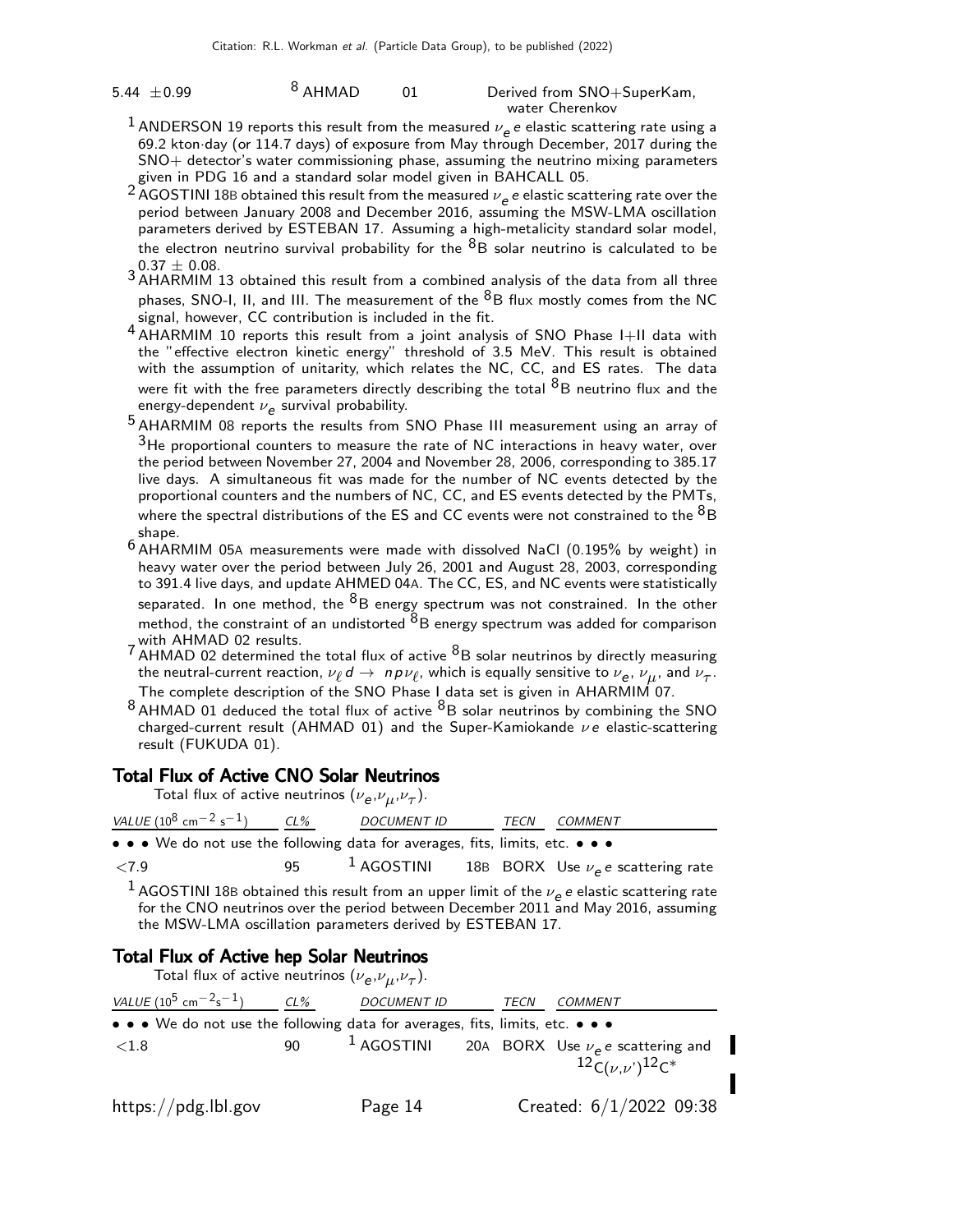5.44  $\pm$ 0.99 <sup>8</sup> AHMAD 01 Derived from SNO+SuperKam, water Cherenkov

- <sup>1</sup> ANDERSON 19 reports this result from the measured  $\nu_e e$  e elastic scattering rate using a 69.2 kton·day (or 114.7 days) of exposure from May through December, 2017 during the SNO+ detector's water commissioning phase, assuming the neutrino mixing parameters given in PDG 16 and a standard solar model given in BAHCALL 05.
- <sup>2</sup> AGOSTINI 18B obtained this result from the measured  $\nu_e e$  e elastic scattering rate over the period between January 2008 and December 2016, assuming the MSW-LMA oscillation parameters derived by ESTEBAN 17. Assuming a high-metalicity standard solar model, the electron neutrino survival probability for the  ${}^{8}B$  solar neutrino is calculated to be
- $3.37 \pm 0.08$ .<br>3 AHARMIM 13 obtained this result from a combined analysis of the data from all three phases, SNO-I, II, and III. The measurement of the  ${}^{8}B$  flux mostly comes from the NC signal, however, CC contribution is included in the fit.
- 4 AHARMIM 10 reports this result from a joint analysis of SNO Phase I+II data with the "effective electron kinetic energy" threshold of 3.5 MeV. This result is obtained with the assumption of unitarity, which relates the NC, CC, and ES rates. The data were fit with the free parameters directly describing the total  ${}^{8}B$  neutrino flux and the energy-dependent  $\nu_{\bm e}$  survival probability.
- 5 AHARMIM 08 reports the results from SNO Phase III measurement using an array of  $3$ He proportional counters to measure the rate of NC interactions in heavy water, over the period between November 27, 2004 and November 28, 2006, corresponding to 385.17 live days. A simultaneous fit was made for the number of NC events detected by the proportional counters and the numbers of NC, CC, and ES events detected by the PMTs, where the spectral distributions of the ES and CC events were not constrained to the  ${}^{8}B$ shape.
- 6 AHARMIM 05<sup>A</sup> measurements were made with dissolved NaCl (0.195% by weight) in heavy water over the period between July 26, 2001 and August 28, 2003, corresponding to 391.4 live days, and update AHMED 04A. The CC, ES, and NC events were statistically separated. In one method, the  ${}^{8}B$  energy spectrum was not constrained. In the other method, the constraint of an undistorted  ${}^{8}B$  energy spectrum was added for comparison with AHMAD 02 results.
- $7$  AHMAD 02 results.<br>T AHMAD 02 determined the total flux of active  $8B$  solar neutrinos by directly measuring the neutral-current reaction,  $\nu_\ell$   $d\to~n$   $p\nu_\ell$ , which is equally sensitive to  $\nu_{\bf e},$   $\nu_\mu$ , and  $\nu_\tau.$ The complete description of the SNO Phase I data set is given in AHARMIM 07.
- $8$  AHMAD 01 deduced the total flux of active  $8B$  solar neutrinos by combining the SNO charged-current result (AHMAD 01) and the Super-Kamiokande  $\nu e$  elastic-scattering result (FUKUDA 01).

#### Total Flux of Active CNO Solar Neutrinos

Total flux of active neutrinos  $(\nu_{\bm e},\nu_{\mu},\nu_{\tau}).$ 

| VALUE $(10^8 \text{ cm}^{-2} \text{ s}^{-1})$ CL%                             | <i>DOCUMENT ID</i> |  | <i>TECN COMMENT</i>                                     |
|-------------------------------------------------------------------------------|--------------------|--|---------------------------------------------------------|
| • • • We do not use the following data for averages, fits, limits, etc. • • • |                    |  |                                                         |
| ${<}7.9$                                                                      |                    |  | $^{-1}$ AGOSTINI 18B BORX Use $\nu_e$ e scattering rate |

<sup>1</sup> AGOSTINI 18B obtained this result from an upper limit of the  $\nu_e e$  e elastic scattering rate for the CNO neutrinos over the period between December 2011 and May 2016, assuming the MSW-LMA oscillation parameters derived by ESTEBAN 17.

#### Total Flux of Active hep Solar Neutrinos

Total flux of active neutrinos  $(\nu_{\bm e},\nu_{\mu},\nu_{\tau}).$ VALUE  $(10^5 \text{ cm}^{-2} \text{s}^{-1})$  CL% DOCUMENT ID TECN COMMENT • • • We do not use the following data for averages, fits, limits, etc.  $\langle 1.8$  90  $^1$  AGOSTINI 20A BORX Use  $\nu_e$  e scattering and  $^{12}C(\nu,\nu')^{12}C^{*}$ https://pdg.lbl.gov Page 14 Created: 6/1/2022 09:38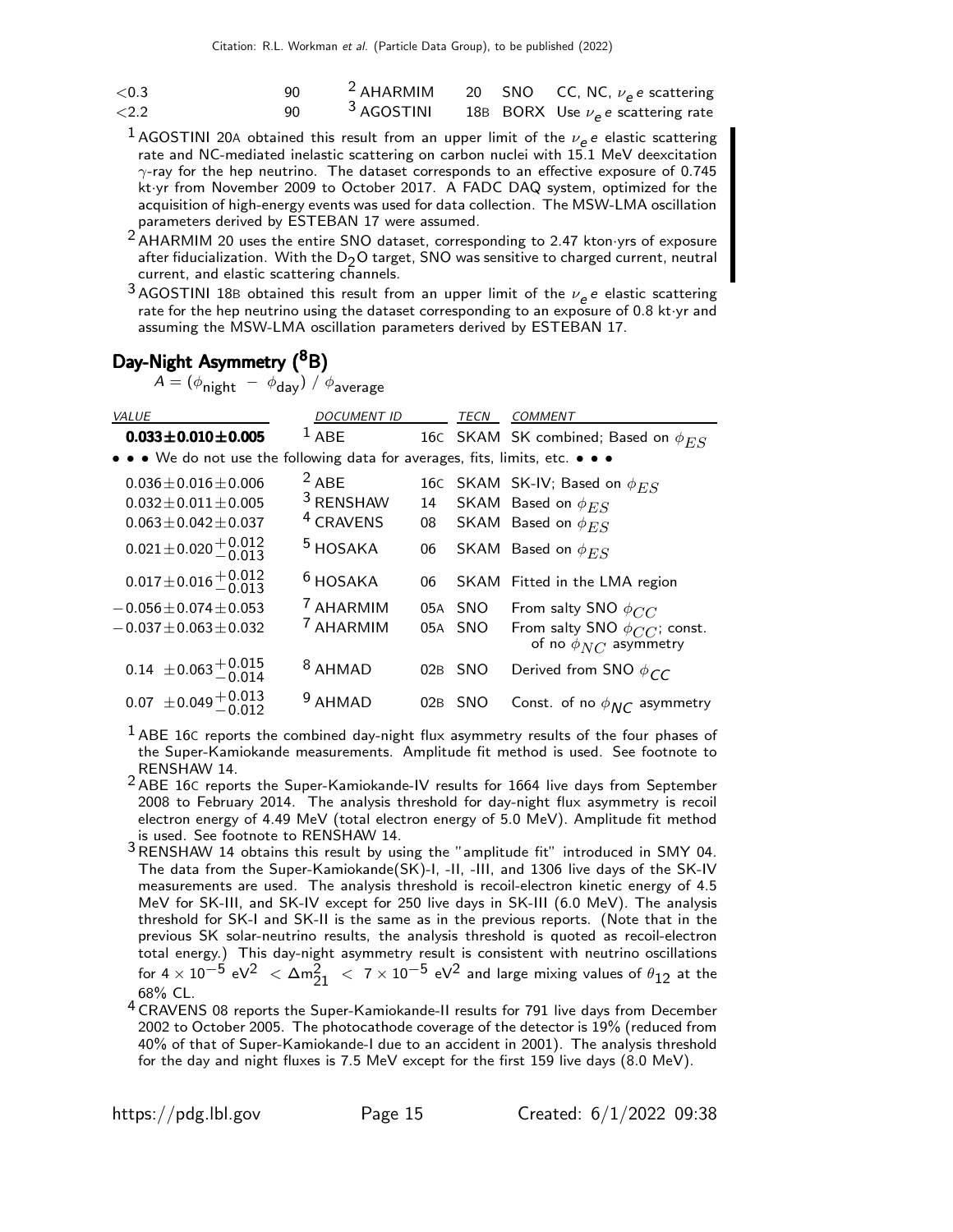| ${<}0.3$ | ۹N  |                       |  | <sup>2</sup> AHARMIM 20 SNO CC, NC, $\nu_e e$ scattering |
|----------|-----|-----------------------|--|----------------------------------------------------------|
| ${<}2.2$ | 90. | <sup>3</sup> AGOSTINI |  | 18B BORX Use $\nu_e$ e scattering rate                   |

- 1 AGOSTINI 20A obtained this result from an upper limit of the  $\nu_e e$  elastic scattering rate and NC-mediated inelastic scattering on carbon nuclei with 15.1 MeV deexcitation  $\gamma$ -ray for the hep neutrino. The dataset corresponds to an effective exposure of 0.745 kt·yr from November 2009 to October 2017. A FADC DAQ system, optimized for the acquisition of high-energy events was used for data collection. The MSW-LMA oscillation parameters derived by ESTEBAN 17 were assumed.
- 2 AHARMIM 20 uses the entire SNO dataset, corresponding to 2.47 kton·yrs of exposure after fiducialization. With the  $D_2O$  target, SNO was sensitive to charged current, neutral current, and elastic scattering channels.
- <sup>3</sup> AGOSTINI 18B obtained this result from an upper limit of the  $\nu_e e$  elastic scattering rate for the hep neutrino using the dataset corresponding to an exposure of 0.8 kt·yr and assuming the MSW-LMA oscillation parameters derived by ESTEBAN 17.

## Day-Night Asymmetry (<sup>8</sup>B)

 $\mathcal{A} = (\phi_{\mathsf{night}} ~-~ \phi_{\mathsf{day}})~/~ \phi_{\mathsf{average}}$ 

| <b>VALUE</b>                                                                  | <b>DOCUMENT ID</b>   |     | TECN       | <b>COMMENT</b>                                                               |
|-------------------------------------------------------------------------------|----------------------|-----|------------|------------------------------------------------------------------------------|
| $0.033 \pm 0.010 \pm 0.005$                                                   | $1$ ABE              |     |            | 16C SKAM SK combined; Based on $\phi_{ES}$                                   |
| • • • We do not use the following data for averages, fits, limits, etc. • • • |                      |     |            |                                                                              |
| $0.036 \pm 0.016 \pm 0.006$                                                   | $2$ ABE              |     |            | 16C SKAM SK-IV; Based on $\phi_{ES}$                                         |
| $0.032 \pm 0.011 \pm 0.005$                                                   | <sup>3</sup> RENSHAW |     |            | 14 SKAM Based on $\phi_{ES}$                                                 |
| $0.063 \pm 0.042 \pm 0.037$                                                   | <sup>4</sup> CRAVENS | 08  |            | SKAM Based on $\phi_{ES}$                                                    |
| $0.021 \pm 0.020 \pm 0.012$<br>-0.013                                         | <sup>5</sup> HOSAKA  | 06  |            | SKAM Based on $\phi_{ES}$                                                    |
| $0.017 \pm 0.016 \pm 0.012$<br>0.013                                          | $6$ HOSAKA           | 06  |            | SKAM Fitted in the LMA region                                                |
| $-0.056 \pm 0.074 \pm 0.053$                                                  | <sup>7</sup> AHARMIM |     |            | 05A SNO From salty SNO $\phi_{CC}$                                           |
| $-0.037 \pm 0.063 \pm 0.032$                                                  | <sup>7</sup> AHARMIM |     |            | 05A SNO From salty SNO $\phi_{CC}^-$ ; const.<br>of no $\phi_{NC}$ asymmetry |
| $0.14 \pm 0.063 + 0.015$<br>-0.014                                            | <sup>8</sup> AHMAD   | 02B | <b>SNO</b> | Derived from SNO $\phi_{CC}$                                                 |
| $0.07 \pm 0.049 \begin{array}{c} +0.013 \\ -0.012 \end{array}$                | <sup>9</sup> AHMAD   | 02B | <b>SNO</b> | Const. of no $\phi_{NC}$ asymmetry                                           |

 $<sup>1</sup>$  ABE 16C reports the combined day-night flux asymmetry results of the four phases of</sup> the Super-Kamiokande measurements. Amplitude fit method is used. See footnote to RENSHAW 14.

- 2 ABE 16C reports the Super-Kamiokande-IV results for 1664 live days from September 2008 to February 2014. The analysis threshold for day-night flux asymmetry is recoil electron energy of 4.49 MeV (total electron energy of 5.0 MeV). Amplitude fit method is used. See footnote to RENSHAW 14.
- 3 B used. See Rothere to HERSHAW 14 obtains this result by using the "amplitude fit" introduced in SMY 04. The data from the Super-Kamiokande(SK)-I, -II, -III, and 1306 live days of the SK-IV measurements are used. The analysis threshold is recoil-electron kinetic energy of 4.5 MeV for SK-III, and SK-IV except for 250 live days in SK-III (6.0 MeV). The analysis threshold for SK-I and SK-II is the same as in the previous reports. (Note that in the previous SK solar-neutrino results, the analysis threshold is quoted as recoil-electron total energy.) This day-night asymmetry result is consistent with neutrino oscillations for 4  $\times$   $10^{-5}$  eV $^2$   $\,<\,$   $\Delta$ m $^2_{21}$   $\,<\,$  7  $\times$   $10^{-5}$  eV $^2$  and large mixing values of  $\theta_{12}$  at the 68% CL.
- 4 CRAVENS 08 reports the Super-Kamiokande-II results for 791 live days from December 2002 to October 2005. The photocathode coverage of the detector is 19% (reduced from 40% of that of Super-Kamiokande-I due to an accident in 2001). The analysis threshold for the day and night fluxes is 7.5 MeV except for the first 159 live days (8.0 MeV).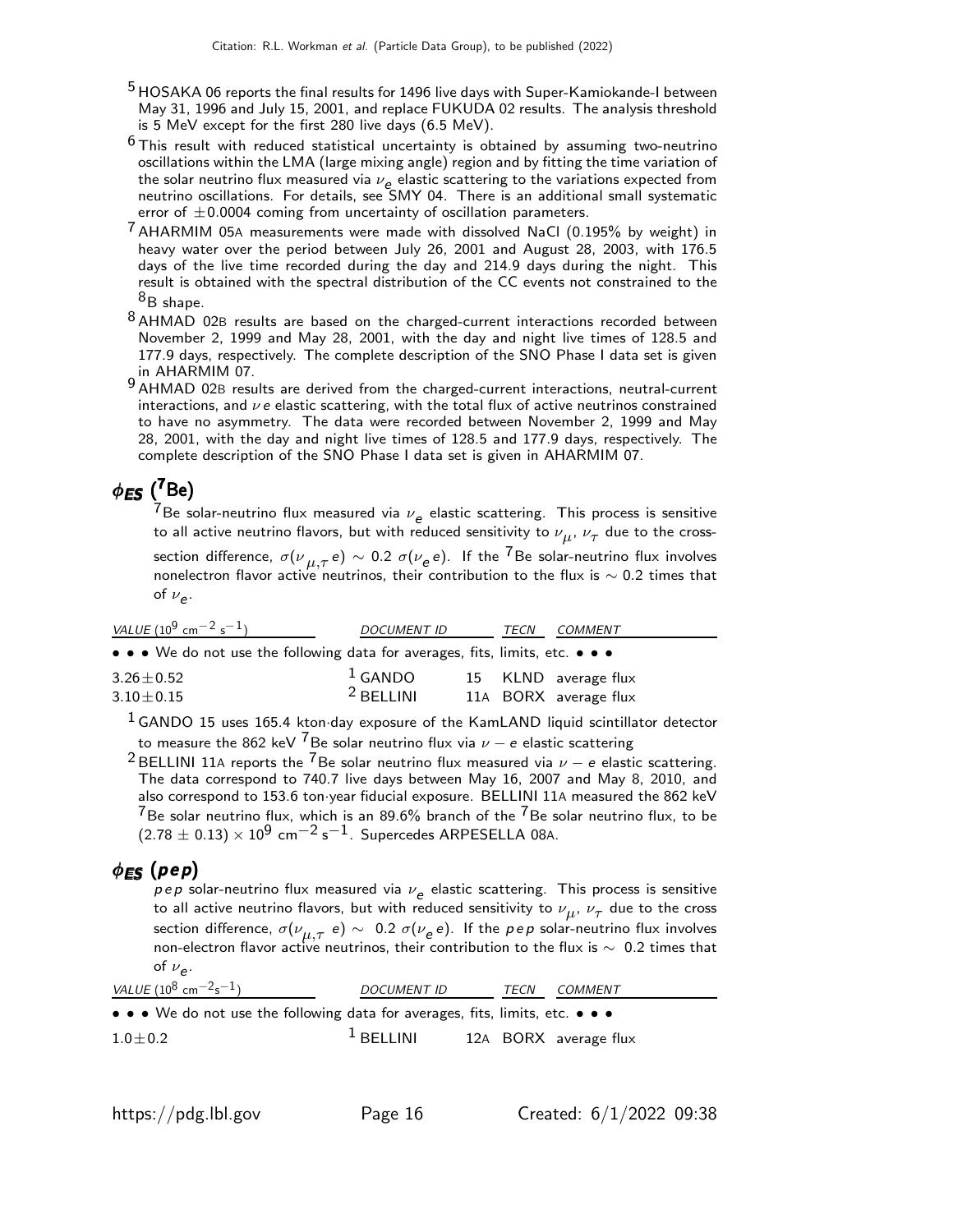- <sup>5</sup> HOSAKA 06 reports the final results for 1496 live days with Super-Kamiokande-I between May 31, 1996 and July 15, 2001, and replace FUKUDA 02 results. The analysis threshold is 5 MeV except for the first 280 live days (6.5 MeV).
- $6$  This result with reduced statistical uncertainty is obtained by assuming two-neutrino oscillations within the LMA (large mixing angle) region and by fitting the time variation of the solar neutrino flux measured via  $\nu_e$  elastic scattering to the variations expected from neutrino oscillations. For details, see SMY 04. There is an additional small systematic error of  $\pm 0.0004$  coming from uncertainty of oscillation parameters.
- $7$  AHARMIM 05A measurements were made with dissolved NaCl (0.195% by weight) in heavy water over the period between July 26, 2001 and August 28, 2003, with 176.5 days of the live time recorded during the day and 214.9 days during the night. This result is obtained with the spectral distribution of the CC events not constrained to the  ${}^{8}B$  shape.
- 8 AHMAD 02B results are based on the charged-current interactions recorded between November 2, 1999 and May 28, 2001, with the day and night live times of 128.5 and 177.9 days, respectively. The complete description of the SNO Phase I data set is given in AHARMIM 07.
- 9 AHMAD 02B results are derived from the charged-current interactions, neutral-current interactions, and  $\nu e$  elastic scattering, with the total flux of active neutrinos constrained to have no asymmetry. The data were recorded between November 2, 1999 and May 28, 2001, with the day and night live times of 128.5 and 177.9 days, respectively. The complete description of the SNO Phase I data set is given in AHARMIM 07.

# $\phi_{\textsf{ES}}$   $(^{7}$ Be)

 $^{7}$ Be solar-neutrino flux measured via  $\nu_{e}$  elastic scattering. This process is sensitive to all active neutrino flavors, but with reduced sensitivity to  $\nu_{\mu},\,\nu_{\tau}$  due to the crosssection difference,  $\sigma({\nu}_{\mu,\tau}^{}e)\sim$  0.2  $\sigma({\nu}_e^{}e)$ . If the  $^7$ Be solar-neutrino flux involves nonelectron flavor active neutrinos, their contribution to the flux is  $\sim$  0.2 times that of  $\nu_e$ .

| VALUE (10 <sup>9</sup> cm <sup>-2</sup> s <sup>-1</sup> )                     | <b>DOCUMENT ID</b> |  |  | <b>COMMENT</b>        |
|-------------------------------------------------------------------------------|--------------------|--|--|-----------------------|
| • • • We do not use the following data for averages, fits, limits, etc. • • • |                    |  |  |                       |
| $3.26 \pm 0.52$                                                               | $1$ GANDO          |  |  | 15 KLND average flux  |
| $3.10 \pm 0.15$                                                               | $2$ BELLINI        |  |  | 11A BORX average flux |
|                                                                               |                    |  |  |                       |

 $<sup>1</sup>$  GANDO 15 uses 165.4 kton·day exposure of the KamLAND liquid scintillator detector</sup> to measure the 862 keV <sup>7</sup>Be solar neutrino flux via  $\nu - e$  elastic scattering

<sup>2</sup> BELLINI 11A reports the <sup>7</sup>Be solar neutrino flux measured via  $\nu - e$  elastic scattering. The data correspond to 740.7 live days between May 16, 2007 and May 8, 2010, and also correspond to 153.6 ton·year fiducial exposure. BELLINI 11A measured the 862 keV  $^{7}$ Be solar neutrino flux, which is an 89.6% branch of the  $^{7}$ Be solar neutrino flux, to be  $(2.78 \pm 0.13) \times 10^9$  cm<sup>-2</sup> s<sup>-1</sup>. Supercedes ARPESELLA 08A.

### $\phi_{ES}$  (pep)

 $p\,e\,p$  solar-neutrino flux measured via  $\nu_{\bm{e}}$  elastic scattering. This process is sensitive to all active neutrino flavors, but with reduced sensitivity to  $\nu_{\boldsymbol{\mu}},\,\nu_{\tau}$  due to the cross section difference,  $\sigma(\nu_{\mu, \tau}\,$  e)  $\sim$   $\,$  0.2  $\sigma(\nu_e\, e)$ . If the  $\rho\, e\, \rho$  solar-neutrino flux involves non-electron flavor active neutrinos, their contribution to the flux is ∼ 0.2 times that of  $\nu_e$ .

| VALUE ( $10^8$ cm <sup>-2</sup> s <sup>-1</sup> )                             | <b>DOCUMENT ID</b> | TECN | COMMENT               |
|-------------------------------------------------------------------------------|--------------------|------|-----------------------|
| • • • We do not use the following data for averages, fits, limits, etc. • • • |                    |      |                       |
| $1.0 \pm 0.2$                                                                 | $1$ BELLINI        |      | 12A BORX average flux |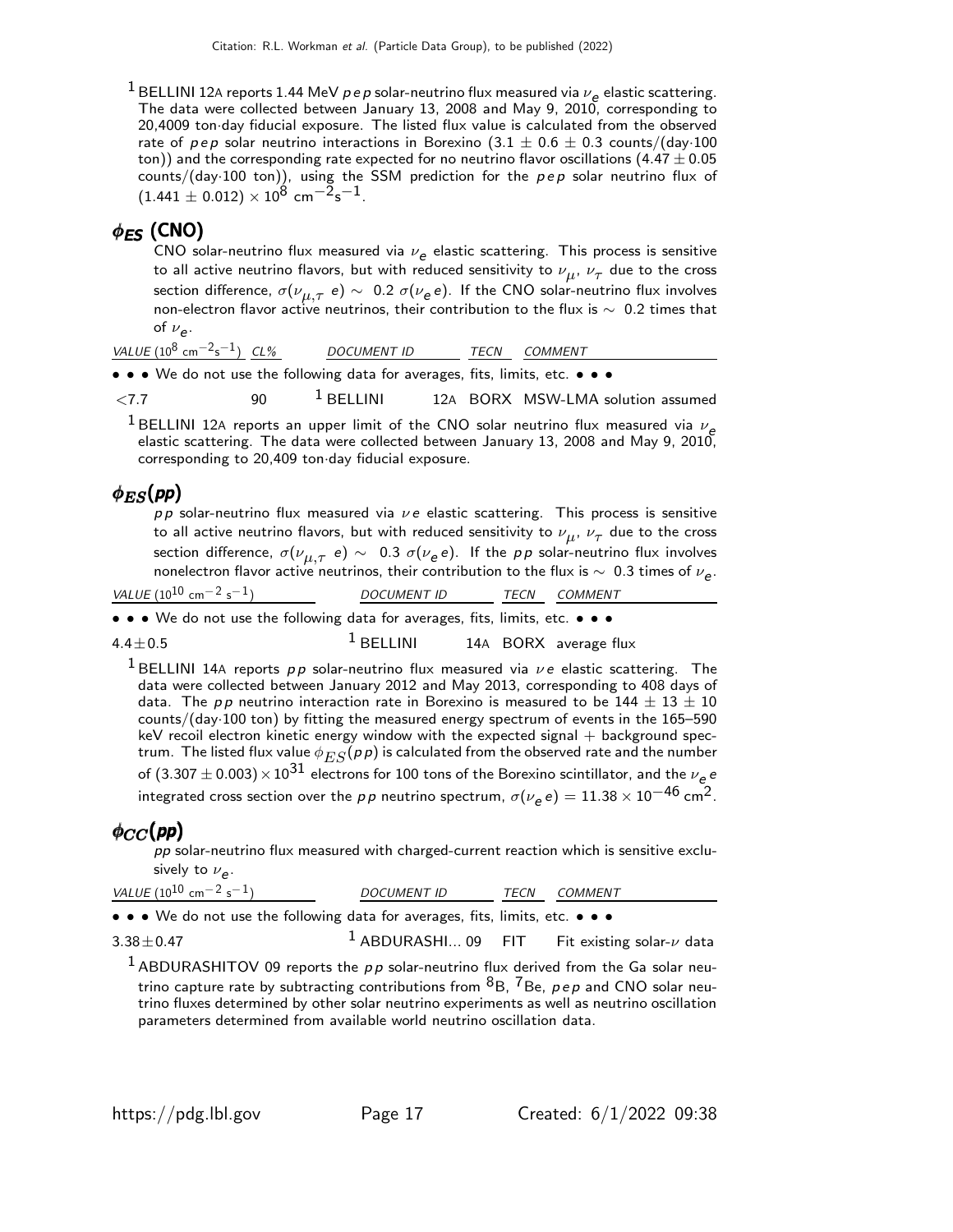<sup>1</sup> BELLINI 12A reports 1.44 MeV  $p e p$  solar-neutrino flux measured via  $\nu_e$  elastic scattering. The data were collected between January 13, 2008 and May 9, 2010, corresponding to 20,4009 ton·day fiducial exposure. The listed flux value is calculated from the observed rate of pep solar neutrino interactions in Borexino (3.1  $\pm$  0.6  $\pm$  0.3 counts/(day·100 ton)) and the corresponding rate expected for no neutrino flavor oscillations (4.47  $\pm$  0.05 counts/(day-100 ton)), using the SSM prediction for the  $pep$  solar neutrino flux of  $(1.441 \pm 0.012) \times 10^8$  cm<sup>-2</sup>s<sup>-1</sup>.

## $\phi$ <sub>FS</sub> (CNO)

CNO solar-neutrino flux measured via  $\nu_{\bm{e}}$  elastic scattering. This process is sensitive to all active neutrino flavors, but with reduced sensitivity to  $\nu_{\boldsymbol{\mu}},\,\nu_{\boldsymbol{\tau}}$  due to the cross section difference,  $\sigma(\nu_{\mu,\tau}$  e)  $\sim$  0.2  $\sigma(\nu_{\bm e}^{\phantom{\dagger}}$ e). If the CNO solar-neutrino flux involves non-electron flavor active neutrinos, their contribution to the flux is ∼ 0.2 times that of  $\nu_e$ .

| VALUE $(10^8 \text{ cm}^{-2} \text{s}^{-1})$ CL%                              |     | <i>DOCUMENT ID</i> | TECN | <i>COMMENT</i>                    |  |
|-------------------------------------------------------------------------------|-----|--------------------|------|-----------------------------------|--|
| • • • We do not use the following data for averages, fits, limits, etc. • • • |     |                    |      |                                   |  |
| $\langle 7.7$                                                                 | 90. | $1$ BELLINI        |      | 12A BORX MSW-LMA solution assumed |  |

 $^1$ BELLINI 12A reports an upper limit of the CNO solar neutrino flux measured via  $\nu_e$ elastic scattering. The data were collected between January 13, 2008 and May 9, 2010, corresponding to 20,409 ton·day fiducial exposure.

### $\phi_{ES}(pp)$

pp solar-neutrino flux measured via  $\nu e$  elastic scattering. This process is sensitive to all active neutrino flavors, but with reduced sensitivity to  $\nu_{\boldsymbol{\mu}},\,\nu_{\tau}$  due to the cross section difference,  $\sigma(\nu_{\mu,\tau}$  e)  $\sim$   $\,$  0.3  $\sigma(\nu_{\bm e}^{\,}e)$ . If the  $\rho\,p$  solar-neutrino flux involves nonelectron flavor active neutrinos, their contribution to the flux is  $\sim~$  0.3 times of  $\nu_{\bm{e}}.$ 

| VALUE (10 <sup>10</sup> cm <sup>-2</sup> s <sup>-1</sup> )                    | <b>DOCUMENT ID</b> | <b>TECN</b> | COMMENT               |  |
|-------------------------------------------------------------------------------|--------------------|-------------|-----------------------|--|
| • • • We do not use the following data for averages, fits, limits, etc. • • • |                    |             |                       |  |
| $4.4 \pm 0.5$                                                                 | $1$ BELLINI        |             | 14A BORX average flux |  |

 $4.4 \pm 0.5$ 

<sup>1</sup> BELLINI 14A reports pp solar-neutrino flux measured via  $\nu e$  elastic scattering. The data were collected between January 2012 and May 2013, corresponding to 408 days of data. The pp neutrino interaction rate in Borexino is measured to be  $144 \pm 13 \pm 10$ counts/(day·100 ton) by fitting the measured energy spectrum of events in the 165–590  $keV$  recoil electron kinetic energy window with the expected signal  $+$  background spectrum. The listed flux value  $\phi_{ES}(p p)$  is calculated from the observed rate and the number of  $(3.307 \pm 0.003) \times 10^{31}$  electrons for 100 tons of the Borexino scintillator, and the  $\nu_e$ integrated cross section over the  $p\,p$  neutrino spectrum,  $\sigma(\nu_{\bf e}\, {\bf e}) = 11.38 \times 10^{-46}$  cm $^2$ .

## $\phi_{CC}(pp)$

 $pp$  solar-neutrino flux measured with charged-current reaction which is sensitive exclusively to  $\nu_e$ .

| VALUE $(10^{10}$ cm <sup>-2</sup> s <sup>-1</sup> )                           | <b>DOCUMENT ID</b>   | TECN | COMMENT                        |
|-------------------------------------------------------------------------------|----------------------|------|--------------------------------|
| • • • We do not use the following data for averages, fits, limits, etc. • • • |                      |      |                                |
| $3.38 \pm 0.47$                                                               | $1$ ABDURASHI 09 FIT |      | Fit existing solar- $\nu$ data |

 $1$  ABDURASHITOV 09 reports the pp solar-neutrino flux derived from the Ga solar neutrino capture rate by subtracting contributions from  ${}^{8}B$ ,  ${}^{7}Be$ ,  $p \, e \, p$  and CNO solar neutrino fluxes determined by other solar neutrino experiments as well as neutrino oscillation parameters determined from available world neutrino oscillation data.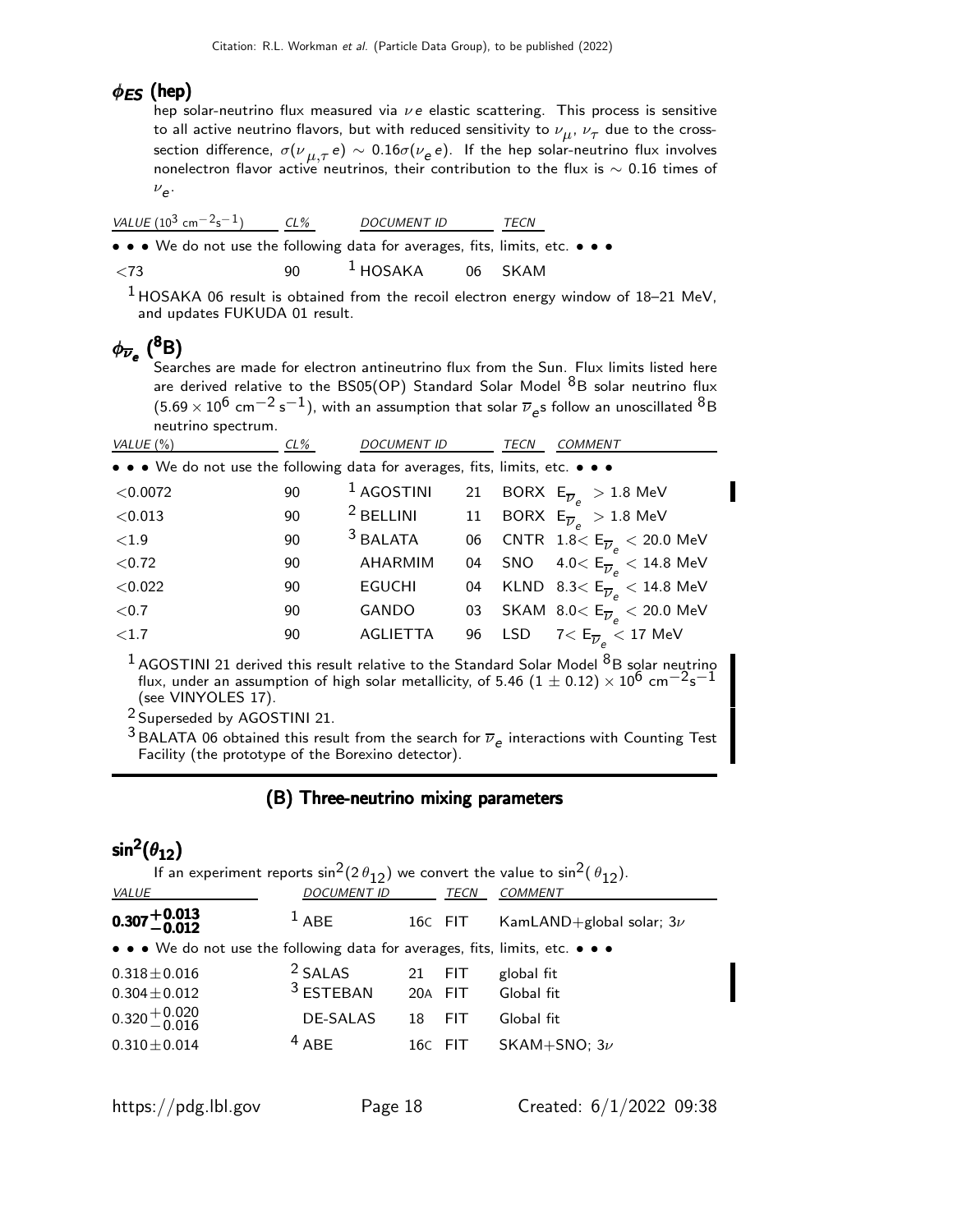## $\phi_{ES}$  (hep)

hep solar-neutrino flux measured via  $\nu e$  elastic scattering. This process is sensitive to all active neutrino flavors, but with reduced sensitivity to  $\nu_{\mu},\,\nu_{\tau}$  due to the crosssection difference,  $\sigma(\nu_{\,\,\mu,\tau}\,e)\,\sim\,0.16\sigma(\nu_e\,e)$ . If the hep solar-neutrino flux involves nonelectron flavor active neutrinos, their contribution to the flux is  $\sim 0.16$  times of  $v_{e}$ .

| VALUE $(10^3 \text{ cm}^{-2} \text{s}^{-1})$ CL%                                                                      |              | <i>DOCUMENT ID</i> | TECN |  |  |
|-----------------------------------------------------------------------------------------------------------------------|--------------|--------------------|------|--|--|
| $\bullet \bullet \bullet$ We do not use the following data for averages, fits, limits, etc. $\bullet \bullet \bullet$ |              |                    |      |  |  |
| $\langle 73 \rangle$                                                                                                  | $90^{\circ}$ | $1$ HOSAKA 06 SKAM |      |  |  |

1 HOSAKA 06 result is obtained from the recoil electron energy window of 18–21 MeV, and updates FUKUDA 01 result.

# $\phi_{\overline{\nu}_e}$  (<sup>8</sup>B)

Searches are made for electron antineutrino flux from the Sun. Flux limits listed here are derived relative to the BS05(OP) Standard Solar Model  ${}^{8}B$  solar neutrino flux  $(5.69\times10^6$  cm $^{-2}$  s $^{-1})$ , with an assumption that solar  $\overline{\nu}_e$ s follow an unoscillated  $^8\text{B}$ neutrino spectrum.

| VALUE $(\%)$                                                                  | $CL\%$ | <b>DOCUMENT ID</b>   |    | <b>TECN</b> | <b>COMMENT</b>                                                                     |
|-------------------------------------------------------------------------------|--------|----------------------|----|-------------|------------------------------------------------------------------------------------|
| • • • We do not use the following data for averages, fits, limits, etc. • • • |        |                      |    |             |                                                                                    |
| < 0.0072                                                                      | 90     | $1$ AGOSTINI         | 21 |             | BORX $E_{\overline{\nu}_e} > 1.8$ MeV                                              |
| < 0.013                                                                       | 90     | <sup>2</sup> BELLINI | 11 |             | BORX $E_{\overline{\nu}_e} > 1.8$ MeV                                              |
| ${<}1.9$                                                                      | 90     | $3$ BALATA           | 06 |             | $\textsf{CNTR}~~1.8\textsf{<}\ \textsf{E}_{\overline{\nu}_a} < 20.0\ \textsf{MeV}$ |
| < 0.72                                                                        | 90     | AHARMIM              | 04 |             | SNO $4.0 < E_{\overline{\nu}_e} < 14.8$ MeV                                        |
| < 0.022                                                                       | 90     | <b>EGUCHI</b>        | 04 |             | KLND 8.3 $<$ E <sub><math>\overline{\nu}_e</math></sub> $<$ 14.8 MeV               |
| ${<}0.7$                                                                      | 90     | GANDO                | 03 |             | SKAM 8.0< $\mathsf{E}_{\overline{\nu}_e}$ < 20.0 MeV                               |
| ${<}1.7$                                                                      | 90     | <b>AGLIETTA</b>      | 96 | <b>LSD</b>  | $7<\mathsf{E}_{\overline{\nu}_a}< 17\,\, \mathsf{MeV}$                             |
|                                                                               |        |                      |    |             |                                                                                    |

 $^1$  AGOSTINI 21 derived this result relative to the Standard Solar Model  $^8$ B solar neutrino flux, under an assumption of high solar metallicity, of 5.46  $(1 \pm 0.12) \times 10^6$  cm<sup>-2</sup>s<sup>-1</sup> (see VINYOLES 17).

2 Superseded by AGOSTINI 21.

<sup>3</sup> BALATA 06 obtained this result from the search for  $\overline{\nu}_e$  interactions with Counting Test Facility (the prototype of the Borexino detector).

### (B) Three-neutrino mixing parameters

# sin $^2(\theta_{12})$

| If an experiment reports $\sin^2(2\theta_{12})$ we convert the value to $\sin^2(\theta_{12})$ . |                    |         |            |                              |  |  |  |
|-------------------------------------------------------------------------------------------------|--------------------|---------|------------|------------------------------|--|--|--|
| VALUE                                                                                           | <b>DOCUMENT ID</b> |         | TECN       | <b>COMMENT</b>               |  |  |  |
| $0.307 + 0.013$                                                                                 | $1$ ABE            |         | 16C FIT    | KamLAND+global solar; $3\nu$ |  |  |  |
| • • • We do not use the following data for averages, fits, limits, etc. • • •                   |                    |         |            |                              |  |  |  |
| $0.318 \pm 0.016$                                                                               | <sup>2</sup> SALAS | 21      | <b>FIT</b> | global fit                   |  |  |  |
| $0.304 \pm 0.012$                                                                               | $3$ ESTEBAN        | 20A FIT |            | Global fit                   |  |  |  |
| $0.320 + 0.020$<br>$-0.016$                                                                     | <b>DE-SALAS</b>    | 18      | <b>FIT</b> | Global fit                   |  |  |  |
| $0.310 \pm 0.014$                                                                               | $4$ ABE            |         | 16C FIT    | SKAM+SNO; $3\nu$             |  |  |  |
|                                                                                                 |                    |         |            |                              |  |  |  |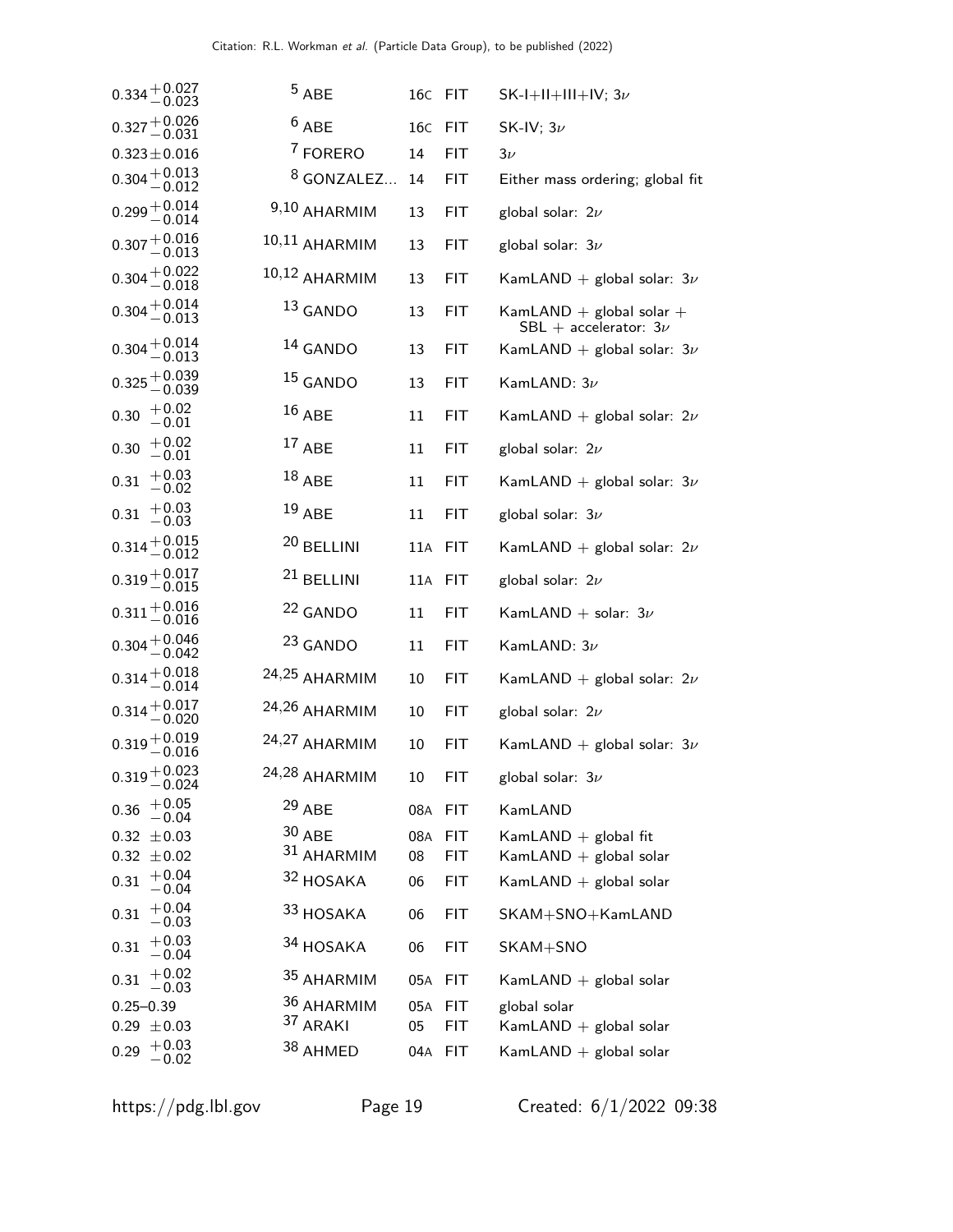|               | $0.334 + 0.027$<br>-0.023       | $5$ ABE             |            | 16C FIT |            | SK-I+II+III+IV; $3\nu$                                    |
|---------------|---------------------------------|---------------------|------------|---------|------------|-----------------------------------------------------------|
|               | $0.327 + 0.026$<br>$\!-0.031$   | $6$ ABE             |            | 16C     | <b>FIT</b> | SK-IV; $3\nu$                                             |
|               | $0.323 \pm 0.016$               | <sup>7</sup> FORERO |            | 14      | <b>FIT</b> | $3\nu$                                                    |
|               | $0.304 + 0.013$<br>$-0.012$     |                     | 8 GONZALEZ | 14      | <b>FIT</b> | Either mass ordering; global fit                          |
|               | $0.299 + 0.014$<br>-0.014       | 9,10 AHARMIM        |            | 13      | <b>FIT</b> | global solar: $2\nu$                                      |
|               | $0.307 {+ 0.016 \atop - 0.013}$ | 10,11 AHARMIM       |            | 13      | <b>FIT</b> | global solar: $3\nu$                                      |
|               | $0.304 + 0.022$<br>$- 0.018$    | 10,12 AHARMIM       |            | 13      | <b>FIT</b> | KamLAND + global solar: $3\nu$                            |
|               | $0.304 + 0.014$<br>-0.013       | 13 GANDO            |            | 13      | <b>FIT</b> | KamLAND $+$ global solar $+$<br>SBL + accelerator: $3\nu$ |
|               | $0.304 + 0.014$<br>-0.013       | 14 GANDO            |            | 13      | <b>FIT</b> | KamLAND + global solar: $3\nu$                            |
|               | $0.325 + 0.039$<br>-0.039       | 15 GANDO            |            | 13      | <b>FIT</b> | KamLAND: $3\nu$                                           |
| 0.30          | $+0.02$<br>$-0.01$              | $16$ ABE            |            | 11      | <b>FIT</b> | KamLAND + global solar: $2\nu$                            |
| 0.30          | $+0.02$<br>$-0.01$              | $17$ ABE            |            | 11      | FIT        | global solar: $2\nu$                                      |
| 0.31          | $+0.03$<br>$-0.02$              | $18$ ABE            |            | 11      | <b>FIT</b> | KamLAND + global solar: $3\nu$                            |
| 0.31          | $+0.03$<br>$-0.03$              | 19 ABE              |            | 11      | FIT        | global solar: $3\nu$                                      |
|               | $0.314 + 0.015$<br>-0.012       | 20 BELLINI          |            | 11A     | <b>FIT</b> | KamLAND + global solar: $2\nu$                            |
|               | $0.319 + 0.017$<br>-0.015       | 21 BELLINI          |            | 11A     | <b>FIT</b> | global solar: $2\nu$                                      |
|               | $0.311 + 0.016$<br>$- 0.016$    | <sup>22</sup> GANDO |            | 11      | <b>FIT</b> | KamLAND + solar: $3\nu$                                   |
|               | $0.304 + 0.046$<br>-0.042       | 23 GANDO            |            | 11      | <b>FIT</b> | KamLAND: $3\nu$                                           |
|               | $0.314 + 0.018$<br>-0.014       | 24,25 AHARMIM       |            | 10      | <b>FIT</b> | KamLAND + global solar: $2\nu$                            |
|               | $0.314 + 0.017$<br>-0.020       | 24,26 AHARMIM       |            | 10      | <b>FIT</b> | global solar: $2\nu$                                      |
|               | $0.319 + 0.019$<br>-0.016       | 24,27 AHARMIM       |            | 10      | <b>FIT</b> | KamLAND + global solar: $3\nu$                            |
|               | $0.319 + 0.023$<br>$-0.024$     | 24,28 AHARMIM       |            | 10      | FIT        | global solar: $3\nu$                                      |
| 0.36          | $+0.05$<br>$-0.04$              | $29$ ABE            |            | 08A FIT |            | KamLAND                                                   |
|               | $0.32 \pm 0.03$                 | $30$ ABE            |            | 08A FIT |            | KamLAND + global fit                                      |
|               | $0.32 \pm 0.02$<br>$+0.04$      |                     | 31 AHARMIM | 08      | <b>FIT</b> | KamLAND $+$ global solar                                  |
| 0.31          | $-0.04\,$                       | 32 HOSAKA           |            | 06      | <b>FIT</b> | KamLAND $+$ global solar                                  |
| 0.31          | $+0.04$<br>$-0.03$              | 33 HOSAKA           |            | 06      | <b>FIT</b> | SKAM+SNO+KamLAND                                          |
| 0.31          | $+0.03$<br>$-0.04$              | 34 HOSAKA           |            | 06      | <b>FIT</b> | SKAM+SNO                                                  |
| 0.31          | $+0.02$<br>$-0.03$              |                     | 35 AHARMIM | 05A FIT |            | KamLAND $+$ global solar                                  |
| $0.25 - 0.39$ |                                 |                     | 36 AHARMIM | 05A FIT |            | global solar                                              |
|               | $0.29 \pm 0.03$                 | 37 ARAKI            |            | 05      | <b>FIT</b> | KamLAND + global solar                                    |
| 0.29          | $+0.03$<br>$-0.02$              | 38 AHMED            |            | 04A FIT |            | KamLAND $+$ global solar                                  |
|               |                                 |                     |            |         |            |                                                           |

https://pdg.lbl.gov Page 19 Created: 6/1/2022 09:38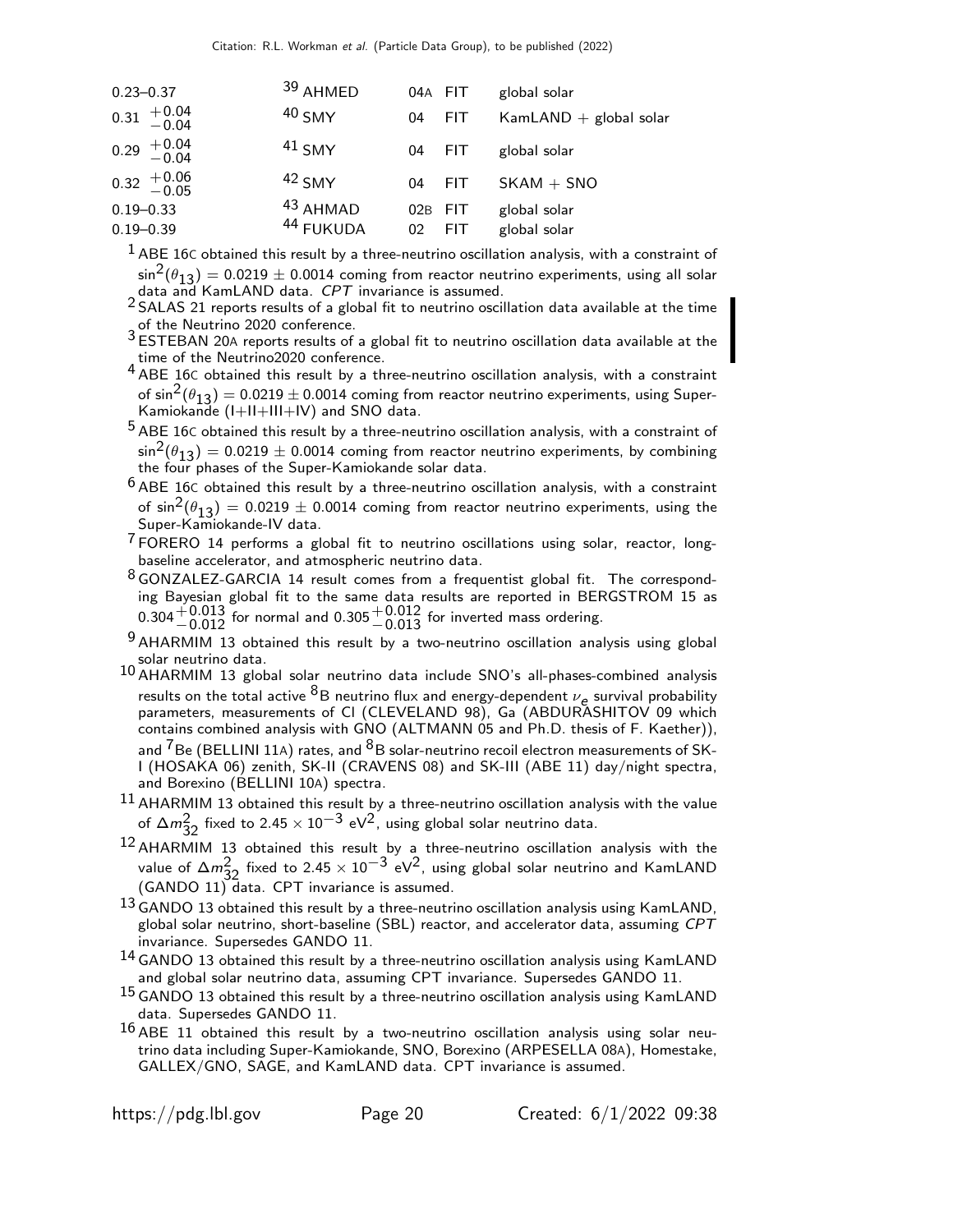| $0.23 - 0.37$                                      | $39$ AHMED          | 04A FIT |            | global solar             |
|----------------------------------------------------|---------------------|---------|------------|--------------------------|
| $0.31 \begin{array}{c} +0.04 \\ -0.04 \end{array}$ | $40$ SMY            | 04      | <b>FIT</b> | KamLAND $+$ global solar |
| $0.29 + 0.04 - 0.04$                               | $41$ SMY            | 04      | <b>FIT</b> | global solar             |
| $0.32 \begin{array}{c} +0.06 \\ -0.05 \end{array}$ | $42$ SMY            | 04      | <b>FIT</b> | $SKAM + SNO$             |
| $0.19 - 0.33$                                      | <sup>43</sup> AHMAD | 02B     | <b>FIT</b> | global solar             |
| $0.19 - 0.39$                                      | 44 FUKUDA           | 02      | <b>FIT</b> | global solar             |

 $<sup>1</sup>$  ABE 16C obtained this result by a three-neutrino oscillation analysis, with a constraint of</sup>  $\sin^2(\theta_{13}) = 0.0219 \pm 0.0014$  coming from reactor neutrino experiments, using all solar data and KamLAND data. CPT invariance is assumed.

 $2$  SALAS 21 reports results of a global fit to neutrino oscillation data available at the time of the Neutrino 2020 conference.

 $3$  ESTEBAN 20A reports results of a global fit to neutrino oscillation data available at the time of the Neutrino2020 conference.

 $4$  ABE 16C obtained this result by a three-neutrino oscillation analysis, with a constraint of  $\sin^2(\theta_{13}) = 0.0219 \pm 0.0014$  coming from reactor neutrino experiments, using Super-Kamiokande (I+II+III+IV) and SNO data.

 $5$  ABE 16C obtained this result by a three-neutrino oscillation analysis, with a constraint of  $\sin^2(\theta_{13}) = 0.0219 \pm 0.0014$  coming from reactor neutrino experiments, by combining the four phases of the Super-Kamiokande solar data.

 $6$  ABE 16C obtained this result by a three-neutrino oscillation analysis, with a constraint of  $\sin^2(\theta_{13}) = 0.0219 \pm 0.0014$  coming from reactor neutrino experiments, using the Super-Kamiokande-IV data.

 $7$  FORERO 14 performs a global fit to neutrino oscillations using solar, reactor, longbaseline accelerator, and atmospheric neutrino data.

<sup>8</sup> GONZALEZ-GARCIA 14 result comes from a frequentist global fit. The corresponding Bayesian global fit to the same data results are reported in BERGSTROM 15 as  $0.304^{+0.013}_{-0.012}$  for normal and  $0.305^{+0.012}_{-0.013}$  for inverted mass ordering.

 $9$  AHARMIM 13 obtained this result by a two-neutrino oscillation analysis using global solar neutrino data.

10 AHARMIM 13 global solar neutrino data include SNO's all-phases-combined analysis results on the total active  ${}^{8}B$  neutrino flux and energy-dependent  $\nu_e$  survival probability parameters, measurements of CI (CLEVELAND 98), Ga (ABDURASHITOV 09 which contains combined analysis with GNO (ALTMANN 05 and Ph.D. thesis of F. Kaether)), and  $\frac{7}{1}$ Be (BELLINI 11A) rates, and  $\frac{8}{1}$ B solar-neutrino recoil electron measurements of SK-I (HOSAKA 06) zenith, SK-II (CRAVENS 08) and SK-III (ABE 11) day/night spectra, and Borexino (BELLINI 10A) spectra.

 $^{11}$  AHARMIM 13 obtained this result by a three-neutrino oscillation analysis with the value of  $\Delta m_{32}^2$  fixed to 2.45  $\times$  10 $^{-3}$  eV<sup>2</sup>, using global solar neutrino data.

 $^{12}$  AHARMIM 13 obtained this result by a three-neutrino oscillation analysis with the value of  $\Delta m_{32}^2$  fixed to 2.45  $\times$   $10^{-3}$  eV<sup>2</sup>, using global solar neutrino and KamLAND (GANDO 11) data. CPT invariance is assumed.

 $13$  GANDO 13 obtained this result by a three-neutrino oscillation analysis using KamLAND, global solar neutrino, short-baseline (SBL) reactor, and accelerator data, assuming CPT invariance. Supersedes GANDO 11.

14 GANDO 13 obtained this result by a three-neutrino oscillation analysis using KamLAND and global solar neutrino data, assuming CPT invariance. Supersedes GANDO 11.

 $^{15}$  GANDO 13 obtained this result by a three-neutrino oscillation analysis using KamLAND data. Supersedes GANDO 11.

 $16$  ABE 11 obtained this result by a two-neutrino oscillation analysis using solar neutrino data including Super-Kamiokande, SNO, Borexino (ARPESELLA 08A), Homestake, GALLEX/GNO, SAGE, and KamLAND data. CPT invariance is assumed.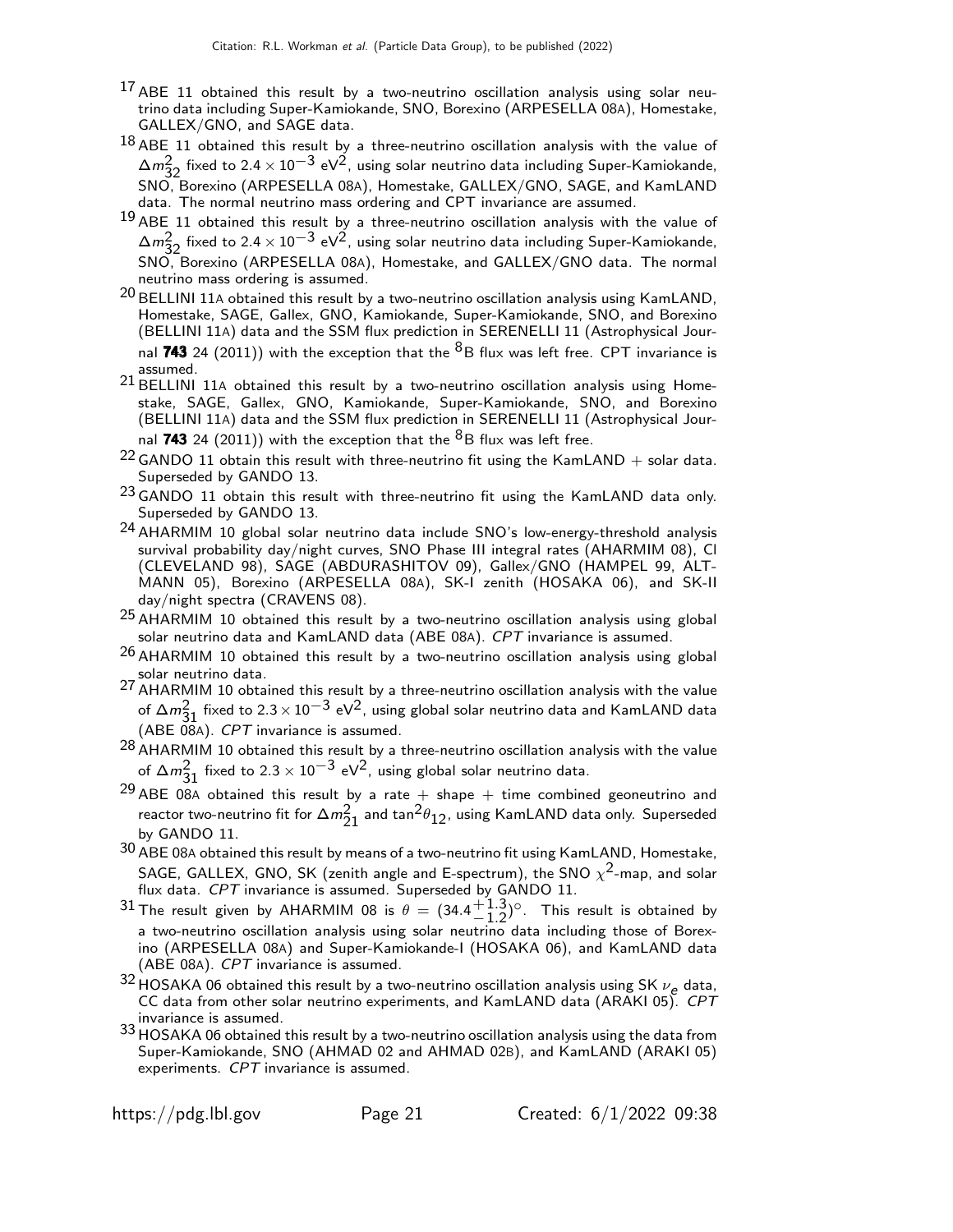- $17$  ABE 11 obtained this result by a two-neutrino oscillation analysis using solar neutrino data including Super-Kamiokande, SNO, Borexino (ARPESELLA 08A), Homestake, GALLEX/GNO, and SAGE data.
- $18$  ABE 11 obtained this result by a three-neutrino oscillation analysis with the value of  $\Delta m_{32}^2$  fixed to 2.4 × 10<sup>-3</sup> eV<sup>2</sup>, using solar neutrino data including Super-Kamiokande, SNO, Borexino (ARPESELLA 08A), Homestake, GALLEX/GNO, SAGE, and KamLAND data. The normal neutrino mass ordering and CPT invariance are assumed.
- $19$  ABE 11 obtained this result by a three-neutrino oscillation analysis with the value of  $\Delta m_{32}^2$  fixed to 2.4 × 10<sup>−3</sup> eV<sup>2</sup>, using solar neutrino data including Super-Kamiokande, SNO, Borexino (ARPESELLA 08A), Homestake, and GALLEX/GNO data. The normal neutrino mass ordering is assumed.
- 20 BELLINI 11<sup>A</sup> obtained this result by a two-neutrino oscillation analysis using KamLAND, Homestake, SAGE, Gallex, GNO, Kamiokande, Super-Kamiokande, SNO, and Borexino (BELLINI 11A) data and the SSM flux prediction in SERENELLI 11 (Astrophysical Journal 743 24 (2011)) with the exception that the  ${}^{8}B$  flux was left free. CPT invariance is assumed.
- $21$  BELLINI 11A obtained this result by a two-neutrino oscillation analysis using Homestake, SAGE, Gallex, GNO, Kamiokande, Super-Kamiokande, SNO, and Borexino (BELLINI 11A) data and the SSM flux prediction in SERENELLI 11 (Astrophysical Journal 743 24 (2011)) with the exception that the  ${}^{8}B$  flux was left free.
- $22$  GANDO 11 obtain this result with three-neutrino fit using the KamLAND + solar data. Superseded by GANDO 13.
- 23 GANDO 11 obtain this result with three-neutrino fit using the KamLAND data only. Superseded by GANDO 13.
- 24 AHARMIM 10 global solar neutrino data include SNO's low-energy-threshold analysis survival probability day/night curves, SNO Phase III integral rates (AHARMIM 08), Cl (CLEVELAND 98), SAGE (ABDURASHITOV 09), Gallex/GNO (HAMPEL 99, ALT-MANN 05), Borexino (ARPESELLA 08A), SK-I zenith (HOSAKA 06), and SK-II day/night spectra (CRAVENS 08).
- $^{25}$  AHARMIM 10 obtained this result by a two-neutrino oscillation analysis using global solar neutrino data and KamLAND data (ABE 08A). CPT invariance is assumed.
- $26$  AHARMIM 10 obtained this result by a two-neutrino oscillation analysis using global solar neutrino data.
- $^{27}$  AHARMIM 10 obtained this result by a three-neutrino oscillation analysis with the value of ∆m<sup>2</sup><sub>31</sub> fixed to 2.3 × 10<sup>−3</sup> eV<sup>2</sup>, using global solar neutrino data and KamLAND data  $(ABE \, 08A)$ . CPT invariance is assumed.
- $^{28}$  AHARMIM 10 obtained this result by a three-neutrino oscillation analysis with the value of  $\Delta m_{31}^2$  fixed to 2.3  $\times$  10 $^{-3}$  eV<sup>2</sup>, using global solar neutrino data.
- <sup>29</sup> ABE 08A obtained this result by a rate  $+$  shape  $+$  time combined geoneutrino and reactor two-neutrino fit for  $\Delta m_{21}^2$  and  $\tan^2\theta_{12}$ , using KamLAND data only. Superseded by GANDO 11.
- $30$  ABE 08A obtained this result by means of a two-neutrino fit using KamLAND, Homestake, SAGE, GALLEX, GNO, SK (zenith angle and E-spectrum), the SNO  $\chi^2$ -map, and solar flux data. CPT invariance is assumed. Superseded by GANDO 11.
- 31 The result given by AHARMIM 08 is  $\theta = (34.4 \frac{+1.3}{1.2})$  $^{+1.3}_{-1.2}$ <sup>o</sup>. This result is obtained by a two-neutrino oscillation analysis using solar neutrino data including those of Borexino (ARPESELLA 08A) and Super-Kamiokande-I (HOSAKA 06), and KamLAND data (ABE 08A). CPT invariance is assumed.
- $32$  HOSAKA 06 obtained this result by a two-neutrino oscillation analysis using SK  $\nu_e$  data, CC data from other solar neutrino experiments, and KamLAND data (ARAKI 05). CPT invariance is assumed.
- 33 HOSAKA 06 obtained this result by a two-neutrino oscillation analysis using the data from Super-Kamiokande, SNO (AHMAD 02 and AHMAD 02B), and KamLAND (ARAKI 05) experiments. CPT invariance is assumed.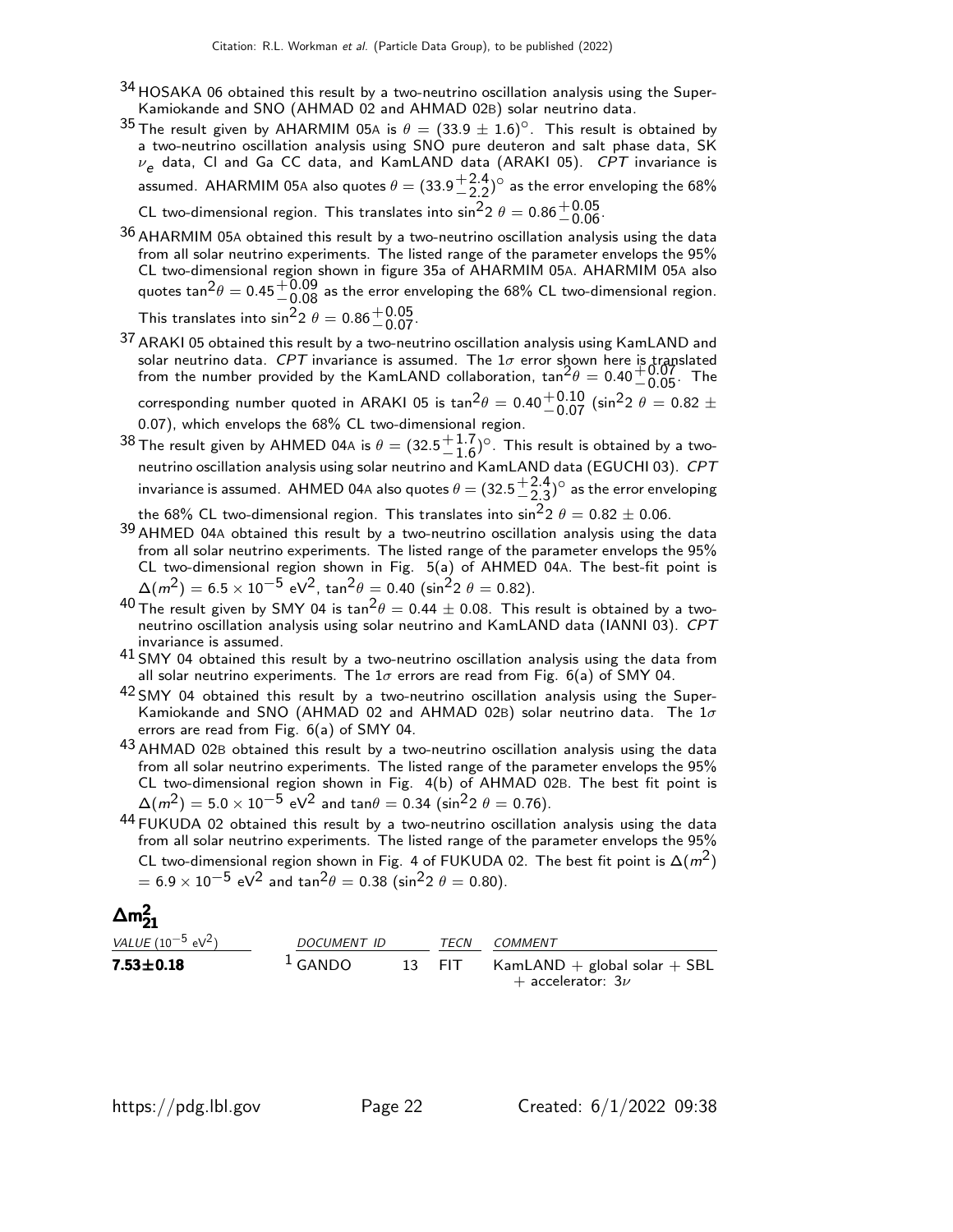- 34 HOSAKA 06 obtained this result by a two-neutrino oscillation analysis using the Super-Kamiokande and SNO (AHMAD 02 and AHMAD 02B) solar neutrino data.
- 35 The result given by AHARMIM 05A is  $\theta = (33.9 \pm 1.6)^{\circ}$ . This result is obtained by a two-neutrino oscillation analysis using SNO pure deuteron and salt phase data, SK  $\nu_e$  data, CI and Ga CC data, and KamLAND data (ARAKI 05). *CPT* invariance is assumed. AHARMIM 05A also quotes  $\theta = (33.9 \frac{+ 2.4}{- 2.2})$  $^{+2.4}_{-2.2}$ ) $^{\circ}$  as the error enveloping the 68% CL two-dimensional region. This translates into  $\sin^2 2$   $\theta = 0.86 \frac{+0.05}{-0.06}$ .
- $36$  AHARMIM 05A obtained this result by a two-neutrino oscillation analysis using the data from all solar neutrino experiments. The listed range of the parameter envelops the 95% CL two-dimensional region shown in figure 35a of AHARMIM 05A. AHARMIM 05A also quotes tan ${}^{2}\theta=0.45{+}0.09\atop-0.08$  as the error enveloping the 68% CL two-dimensional region. This translates into  $\sin^2 2$   $\theta = 0.86 \frac{+0.05}{-0.07}$ .
- 37 ARAKI 05 obtained this result by a two-neutrino oscillation analysis using KamLAND and solar neutrino data. *CPT* invariance is assumed. The 1 $\sigma$  error shown here is translated from the number provided by the KamLAND collaboration,  $tan^2\theta = 0.40^{+0.07}_{-0.05}$ . The corresponding number quoted in ARAKI 05 is  $\tan^2\theta =$  0.40 $^{+0.10}_{-0.07}$  (sin $^2$ 2  $\theta =$  0.82  $\pm$ 0.07), which envelops the 68% CL two-dimensional region.
- $38$  The result given by AHMED 04A is  $\theta = (32.5 \frac{+1.7}{-1.6})$  $^{+1.7}_{-1.6}$ ) $^{\circ}$ . This result is obtained by a twoneutrino oscillation analysis using solar neutrino and  ${\sf KamLAND}$  data (EGUCHI 03).  ${\it CPT}$ invariance is assumed. AHMED 04A also quotes  $\theta = (32.5\frac{+2.4}{-2.3})$  $\rm{+2.4}_{-2.3}$ ) $^{\circ}$  as the error enveloping the 68% CL two-dimensional region. This translates into  $\sin^2 2 \theta = 0.82 \pm 0.06$ .
- $39$  AHMED 04A obtained this result by a two-neutrino oscillation analysis using the data from all solar neutrino experiments. The listed range of the parameter envelops the 95% CL two-dimensional region shown in Fig. 5(a) of AHMED 04A. The best-fit point is  $\Delta(m^2) = 6.5 \times 10^{-5} \text{ eV}^2$ , tan $^2\theta = 0.40 \text{ (sin}^2 2 \theta = 0.82)$ .
- $^{40}$  The result given by SMY 04 is  $\tan^2\theta = 0.44 \pm 0.08$ . This result is obtained by a twoneutrino oscillation analysis using solar neutrino and KamLAND data (IANNI 03). CPT invariance is assumed.
- $41$  SMY 04 obtained this result by a two-neutrino oscillation analysis using the data from all solar neutrino experiments. The  $1\sigma$  errors are read from Fig. 6(a) of SMY 04.
- 42 SMY 04 obtained this result by a two-neutrino oscillation analysis using the Super-Kamiokande and SNO (AHMAD 02 and AHMAD 02B) solar neutrino data. The  $1\sigma$ errors are read from Fig. 6(a) of SMY 04.
- $^{43}$  AHMAD 02B obtained this result by a two-neutrino oscillation analysis using the data from all solar neutrino experiments. The listed range of the parameter envelops the 95% CL two-dimensional region shown in Fig. 4(b) of AHMAD 02B. The best fit point is  $\Delta(m^2) = 5.0 \times 10^{-5} \text{ eV}^2$  and tan $\theta = 0.34 \text{ (sin}^2 2 \theta = 0.76)$ .
- $44$  FUKUDA 02 obtained this result by a two-neutrino oscillation analysis using the data from all solar neutrino experiments. The listed range of the parameter envelops the 95% CL two-dimensional region shown in Fig. 4 of FUKUDA 02. The best fit point is  $\Delta(m^2)$  $= 6.9 \times 10^{-5}$  eV $^2$  and tan $^2 \theta = 0.38$  (sin $^2$ 2  $\theta = 0.80$ ).

# $\Delta m^2_{21}$

| <i>VALUE</i> (10 <sup>-5</sup> eV <sup>2</sup> ) | <i>DOCUMENT ID</i> | <b>TFCN</b> | COMMENT                                                    |  |  |
|--------------------------------------------------|--------------------|-------------|------------------------------------------------------------|--|--|
| $7.53 \pm 0.18$                                  | $1$ GANDO          | 13 FIT      | $KamLAND + global solar + SBL$<br>$+$ accelerator: 3 $\nu$ |  |  |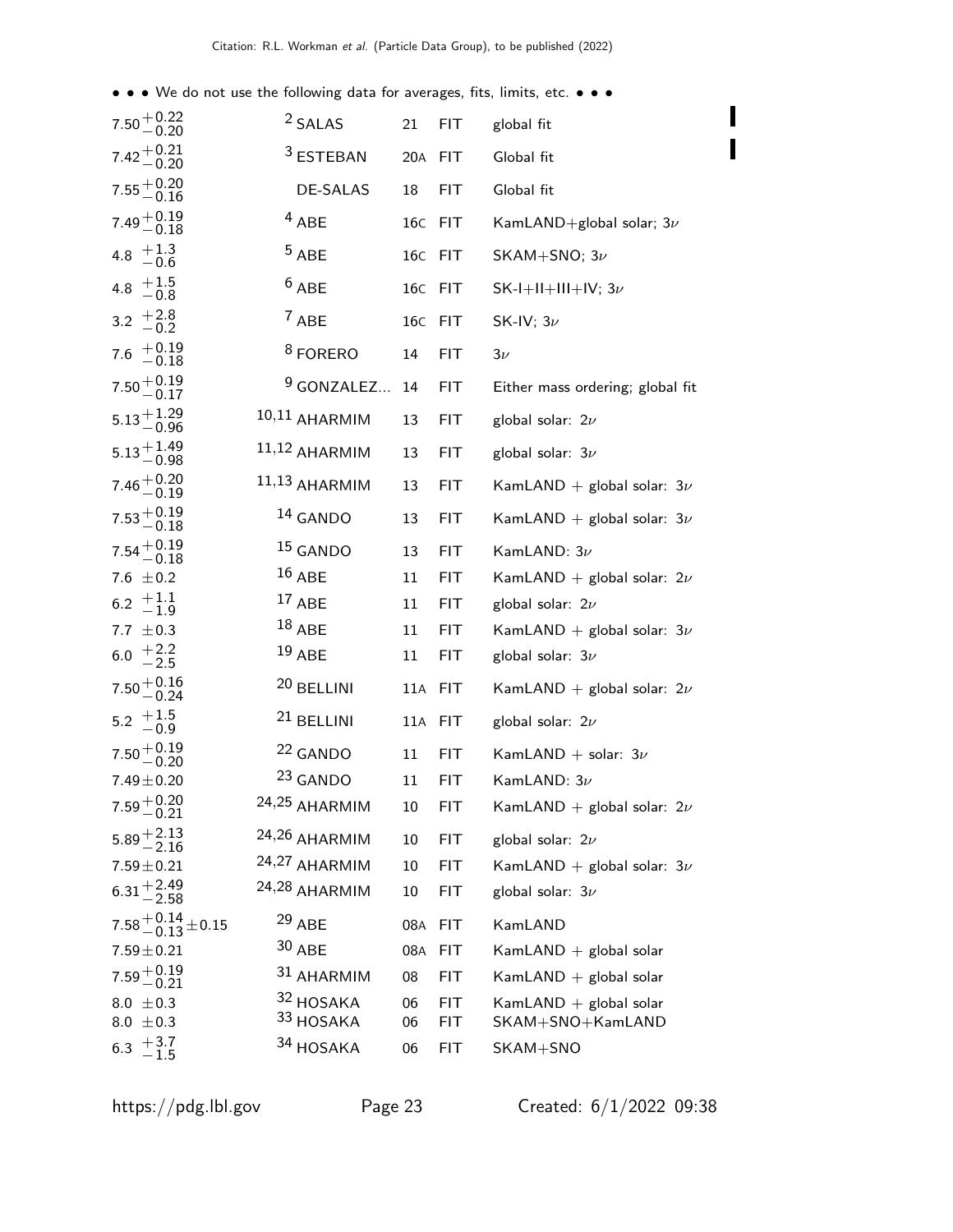• • • We do not use the following data for averages, fits, limits, etc. • • •

| $7.50 + 0.22$<br>$-0.20$                        | <sup>2</sup> SALAS    | 21      | <b>FIT</b> | global fit                       |
|-------------------------------------------------|-----------------------|---------|------------|----------------------------------|
| $7.42 + 0.21$<br>-0.20                          | <sup>3</sup> ESTEBAN  | 20A FIT |            | Global fit                       |
| $7.55^{+0.20}_{-0.16}$                          | DE-SALAS              | 18      | <b>FIT</b> | Global fit                       |
| $7.49 + 0.19 - 0.18$                            | $4$ ABE               | 16C     | <b>FIT</b> | KamLAND+global solar; $3\nu$     |
| 4.8 $+1.3$<br>$-0.6$                            | $5$ ABE               | 16C FIT |            | SKAM+SNO; $3\nu$                 |
| 4.8 $+1.5$<br>-0.8                              | $6$ ABE               | 16C     | <b>FIT</b> | SK-I+II+III+IV; $3\nu$           |
| 3.2 $^{+2.8}_{-0.2}$                            | $7$ ABE               | 16C FIT |            | SK-IV; $3\nu$                    |
| $7.6$ $+0.19$<br>$-0.18$                        | <sup>8</sup> FORERO   | 14      | FIT.       | $3\nu$                           |
| $7.50 + 0.19$<br>-0.17                          | $9$ GONZALEZ          | 14      | <b>FIT</b> | Either mass ordering; global fit |
| $5.13 + 1.29$<br>-0.96                          | $10,11$ AHARMIM       | 13      | <b>FIT</b> | global solar: $2\nu$             |
| $5.13 + 1.49$<br>-0.98                          | 11,12 AHARMIM         | 13      | <b>FIT</b> | global solar: $3\nu$             |
| $7.46 + 0.20$<br>-0.19                          | $11,13$ AHARMIM       | 13      | <b>FIT</b> | KamLAND + global solar: $3\nu$   |
| $7.53 + 0.19$<br>-0.18                          | 14 GANDO              | 13      | <b>FIT</b> | KamLAND + global solar: $3\nu$   |
| $7.54\genfrac{}{}{0pt}{}{+0.19}{-0.18}$         | $15$ GANDO            | 13      | <b>FIT</b> | KamLAND: $3\nu$                  |
| 7.6 $\pm$ 0.2                                   | $16$ ABE              | 11      | <b>FIT</b> | KamLAND + global solar: $2\nu$   |
| $6.2 \begin{array}{c} +1.1 \\ -1.9 \end{array}$ | $17$ ABE              | 11      | FIT.       | global solar: $2\nu$             |
| 7.7 $\pm$ 0.3                                   | $^{18}$ ABE           | 11      | <b>FIT</b> | KamLAND + global solar: $3\nu$   |
| 6.0 $+2.2$<br>-2.5                              | $19$ ABE              | 11      | FIT        | global solar: $3\nu$             |
| $7.50 + 0.16$<br>-0.24                          | 20 BELLINI            | 11A     | <b>FIT</b> | KamLAND + global solar: $2\nu$   |
| $5.2 \begin{array}{c} +1.5 \\ -0.9 \end{array}$ | <sup>21</sup> BELLINI | 11A     | <b>FIT</b> | global solar: $2\nu$             |
| $7.50 + 0.19$<br>-0.20                          | <sup>22</sup> GANDO   | 11      | <b>FIT</b> | KamLAND + solar: $3\nu$          |
| $7.49 \pm 0.20$                                 | 23 GANDO              | 11      | FIT        | KamLAND: $3\nu$                  |
| $7.59 + 0.20$<br>$-0.21$                        | 24,25 AHARMIM         | 10      | FIT        | KamLAND + global solar: $2\nu$   |
| $5.89 + 2.13$<br>-2.16                          | 24,26 AHARMIM         | 10      | FIT.       | global solar: $2\nu$             |
| $7.59 \pm 0.21$                                 | 24,27 AHARMIM         | 10      | <b>FIT</b> | KamLAND + global solar: $3\nu$   |
| $6.31 + 2.49$<br>-2.58                          | 24,28 AHARMIM         | 10      | <b>FIT</b> | global solar: $3\nu$             |
| $7.58 + 0.14 + 0.15$                            | $29$ ABE              | 08A     | <b>FIT</b> | KamLAND                          |
| $7.59 \pm 0.21$                                 | $30$ ABE              | 08A     | <b>FIT</b> | KamLAND $+$ global solar         |
| $7.59^{+0.19}_{-0.21}$                          | 31 AHARMIM            | 08      | <b>FIT</b> | KamLAND $+$ global solar         |
| 8.0 $\pm$ 0.3                                   | 32 HOSAKA             | 06      | <b>FIT</b> | KamLAND $+$ global solar         |
| 8.0 $\pm$ 0.3                                   | 33 HOSAKA             | 06      | <b>FIT</b> | SKAM+SNO+KamLAND                 |
| $+3.7$<br>-1.5<br>6.3                           | 34 HOSAKA             | 06      | FIT        | SKAM+SNO                         |

 $\blacksquare$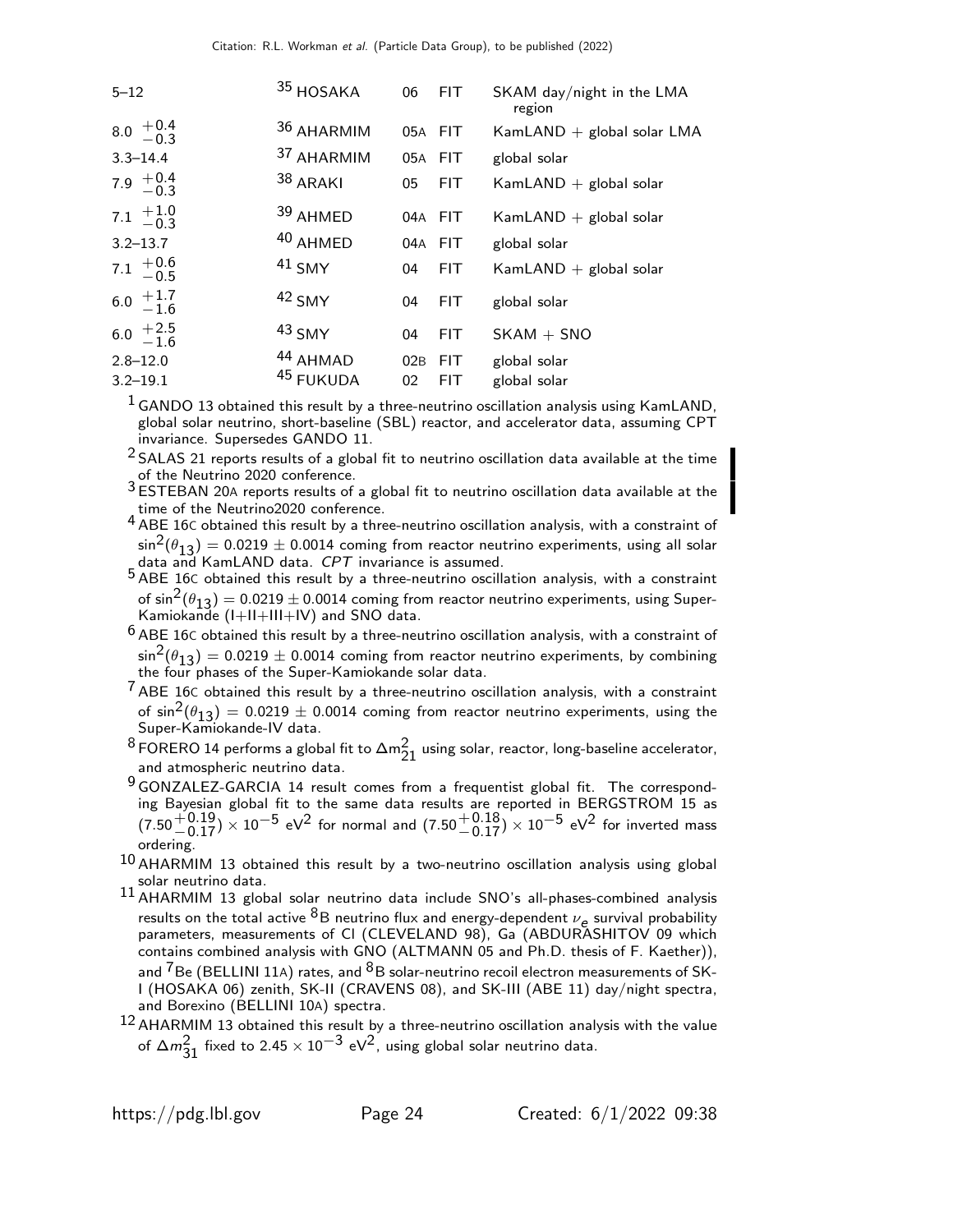| $5 - 12$                                        | 35 HOSAKA             | 06        | FIT.               | SKAM day/night in the LMA<br>region |
|-------------------------------------------------|-----------------------|-----------|--------------------|-------------------------------------|
| $8.0^{+0.4}_{-0.3}$                             | 36 AHARMIM            | 05A FIT   |                    | $KamLAND + global solar LMA$        |
| $3.3 - 14.4$                                    | 37 AHARMIM            | 05A FIT   |                    | global solar                        |
| 7.9 $+0.4$<br>-0.3                              | $38$ ARAKI            | 05        | FIT.               | KamLAND $+$ global solar            |
| 7.1 $+1.0$<br>-0.3                              | 39 AHMED              | 04A FIT   |                    | KamLAND $+$ global solar            |
| $3.2 - 13.7$                                    | 40 AHMED              | 04A FIT   |                    | global solar                        |
| 7.1 $+0.6$<br>-0.5                              | $41$ SMY              | 04        | FIT.               | KamLAND $+$ global solar            |
| 6.0 $+1.7$<br>-1.6                              | $42$ SMY              | 04        | <b>FIT</b>         | global solar                        |
| $6.0 \begin{array}{c} +2.5 \\ -1.6 \end{array}$ | $43$ SMY              | 04        | <b>FIT</b>         | $SKAM + SNO$                        |
| $2.8 - 12.0$<br>$3.2 - 19.1$                    | 44 AHMAD<br>45 FUKUDA | 02B<br>02 | FIT.<br><b>FIT</b> | global solar<br>global solar        |

 $<sup>1</sup>$  GANDO 13 obtained this result by a three-neutrino oscillation analysis using KamLAND,</sup> global solar neutrino, short-baseline (SBL) reactor, and accelerator data, assuming CPT invariance. Supersedes GANDO 11.

 $2$  SALAS 21 reports results of a global fit to neutrino oscillation data available at the time of the Neutrino 2020 conference.

3 ESTEBAN 20<sup>A</sup> reports results of a global fit to neutrino oscillation data available at the time of the Neutrino2020 conference.

4 ABE 16C obtained this result by a three-neutrino oscillation analysis, with a constraint of  $\sin^2(\theta_{13}) = 0.0219 \pm 0.0014$  coming from reactor neutrino experiments, using all solar data and KamLAND data. CPT invariance is assumed.

5 ABE 16C obtained this result by a three-neutrino oscillation analysis, with a constraint of  $\sin^2(\theta_{13}) = 0.0219 \pm 0.0014$  coming from reactor neutrino experiments, using Super-Kamiokande (I+II+III+IV) and SNO data.

- $6$  ABE 16C obtained this result by a three-neutrino oscillation analysis, with a constraint of  $\sin^2(\theta_{13}) = 0.0219 \pm 0.0014$  coming from reactor neutrino experiments, by combining the four phases of the Super-Kamiokande solar data.
- $<sup>7</sup>$  ABE 16C obtained this result by a three-neutrino oscillation analysis, with a constraint</sup> of  $\sin^2(\theta_{13}) = 0.0219 \pm 0.0014$  coming from reactor neutrino experiments, using the Super-Kamiokande-IV data.
- $^8$  FORERO 14 performs a global fit to  $\Delta \text{m}^2_{21}$  using solar, reactor, long-baseline accelerator, and atmospheric neutrino data.
- 9 GONZALEZ-GARCIA 14 result comes from a frequentist global fit. The corresponding Bayesian global fit to the same data results are reported in BERGSTROM 15 as  $(7.50 + 0.19) \times 10^{-5}$  eV<sup>2</sup> for normal and  $(7.50 + 0.18) \times 10^{-5}$  eV<sup>2</sup> for inverted mass ordering.
- $10$  AHARMIM 13 obtained this result by a two-neutrino oscillation analysis using global solar neutrino data.
- $11$  AHARMIM 13 global solar neutrino data include SNO's all-phases-combined analysis results on the total active  ${}^{8}B$  neutrino flux and energy-dependent  $\nu_e$  survival probability parameters, measurements of CI (CLEVELAND 98), Ga (ABDURASHITOV 09 which contains combined analysis with GNO (ALTMANN 05 and Ph.D. thesis of F. Kaether)), and  ${}^{7}$ Be (BELLINI 11A) rates, and  ${}^{8}$ B solar-neutrino recoil electron measurements of SK-I (HOSAKA 06) zenith, SK-II (CRAVENS 08), and SK-III (ABE 11) day/night spectra, and Borexino (BELLINI 10A) spectra.
- $^{12}$  AHARMIM 13 obtained this result by a three-neutrino oscillation analysis with the value of  $\Delta m_{31}^2$  fixed to 2.45  $\times$  10 $^{-3}$  eV<sup>2</sup>, using global solar neutrino data.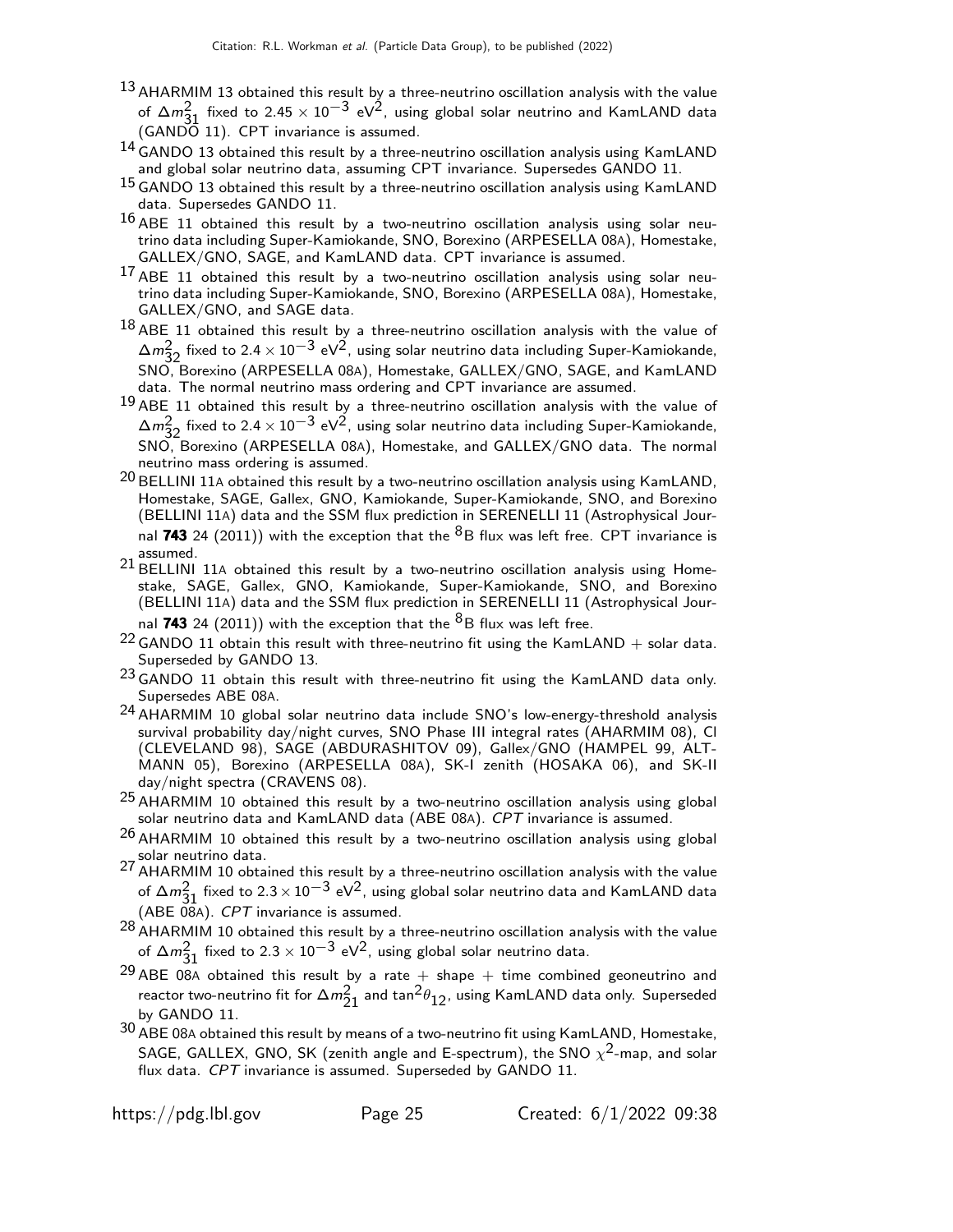- 13 AHARMIM 13 obtained this result by a three-neutrino oscillation analysis with the value of  $\Delta m_{31}^2$  fixed to 2.45  $\times$  10 $^{-3}$  eV<sup>2</sup>, using global solar neutrino and KamLAND data  $(GANDO 11)$ . CPT invariance is assumed.
- 14 GANDO 13 obtained this result by a three-neutrino oscillation analysis using KamLAND and global solar neutrino data, assuming CPT invariance. Supersedes GANDO 11.
- $^{15}$  GANDO 13 obtained this result by a three-neutrino oscillation analysis using KamLAND data. Supersedes GANDO 11.
- $16$  ABE 11 obtained this result by a two-neutrino oscillation analysis using solar neutrino data including Super-Kamiokande, SNO, Borexino (ARPESELLA 08A), Homestake, GALLEX/GNO, SAGE, and KamLAND data. CPT invariance is assumed.
- 17 ABE 11 obtained this result by a two-neutrino oscillation analysis using solar neutrino data including Super-Kamiokande, SNO, Borexino (ARPESELLA 08A), Homestake, GALLEX/GNO, and SAGE data.
- $18$  ABE 11 obtained this result by a three-neutrino oscillation analysis with the value of  $\Delta m_{32}^2$  fixed to 2.4 × 10<sup>-3</sup> eV<sup>2</sup>, using solar neutrino data including Super-Kamiokande, SNO, Borexino (ARPESELLA 08A), Homestake, GALLEX/GNO, SAGE, and KamLAND data. The normal neutrino mass ordering and CPT invariance are assumed.
- $19$  ABE 11 obtained this result by a three-neutrino oscillation analysis with the value of  $\Delta m_{32}^2$  fixed to 2.4 × 10<sup>−3</sup> eV<sup>2</sup>, using solar neutrino data including Super-Kamiokande, SNO, Borexino (ARPESELLA 08A), Homestake, and GALLEX/GNO data. The normal neutrino mass ordering is assumed.
- $^{20}$  BELLINI 11A obtained this result by a two-neutrino oscillation analysis using KamLAND, Homestake, SAGE, Gallex, GNO, Kamiokande, Super-Kamiokande, SNO, and Borexino (BELLINI 11A) data and the SSM flux prediction in SERENELLI 11 (Astrophysical Journal 743 24 (2011)) with the exception that the  ${}^{8}B$  flux was left free. CPT invariance is assumed.
- 21 BELLINI 11A obtained this result by a two-neutrino oscillation analysis using Homestake, SAGE, Gallex, GNO, Kamiokande, Super-Kamiokande, SNO, and Borexino (BELLINI 11A) data and the SSM flux prediction in SERENELLI 11 (Astrophysical Journal 743 24 (2011)) with the exception that the  ${}^{8}B$  flux was left free.
- $22$  GANDO 11 obtain this result with three-neutrino fit using the KamLAND + solar data. Superseded by GANDO 13.
- $23$  GANDO 11 obtain this result with three-neutrino fit using the KamLAND data only. Supersedes ABE 08A.
- 24 AHARMIM 10 global solar neutrino data include SNO's low-energy-threshold analysis survival probability day/night curves, SNO Phase III integral rates (AHARMIM 08), Cl (CLEVELAND 98), SAGE (ABDURASHITOV 09), Gallex/GNO (HAMPEL 99, ALT-MANN 05), Borexino (ARPESELLA 08A), SK-I zenith (HOSAKA 06), and SK-II day/night spectra (CRAVENS 08).
- $25$  AHARMIM 10 obtained this result by a two-neutrino oscillation analysis using global solar neutrino data and KamLAND data (ABE 08A). CPT invariance is assumed.
- $26$  AHARMIM 10 obtained this result by a two-neutrino oscillation analysis using global solar neutrino data.
- 27 AHARMIM 10 obtained this result by a three-neutrino oscillation analysis with the value of  $\Delta m_{31}^2$  fixed to 2.3 × 10<sup>−3</sup> eV<sup>2</sup>, using global solar neutrino data and KamLAND data (ABE  $08A$ ). CPT invariance is assumed.
- $^{28}$  AHARMIM 10 obtained this result by a three-neutrino oscillation analysis with the value of  $\Delta m_{31}^2$  fixed to 2.3  $\times$  10 $^{-3}$  eV<sup>2</sup>, using global solar neutrino data.
- <sup>29</sup> ABE 08A obtained this result by a rate  $+$  shape  $+$  time combined geoneutrino and reactor two-neutrino fit for  $\Delta m^2_{21}$  and  $\tan^2\!\theta_{12}$ , using KamLAND data only. Superseded by GANDO 11.
- $30$  ABE 08A obtained this result by means of a two-neutrino fit using KamLAND, Homestake, SAGE, GALLEX, GNO, SK (zenith angle and E-spectrum), the SNO  $\chi^2$ -map, and solar flux data. CPT invariance is assumed. Superseded by GANDO 11.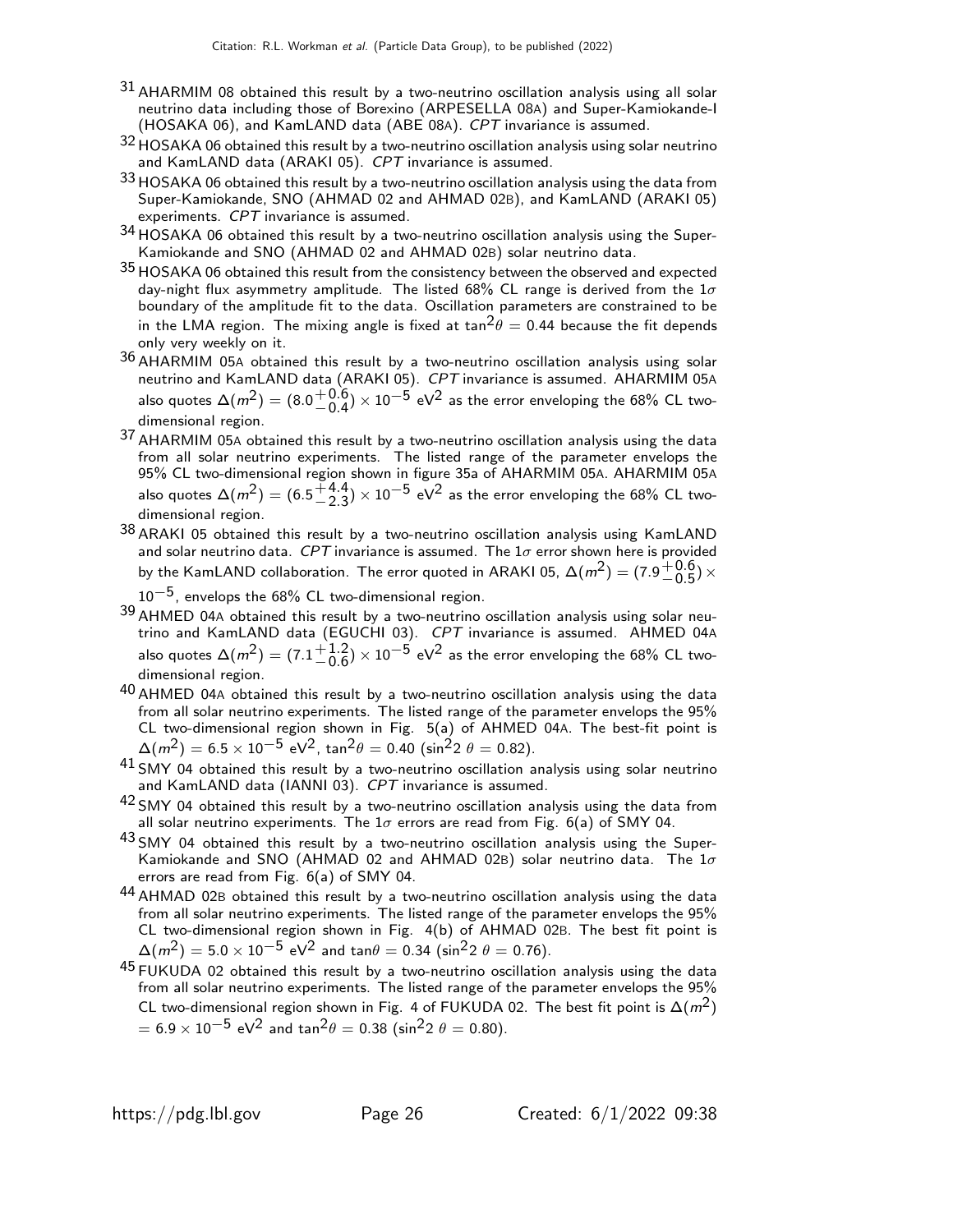- 31 AHARMIM 08 obtained this result by a two-neutrino oscillation analysis using all solar neutrino data including those of Borexino (ARPESELLA 08A) and Super-Kamiokande-I (HOSAKA 06), and KamLAND data (ABE 08A). CPT invariance is assumed.
- 32 HOSAKA 06 obtained this result by a two-neutrino oscillation analysis using solar neutrino and KamLAND data (ARAKI 05). CPT invariance is assumed.
- 33 HOSAKA 06 obtained this result by a two-neutrino oscillation analysis using the data from Super-Kamiokande, SNO (AHMAD 02 and AHMAD 02B), and KamLAND (ARAKI 05) experiments. CPT invariance is assumed.
- 34 HOSAKA 06 obtained this result by a two-neutrino oscillation analysis using the Super-Kamiokande and SNO (AHMAD 02 and AHMAD 02B) solar neutrino data.
- 35 HOSAKA 06 obtained this result from the consistency between the observed and expected day-night flux asymmetry amplitude. The listed 68% CL range is derived from the  $1\sigma$ boundary of the amplitude fit to the data. Oscillation parameters are constrained to be in the LMA region. The mixing angle is fixed at  $tan^2\theta = 0.44$  because the fit depends only very weekly on it.
- 36 AHARMIM 05<sup>A</sup> obtained this result by a two-neutrino oscillation analysis using solar neutrino and KamLAND data (ARAKI 05). CPT invariance is assumed. AHARMIM 05A also quotes  $\Delta(m^2) = (8.0 \frac{+0.6}{0.4})$  $^{+0.6}_{-0.4})\times10^{-5}$  eV $^2$  as the error enveloping the 68% CL twodimensional region.
- 37 AHARMIM 05<sup>A</sup> obtained this result by a two-neutrino oscillation analysis using the data from all solar neutrino experiments. The listed range of the parameter envelops the 95% CL two-dimensional region shown in figure 35a of AHARMIM 05A. AHARMIM 05A also quotes  $\Delta(m^2)=(6.5\frac{+4.4}{2.3})$  $^{+4.4}_{-2.3}$ )  $\times$   $10^{-5}$  eV $^2$  as the error enveloping the 68% CL twodimensional region.
- 38 ARAKI 05 obtained this result by a two-neutrino oscillation analysis using KamLAND and solar neutrino data. CPT invariance is assumed. The  $1\sigma$  error shown here is provided by the KamLAND collaboration. The error quoted in ARAKI 05,  $\Delta(m^2) = (7.9^{+0.6}_{-0.5})$  $^{+0.0}_{-0.5}$ )  $\times$ 
	- $10^{-5}$ , envelops the 68% CL two-dimensional region.
- 39 AHMED 04A obtained this result by a two-neutrino oscillation analysis using solar neutrino and KamLAND data (EGUCHI 03). CPT invariance is assumed. AHMED 04A also quotes  $\Delta(m^2) = (7.1 \frac{+1.2}{0.6})$  $^{+1.2}_{-0.6}$ )  $\times$   $10^{-5}$  eV<sup>2</sup> as the error enveloping the 68% CL twodimensional region.
- $40$  AHMED 04A obtained this result by a two-neutrino oscillation analysis using the data from all solar neutrino experiments. The listed range of the parameter envelops the 95% CL two-dimensional region shown in Fig. 5(a) of AHMED 04A. The best-fit point is  $\Delta(m^2) = 6.5 \times 10^{-5} \text{ eV}^2$ , tan $^2\theta = 0.40 \text{ (sin}^2 2 \theta = 0.82)$ .
- $^{41}$  SMY 04 obtained this result by a two-neutrino oscillation analysis using solar neutrino and KamLAND data (IANNI 03). CPT invariance is assumed.
- $42$  SMY 04 obtained this result by a two-neutrino oscillation analysis using the data from all solar neutrino experiments. The  $1\sigma$  errors are read from Fig. 6(a) of SMY 04.
- 43 SMY 04 obtained this result by a two-neutrino oscillation analysis using the Super-Kamiokande and SNO (AHMAD 02 and AHMAD 02B) solar neutrino data. The  $1\sigma$ errors are read from Fig. 6(a) of SMY 04.
- 44 AHMAD 02B obtained this result by a two-neutrino oscillation analysis using the data from all solar neutrino experiments. The listed range of the parameter envelops the 95% CL two-dimensional region shown in Fig. 4(b) of AHMAD 02B. The best fit point is  $\Delta(m^2)=5.0\times 10^{-5}$  eV $^2$  and tan $\theta=$  0.34 (sin $^2$ 2  $\theta=$  0.76).
- $45$  FUKUDA 02 obtained this result by a two-neutrino oscillation analysis using the data from all solar neutrino experiments. The listed range of the parameter envelops the 95% CL two-dimensional region shown in Fig. 4 of FUKUDA 02. The best fit point is  $\Delta(m^2)$  $= 6.9 \times 10^{-5}$  eV<sup>2</sup> and tan<sup>2</sup> $\theta = 0.38$  (sin<sup>2</sup>2  $\theta = 0.80$ ).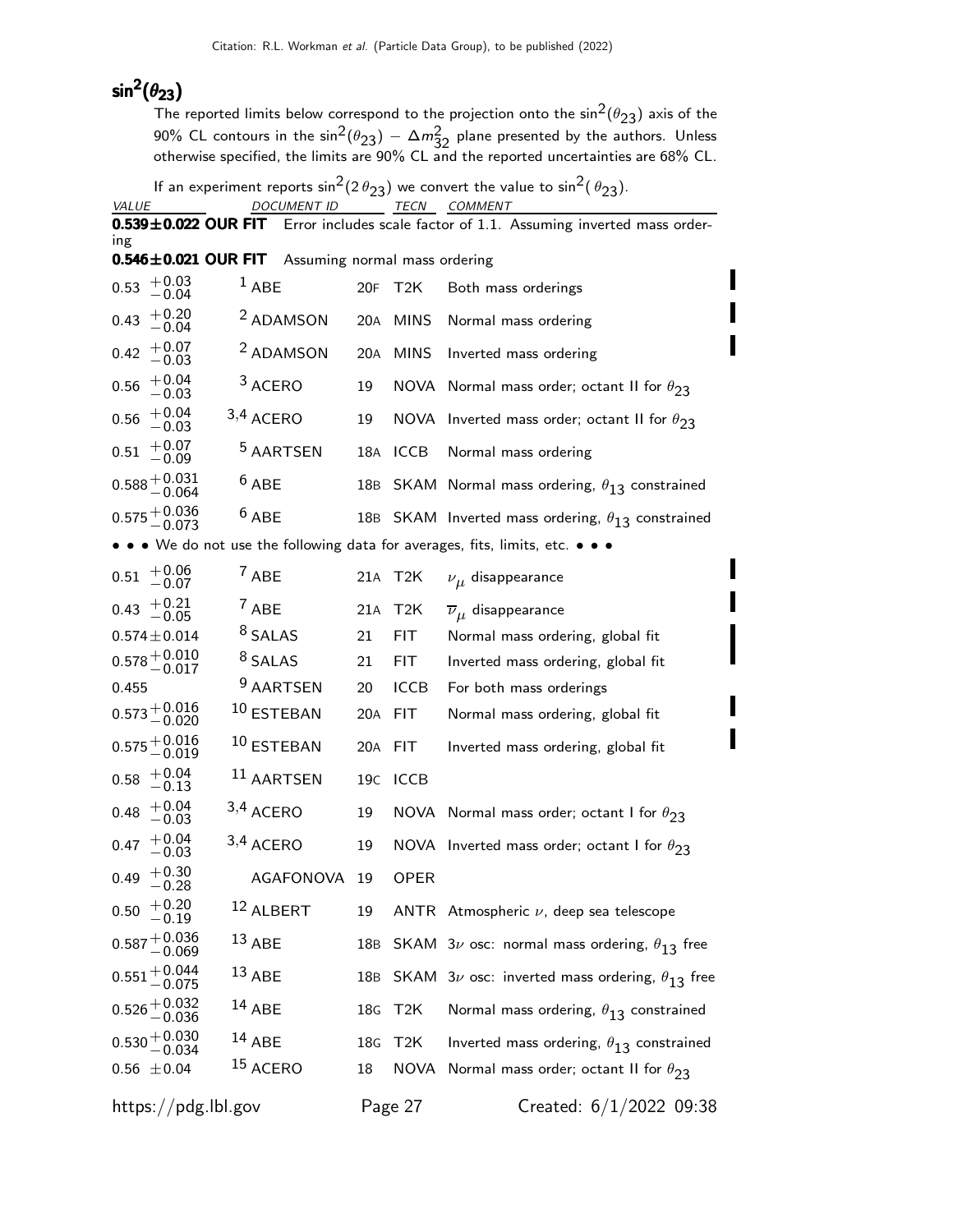# sin $^2(\theta_{23})$

The reported limits below correspond to the projection onto the  $\sin^2(\theta_{23})$  axis of the 90% CL contours in the  $\sin^2(\theta_{23}) - \Delta m_{32}^2$  plane presented by the authors. Unless otherwise specified, the limits are 90% CL and the reported uncertainties are 68% CL.

If an experiment reports  $\sin^2(2 \theta_{23})$  we convert the value to  $\sin^2(\theta_{23})$ .

| VALUE                                                |                      | <b>DOCUMENT ID</b>            |                 |                  | <b>TECN COMMENT</b>                                                                   |
|------------------------------------------------------|----------------------|-------------------------------|-----------------|------------------|---------------------------------------------------------------------------------------|
|                                                      |                      |                               |                 |                  | 0.539±0.022 OUR FIT Error includes scale factor of 1.1. Assuming inverted mass order- |
| ing<br>$0.546 \pm 0.021$ OUR FIT                     |                      | Assuming normal mass ordering |                 |                  |                                                                                       |
| $+0.03$<br>0.53<br>$-0.04$                           | $1$ ABE              |                               | 20F             | T2K              | Both mass orderings                                                                   |
| $+0.20$<br>0.43<br>$-0.04$                           |                      | <sup>2</sup> ADAMSON          | 20A             | <b>MINS</b>      | Normal mass ordering                                                                  |
| $+0.07$<br>0.42<br>$-0.03\,$                         |                      | <sup>2</sup> ADAMSON          | 20A             | <b>MINS</b>      | Inverted mass ordering                                                                |
| $+0.04$<br>0.56<br>$-0.03\,$                         | <sup>3</sup> ACERO   |                               | 19              |                  | NOVA Normal mass order; octant II for $\theta_{23}$                                   |
| $+0.04$<br>0.56<br>$-0.03$                           | 3,4 ACERO            |                               | 19              | NOVA             | Inverted mass order; octant II for $\theta_{23}$                                      |
| $+0.07$<br>0.51<br>$-0.09\,$                         |                      | <sup>5</sup> AARTSEN          | 18A             | <b>ICCB</b>      | Normal mass ordering                                                                  |
| $0.588 + 0.031$<br>-0.064                            | $6$ ABE              |                               |                 |                  | 18B SKAM Normal mass ordering, $\theta_{13}$ constrained                              |
| $0.575 + 0.036$<br>-0.073                            | $6$ ABE              |                               |                 |                  | 18B SKAM Inverted mass ordering, $\theta_{13}$ constrained                            |
|                                                      |                      |                               |                 |                  | • • We do not use the following data for averages, fits, limits, etc. • • •           |
| $+0.06$<br>0.51<br>$-0.07$                           | $7$ ABE              |                               | 21A             | T2K              | $\nu_{\mu}$ disappearance                                                             |
| $+0.21$<br>0.43<br>$-0.05$                           | 7 ABE                |                               | 21A             | T <sub>2</sub> K | $\overline{\nu}_{\mu}$ disappearance                                                  |
| $0.574 \pm 0.014$                                    | <sup>8</sup> SALAS   |                               | 21              | FIT.             | Normal mass ordering, global fit                                                      |
| $0.578\genfrac{}{}{0pt}{}{+0.010}{-0.017}$           | <sup>8</sup> SALAS   |                               | 21              | FIT              | Inverted mass ordering, global fit                                                    |
| 0.455                                                |                      | <sup>9</sup> AARTSEN          | 20              | <b>ICCB</b>      | For both mass orderings                                                               |
| $0.573 + 0.016$<br>-0.020                            | 10 ESTEBAN           |                               | 20A             | FIT              | Normal mass ordering, global fit                                                      |
| $0.575 + 0.016$<br>-0.019                            | 10 ESTEBAN           |                               | 20A             | <b>FIT</b>       | Inverted mass ordering, global fit                                                    |
| $+0.04$<br>0.58<br>$\,-0.13$                         |                      | <sup>11</sup> AARTSEN         | 19 <sub>C</sub> | ICCB             |                                                                                       |
| $+0.04$<br>0.48<br>$-0.03$                           | 3,4 ACERO            |                               | 19              |                  | NOVA Normal mass order; octant I for $\theta_{23}$                                    |
| $+0.04$<br>0.47<br>$-0.03\,$                         | 3,4 ACERO            |                               | 19              |                  | NOVA Inverted mass order; octant I for $\theta_{23}$                                  |
| $+0.30$<br>0.49<br>$-0.28$                           |                      | AGAFONOVA 19                  |                 | <b>OPER</b>      |                                                                                       |
| $0.50$ $\begin{array}{c} +0.20 \\ -0.19 \end{array}$ | <sup>12</sup> ALBERT |                               | 19              |                  | ANTR Atmospheric $\nu$ , deep sea telescope                                           |
| $0.587 + 0.036$<br>-0.069                            | $13$ ABE             |                               |                 |                  | 18B SKAM 3 $\nu$ osc: normal mass ordering, $\theta_{13}$ free                        |
| $0.551 + 0.044$<br>-0.075                            | $13$ ABE             |                               | 18B             |                  | SKAM $3\nu$ osc: inverted mass ordering, $\theta_{13}$ free                           |
| $0.526 + 0.032$<br>-0.036                            | $14$ ABE             |                               | 18G             | T <sub>2</sub> K | Normal mass ordering, $\theta_{13}$ constrained                                       |
| $0.530 + 0.030$<br>-0.034                            | $14$ ABE             |                               | 18G             | T2K              | Inverted mass ordering, $\theta_{13}$ constrained                                     |
| $0.56 \pm 0.04$                                      | <sup>15</sup> ACERO  |                               | 18              | NOVA             | Normal mass order; octant II for $\theta_{23}$                                        |
| $\frac{h}{\text{https://pdg.lbl.gov}}$               |                      |                               |                 | Page 27          | Created: 6/1/2022 09:38                                                               |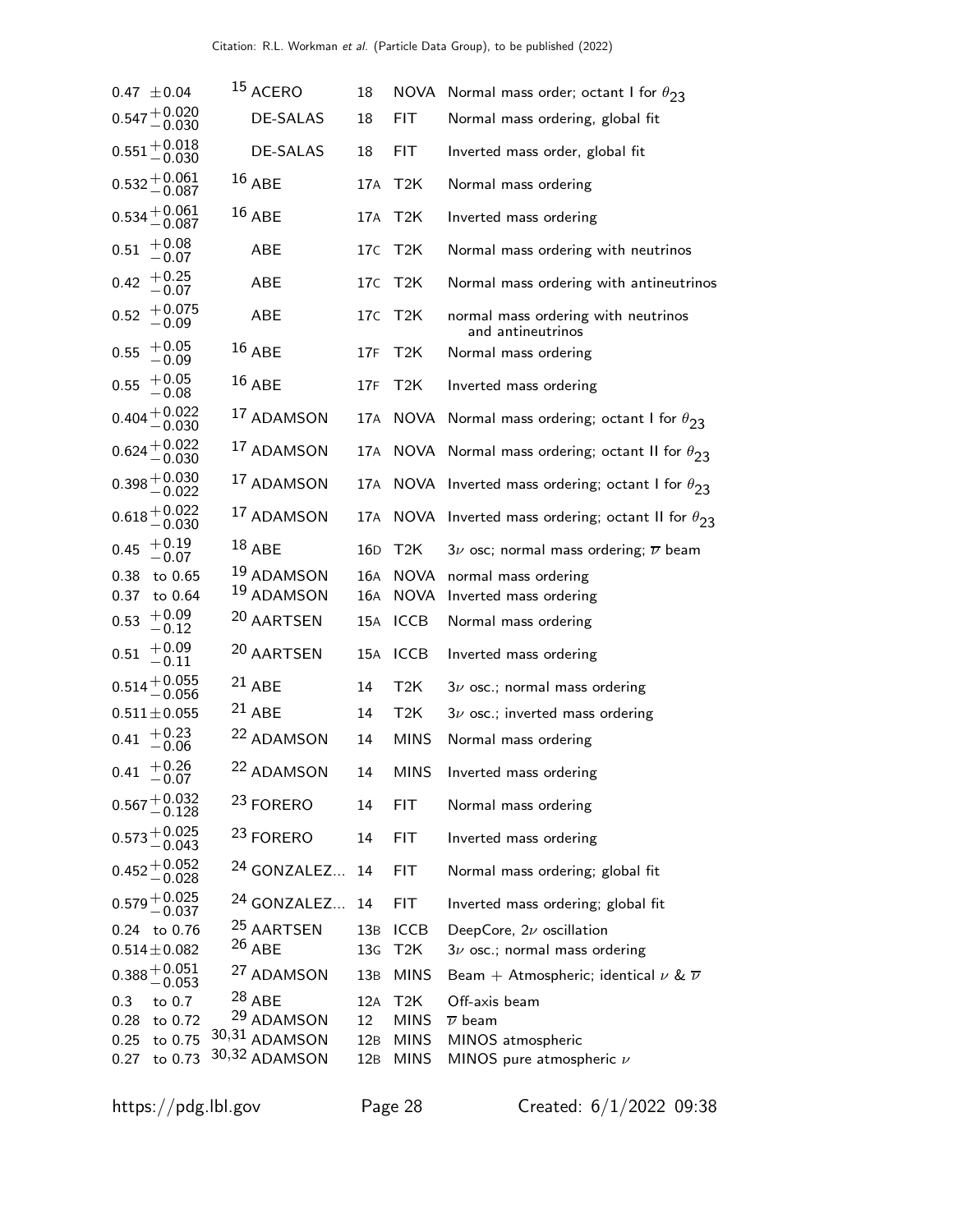| $0.47 \pm 0.04$                            |                    | 15 ACERO                    | 18              | NOVA                       | Normal mass order; octant I for $\theta_{23}$            |
|--------------------------------------------|--------------------|-----------------------------|-----------------|----------------------------|----------------------------------------------------------|
| $0.547 + 0.020$<br>-0.030                  |                    | <b>DE-SALAS</b>             | 18              | <b>FIT</b>                 | Normal mass ordering, global fit                         |
| $0.551 + 0.018$<br>-0.030                  |                    | DE-SALAS                    | 18              | FIT                        | Inverted mass order, global fit                          |
| $0.532^{+0.061}_{-0.087}$                  |                    | $16$ ABE                    | 17A             | T2K                        | Normal mass ordering                                     |
| $0.534 + 0.061$<br>-0.087                  |                    | $16$ ABE                    | 17A             | T2K                        | Inverted mass ordering                                   |
| $+0.08$<br>0.51<br>$-0.07$                 |                    | ABE                         | 17 <sub>C</sub> | T2K                        | Normal mass ordering with neutrinos                      |
| $+0.25$<br>0.42<br>$-0.07$                 |                    | ABE                         | 17C             | T2K                        | Normal mass ordering with antineutrinos                  |
| 0.52<br>$-0.09\,$                          | $+0.075$           | ABE                         | 17C             | T <sub>2</sub> K           | normal mass ordering with neutrinos<br>and antineutrinos |
| $+0.05$<br>0.55<br>$-0.09\,$               |                    | $16$ ABE                    | 17F             | T <sub>2</sub> K           | Normal mass ordering                                     |
| $+0.05$<br>0.55<br>$-0.08$                 |                    | $16$ ABE                    | 17F             | T <sub>2</sub> K           | Inverted mass ordering                                   |
| $0.404 + 0.022$<br>$- 0.030$               |                    | 17 ADAMSON                  |                 | 17A NOVA                   | Normal mass ordering; octant I for $\theta_{23}$         |
| $0.624 + 0.022$<br>-0.030                  |                    | <sup>17</sup> ADAMSON       | 17A             |                            | NOVA Normal mass ordering; octant II for $\theta_{23}$   |
| $0.398 + 0.030$<br>-0.022                  |                    | 17 ADAMSON                  | 17A             |                            | NOVA Inverted mass ordering; octant I for $\theta_{23}$  |
| $0.618 + 0.022$<br>-0.030                  |                    | 17 ADAMSON                  | 17A             |                            | NOVA Inverted mass ordering; octant II for $\theta_{23}$ |
| $+0.19$<br>0.45<br>$-0.07$                 |                    | $18$ ABE                    | 16D             | T2K                        | $3\nu$ osc; normal mass ordering; $\overline{\nu}$ beam  |
| 0.38                                       | to 0.65            | 19 ADAMSON                  | 16A             | <b>NOVA</b>                | normal mass ordering                                     |
| 0.37<br>$+0.09$                            | to 0.64            | 19 ADAMSON                  | 16A             | <b>NOVA</b>                | Inverted mass ordering                                   |
| 0.53<br>$-0.12$                            |                    | 20 AARTSEN                  | 15A             | <b>ICCB</b>                | Normal mass ordering                                     |
| $+0.09$<br>0.51<br>$-0.11$                 |                    | 20 AARTSEN                  | 15A             | <b>ICCB</b>                | Inverted mass ordering                                   |
| $0.514 + 0.055$<br>$- 0.056$               |                    | $21$ ABE                    | 14              | T <sub>2</sub> K           | $3\nu$ osc.; normal mass ordering                        |
| $0.511 \pm 0.055$                          |                    | $21$ ABE                    | 14              | T <sub>2</sub> K           | $3\nu$ osc.; inverted mass ordering                      |
| $+0.23$<br>0.41<br>$-0.06$                 |                    | <sup>22</sup> ADAMSON       | 14              | <b>MINS</b>                | Normal mass ordering                                     |
| $+0.26$<br>0.41<br>$-0.07$                 |                    | <sup>22</sup> ADAMSON       | 14              | <b>MINS</b>                | Inverted mass ordering                                   |
| $0.567 + 0.032$<br>$- 0.128$               |                    | <sup>23</sup> FORERO        | 14              | <b>FIT</b>                 | Normal mass ordering                                     |
| $0.573 + 0.025$<br>-0.043                  |                    | <sup>23</sup> FORERO        | 14              | FIT                        | Inverted mass ordering                                   |
| $0.452 + 0.052$<br>-0.028                  |                    | <sup>24</sup> GONZALEZ      | 14              | <b>FIT</b>                 | Normal mass ordering; global fit                         |
| $0.579 + 0.025$<br>-0.037                  |                    | <sup>24</sup> GONZALEZ      | 14              | <b>FIT</b>                 | Inverted mass ordering; global fit                       |
| 0.24 to 0.76                               |                    | <sup>25</sup> AARTSEN       | 13B             | <b>ICCB</b>                | DeepCore, $2\nu$ oscillation                             |
| $0.514 \pm 0.082$                          |                    | $26$ ABE                    | 13 <sub>G</sub> | T <sub>2</sub> K           | $3\nu$ osc.; normal mass ordering                        |
| $0.388\genfrac{}{}{0pt}{}{+0.051}{-0.053}$ |                    | <sup>27</sup> ADAMSON       | 13B             | <b>MINS</b>                | Beam + Atmospheric; identical $\nu$ & $\overline{\nu}$   |
| 0.3                                        | to 0.7             | $^{28}$ ABE                 | 12A             | T <sub>2</sub> K           | Off-axis beam                                            |
| 0.28<br>0.25                               | to 0.72<br>to 0.75 | 29 ADAMSON<br>30,31 ADAMSON | 12<br>12B       | <b>MINS</b><br><b>MINS</b> | $\overline{\nu}$ beam<br>MINOS atmospheric               |
| 0.27                                       | to 0.73            | 30,32 ADAMSON               | 12B             | <b>MINS</b>                | MINOS pure atmospheric $\nu$                             |
|                                            |                    |                             |                 |                            |                                                          |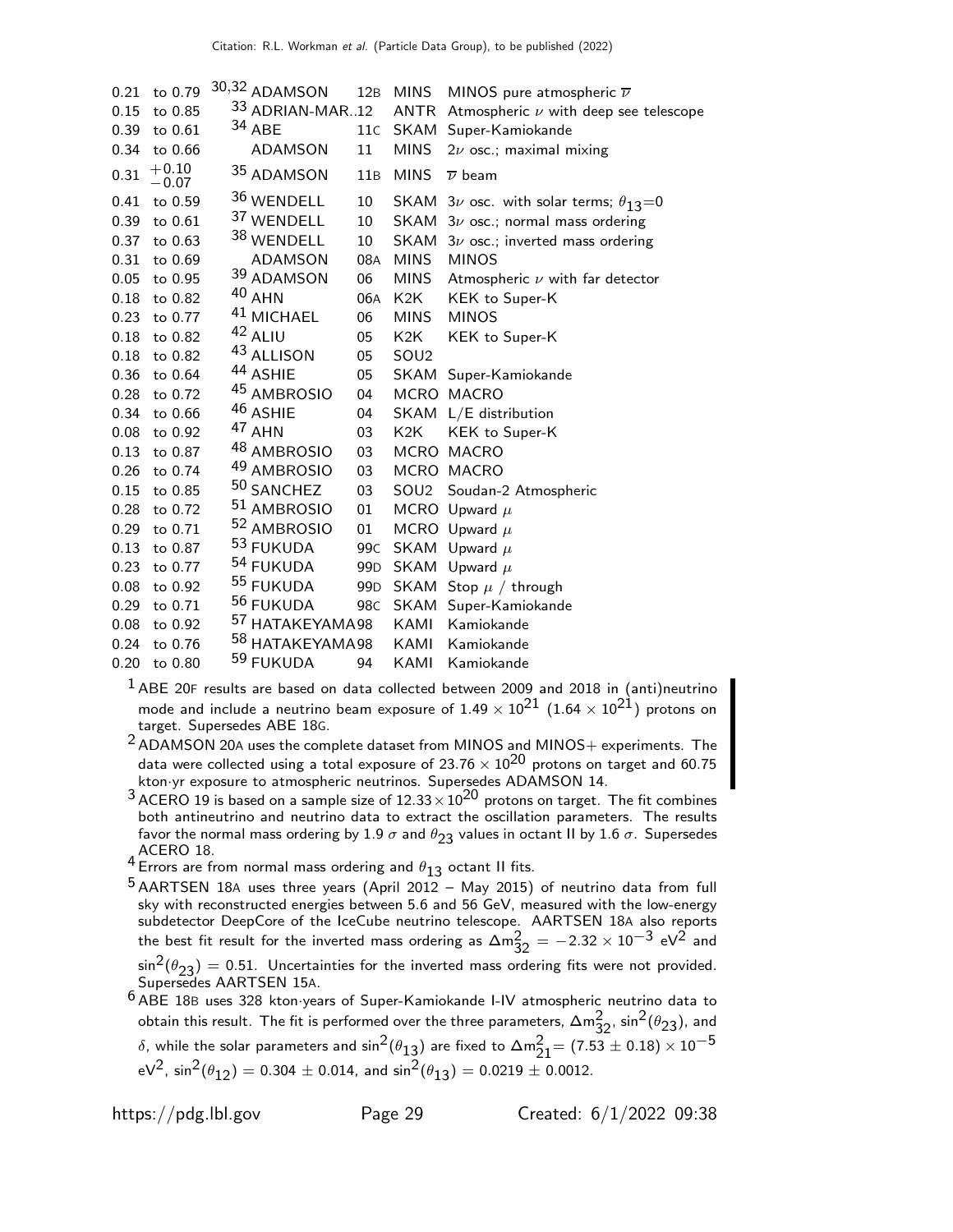| 0.21 | to 0.79            | 30,32 ADAMSON              | 12B             | <b>MINS</b>      | MINOS pure atmospheric $\overline{\nu}$            |
|------|--------------------|----------------------------|-----------------|------------------|----------------------------------------------------|
| 0.15 | to 0.85            | $33$ ADRIAN-MAR12          |                 |                  | ANTR Atmospheric $\nu$ with deep see telescope     |
| 0.39 | to 0.61            | $34$ ABE                   | 11C             | SKAM             | Super-Kamiokande                                   |
| 0.34 | to 0.66            | ADAMSON                    | 11              | <b>MINS</b>      | $2\nu$ osc.; maximal mixing                        |
| 0.31 | $+0.10$<br>$-0.07$ | 35 ADAMSON                 | 11B             | <b>MINS</b>      | $\overline{\nu}$ beam                              |
| 0.41 | to 0.59            | 36 WENDELL                 | 10              |                  | SKAM $3\nu$ osc. with solar terms; $\theta_{13}=0$ |
| 0.39 | to 0.61            | 37 WENDELL                 | 10              |                  | SKAM $3\nu$ osc.; normal mass ordering             |
| 0.37 | to 0.63            | 38 WENDELL                 | 10              | SKAM             | $3\nu$ osc.; inverted mass ordering                |
| 0.31 | to 0.69            | <b>ADAMSON</b>             | 08A             | <b>MINS</b>      | <b>MINOS</b>                                       |
| 0.05 | to 0.95            | 39 ADAMSON                 | 06              | <b>MINS</b>      | Atmospheric $\nu$ with far detector                |
| 0.18 | to 0.82            | 40 AHN                     | 06A             | K2K              | KEK to Super-K                                     |
| 0.23 | to 0.77            | <sup>41</sup> MICHAEL      | 06              | <b>MINS</b>      | <b>MINOS</b>                                       |
| 0.18 | to 0.82            | 42 ALIU                    | 05              | K <sub>2</sub> K | KEK to Super-K                                     |
| 0.18 | to 0.82            | <sup>43</sup> ALLISON      | 05              | SOU <sub>2</sub> |                                                    |
| 0.36 | to 0.64            | 44 ASHIE                   | 05              |                  | SKAM Super-Kamiokande                              |
| 0.28 | to 0.72            | 45 AMBROSIO                | 04              |                  | MCRO MACRO                                         |
| 0.34 | to 0.66            | <sup>46</sup> ASHIE        | 04              |                  | SKAM L/E distribution                              |
| 0.08 | to 0.92            | 47 AHN                     | 03              | K <sub>2</sub> K | KEK to Super-K                                     |
| 0.13 | to 0.87            | <sup>48</sup> AMBROSIO     | 03              |                  | MCRO MACRO                                         |
| 0.26 | to 0.74            | 49 AMBROSIO                | 03              |                  | MCRO MACRO                                         |
| 0.15 | to 0.85            | 50 SANCHEZ                 | 03              |                  | SOU2 Soudan-2 Atmospheric                          |
| 0.28 | to 0.72            | 51 AMBROSIO                | 01              |                  | MCRO Upward $\mu$                                  |
| 0.29 | to 0.71            | 52 AMBROSIO                | 01              |                  | MCRO Upward $\mu$                                  |
| 0.13 | to 0.87            | 53 FUKUDA                  | 99 <sub>C</sub> | SKAM             | Upward $\mu$                                       |
| 0.23 | to 0.77            | <sup>54</sup> FUKUDA       | 99 <sub>D</sub> |                  | SKAM Upward $\mu$                                  |
| 0.08 | to 0.92            | <sup>55</sup> FUKUDA       | 99 <sub>D</sub> |                  | SKAM Stop $\mu$ / through                          |
| 0.29 | to 0.71            | 56 FUKUDA                  | 98C             |                  | SKAM Super-Kamiokande                              |
| 0.08 | to 0.92            | <sup>57</sup> HATAKEYAMA98 |                 | KAMI             | Kamiokande                                         |
| 0.24 | to 0.76            | <sup>58</sup> HATAKEYAMA98 |                 | KAMI             | Kamiokande                                         |
| 0.20 | to 0.80            | 59 FUKUDA                  | 94              | KAMI             | Kamiokande                                         |

 ABE 20F results are based on data collected between 2009 and 2018 in (anti)neutrino mode and include a neutrino beam exposure of  $1.49 \times 10^{21}$   $(1.64 \times 10^{21})$  protons on target. Supersedes ABE 18G.

 ADAMSON 20A uses the complete dataset from MINOS and MINOS+ experiments. The data were collected using a total exposure of 23.76  $\times$   $10^{20}$  protons on target and 60.75 kton·yr exposure to atmospheric neutrinos. Supersedes ADAMSON 14.

 ACERO 19 is based on a sample size of  $12.33 \times 10^{20}$  protons on target. The fit combines both antineutrino and neutrino data to extract the oscillation parameters. The results favor the normal mass ordering by 1.9  $\sigma$  and  $\theta_{23}$  values in octant II by 1.6  $\sigma$ . Supersedes

ACERO 18.<br><sup>4</sup> Errors are from normal mass ordering and  $\theta_{13}$  octant II fits.<br>F

<sup>5</sup> AARTSEN 18A uses three years (April 2012 – May 2015) of neutrino data from full sky with reconstructed energies between 5.6 and 56 GeV, measured with the low-energy subdetector DeepCore of the IceCube neutrino telescope. AARTSEN 18A also reports the best fit result for the inverted mass ordering as  $\Delta m_{32}^2 = -2.32 \times 10^{-3}$  eV<sup>2</sup> and  $\sin^2(\theta_{23}) = 0.51$ . Uncertainties for the inverted mass ordering fits were not provided.

Supersedes AARTSEN 15A.

 ABE 18<sup>B</sup> uses 328 kton·years of Super-Kamiokande I-IV atmospheric neutrino data to obtain this result. The fit is performed over the three parameters,  $\Delta m_{32}^2$ ,  $\sin^2(\theta_{23})$ , and δ, while the solar parameters and  $\sin^2(\theta_{13})$  are fixed to  $\Delta$ m $\frac{2}{21}$ = (7.53  $\pm$  0.18)  $\times$   $10^{-5}$  $eV^2$ ,  $sin^2(\theta_{12}) = 0.304 \pm 0.014$ , and  $sin^2(\theta_{13}) = 0.0219 \pm 0.0012$ .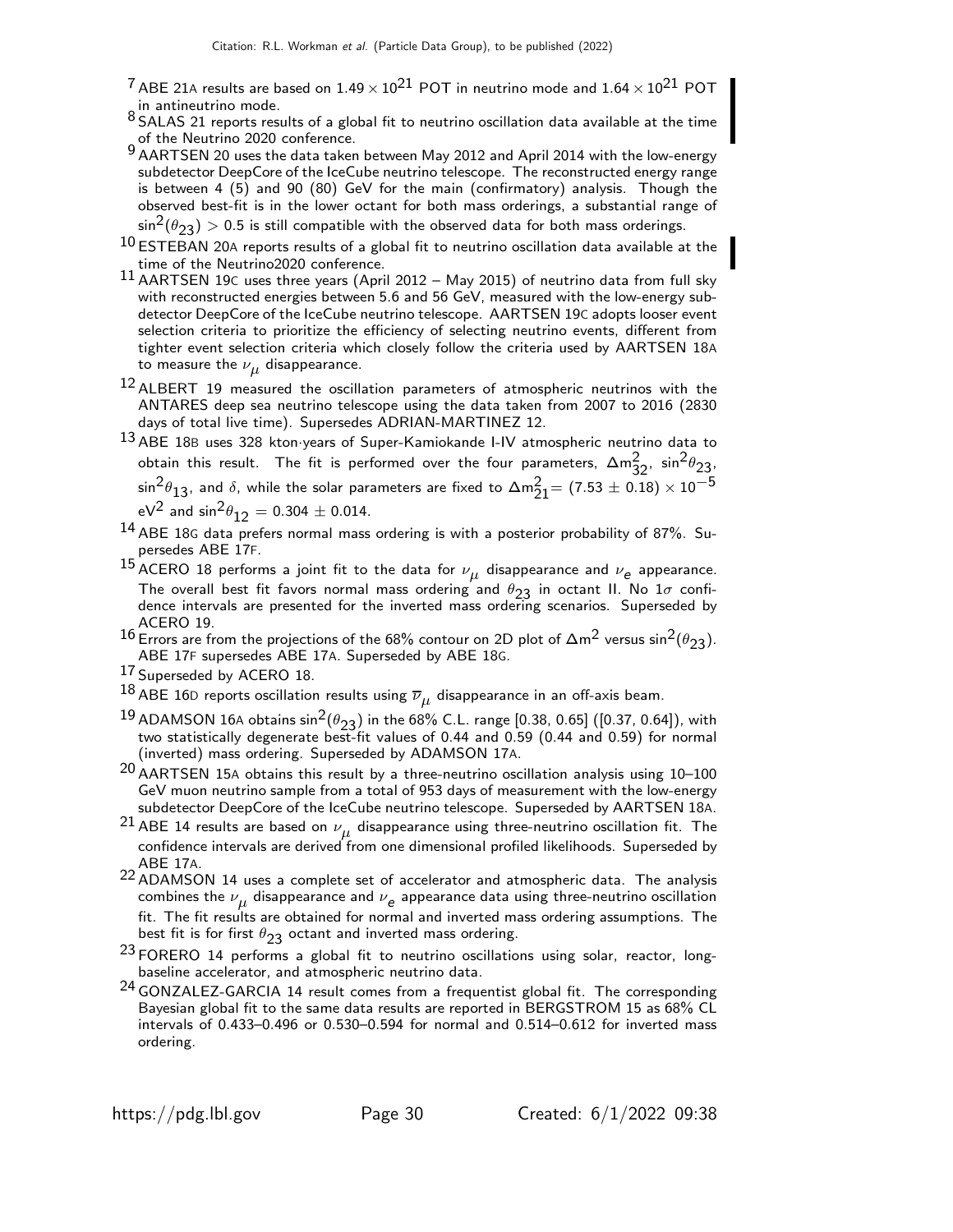- <sup>7</sup> ABE 21A results are based on 1.49  $\times$  10<sup>21</sup> POT in neutrino mode and 1.64  $\times$  10<sup>21</sup> POT in antineutrino mode.
- 8 SALAS 21 reports results of a global fit to neutrino oscillation data available at the time of the Neutrino 2020 conference.
- 9 AARTSEN 20 uses the data taken between May 2012 and April 2014 with the low-energy subdetector DeepCore of the IceCube neutrino telescope. The reconstructed energy range is between 4 (5) and 90 (80) GeV for the main (confirmatory) analysis. Though the observed best-fit is in the lower octant for both mass orderings, a substantial range of  $\sin^2(\theta_{23}) > 0.5$  is still compatible with the observed data for both mass orderings.
- $10$  ESTEBAN 20A reports results of a global fit to neutrino oscillation data available at the time of the Neutrino2020 conference.
- 11 AARTSEN 19<sup>C</sup> uses three years (April 2012 May 2015) of neutrino data from full sky with reconstructed energies between 5.6 and 56 GeV, measured with the low-energy subdetector DeepCore of the IceCube neutrino telescope. AARTSEN 19C adopts looser event selection criteria to prioritize the efficiency of selecting neutrino events, different from tighter event selection criteria which closely follow the criteria used by AARTSEN 18A to measure the  $\nu_{\mu}$  disappearance.
- $^{12}$  ALBERT 19 measured the oscillation parameters of atmospheric neutrinos with the ANTARES deep sea neutrino telescope using the data taken from 2007 to 2016 (2830 days of total live time). Supersedes ADRIAN-MARTINEZ 12.
- 13 ABE 18<sup>B</sup> uses 328 kton·years of Super-Kamiokande I-IV atmospheric neutrino data to obtain this result. The fit is performed over the four parameters,  $\Delta m_{32}^2$ ,  $\sin^2\theta_{23}$  $\sin^2\!\theta_{13}$ , and  $\delta$ , while the solar parameters are fixed to  $\Delta \mathsf{m}_{21}^2$  = (7.53  $\pm$  0.18)  $\times$   $10^{-5}$ eV<sup>2</sup> and  $\sin^2\theta_{12} = 0.304 \pm 0.014$ .
- 14 ABE 18<sup>G</sup> data prefers normal mass ordering is with a posterior probability of 87%. Supersedes ABE 17F.
- $^{15}$ ACERO 18 performs a joint fit to the data for  $\nu_{\mu}$  disappearance and  $\nu_e$  appearance. The overall best fit favors normal mass ordering and  $\theta_{23}$  in octant II. No  $1\sigma$  confidence intervals are presented for the inverted mass ordering scenarios. Superseded by ACERO 19.
- 16 Errors are from the projections of the 68% contour on 2D plot of  $\Delta m^2$  versus sin<sup>2</sup>( $\theta_{23}$ ). ABE 17F supersedes ABE 17A. Superseded by ABE 18G.
- 17 Superseded by ACERO 18.
- $^{18}$ ABE 16D reports oscillation results using  $\overline{\nu}_{\mu}$  disappearance in an off-axis beam.
- <sup>19</sup> ADAMSON 16A obtains sin<sup>2</sup>( $\theta_{23}$ ) in the 68% C.L. range [0.38, 0.65] ([0.37, 0.64]), with two statistically degenerate best-fit values of 0.44 and 0.59 (0.44 and 0.59) for normal (inverted) mass ordering. Superseded by ADAMSON 17A.
- $20$  AARTSEN 15A obtains this result by a three-neutrino oscillation analysis using  $10-100$ GeV muon neutrino sample from a total of 953 days of measurement with the low-energy subdetector DeepCore of the IceCube neutrino telescope. Superseded by AARTSEN 18A.
- $^{21}$  ABE 14 results are based on  $\nu_{\mu}$  disappearance using three-neutrino oscillation fit. The confidence intervals are derived from one dimensional profiled likelihoods. Superseded by ABE 17A.
- 22 ADAMSON 14 uses a complete set of accelerator and atmospheric data. The analysis combines the  $\nu_{\boldsymbol{\mu}}$  disappearance and  $\nu_{\boldsymbol{e}}$  appearance data using three-neutrino oscillation fit. The fit results are obtained for normal and inverted mass ordering assumptions. The best fit is for first  $\theta_{23}$  octant and inverted mass ordering.
- $23$  FORERO 14 performs a global fit to neutrino oscillations using solar, reactor, longbaseline accelerator, and atmospheric neutrino data.
- 24 GONZALEZ-GARCIA 14 result comes from a frequentist global fit. The corresponding Bayesian global fit to the same data results are reported in BERGSTROM 15 as 68% CL intervals of 0.433–0.496 or 0.530–0.594 for normal and 0.514–0.612 for inverted mass ordering.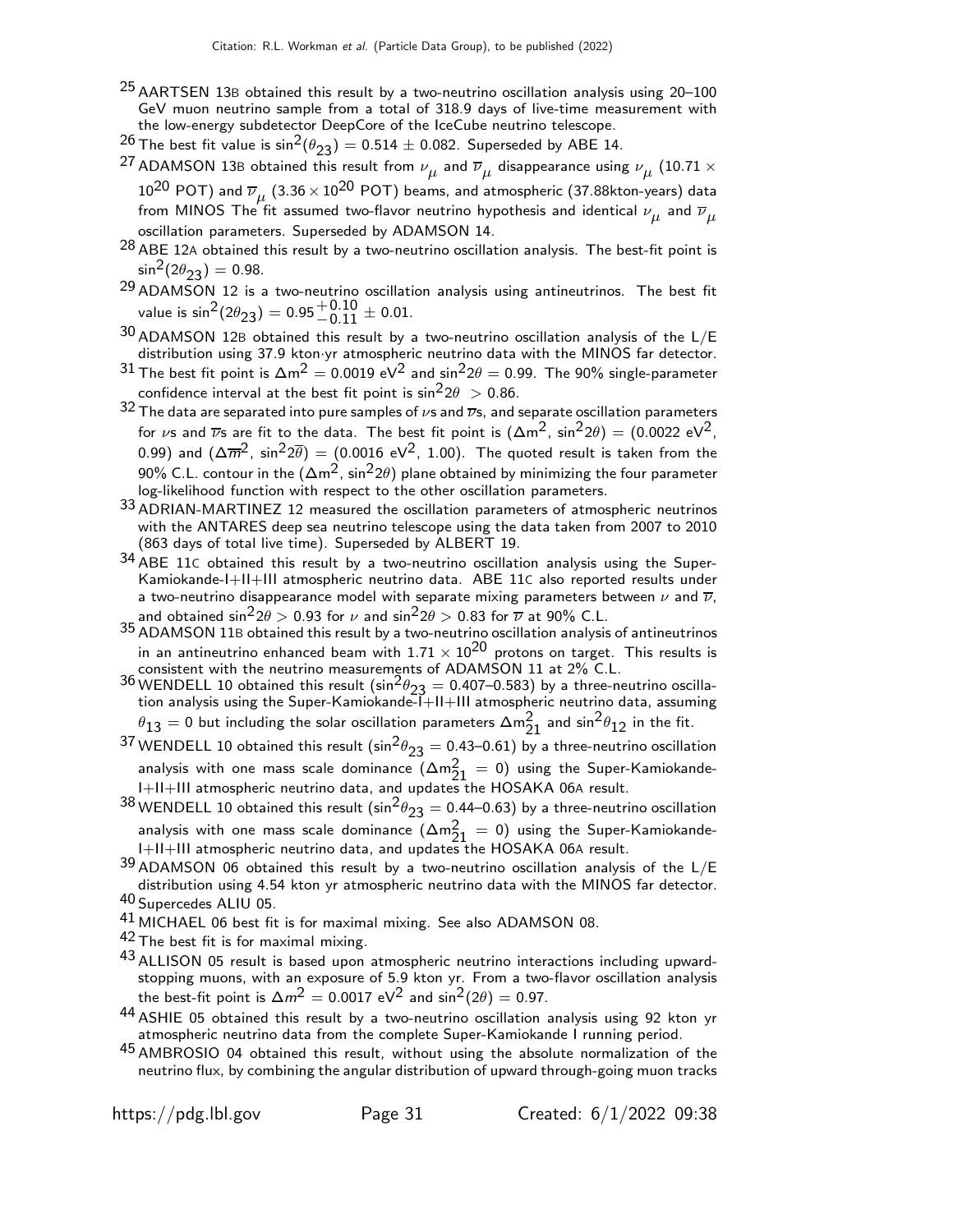- 25 AARTSEN 13<sup>B</sup> obtained this result by a two-neutrino oscillation analysis using 20–100 GeV muon neutrino sample from a total of 318.9 days of live-time measurement with the low-energy subdetector DeepCore of the IceCube neutrino telescope.
- <sup>26</sup> The best fit value is  $sin^2(\theta_{23}) = 0.514 \pm 0.082$ . Superseded by ABE 14.
- <sup>27</sup> ADAMSON 13B obtained this result from  $\nu_{\mu}$  and  $\overline{\nu}_{\mu}$  disappearance using  $\nu_{\mu}$  (10.71  $\times$  $10^{20}$  POT) and  $\overline{\nu}_{\mu}$   $(3.36 \times 10^{20}$  POT) beams, and atmospheric (37.88kton-years) data from MINOS The fit assumed two-flavor neutrino hypothesis and identical  $\nu_{\mu}$  and  $\overline{\nu}_{\mu}$ oscillation parameters. Superseded by ADAMSON 14.
- $28$  ABE 12A obtained this result by a two-neutrino oscillation analysis. The best-fit point is  $\sin^2(2\theta_{23}) = 0.98$ .
- 29 ADAMSON 12 is a two-neutrino oscillation analysis using antineutrinos. The best fit value is sin $^2(2\theta_{23})=$   $0.95{+0.10}\atop{-0.11}\pm$  0.01.
- $30$  ADAMSON 12B obtained this result by a two-neutrino oscillation analysis of the  $L/E$ distribution using 37.9 kton·yr atmospheric neutrino data with the MINOS far detector.
- 31 The best fit point is  $\Delta m^2 = 0.0019 \text{ eV}^2$  and sin $^2 2\theta = 0.99$ . The 90% single-parameter confidence interval at the best fit point is  $\sin^2 2\theta > 0.86$ .
- 32 The data are separated into pure samples of  $\nu$ s and  $\overline{\nu}$ s, and separate oscillation parameters for  $\nu$ s and  $\overline{\nu}$ s are fit to the data. The best fit point is  $(\Delta m^2, sin^2 2\theta) = (0.0022 \text{ eV}^2,$ 0.99) and  $(\Delta \overline{m}^2, \sin^2 2\overline{\theta}) = (0.0016 \text{ eV}^2, 1.00)$ . The quoted result is taken from the 90% C.L. contour in the  $(\Delta m^2, \sin^2 2\theta)$  plane obtained by minimizing the four parameter log-likelihood function with respect to the other oscillation parameters.
- 33 ADRIAN-MARTINEZ 12 measured the oscillation parameters of atmospheric neutrinos with the ANTARES deep sea neutrino telescope using the data taken from 2007 to 2010 (863 days of total live time). Superseded by ALBERT 19.
- 34 ABE 11<sup>C</sup> obtained this result by a two-neutrino oscillation analysis using the Super-Kamiokande-I+II+III atmospheric neutrino data. ABE 11C also reported results under a two-neutrino disappearance model with separate mixing parameters between  $\nu$  and  $\overline{\nu}$ , and obtained  $\sin^2 2\theta > 0.93$  for  $\nu$  and  $\sin^2 2\theta > 0.83$  for  $\overline{\nu}$  at 90% C.L.
- 35 ADAMSON 11B obtained this result by a two-neutrino oscillation analysis of antineutrinos in an antineutrino enhanced beam with  $1.71 \times 10^{20}$  protons on target. This results is consistent with the neutrino measurements of ADAMSON 11 at 2% C.L.
- 36 WENDELL 10 obtained this result  $(\sin^2 \theta_{23} = 0.407 0.583)$  by a three-neutrino oscillation analysis using the Super-Kamiokande-I+II+III atmospheric neutrino data, assuming  $\theta_{13}=$  0 but including the solar oscillation parameters  $\Delta m^2_{21}$  and  $\sin^2\!\theta_{12}$  in the fit.
- <sup>37</sup> WENDELL 10 obtained this result (sin<sup>2</sup> $\theta_{23} = 0.43 0.61$ ) by a three-neutrino oscillation analysis with one mass scale dominance  $(\Delta m_{21}^2 = 0)$  using the Super-Kamiokande-I+II+III atmospheric neutrino data, and updates the HOSAKA 06A result.
- $^{38}$  WENDELL 10 obtained this result (sin $^2\theta_{23} =$  0.44–0.63) by a three-neutrino oscillation analysis with one mass scale dominance  $(\Delta m_{21}^2 = 0)$  using the Super-Kamiokande-I+II+III atmospheric neutrino data, and updates the HOSAKA 06A result.
- $39$  ADAMSON 06 obtained this result by a two-neutrino oscillation analysis of the L/E distribution using 4.54 kton yr atmospheric neutrino data with the MINOS far detector. 40 Supercedes ALIU 05.
- <sup>41</sup> MICHAEL 06 best fit is for maximal mixing. See also ADAMSON 08.
- 42 The best fit is for maximal mixing.
- <sup>43</sup> ALLISON 05 result is based upon atmospheric neutrino interactions including upwardstopping muons, with an exposure of 5.9 kton yr. From a two-flavor oscillation analysis the best-fit point is  $\Delta m^2 = 0.0017 \; \text{eV}^2$  and  $\sin^2(2\theta) = 0.97.$
- 44 ASHIE 05 obtained this result by a two-neutrino oscillation analysis using 92 kton yr atmospheric neutrino data from the complete Super-Kamiokande I running period.
- 45 AMBROSIO 04 obtained this result, without using the absolute normalization of the neutrino flux, by combining the angular distribution of upward through-going muon tracks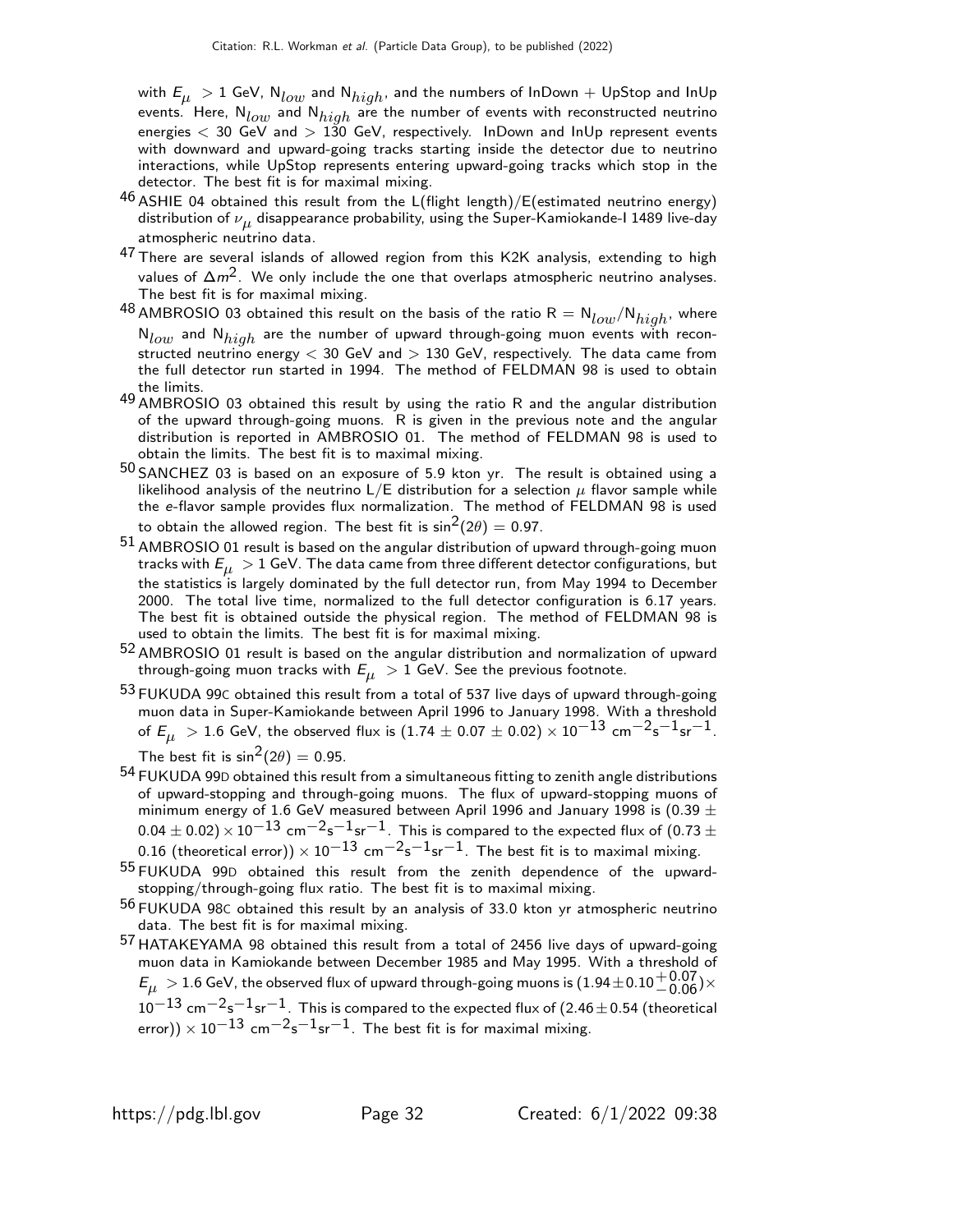with  $E_{\mu} > 1$  GeV,  $N_{low}$  and  $N_{high}$ , and the numbers of InDown  $+$  UpStop and InUp events. Here,  $N_{low}$  and  $N_{high}$  are the number of events with reconstructed neutrino energies  $<$  30 GeV and  $>$  130 GeV, respectively. InDown and InUp represent events with downward and upward-going tracks starting inside the detector due to neutrino interactions, while UpStop represents entering upward-going tracks which stop in the detector. The best fit is for maximal mixing.

- $46$  ASHIE 04 obtained this result from the L(flight length)/E(estimated neutrino energy) distribution of  $\nu_{\mu}$  disappearance probability, using the Super-Kamiokande-I 1489 live-day atmospheric neutrino data.
- 47 There are several islands of allowed region from this K2K analysis, extending to high values of  $\Delta m^2$ . We only include the one that overlaps atmospheric neutrino analyses. The best fit is for maximal mixing.
- $^{48}$  AMBROSIO 03 obtained this result on the basis of the ratio R  $=$  N $_{low}/$ N $_{high}$ , where  $N_{low}$  and  $N_{high}$  are the number of upward through-going muon events with reconstructed neutrino energy  $<$  30 GeV and  $>$  130 GeV, respectively. The data came from the full detector run started in 1994. The method of FELDMAN 98 is used to obtain the limits.
- 49 AMBROSIO 03 obtained this result by using the ratio R and the angular distribution of the upward through-going muons. R is given in the previous note and the angular distribution is reported in AMBROSIO 01. The method of FELDMAN 98 is used to obtain the limits. The best fit is to maximal mixing.
- $50$  SANCHEZ 03 is based on an exposure of 5.9 kton yr. The result is obtained using a likelihood analysis of the neutrino  $L/E$  distribution for a selection  $\mu$  flavor sample while the e-flavor sample provides flux normalization. The method of FELDMAN 98 is used to obtain the allowed region. The best fit is  $sin^2(2\theta) = 0.97$ .
- 51 AMBROSIO 01 result is based on the angular distribution of upward through-going muon tracks with  $E_{\mu} > 1$  GeV. The data came from three different detector configurations, but the statistics is largely dominated by the full detector run, from May 1994 to December 2000. The total live time, normalized to the full detector configuration is 6.17 years. The best fit is obtained outside the physical region. The method of FELDMAN 98 is used to obtain the limits. The best fit is for maximal mixing.
- 52 AMBROSIO 01 result is based on the angular distribution and normalization of upward through-going muon tracks with  $E_{\mu} > 1$  GeV. See the previous footnote.
- 53 FUKUDA 99<sup>C</sup> obtained this result from a total of 537 live days of upward through-going muon data in Super-Kamiokande between April 1996 to January 1998. With a threshold of  $E_{\mu} > 1.6$  GeV, the observed flux is  $(1.74 \pm 0.07 \pm 0.02) \times 10^{-13}$  cm<sup>-2</sup>s<sup>-1</sup>sr<sup>-1</sup>. The best fit is  $sin^2(2\theta) = 0.95$ .
- 54 FUKUDA 99<sup>D</sup> obtained this result from a simultaneous fitting to zenith angle distributions of upward-stopping and through-going muons. The flux of upward-stopping muons of minimum energy of 1.6 GeV measured between April 1996 and January 1998 is (0.39  $\pm$  $0.04 \pm 0.02$ ) ×  $10^{-13}$  cm<sup>-2</sup>s<sup>-1</sup>sr<sup>-1</sup>. This is compared to the expected flux of (0.73  $\pm$ 0.16 (theoretical error))  $\times$  10<sup>-13</sup> cm<sup>-2</sup>s<sup>-1</sup>sr<sup>-1</sup>. The best fit is to maximal mixing.
- 55 FUKUDA 99<sup>D</sup> obtained this result from the zenith dependence of the upwardstopping/through-going flux ratio. The best fit is to maximal mixing.
- 56 FUKUDA 98<sup>C</sup> obtained this result by an analysis of 33.0 kton yr atmospheric neutrino data. The best fit is for maximal mixing.
- 57 HATAKEYAMA 98 obtained this result from a total of 2456 live days of upward-going muon data in Kamiokande between December 1985 and May 1995. With a threshold of  $E_\mu \rm > 1.6$  GeV, the observed flux of upward through-going muons is  $(1.94\pm0.10^{+0.07}_{-0.06})\times$  $10^{-13}$  cm<sup>-2</sup>s<sup>-1</sup>sr<sup>-1</sup>. This is compared to the expected flux of (2.46 ± 0.54 (theoretical error))  $\times$  10<sup>-13</sup> cm<sup>-2</sup>s<sup>-1</sup>sr<sup>-1</sup>. The best fit is for maximal mixing.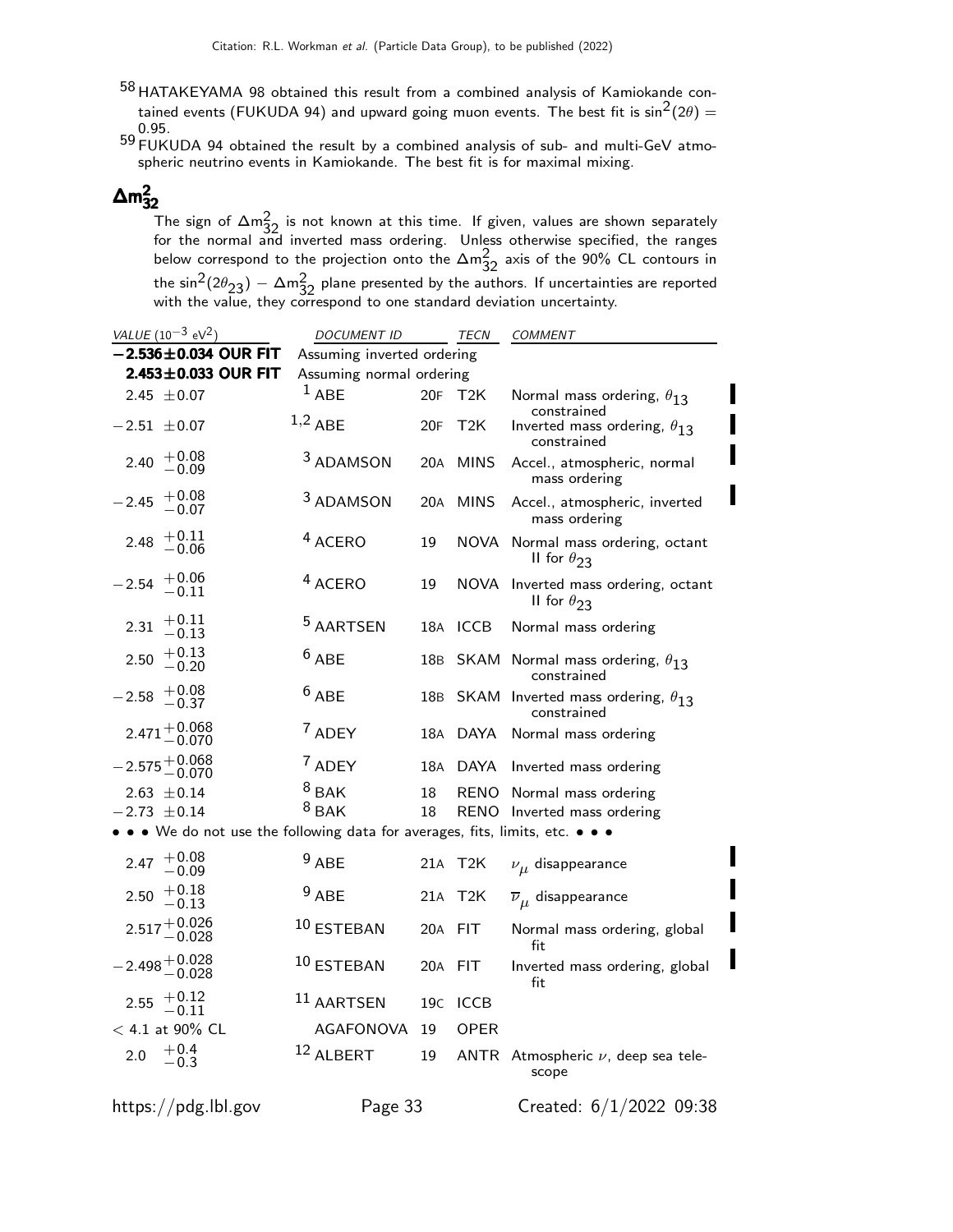58 HATAKEYAMA 98 obtained this result from a combined analysis of Kamiokande contained events (FUKUDA 94) and upward going muon events. The best fit is  $\sin^2(2\theta) =$ 0.95. 59 FUKUDA 94 obtained the result by a combined analysis of sub- and multi-GeV atmo-

spheric neutrino events in Kamiokande. The best fit is for maximal mixing.

# $\Delta m^2_{32}$

The sign of  $\Delta m^2_{32}$  is not known at this time. If given, values are shown separately<br>for the normal and inverted mass ordering. Unless otherwise specified, the ranges below correspond to the projection onto the  $\Delta m_{32}^2$  axis of the 90% CL contours in the sin $^{2}$ (2 $\theta_{23})$   $\Delta$ m $^{2}_{32}$  plane presented by the authors. If uncertainties are reported<br>with the value, they correspond to one standard deviation uncertainty.

| VALUE $(10^{-3}$ eV <sup>2</sup> )                                          | <i>DOCUMENT ID</i>       |                 | TECN        | <b>COMMENT</b>                                            |  |  |
|-----------------------------------------------------------------------------|--------------------------|-----------------|-------------|-----------------------------------------------------------|--|--|
| $-2.536 \pm 0.034$ OUR FIT                                                  |                          |                 |             |                                                           |  |  |
| 2.453±0.033 OUR FIT                                                         | Assuming normal ordering |                 |             |                                                           |  |  |
| 2.45 $\pm$ 0.07                                                             | $1$ ABE                  | 20F             | T2K         | Normal mass ordering, $\theta_{13}$<br>constrained        |  |  |
| $-2.51 \pm 0.07$                                                            | $1,2$ ABE                | 20F             | T2K         | Inverted mass ordering, $\theta_{13}$<br>constrained      |  |  |
| $+0.08$<br>2.40<br>$-0.09$                                                  | <sup>3</sup> ADAMSON     | 20A             | <b>MINS</b> | Accel., atmospheric, normal<br>mass ordering              |  |  |
| $+0.08$<br>$-2.45$<br>$-0.07$                                               | <sup>3</sup> ADAMSON     | 20A             | <b>MINS</b> | Accel., atmospheric, inverted<br>mass ordering            |  |  |
| $+0.11$<br>2.48<br>$-0.06\,$                                                | <sup>4</sup> ACERO       | 19              | NOVA        | Normal mass ordering, octant<br>II for $\theta_{23}$      |  |  |
| $+0.06$<br>$-2.54$<br>$\, -0.11$                                            | <sup>4</sup> ACERO       | 19              | NOVA        | Inverted mass ordering, octant<br>II for $\theta_{23}$    |  |  |
| $+0.11$<br>2.31<br>$-0.13\,$                                                | <sup>5</sup> AARTSEN     | 18A             | <b>ICCB</b> | Normal mass ordering                                      |  |  |
| $+0.13$<br>2.50<br>$-0.20$                                                  | $6$ ABE                  | 18 <sub>B</sub> | SKAM        | Normal mass ordering, $\theta_{13}$<br>constrained        |  |  |
| $+0.08$<br>$-2.58$<br>$-0.37$                                               | $6$ ABE                  | 18B             |             | SKAM Inverted mass ordering, $\theta_{13}$<br>constrained |  |  |
| $2.471 + 0.068$<br>-0.070                                                   | 7 ADEY                   | 18A             | <b>DAYA</b> | Normal mass ordering                                      |  |  |
| $2.575 + 0.068$<br>-0.070                                                   | <sup>7</sup> ADEY        | 18A             | DAYA        | Inverted mass ordering                                    |  |  |
| $2.63 \pm 0.14$                                                             | $8$ BAK                  | 18              |             | RENO Normal mass ordering                                 |  |  |
| $-2.73 \pm 0.14$                                                            | $8$ BAK                  | 18              |             | RENO Inverted mass ordering                               |  |  |
| • • We do not use the following data for averages, fits, limits, etc. • • • |                          |                 |             |                                                           |  |  |
| 2.47 $+0.08$<br>$-0.09$                                                     | $9$ ABE                  | 21A             | T2K         | $\nu_{\mu}$ disappearance                                 |  |  |
| $+0.18$<br>2.50<br>$-0.13\,$                                                | $9$ ABE                  | 21A             | T2K         | $\overline{\nu}_{\mu}$ disappearance                      |  |  |
| $2.517 + 0.026$<br>-0.028                                                   | 10 ESTEBAN               | 20A             | <b>FIT</b>  | Normal mass ordering, global<br>fit                       |  |  |
| $-2.498 + 0.028$<br>$-0.028$                                                | 10 ESTEBAN               | 20A             | <b>FIT</b>  | Inverted mass ordering, global<br>fit                     |  |  |
| 2.55 $+0.12$<br>$-0.11$                                                     | 11 AARTSEN               | 19c             | <b>ICCB</b> |                                                           |  |  |
| $< 4.1$ at 90% CL                                                           | AGAFONOVA                | 19              | <b>OPER</b> |                                                           |  |  |
| $+0.4$<br>2.0<br>$-0.3$                                                     | 12 ALBERT                | 19              | ANTR        | Atmospheric $\nu$ , deep sea tele-<br>scope               |  |  |
| https://pdg.lbl.gov                                                         | Page 33                  |                 |             | Created: 6/1/2022 09:38                                   |  |  |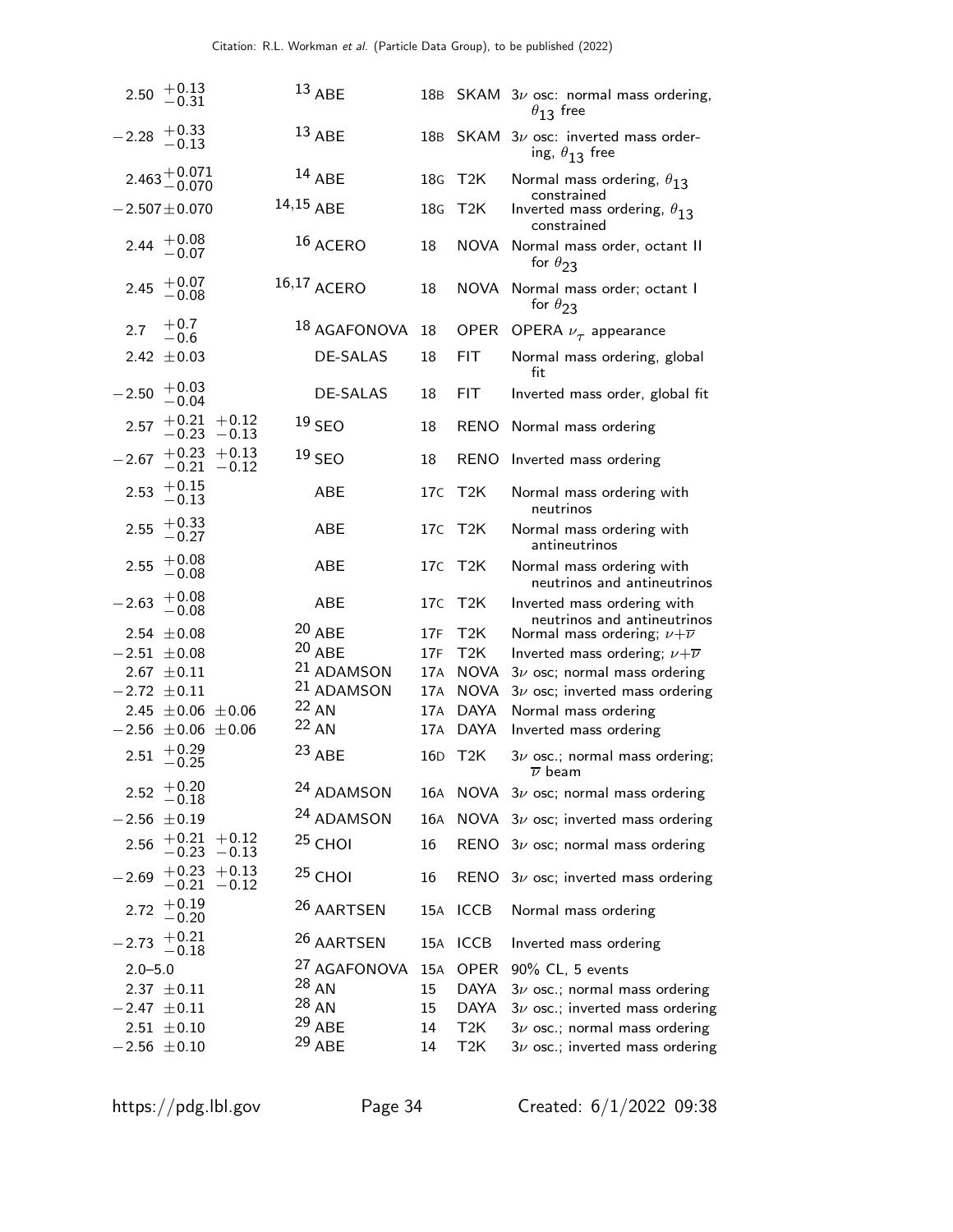| $+0.13$<br>2.50<br>$-0.31$                 | $13$ ABE                |                 |                         | 18B SKAM $3\nu$ osc: normal mass ordering,<br>$\theta_{13}$ free                               |
|--------------------------------------------|-------------------------|-----------------|-------------------------|------------------------------------------------------------------------------------------------|
| $+0.33$<br>$-0.13$<br>$-2.28$              | $13$ ABE                | 18B             |                         | SKAM $3\nu$ osc: inverted mass order-<br>ing, $\theta_{13}$ free                               |
| $2.463 + 0.071$<br>-0.070                  | $14$ ABE                | 18G             | T2K                     | Normal mass ordering, $\theta_{13}$                                                            |
| $-2.507 \pm 0.070$                         | $14,15$ ABE             | 18 <sub>G</sub> | T2K                     | constrained<br>Inverted mass ordering, $\theta_{13}$<br>constrained                            |
| $+0.08$<br>2.44<br>$-0.07$                 | 16 ACERO                | 18              | NOVA                    | Normal mass order, octant II<br>for $\theta_{23}$                                              |
| $+0.07$<br>2.45<br>$-0.08$                 | 16,17 ACERO             | 18              | NOVA                    | Normal mass order; octant I<br>for $\theta_{23}$                                               |
| $+0.7$<br>2.7<br>$-0.6$                    | 18 AGAFONOVA            | 18              | <b>OPER</b>             | OPERA $\nu_{\tau}$ appearance                                                                  |
| 2.42 $\pm$ 0.03                            | <b>DE-SALAS</b>         | 18              | <b>FIT</b>              | Normal mass ordering, global<br>fit                                                            |
| $+0.03$<br>$-2.50$<br>$-0.04$              | <b>DE-SALAS</b>         | 18              | <b>FIT</b>              | Inverted mass order, global fit                                                                |
| $+0.21 + 0.12$<br>2.57<br>$-0.23 -0.13$    | $19$ SEO                | 18              | RENO                    | Normal mass ordering                                                                           |
| $+0.23 +0.13$<br>$-2.67$<br>$-0.21 - 0.12$ | $19$ SEO                | 18              |                         | RENO Inverted mass ordering                                                                    |
| $^{+0.15}_{-0.13}$<br>2.53                 | <b>ABE</b>              | 17C             | T <sub>2</sub> K        | Normal mass ordering with<br>neutrinos                                                         |
| $+0.33$<br>2.55<br>$-0.27$                 | <b>ABE</b>              | 17C             | T2K                     | Normal mass ordering with<br>antineutrinos                                                     |
| $+0.08$<br>2.55<br>$-0.08$                 | <b>ABE</b>              | 17C             | T2K                     | Normal mass ordering with<br>neutrinos and antineutrinos                                       |
| $+0.08$<br>$-2.63$<br>$-0.08$              | <b>ABE</b>              | 17C             | T2K                     | Inverted mass ordering with<br>neutrinos and antineutrinos                                     |
| 2.54 $\pm$ 0.08<br>$-2.51 \pm 0.08$        | $20$ ABE<br>20 ABE      | 17F<br>17F      | T <sub>2</sub> K<br>T2K | Normal mass ordering; $\nu + \overline{\nu}$<br>Inverted mass ordering; $\nu + \overline{\nu}$ |
| $2.67 \pm 0.11$                            | 21 ADAMSON              | 17A             | <b>NOVA</b>             | $3\nu$ osc; normal mass ordering                                                               |
| $-2.72 \pm 0.11$                           | 21 ADAMSON              | 17A             | <b>NOVA</b>             | $3\nu$ osc; inverted mass ordering                                                             |
| 2.45 $\pm$ 0.06 $\pm$ 0.06                 | $22$ AN                 |                 | 17A DAYA                | Normal mass ordering                                                                           |
| $-2.56 \pm 0.06 \pm 0.06$                  | 22 AN                   | 17A             | DAYA                    | Inverted mass ordering                                                                         |
| $+0.29$<br>$-0.25$<br>2.51                 | <sup>23</sup> ABE       | 16D             | T <sub>2</sub> K        | $3\nu$ osc.; normal mass ordering;<br>$\overline{\nu}$ beam                                    |
| $+0.20$<br>2.52<br>$-0.18$                 | <sup>24</sup> ADAMSON   |                 |                         | 16A NOVA $3\nu$ osc; normal mass ordering                                                      |
| $-2.56 \pm 0.19$                           | 24 ADAMSON              | 16A             |                         | NOVA $3\nu$ osc; inverted mass ordering                                                        |
| $+0.21 + 0.12$<br>2.56<br>$-0.23 -0.13$    | $25$ CHOI               | 16              |                         | RENO $3\nu$ osc; normal mass ordering                                                          |
| $+0.23 +0.13$<br>$-2.69$<br>$-0.21 - 0.12$ | $25$ CHOI               | 16              |                         | RENO $3\nu$ osc; inverted mass ordering                                                        |
| $+0.19$<br>2.72<br>$-0.20$                 | <sup>26</sup> AARTSEN   |                 | 15A ICCB                | Normal mass ordering                                                                           |
| $+0.21$<br>$-0.18$<br>2.73                 | <sup>26</sup> AARTSEN   |                 | 15A ICCB                | Inverted mass ordering                                                                         |
| $2.0 - 5.0$                                | <sup>27</sup> AGAFONOVA | 15A             | OPER                    | 90% CL, 5 events                                                                               |
| $2.37 \pm 0.11$                            | $28$ AN                 | 15              | DAYA                    | $3\nu$ osc.; normal mass ordering                                                              |
| $-2.47 \pm 0.11$                           | $^{28}$ AN              | 15              | DAYA                    | $3\nu$ osc.; inverted mass ordering                                                            |
| $2.51 \pm 0.10$                            | $29$ ABE                | 14              | T <sub>2</sub> K        | $3\nu$ osc.; normal mass ordering                                                              |
| $-2.56 \pm 0.10$                           | <sup>29</sup> ABE       | 14              | T <sub>2</sub> K        | $3\nu$ osc.; inverted mass ordering                                                            |

https://pdg.lbl.gov Page 34 Created: 6/1/2022 09:38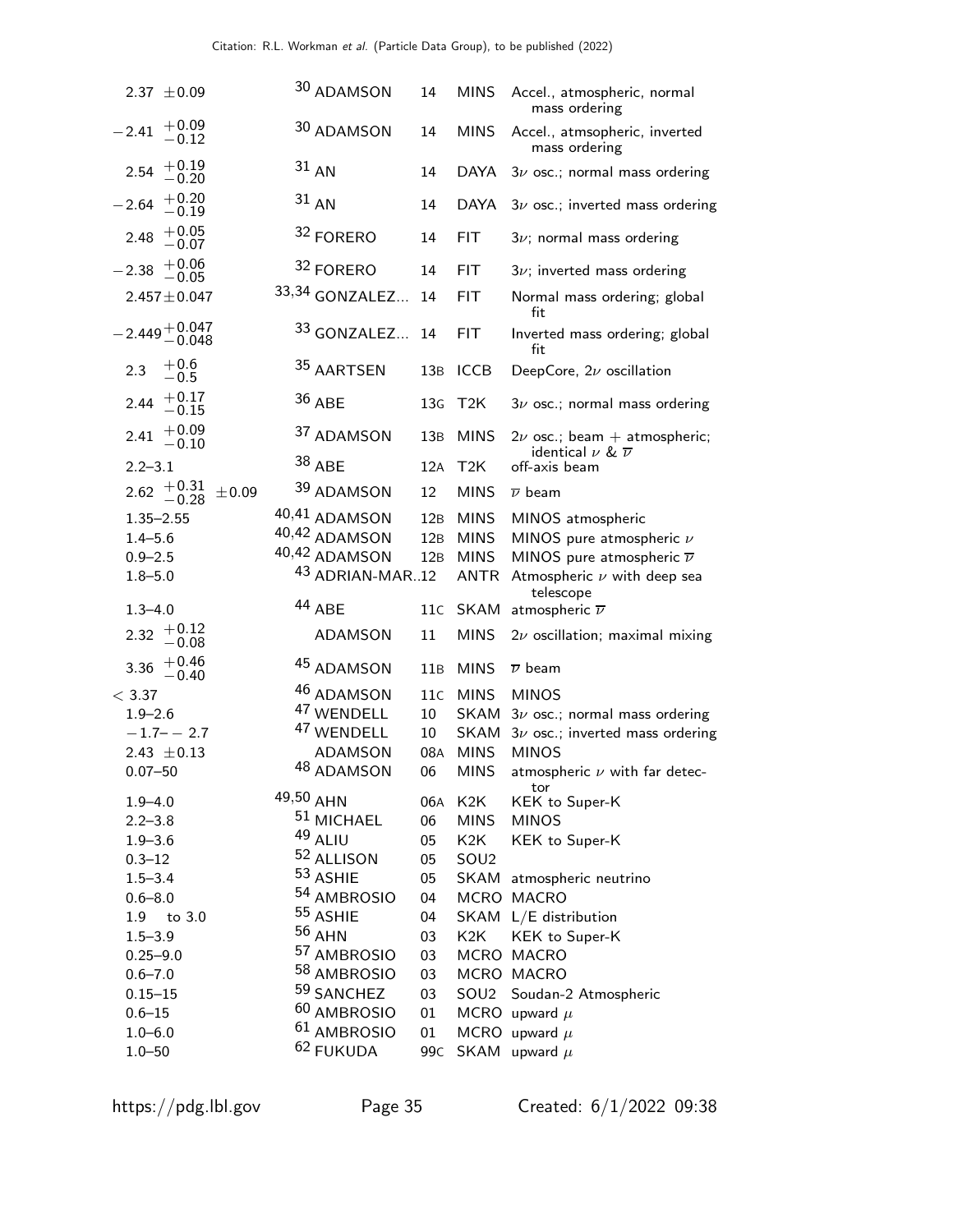| 2.37 $\pm 0.09$                   | 30 ADAMSON                                     | 14                    | <b>MINS</b>      | Accel., atmospheric, normal<br>mass ordering                           |
|-----------------------------------|------------------------------------------------|-----------------------|------------------|------------------------------------------------------------------------|
| $+0.09$<br>$-2.41$<br>$-0.12$     | 30 ADAMSON                                     | 14                    | <b>MINS</b>      | Accel., atmsopheric, inverted<br>mass ordering                         |
| $+0.19$<br>2.54<br>$-0.20$        | $31$ AN                                        | 14                    | <b>DAYA</b>      | $3\nu$ osc.; normal mass ordering                                      |
| $+0.20$<br>$-2.64$<br>$-0.19$     | $31$ AN                                        | 14                    | <b>DAYA</b>      | $3\nu$ osc.; inverted mass ordering                                    |
| $+0.05$<br>2.48<br>$-0.07$        | 32 FORERO                                      | 14                    | <b>FIT</b>       | $3\nu$ ; normal mass ordering                                          |
| $+0.06$<br>$-2.38$<br>$-0.05\,$   | 32 FORERO                                      | 14                    | <b>FIT</b>       | $3\nu$ ; inverted mass ordering                                        |
| $2.457 \pm 0.047$                 | 33,34 GONZALEZ                                 | 14                    | <b>FIT</b>       | Normal mass ordering; global<br>fit                                    |
| $-2.449 + 0.047$<br>$-0.048$      | 33 GONZALEZ                                    | 14                    | <b>FIT</b>       | Inverted mass ordering; global<br>fit                                  |
| $+0.6$<br>2.3<br>$-0.5$           | 35 AARTSEN                                     | 13B                   | <b>ICCB</b>      | DeepCore, $2\nu$ oscillation                                           |
| $+0.17$<br>2.44<br>$-0.15\,$      | 36 ABE                                         | 13 <sub>G</sub>       | T2K              | $3\nu$ osc.; normal mass ordering                                      |
| $+0.09$<br>2.41<br>$-0.10$        | 37 ADAMSON                                     | 13B                   | <b>MINS</b>      | $2\nu$ osc.; beam + atmospheric;<br>identical $\nu$ & $\overline{\nu}$ |
| $2.2 - 3.1$                       | 38 ABE                                         | 12A                   | T2K              | off-axis beam                                                          |
| $2.62 + 0.31$<br>±0.09<br>$-0.28$ | 39 ADAMSON                                     | 12                    | <b>MINS</b>      | $\overline{\nu}$ beam                                                  |
| $1.35 - 2.55$                     | 40,41 ADAMSON                                  | 12B                   | <b>MINS</b>      | MINOS atmospheric                                                      |
| $1.4 - 5.6$                       | 40,42 ADAMSON                                  | 12B                   | <b>MINS</b>      | MINOS pure atmospheric $\nu$                                           |
| $0.9 - 2.5$                       | 40,42 ADAMSON                                  | 12B                   | <b>MINS</b>      | MINOS pure atmospheric $\overline{\nu}$                                |
| $1.8 - 5.0$                       | 43 ADRIAN-MAR12                                |                       | <b>ANTR</b>      | Atmospheric $\nu$ with deep sea                                        |
|                                   | 44 ABE                                         | 11c                   | <b>SKAM</b>      | telescope<br>atmospheric $\overline{\nu}$                              |
|                                   |                                                |                       |                  |                                                                        |
| $1.3 - 4.0$<br>$+0.12$            |                                                |                       |                  |                                                                        |
| 2.32<br>$-0.08$                   | ADAMSON                                        | 11                    | <b>MINS</b>      | $2\nu$ oscillation; maximal mixing                                     |
| 3.36 $+0.46$<br>$-0.40$           | 45 ADAMSON                                     | 11B                   | <b>MINS</b>      | $\overline{\nu}$ beam                                                  |
| < 3.37                            | 46 ADAMSON                                     | 11c                   | <b>MINS</b>      | <b>MINOS</b>                                                           |
| $1.9 - 2.6$                       | 47 WENDELL                                     | 10                    | <b>SKAM</b>      | $3\nu$ osc.; normal mass ordering                                      |
| $-1.7 - -2.7$                     | 47 WENDELL                                     | 10                    | <b>SKAM</b>      | $3\nu$ osc.; inverted mass ordering                                    |
| 2.43 $\pm$ 0.13                   | <b>ADAMSON</b>                                 | 08A                   | <b>MINS</b>      | <b>MINOS</b>                                                           |
| $0.07 - 50$                       | 48 ADAMSON                                     | 06                    | <b>MINS</b>      | atmospheric $\nu$ with far detec-                                      |
| $1.9 - 4.0$                       | 49,50 AHN                                      |                       | 06A K2K          | tor<br>KEK to Super-K                                                  |
| $2.2 - 3.8$                       | 51 MICHAEL                                     | 06                    | <b>MINS</b>      | <b>MINOS</b>                                                           |
| $1.9 - 3.6$                       | 49 ALIU                                        | 05                    | K <sub>2</sub> K | KEK to Super-K                                                         |
| $0.3 - 12$                        | 52 ALLISON                                     | 05                    | SOU <sub>2</sub> |                                                                        |
| $1.5 - 3.4$                       | 53 ASHIE                                       | 05                    |                  | SKAM atmospheric neutrino                                              |
| $0.6 - 8.0$                       | 54 AMBROSIO                                    | 04                    |                  | MCRO MACRO                                                             |
| 1.9 to 3.0                        | <sup>55</sup> ASHIE                            | 04                    |                  | SKAM L/E distribution                                                  |
| $1.5 - 3.9$                       | 56 AHN                                         | 03                    | K2K              | KEK to Super-K                                                         |
| $0.25 - 9.0$                      | 57 AMBROSIO                                    | 03                    |                  | MCRO MACRO                                                             |
| $0.6 - 7.0$                       | 58 AMBROSIO                                    | 03                    |                  | MCRO MACRO                                                             |
| $0.15 - 15$                       | 59 SANCHEZ                                     | 03                    |                  | SOU2 Soudan-2 Atmospheric                                              |
| $0.6 - 15$                        | 60 AMBROSIO                                    | 01                    |                  | MCRO upward $\mu$                                                      |
| $1.0 - 6.0$<br>$1.0 - 50$         | <sup>61</sup> AMBROSIO<br><sup>62</sup> FUKUDA | 01<br>99 <sub>C</sub> |                  | MCRO upward $\mu$<br>SKAM upward $\mu$                                 |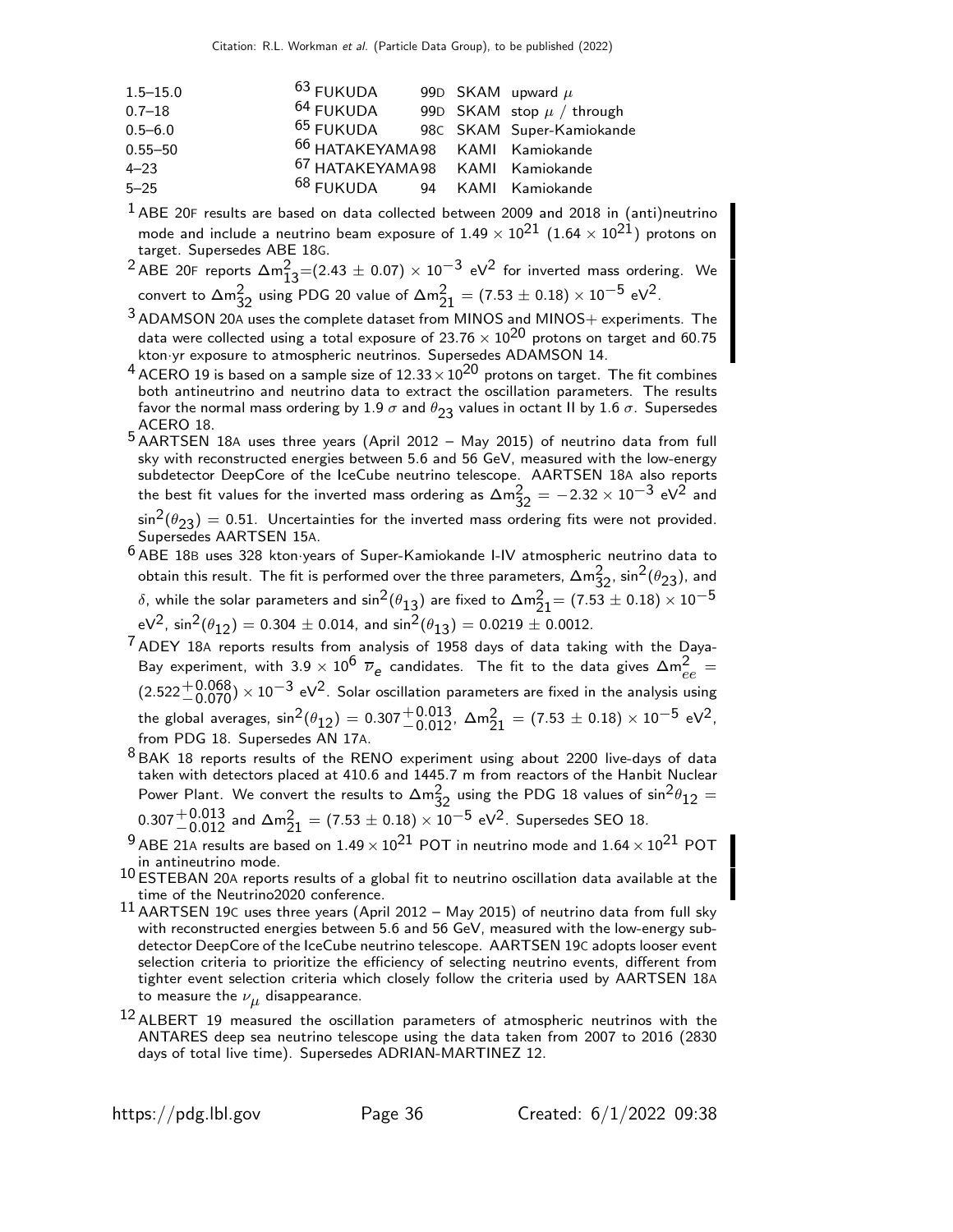| $1.5 - 15.0$ | $63$ FUKUDA                                |  | 99D SKAM upward $\mu$         |
|--------------|--------------------------------------------|--|-------------------------------|
| $0.7 - 18$   | <sup>64</sup> FUKUDA                       |  | 99D SKAM stop $\mu$ / through |
| $0.5 - 6.0$  | <sup>65</sup> FUKUDA                       |  | 98C SKAM Super-Kamiokande     |
| $0.55 - 50$  | <sup>66</sup> HATAKEYAMA98 KAMI Kamiokande |  |                               |
| $4 - 23$     | <sup>67</sup> HATAKEYAMA98 KAMI Kamiokande |  |                               |
| $5 - 25$     | <sup>68</sup> FUKUDA 94 KAMI Kamiokande    |  |                               |

 $<sup>1</sup>$  ABE 20F results are based on data collected between 2009 and 2018 in (anti)neutrino</sup> mode and include a neutrino beam exposure of  $1.49 \times 10^{21}$   $(1.64 \times 10^{21})$  protons on target. Supersedes ABE 18G.

<sup>2</sup> ABE 20F reports  $\Delta m_{13}^2$ =(2.43  $\pm$  0.07)  $\times$  10<sup>-3</sup> eV<sup>2</sup> for inverted mass ordering. We convert to  $\Delta m_{32}^2$  using PDG 20 value of  $\Delta m_{21}^2 = (7.53 \pm 0.18) \times 10^{-5}$  eV<sup>2</sup>.

 $3$  ADAMSON 20A uses the complete dataset from MINOS and MINOS + experiments. The data were collected using a total exposure of 23.76  $\times$  10<sup>20</sup> protons on target and 60.75 kton·yr exposure to atmospheric neutrinos. Supersedes ADAMSON 14.

- <sup>4</sup> ACERO 19 is based on a sample size of  $12.33 \times 10^{20}$  protons on target. The fit combines both antineutrino and neutrino data to extract the oscillation parameters. The results favor the normal mass ordering by 1.9  $\sigma$  and  $\theta_{23}$  values in octant II by 1.6  $\sigma$ . Supersedes ACERO 18.
- 5 AARTSEN 18<sup>A</sup> uses three years (April 2012 May 2015) of neutrino data from full sky with reconstructed energies between 5.6 and 56 GeV, measured with the low-energy subdetector DeepCore of the IceCube neutrino telescope. AARTSEN 18A also reports the best fit values for the inverted mass ordering as  $\Delta m_{32}^2 = -2.32 \times 10^{-3}$  eV<sup>2</sup> and  $\sin^2(\theta_{23}) = 0.51$ . Uncertainties for the inverted mass ordering fits were not provided. Supersedes AARTSEN 15A.
- 6 ABE 18<sup>B</sup> uses 328 kton·years of Super-Kamiokande I-IV atmospheric neutrino data to obtain this result. The fit is performed over the three parameters,  $\Delta m^2_{32}$ ,  $\sin^2(\theta_{23})$ , and δ, while the solar parameters and  $\sin^2(\theta_{13})$  are fixed to  $\Delta$ m $\frac{2}{21}$ = (7.53  $\pm$  0.18)  $\times$   $10^{-5}$  $eV^2$ ,  $sin^2(\theta_{12}) = 0.304 \pm 0.014$ , and  $sin^2(\theta_{13}) = 0.0219 \pm 0.0012$ .
- 7 ADEY 18<sup>A</sup> reports results from analysis of 1958 days of data taking with the Daya-Bay experiment, with 3.9  $\times$  10<sup>6</sup>  $\overline{\nu}_e$  candidates. The fit to the data gives  $\Delta m_{ee}^2 =$  $(2.522 + 0.068) \times 10^{-3}$  eV<sup>2</sup>. Solar oscillation parameters are fixed in the analysis using the global averages,  $\sin^2(\theta_{12}) = 0.307^{+0.013}_{-0.012}$ ,  $\Delta m_{21}^2 = (7.53 \pm 0.18) \times 10^{-5}$  eV<sup>2</sup>, from PDG 18. Supersedes AN 17A.
- 8 BAK 18 reports results of the RENO experiment using about 2200 live-days of data taken with detectors placed at 410.6 and 1445.7 m from reactors of the Hanbit Nuclear Power Plant. We convert the results to  $\Delta m_{32}^2$  using the PDG 18 values of  $\sin^2\theta_{12} =$  $0.307^{+0.013}_{-0.012}$  and  $\Delta m^2_{21} = (7.53 \pm 0.18) \times 10^{-5}$  eV<sup>2</sup>. Supersedes SEO 18.
- $^{9}$  ABE 21A results are based on  $1.49 \times 10^{21}$  POT in neutrino mode and  $1.64 \times 10^{21}$  POT in antineutrino mode.
- $^{10}$  ESTEBAN 20A reports results of a global fit to neutrino oscillation data available at the time of the Neutrino2020 conference.
- 11 AARTSEN 19<sup>C</sup> uses three years (April 2012 May 2015) of neutrino data from full sky with reconstructed energies between 5.6 and 56 GeV, measured with the low-energy subdetector DeepCore of the IceCube neutrino telescope. AARTSEN 19C adopts looser event selection criteria to prioritize the efficiency of selecting neutrino events, different from tighter event selection criteria which closely follow the criteria used by AARTSEN 18A to measure the  $\nu_{\boldsymbol{\mu}}$  disappearance.
- $^{12}$  ALBERT 19 measured the oscillation parameters of atmospheric neutrinos with the ANTARES deep sea neutrino telescope using the data taken from 2007 to 2016 (2830 days of total live time). Supersedes ADRIAN-MARTINEZ 12.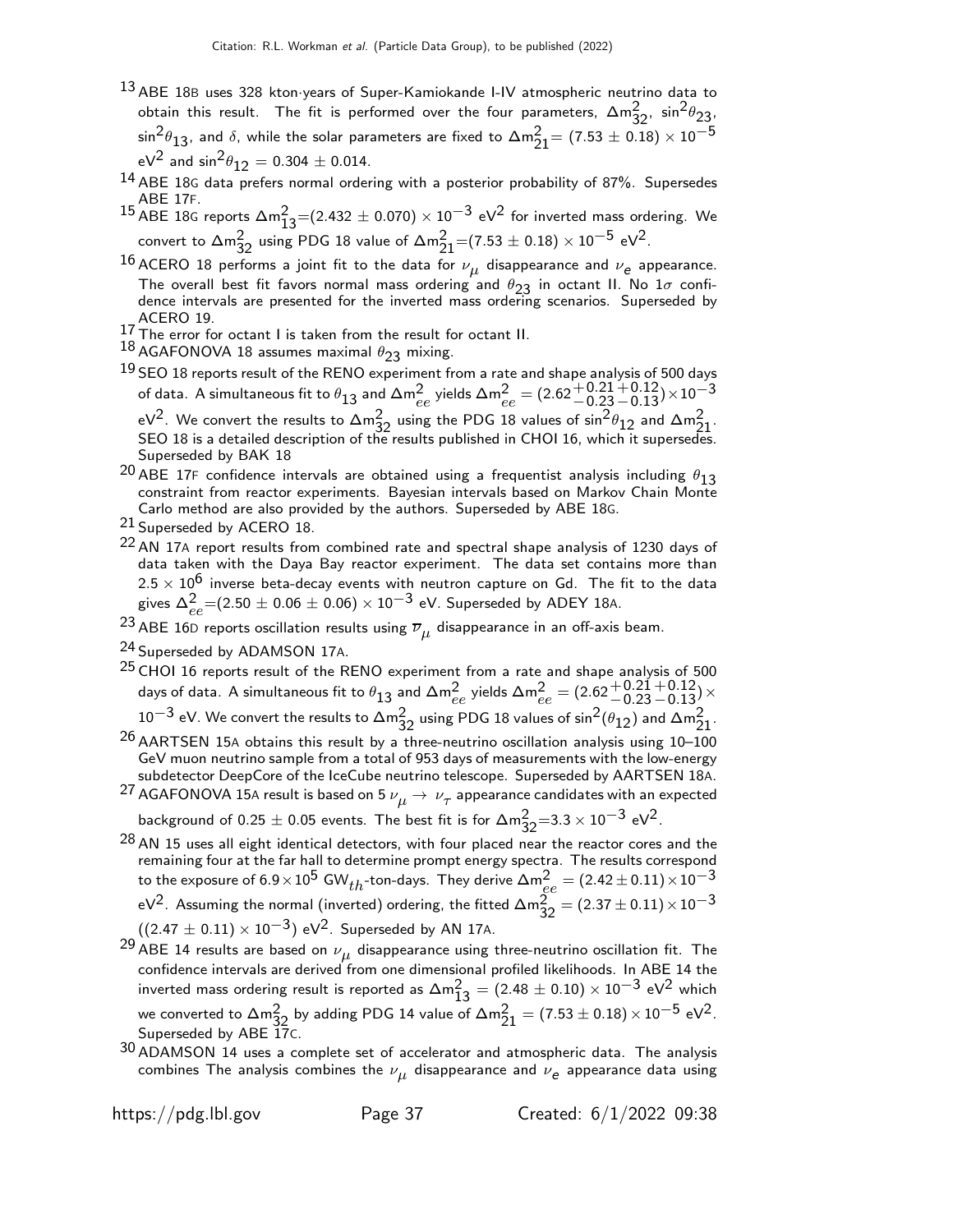- <sup>13</sup> ABE 18B uses 328 kton·years of Super-Kamiokande I-IV atmospheric neutrino data to obtain this result. The fit is performed over the four parameters,  $\Delta m_{32}^2$ ,  $\sin^2\theta_{23}$ .  $\sin^2\!\theta_{13}$ , and  $\delta$ , while the solar parameters are fixed to  $\Delta \mathsf{m}_{21}^2\!=\left(7.53\pm0.18\right)\times10^{-5}$ eV<sup>2</sup> and  $\sin^2\theta_{12} = 0.304 \pm 0.014$ .
- 14 ABE 18<sup>G</sup> data prefers normal ordering with a posterior probability of 87%. Supersedes ABE 17F.
- <sup>15</sup> ABE 18G reports  $\Delta m_{13}^2$ =(2.432  $\pm$  0.070)  $\times$  10<sup>-3</sup> eV<sup>2</sup> for inverted mass ordering. We convert to  $\Delta m^2_{32}$  using PDG 18 value of  $\Delta m^2_{21}$ =(7.53  $\pm$  0.18)  $\times$  10 $^{-5}$  eV<sup>2</sup>.
- $^{16}$ ACERO  $^{18}$  performs a joint fit to the data for  $\nu_{\mu}$  disappearance and  $\nu_e$  appearance. The overall best fit favors normal mass ordering and  $\theta_{23}$  in octant II. No  $1\sigma$  confidence intervals are presented for the inverted mass ordering scenarios. Superseded by ACERO 19.
- $^{17}$  The error for octant I is taken from the result for octant II.
- $^{18}$  AGAFONOVA 18 assumes maximal  $\theta_{23}$  mixing.
- $^{19}$  SEO 18 reports result of the RENO experiment from a rate and shape analysis of 500 days of data. A simultaneous fit to  $\theta_{13}$  and  $\Delta\mathsf{m}_{ee}^2$  yields  $\Delta\mathsf{m}_{ee}^2 = (2.62 {+ 0.21\atop - 0.23}$  $^{\rm +0.12}_{\rm -0.13})$ ×10 $^{\rm -3}$

eV<sup>2</sup>. We convert the results to ∆m $^2_{32}$  using the PDG 18 values of sin<sup>2</sup> $\theta_{12}$  and ∆m $^2_{21}$ .<br>SEO 18 is a detailed description of the results published in CHOI 16, which it supersedes. Superseded by BAK 18

- 20 ABE 17F confidence intervals are obtained using a frequentist analysis including  $\theta_{13}$ constraint from reactor experiments. Bayesian intervals based on Markov Chain Monte Carlo method are also provided by the authors. Superseded by ABE 18G.
- 21 Superseded by ACERO 18.
- <sup>22</sup> AN 17A report results from combined rate and spectral shape analysis of 1230 days of data taken with the Daya Bay reactor experiment. The data set contains more than  $2.5 \times 10^6$  inverse beta-decay events with neutron capture on Gd. The fit to the data gives  $\Delta^2_{ee}$ = $(2.50 \pm 0.06 \pm 0.06) \times 10^{-3}$  eV. Superseded by ADEY 18A.
- $^{23}$  ABE 16D reports oscillation results using  $\overline{\nu}_{\mu}$  disappearance in an off-axis beam.
- 24 Superseded by ADAMSON 17A.
- $^{25}$  CHOI 16 reports result of the RENO experiment from a rate and shape analysis of 500  $\,$ days of data. A simultaneous fit to  $\theta_{13}$  and  $\Delta\mathsf{m}_{ee}^2$  yields  $\Delta\mathsf{m}_{ee}^2 = (2.62 \frac{+0.21}{-0.23}$  $^{+0.12}_{-0.13})\times$  $10^{-3}$  eV. We convert the results to  $\Delta m_{32}^2$  using PDG 18 values of sin $^2(\theta_{12})$  and  $\Delta m_{21}^2$ .
- $26$  AARTSEN 15A obtains this result by a three-neutrino oscillation analysis using 10–100 GeV muon neutrino sample from a total of 953 days of measurements with the low-energy subdetector DeepCore of the IceCube neutrino telescope. Superseded by AARTSEN 18A.
- $^{27}$  AGAFONOVA 15A result is based on 5  $\nu_{\mu} \rightarrow \ \nu_{\tau}$  appearance candidates with an expected background of 0.25  $\pm$  0.05 events. The best fit is for  $\Delta \text{m}^2_{32}$ =3.3  $\times$   $10^{-3}$  eV $^2$ .
- $^{28}$  AN 15 uses all eight identical detectors, with four placed near the reactor cores and the remaining four at the far hall to determine prompt energy spectra. The results correspond to the exposure of 6.9 $\times10^5$  GW $_{th}$ -ton-days. They derive  $\Delta\mathsf{m}_{ee}^2=(2.42\pm0.11)\times10^{-3}$ eV<sup>2</sup>. Assuming the normal (inverted) ordering, the fitted  $\Delta m_{32}^2 = (2.37 \pm 0.11) \times 10^{-3}$
- $((2.47 \pm 0.11) \times 10^{-3})$  eV<sup>2</sup>. Superseded by AN 17A.
- $^{29}$  ABE 14 results are based on  $\nu_{\mu}$  disappearance using three-neutrino oscillation fit. The confidence intervals are derived from one dimensional profiled likelihoods. In ABE 14 the inverted mass ordering result is reported as  $\Delta m^2_{13} = (2.48 \pm 0.10) \times 10^{-3}$  eV<sup>2</sup> which we converted to  $\Delta m^2_{32}$  by adding PDG 14 value of  $\Delta m^2_{21} = (7.53 \pm 0.18) \times 10^{-5}$  eV<sup>2</sup>. Superseded by ABE 17C.
- $30$  ADAMSON 14 uses a complete set of accelerator and atmospheric data. The analysis combines The analysis combines the  $\nu_{\boldsymbol{\mu}}$  disappearance and  $\nu_{\boldsymbol{e}}$  appearance data using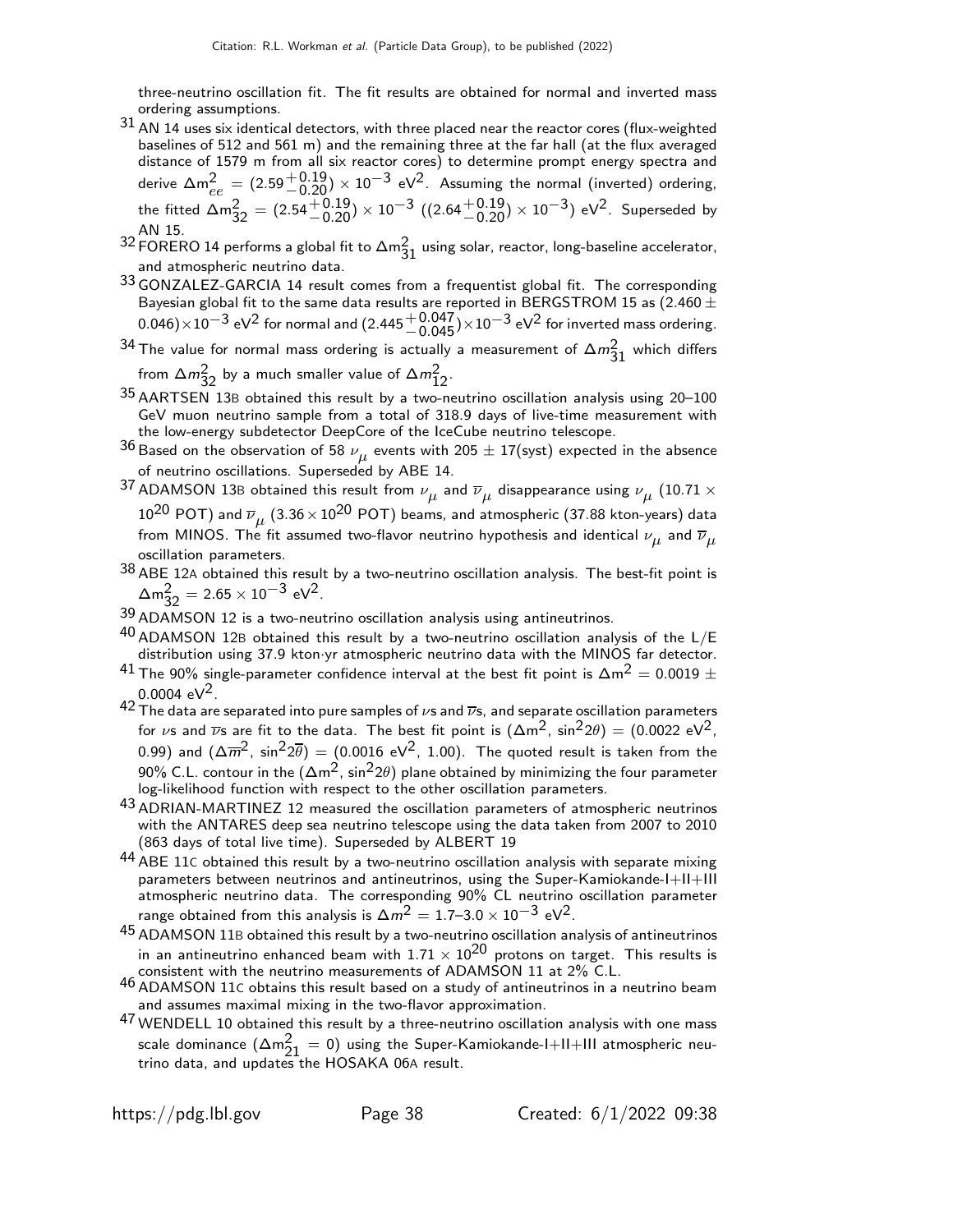three-neutrino oscillation fit. The fit results are obtained for normal and inverted mass ordering assumptions.

- $31$  AN 14 uses six identical detectors, with three placed near the reactor cores (flux-weighted baselines of 512 and 561 m) and the remaining three at the far hall (at the flux averaged distance of 1579 m from all six reactor cores) to determine prompt energy spectra and derive  $\Delta m^2_{ee} = (2.59 {+0.19 \atop -0.20})\times 10^{-3}$  eV $^2$ . Assuming the normal (inverted) ordering, the fitted  $\Delta m_{32}^2 = (2.54 \frac{+0.19}{-0.20}) \times 10^{-3}$   $((2.64 \frac{+0.19}{-0.20}) \times 10^{-3})$  eV<sup>2</sup>. Superseded by AN 15.
- $^{32}$  FORERO 14 performs a global fit to  $\Delta m_{31}^2$  using solar, reactor, long-baseline accelerator, and atmospheric neutrino data.
- 33 GONZALEZ-GARCIA 14 result comes from a frequentist global fit. The corresponding Bayesian global fit to the same data results are reported in BERGSTROM 15 as (2.460  $\pm$  $0.046)\times10^{-3}$  eV $^2$  for normal and  $(2.445 {+0.047\atop -0.045}){\times}10^{-3}$  eV $^2$  for inverted mass ordering.
- $^{34}$  The value for normal mass ordering is actually a measurement of  $\Delta m_{31}^2$  which differs from  $\Delta m_{32}^2$  by a much smaller value of  $\Delta m_{12}^2$ .
- 35 AARTSEN 13<sup>B</sup> obtained this result by a two-neutrino oscillation analysis using 20–100 GeV muon neutrino sample from a total of 318.9 days of live-time measurement with the low-energy subdetector DeepCore of the IceCube neutrino telescope.
- $^{36}$ Based on the observation of 58  $\nu_{\mu}$  events with 205  $\pm$  17(syst) expected in the absence of neutrino oscillations. Superseded by ABE 14.
- $^{37}$  ADAMSON 13B obtained this result from  $\nu_{\mu}$  and  $\overline{\nu}_{\mu}$  disappearance using  $\nu_{\mu}$  (10.71  $\times$  $10^{20}$  POT) and  $\overline{\nu}_{\mu}$   $(3.36\!\times\!10^{20}$  POT) beams, and atmospheric (37.88 kton-years) data from MINOS. The fit assumed two-flavor neutrino hypothesis and identical  $\nu_{\mu}$  and  $\overline{\nu}_{\mu}$ oscillation parameters.
- $38$  ABE 12A obtained this result by a two-neutrino oscillation analysis. The best-fit point is  $\Delta m_{32}^2 = 2.65 \times 10^{-3} \text{ eV}^2$ .
- 39 ADAMSON 12 is a two-neutrino oscillation analysis using antineutrinos.
- $40$  ADAMSON 12B obtained this result by a two-neutrino oscillation analysis of the  $L/E$ distribution using 37.9 kton·yr atmospheric neutrino data with the MINOS far detector.
- $^{41}$  The 90% single-parameter confidence interval at the best fit point is  $\Delta \mathrm{m}^2 = 0.0019 \pm 10^{11}$ 0.0004 eV<sup>2</sup>.
- 42 The data are separated into pure samples of  $\nu$ s and  $\overline{\nu}$ s, and separate oscillation parameters for  $\nu$ s and  $\overline{\nu}$ s are fit to the data. The best fit point is  $(\Delta m^2, sin^2 2\theta) = (0.0022 \text{ eV}^2,$ 0.99) and  $(\Delta \overline{m}^2, \sin^2 2\overline{\theta}) = (0.0016 \text{ eV}^2, 1.00)$ . The quoted result is taken from the 90% C.L. contour in the  $(\Delta m^2, \sin^2 2\theta)$  plane obtained by minimizing the four parameter log-likelihood function with respect to the other oscillation parameters.
- 43 ADRIAN-MARTINEZ 12 measured the oscillation parameters of atmospheric neutrinos with the ANTARES deep sea neutrino telescope using the data taken from 2007 to 2010 (863 days of total live time). Superseded by ALBERT 19
- $44$  ABE 11C obtained this result by a two-neutrino oscillation analysis with separate mixing parameters between neutrinos and antineutrinos, using the Super-Kamiokande-I+II+III atmospheric neutrino data. The corresponding 90% CL neutrino oscillation parameter range obtained from this analysis is  $\Delta m^2 = 1.7$ –3.0  $\times$   $10^{-3}$  eV $^2$ .
- 45 ADAMSON 11<sup>B</sup> obtained this result by a two-neutrino oscillation analysis of antineutrinos in an antineutrino enhanced beam with  $1.71 \times 10^{20}$  protons on target. This results is consistent with the neutrino measurements of ADAMSON 11 at 2% C.L.
- 46 ADAMSON 11<sup>C</sup> obtains this result based on a study of antineutrinos in a neutrino beam and assumes maximal mixing in the two-flavor approximation.
- 47 WENDELL 10 obtained this result by a three-neutrino oscillation analysis with one mass scale dominance  $(\Delta m_{21}^2 = 0)$  using the Super-Kamiokande-I+II+III atmospheric neutrino data, and updates the HOSAKA 06A result.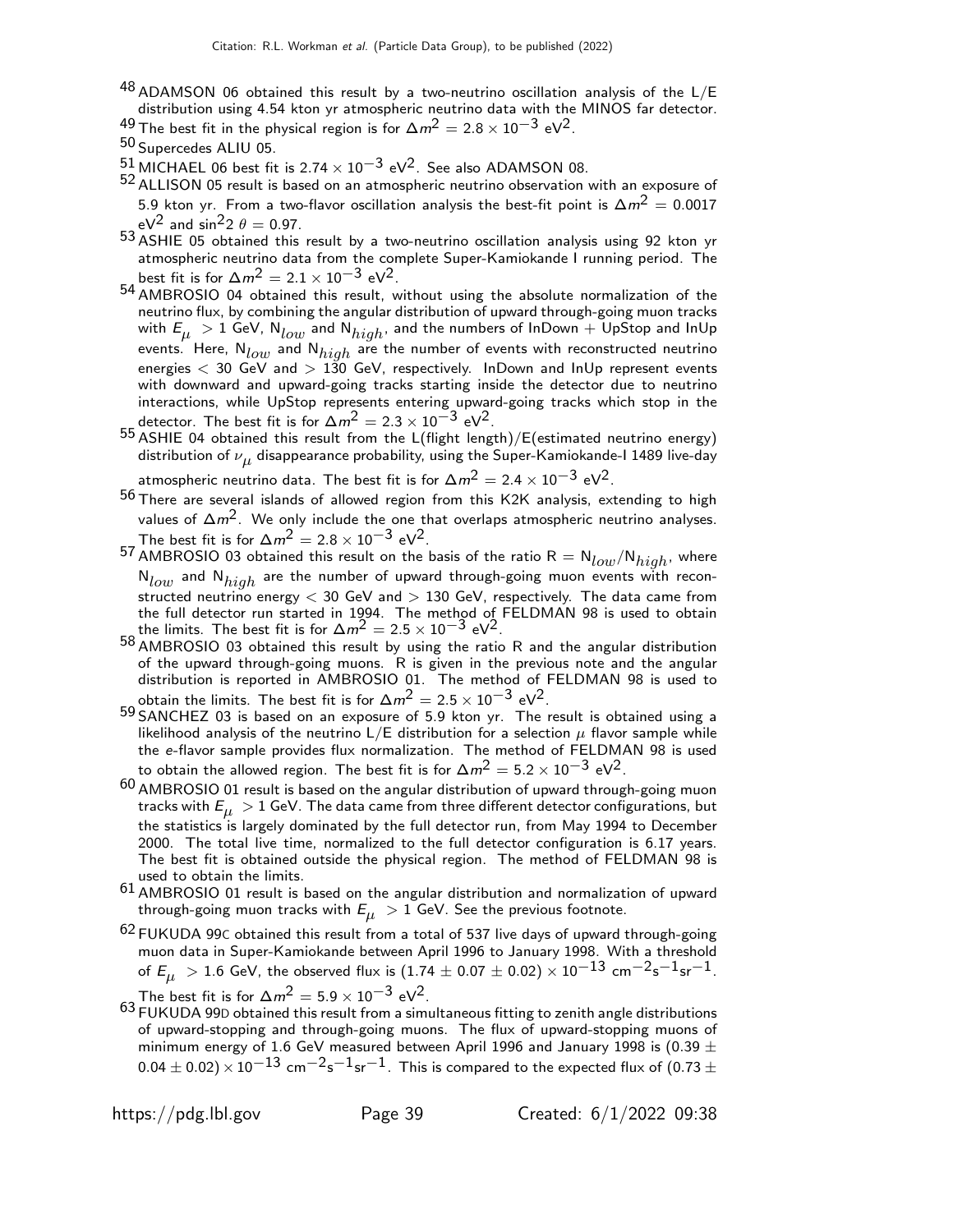- $^{48}$  ADAMSON 06 obtained this result by a two-neutrino oscillation analysis of the L/E distribution using 4.54 kton yr atmospheric neutrino data with the MINOS far detector. 49 The best fit in the physical region is for  $\Delta m^2 = 2.8 \times 10^{-3}$  eV<sup>2</sup>.
- 
- 50 Supercedes ALIU 05.
- $51$  MICHAEL 06 best fit is 2.74  $\times$  10<sup>-3</sup> eV<sup>2</sup>. See also ADAMSON 08.
- 52 ALLISON 05 result is based on an atmospheric neutrino observation with an exposure of 5.9 kton yr. From a two-flavor oscillation analysis the best-fit point is  $\Delta m^2 = 0.0017$ eV<sup>2</sup> and sin<sup>2</sup>2  $\theta = 0.97$ .
- 53 ASHIE 05 obtained this result by a two-neutrino oscillation analysis using 92 kton yr atmospheric neutrino data from the complete Super-Kamiokande I running period. The best fit is for  $\Delta m^2 = 2.1 \times 10^{-3}$  eV<sup>2</sup>.
- **54 AMBROSIO 04 obtained this result, without using the absolute normalization of the** neutrino flux, by combining the angular distribution of upward through-going muon tracks with  $E_{\mu} > 1$  GeV,  $N_{low}$  and  $N_{high}$ , and the numbers of InDown  $+$  UpStop and InUp events. Here,  $N_{low}$  and  $N_{high}$  are the number of events with reconstructed neutrino energies  $<$  30 GeV and  $>$  130 GeV, respectively. InDown and InUp represent events with downward and upward-going tracks starting inside the detector due to neutrino interactions, while UpStop represents entering upward-going tracks which stop in the detector. The best fit is for  $\Delta m^2 = 2.3 \times 10^{-3}$  eV<sup>2</sup>.
- 55 ASHIE 04 obtained this result from the L(flight length)/E(estimated neutrino energy) distribution of  $\nu_{\mu}$  disappearance probability, using the Super-Kamiokande-I 1489 live-day

atmospheric neutrino data. The best fit is for  $\Delta m^2 = 2.4 \times 10^{-3}$  eV<sup>2</sup>.

- 56 There are several islands of allowed region from this K2K analysis, extending to high values of  $\Delta m^2$ . We only include the one that overlaps atmospheric neutrino analyses. The best fit is for  $\Delta m^2 = 2.8 \times 10^{-3} \text{ eV}^2$ .
- 57 AMBROSIO 03 obtained this result on the basis of the ratio  $R = N_{low}/N_{high}$ , where  $N_{low}$  and  $N_{high}$  are the number of upward through-going muon events with reconstructed neutrino energy  $<$  30 GeV and  $>$  130 GeV, respectively. The data came from the full detector run started in 1994. The method of FELDMAN 98 is used to obtain the limits. The best fit is for  $\Delta m^2 = 2.5 \times 10^{-3}$  eV<sup>2</sup>.
- 58 AMBROSIO 03 obtained this result by using the ratio R and the angular distribution of the upward through-going muons. R is given in the previous note and the angular distribution is reported in AMBROSIO 01. The method of FELDMAN 98 is used to obtain the limits. The best fit is for  $\Delta m^2 = 2.5 \times 10^{-3}$  eV<sup>2</sup>.
- 59 SANCHEZ 03 is based on an exposure of 5.9 kton yr. The result is obtained using a likelihood analysis of the neutrino  $L/E$  distribution for a selection  $\mu$  flavor sample while the e-flavor sample provides flux normalization. The method of FELDMAN 98 is used to obtain the allowed region. The best fit is for  $\Delta m^2 = 5.2 \times 10^{-3}$  eV<sup>2</sup>.
- 60 AMBROSIO 01 result is based on the angular distribution of upward through-going muon tracks with  $E_{\mu} > 1$  GeV. The data came from three different detector configurations, but the statistics is largely dominated by the full detector run, from May 1994 to December 2000. The total live time, normalized to the full detector configuration is 6.17 years. The best fit is obtained outside the physical region. The method of FELDMAN 98 is used to obtain the limits.
- 61 AMBROSIO 01 result is based on the angular distribution and normalization of upward through-going muon tracks with  $E_{\mu} > 1$  GeV. See the previous footnote.
- <sup>62</sup> FUKUDA 99C obtained this result from a total of 537 live days of upward through-going muon data in Super-Kamiokande between April 1996 to January 1998. With a threshold of  $E_{\mu} > 1.6$  GeV, the observed flux is  $(1.74 \pm 0.07 \pm 0.02) \times 10^{-13}$  cm<sup>-2</sup>s<sup>-1</sup>sr<sup>-1</sup>. The best fit is for  $\Delta m^2 = 5.9 \times 10^{-3}$  eV<sup>2</sup>.
- 63 FUKUDA 99D obtained this result from a simultaneous fitting to zenith angle distributions of upward-stopping and through-going muons. The flux of upward-stopping muons of minimum energy of 1.6 GeV measured between April 1996 and January 1998 is (0.39  $\pm$  $(0.04 \pm 0.02) \times 10^{-13}$  cm<sup>-2</sup>s<sup>-1</sup>sr<sup>-1</sup>. This is compared to the expected flux of  $(0.73 \pm 1)$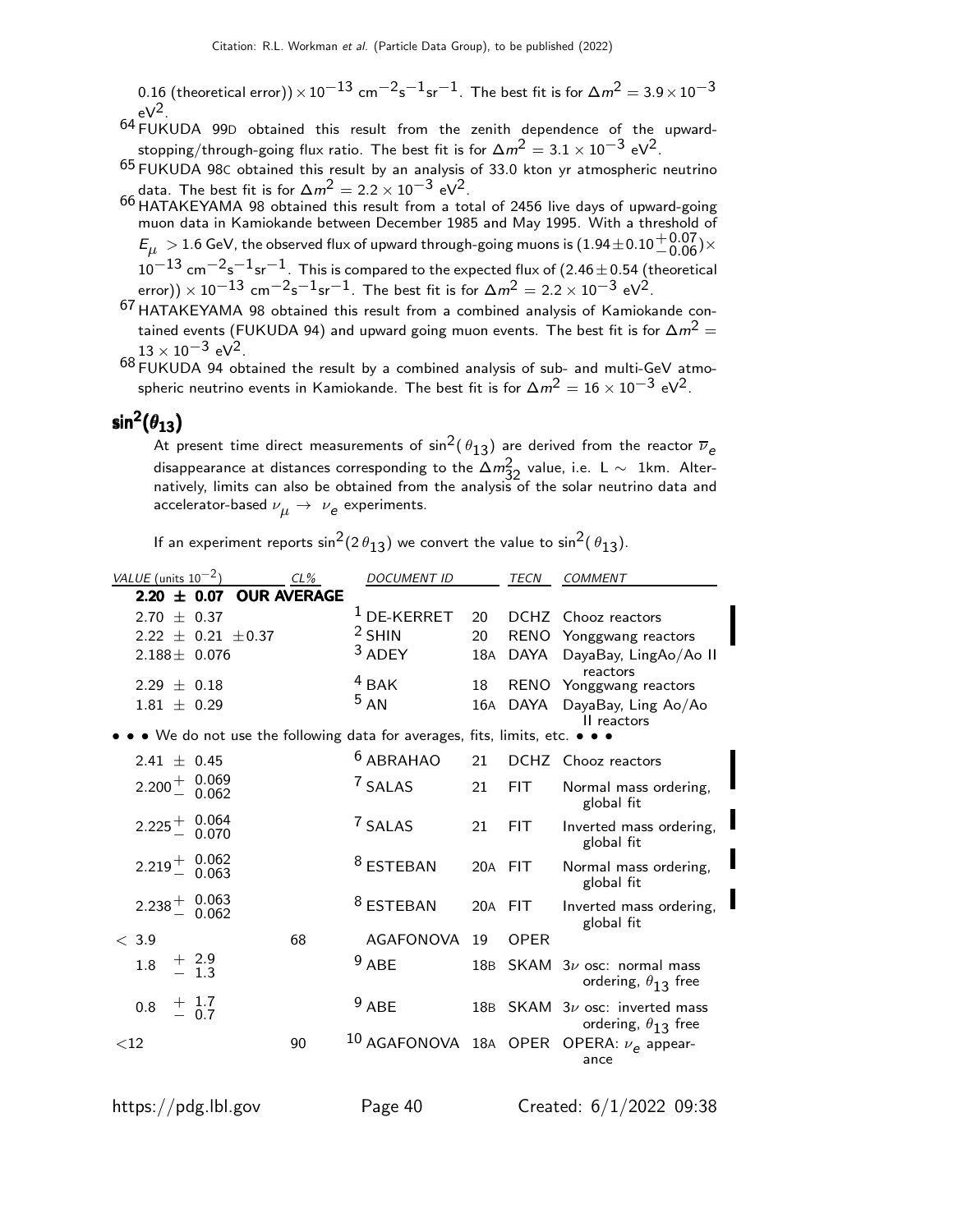0.16 (theoretical error))  $\times$  10<sup>-13</sup> cm<sup>-2</sup>s<sup>-1</sup>sr<sup>-1</sup>. The best fit is for  $\Delta m^2 = 3.9 \times 10^{-3}$  $eV^2$ .

- 64 FUKUDA 99<sup>D</sup> obtained this result from the zenith dependence of the upwardstopping/through-going flux ratio. The best fit is for  $\Delta m^2 = 3.1 \times 10^{-3}$  eV<sup>2</sup>.
- 65 FUKUDA 98<sup>C</sup> obtained this result by an analysis of 33.0 kton yr atmospheric neutrino data. The best fit is for  $\Delta m^2 = 2.2 \times 10^{-3}$  eV<sup>2</sup>.
- 66 HATAKEYAMA 98 obtained this result from a total of 2456 live days of upward-going muon data in Kamiokande between December 1985 and May 1995. With a threshold of  $E_\mu \rm > 1.6$  GeV, the observed flux of upward through-going muons is  $(1.94\pm0.10^{+0.07}_{-0.06})\times$  $10^{-13}$  cm $^{-2}$ s $^{-1}$ sr $^{-1}$ . This is compared to the expected flux of (2.46 $\pm$ 0.54 (theoretical error)) × 10<sup>-13</sup> cm<sup>-2</sup>s<sup>-1</sup>sr<sup>-1</sup>. The best fit is for  $\Delta m^2 = 2.2 \times 10^{-3}$  eV<sup>2</sup>.
- 67 HATAKEYAMA 98 obtained this result from a combined analysis of Kamiokande contained events (FUKUDA 94) and upward going muon events. The best fit is for  $\Delta m^2 =$  $13 \times 10^{-3}$  eV<sup>2</sup>.
- $68$  FUKUDA 94 obtained the result by a combined analysis of sub- and multi-GeV atmospheric neutrino events in Kamiokande. The best fit is for  $\Delta m^2 = 16 \times 10^{-3}$  eV<sup>2</sup>.

# sin $^2(\theta_{13})$

At present time direct measurements of  $\sin^2(\theta_{13})$  are derived from the reactor  $\overline{\nu}_e$ disappearance at distances corresponding to the  $\Delta m^2_{32}$  value, i.e. <code>L</code>  $\sim$  <code>1km. Alter-</code> natively, limits can also be obtained from the analysis of the solar neutrino data and accelerator-based  $\nu_{\boldsymbol{\mu}}\rightarrow\ \nu_{\boldsymbol{e}}$  experiments.

If an experiment reports  $\sin^2(2\theta_{13})$  we convert the value to  $\sin^2(\theta_{13})$ .

| VALUE (units $10^{-2}$ )                                                  | $CL\%$             | <b>DOCUMENT ID</b>   |     | <b>TECN</b> | <b>COMMENT</b>                                                     |
|---------------------------------------------------------------------------|--------------------|----------------------|-----|-------------|--------------------------------------------------------------------|
| $2.20 \pm 0.07$                                                           | <b>OUR AVERAGE</b> |                      |     |             |                                                                    |
| 2.70 $\pm$ 0.37                                                           |                    | $1$ DE-KERRET        | 20  | <b>DCHZ</b> | Chooz reactors                                                     |
| $2.22 \pm 0.21 \pm 0.37$                                                  |                    | $2$ SHIN             | 20  |             | RENO Yonggwang reactors                                            |
| $2.188 \pm 0.076$                                                         |                    | $3$ ADEY             | 18A |             | DAYA DayaBay, LingAo/Ao II<br>reactors                             |
| $2.29 \pm 0.18$                                                           |                    | $4$ BAK              | 18  | <b>RENO</b> | Yonggwang reactors                                                 |
| $1.81 \pm 0.29$                                                           |                    | 5 A N                | 16A | DAYA        | DayaBay, Ling Ao/Ao<br>II reactors                                 |
| • We do not use the following data for averages, fits, limits, etc. • • • |                    |                      |     |             |                                                                    |
| 2.41 $\pm$ 0.45                                                           |                    | $6$ ABRAHAO          | 21  |             | DCHZ Chooz reactors                                                |
| $2.200 + 0.069$<br>0.062                                                  |                    | <sup>7</sup> SALAS   | 21  | <b>FIT</b>  | Normal mass ordering,<br>global fit                                |
| $2.225 \begin{array}{cc} + & 0.064 \\ - & 0.070 \end{array}$              |                    | <sup>7</sup> SALAS   | 21  | <b>FIT</b>  | Inverted mass ordering,<br>global fit                              |
| $2.219 + 0.062$<br>0.063                                                  |                    | <sup>8</sup> ESTEBAN |     | 20A FIT     | Normal mass ordering,<br>global fit                                |
| $2.238 \begin{array}{cc} + & 0.063 \\ - & 0.062 \end{array}$              |                    | <sup>8</sup> ESTEBAN |     | 20A FIT     | Inverted mass ordering,<br>global fit                              |
| < 3.9                                                                     | 68                 | AGAFONOVA            | 19  | <b>OPER</b> |                                                                    |
| $+2.9$<br>$-1.3$<br>1.8                                                   |                    | $9$ ABE              | 18B | SKAM        | $3\nu$ osc: normal mass<br>ordering, $\theta_{13}$ free            |
| $+$ 1.7<br>= 0.7<br>0.8                                                   |                    | $9$ ABE              |     |             | 18B SKAM $3\nu$ osc: inverted mass<br>ordering, $\theta_{13}$ free |
| ${<}12$                                                                   | 90                 |                      |     |             | <sup>10</sup> AGAFONOVA 18A OPER OPERA: $\nu_e$ appear-<br>ance    |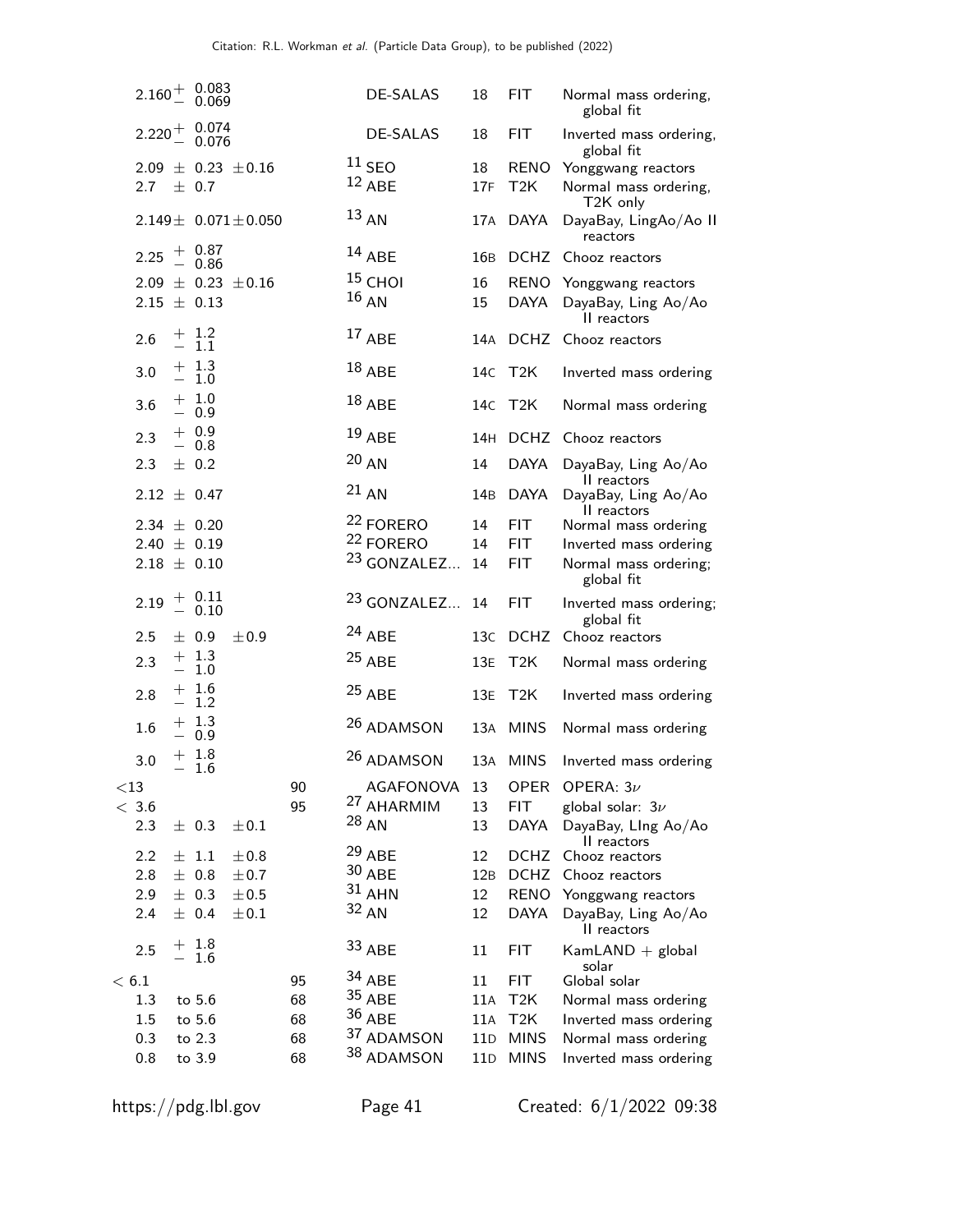|        |                                    | $2.160 + \begin{array}{c} 0.083 \\ 0.069 \end{array}$               |                             |    | DE-SALAS                                       | 18        | FIT.                     | Normal mass ordering,<br>global fit                           |
|--------|------------------------------------|---------------------------------------------------------------------|-----------------------------|----|------------------------------------------------|-----------|--------------------------|---------------------------------------------------------------|
|        |                                    | $2.220 + 0.074$<br>0.076                                            |                             |    | DE-SALAS                                       | 18        | FIT.                     | Inverted mass ordering,<br>global fit                         |
|        | 2.7                                | $\pm$ 0.7                                                           | $2.09 \pm 0.23 \pm 0.16$    |    | $11$ SEO<br>$12$ ABE                           | 18<br>17F | RENO<br>T <sub>2</sub> K | Yonggwang reactors<br>Normal mass ordering,<br>T2K only       |
|        |                                    |                                                                     | $2.149 \pm 0.071 \pm 0.050$ |    | $13 \text{ AN}$                                | 17A       | DAYA                     | DayaBay, LingAo/Ao II<br>reactors                             |
|        | 2.25                               | $+ 0.87 - 0.86$                                                     |                             |    | $14$ ABE                                       | 16B       | <b>DCHZ</b>              | Chooz reactors                                                |
|        | $2.15 \pm 0.13$                    |                                                                     | $2.09 \pm 0.23 \pm 0.16$    |    | $15$ CHOI<br>$16_{AN}$                         | 16<br>15  | DAYA                     | RENO Yonggwang reactors<br>DayaBay, Ling Ao/Ao<br>II reactors |
|        | 2.6                                | $\begin{array}{c} + & 1.2 \\ - & 1.1 \end{array}$                   |                             |    | $17$ ABE                                       | 14A       |                          | DCHZ Chooz reactors                                           |
|        | 3.0                                | $\begin{array}{r} + \phantom{0}1.3 \\ - \phantom{0}1.0 \end{array}$ |                             |    | $18$ ABE                                       |           | 14c T2K                  | Inverted mass ordering                                        |
|        | 3.6                                | $+ 1.0$<br>$-0.9$                                                   |                             |    | $18$ ABE                                       |           | 14C T2K                  | Normal mass ordering                                          |
|        | 2.3                                | $+ 0.9$<br>$-0.8$                                                   |                             |    | 19 ABE                                         |           | 14H DCHZ                 | Chooz reactors                                                |
|        | 2.3                                | $\pm$ 0.2                                                           |                             |    | 20 A N                                         | 14        | <b>DAYA</b>              | DayaBay, Ling Ao/Ao                                           |
|        | $2.12 \pm 0.47$                    |                                                                     |                             |    | $21$ AN                                        | 14B       | <b>DAYA</b>              | II reactors<br>DayaBay, Ling Ao/Ao<br>II reactors             |
|        | $2.34 \pm 0.20$                    |                                                                     |                             |    | <sup>22</sup> FORERO                           | 14        | <b>FIT</b>               | Normal mass ordering                                          |
|        | 2.40 $\pm$ 0.19<br>$2.18 \pm 0.10$ |                                                                     |                             |    | <sup>22</sup> FORERO<br><sup>23</sup> GONZALEZ | 14<br>14  | FIT.<br><b>FIT</b>       | Inverted mass ordering<br>Normal mass ordering;<br>global fit |
|        | 2.19                               | $+ 0.11$<br>0.10                                                    |                             |    | <sup>23</sup> GONZALEZ                         | 14        | <b>FIT</b>               | Inverted mass ordering;<br>global fit                         |
|        | 2.5                                | ± 0.9                                                               | ±0.9                        |    | $24$ ABE                                       | 13C       | <b>DCHZ</b>              | Chooz reactors                                                |
|        | 2.3                                | $+ 1.3$<br>1.0                                                      |                             |    | $25$ ABE                                       | 13E       | T <sub>2</sub> K         | Normal mass ordering                                          |
|        | 2.8                                | $+ 1.6$<br>1.2                                                      |                             |    | $25$ ABE                                       | 13E       | T2K                      | Inverted mass ordering                                        |
|        | 1.6                                | $+ 1.3$<br>0.9                                                      |                             |    | 26 ADAMSON                                     |           | 13A MINS                 | Normal mass ordering                                          |
|        | 3.0                                | $+ 1.8$<br>1.6                                                      |                             |    | 26 ADAMSON                                     |           | 13A MINS                 | Inverted mass ordering                                        |
| $<$ 13 |                                    |                                                                     |                             | 90 | AGAFONOVA                                      | 13        | <b>OPER</b>              | OPERA: $3\nu$                                                 |
|        | $<\,3.6$                           |                                                                     |                             | 95 | <sup>27</sup> AHARMIM                          | 13        | <b>FIT</b>               | global solar: $3\nu$                                          |
|        | 2.3                                | $\pm$ 0.3                                                           | $\pm 0.1$                   |    | $28$ AN                                        | 13        | <b>DAYA</b>              | DayaBay, LIng Ao/Ao<br>II reactors                            |
|        | 2.2                                | $\pm$ 1.1                                                           | ±0.8                        |    | <sup>29</sup> ABE                              | 12        | <b>DCHZ</b>              | Chooz reactors                                                |
|        | 2.8                                | $±$ 0.8                                                             | ±0.7                        |    | 30 ABE                                         | 12B       | <b>DCHZ</b>              | Chooz reactors                                                |
|        | 2.9                                | $\pm$ 0.3                                                           | $\pm 0.5$                   |    | $31$ AHN                                       | 12        | <b>RENO</b>              | Yonggwang reactors                                            |
|        | 2.4                                | ± 0.4                                                               | $\pm 0.1$                   |    | 32 AN                                          | 12        | DAYA                     | DayaBay, Ling Ao/Ao<br>II reactors                            |
|        | 2.5                                | $+ 1.8$<br>1.6                                                      |                             |    | 33 ABE                                         | 11        | <b>FIT</b>               | $KamLAND + global$<br>solar                                   |
|        | < 6.1                              |                                                                     |                             | 95 | $34$ ABE                                       | 11        | <b>FIT</b>               | Global solar                                                  |
|        | 1.3                                | to 5.6                                                              |                             | 68 | $35$ ABE                                       | 11A       | T2K                      | Normal mass ordering                                          |
|        | 1.5                                | to 5.6                                                              |                             | 68 | $36$ ABE                                       | 11A       | T2K                      | Inverted mass ordering                                        |
|        | 0.3                                | to 2.3                                                              |                             | 68 | 37 ADAMSON                                     | 11D       | <b>MINS</b>              | Normal mass ordering                                          |
|        | 0.8                                | to 3.9                                                              |                             | 68 | 38 ADAMSON                                     | 11D       | <b>MINS</b>              | Inverted mass ordering                                        |

https://pdg.lbl.gov Page 41 Created: 6/1/2022 09:38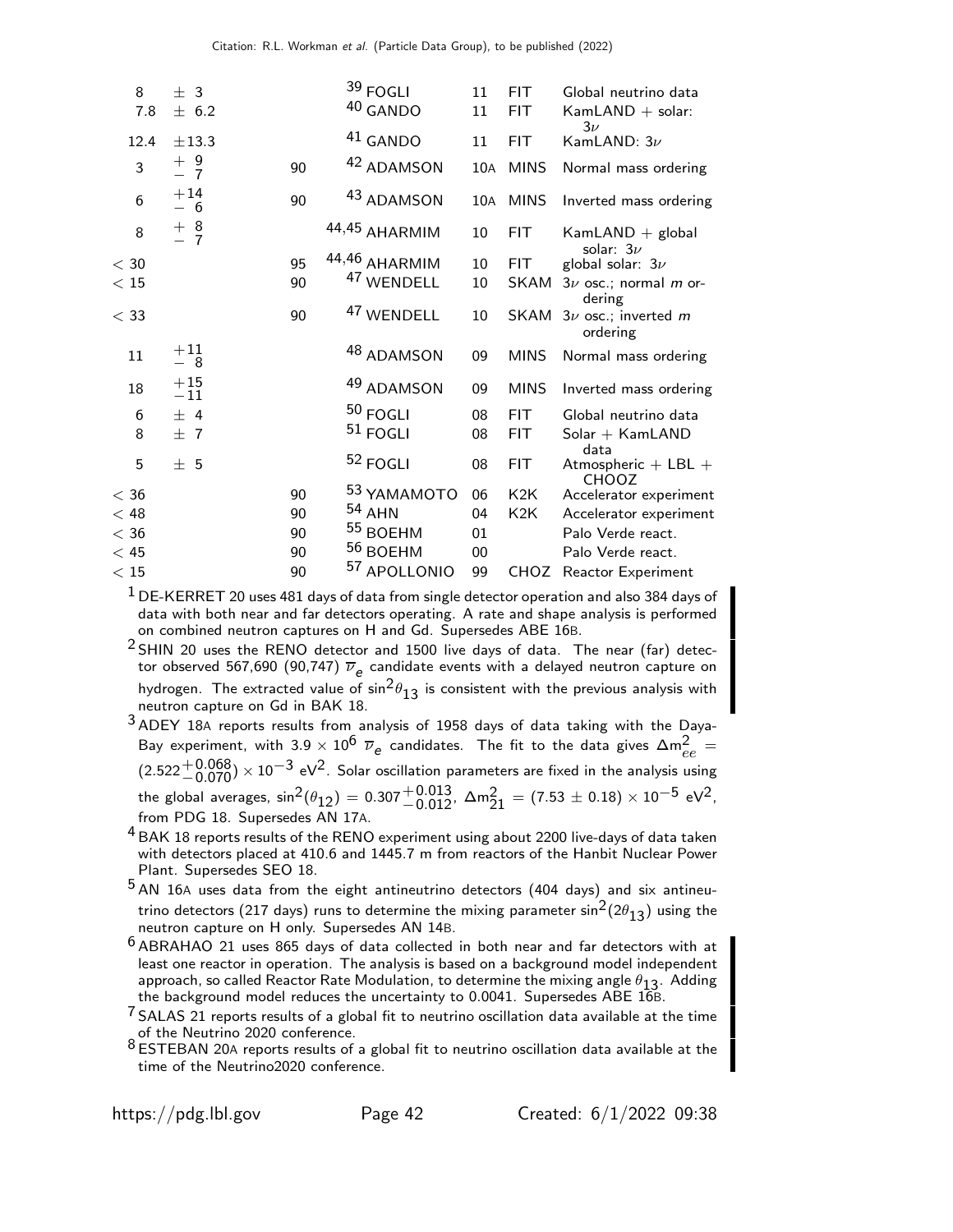| 8       | $±$ 3          |    | $39$ FOGLI            | 11  | <b>FIT</b>       | Global neutrino data                            |
|---------|----------------|----|-----------------------|-----|------------------|-------------------------------------------------|
| 7.8     | ± 6.2          |    | 40 GANDO              | 11  | <b>FIT</b>       | $KamLAND + solar:$<br>$3\nu$                    |
| 12.4    | $\pm$ 13.3     |    | 41 GANDO              | 11  | <b>FIT</b>       | KamLAND: $3\nu$                                 |
| 3       | $+9$<br>$-7$   | 90 | 42 ADAMSON            | 10A | <b>MINS</b>      | Normal mass ordering                            |
| 6       | $+14$<br>— 6   | 90 | 43 ADAMSON            | 10A | <b>MINS</b>      | Inverted mass ordering                          |
| 8       | $+8$<br>- 7    |    | 44,45 AHARMIM         | 10  | FIT.             | $KamLAND + global$<br>solar: $3\nu$             |
| $<$ 30  |                | 95 | 44,46 AHARMIM         | 10  | <b>FIT</b>       | global solar: $3\nu$                            |
| < 15    |                | 90 | <sup>47</sup> WENDELL | 10  | SKAM             | $3\nu$ osc.; normal <i>m</i> or-<br>dering      |
| $<$ 33  |                | 90 | 47 WENDELL            | 10  | SKAM             | $3\nu$ osc.; inverted m<br>ordering             |
| 11      | $+11$<br>- 8   |    | 48 ADAMSON            | 09  | <b>MINS</b>      | Normal mass ordering                            |
| 18      | $+15$<br>$-11$ |    | 49 ADAMSON            | 09  | <b>MINS</b>      | Inverted mass ordering                          |
| 6       | ± 4            |    | $50$ FOGLI            | 08  | <b>FIT</b>       | Global neutrino data                            |
| 8       | ±7             |    | $51$ FOGLI            | 08  | <b>FIT</b>       | $Solar + KamLAND$                               |
| 5       | ±5             |    | 52 FOGLI              | 08  | <b>FIT</b>       | data<br>Atmospheric $+$ LBL $+$<br><b>CHOOZ</b> |
| $<$ 36  |                | 90 | 53 YAMAMOTO           | 06  | K <sub>2</sub> K | Accelerator experiment                          |
| $<$ 48  |                | 90 | $54$ AHN              | 04  | K <sub>2</sub> K | Accelerator experiment                          |
| $<$ 36  |                | 90 | 55 BOEHM              | 01  |                  | Palo Verde react.                               |
| < 45    |                | 90 | 56 BOEHM              | 00  |                  | Palo Verde react.                               |
| $<\,15$ |                | 90 | 57 APOLLONIO          | 99  | CHOZ             | Reactor Experiment                              |

 $1$  DE-KERRET 20 uses 481 days of data from single detector operation and also 384 days of data with both near and far detectors operating. A rate and shape analysis is performed on combined neutron captures on H and Gd. Supersedes ABE 16B.

 $2$  SHIN 20 uses the RENO detector and 1500 live days of data. The near (far) detector observed 567,690 (90,747)  $\overline{\nu}_e$  candidate events with a delayed neutron capture on hydrogen. The extracted value of  $\sin^2\theta_{13}$  is consistent with the previous analysis with neutron capture on Gd in BAK 18.

 $3$  ADEY 18A reports results from analysis of 1958 days of data taking with the Daya-Bay experiment, with 3.9  $\times$  10<sup>6</sup>  $\overline{\nu}_e$  candidates. The fit to the data gives  $\Delta m_{ee}^2 =$  $(2.522 + 0.068) \times 10^{-3}$  eV<sup>2</sup>. Solar oscillation parameters are fixed in the analysis using the global averages,  $\sin^2(\theta_{12}) = 0.307 \pm 0.013$ ,  $\Delta m_{21}^2 = (7.53 \pm 0.18) \times 10^{-5}$  eV<sup>2</sup>, from PDG 18. Supersedes AN 17A.

<sup>4</sup> BAK 18 reports results of the RENO experiment using about 2200 live-days of data taken with detectors placed at 410.6 and 1445.7 m from reactors of the Hanbit Nuclear Power Plant. Supersedes SEO 18.

 $5$  AN 16A uses data from the eight antineutrino detectors (404 days) and six antineutrino detectors (217 days) runs to determine the mixing parameter  $\sin^2(2\theta_{13})$  using the neutron capture on H only. Supersedes AN 14B.

<sup>6</sup> ABRAHAO 21 uses 865 days of data collected in both near and far detectors with at least one reactor in operation. The analysis is based on a background model independent approach, so called Reactor Rate Modulation, to determine the mixing angle  $\theta_{13}$ . Adding the background model reduces the uncertainty to 0.0041. Supersedes ABE 16B.

 $\frac{7}{1}$  SALAS 21 reports results of a global fit to neutrino oscillation data available at the time of the Neutrino 2020 conference.

8 BI the Neutrino 2020 connerence.<br>8 ESTEBAN 20A reports results of a global fit to neutrino oscillation data available at the time of the Neutrino2020 conference.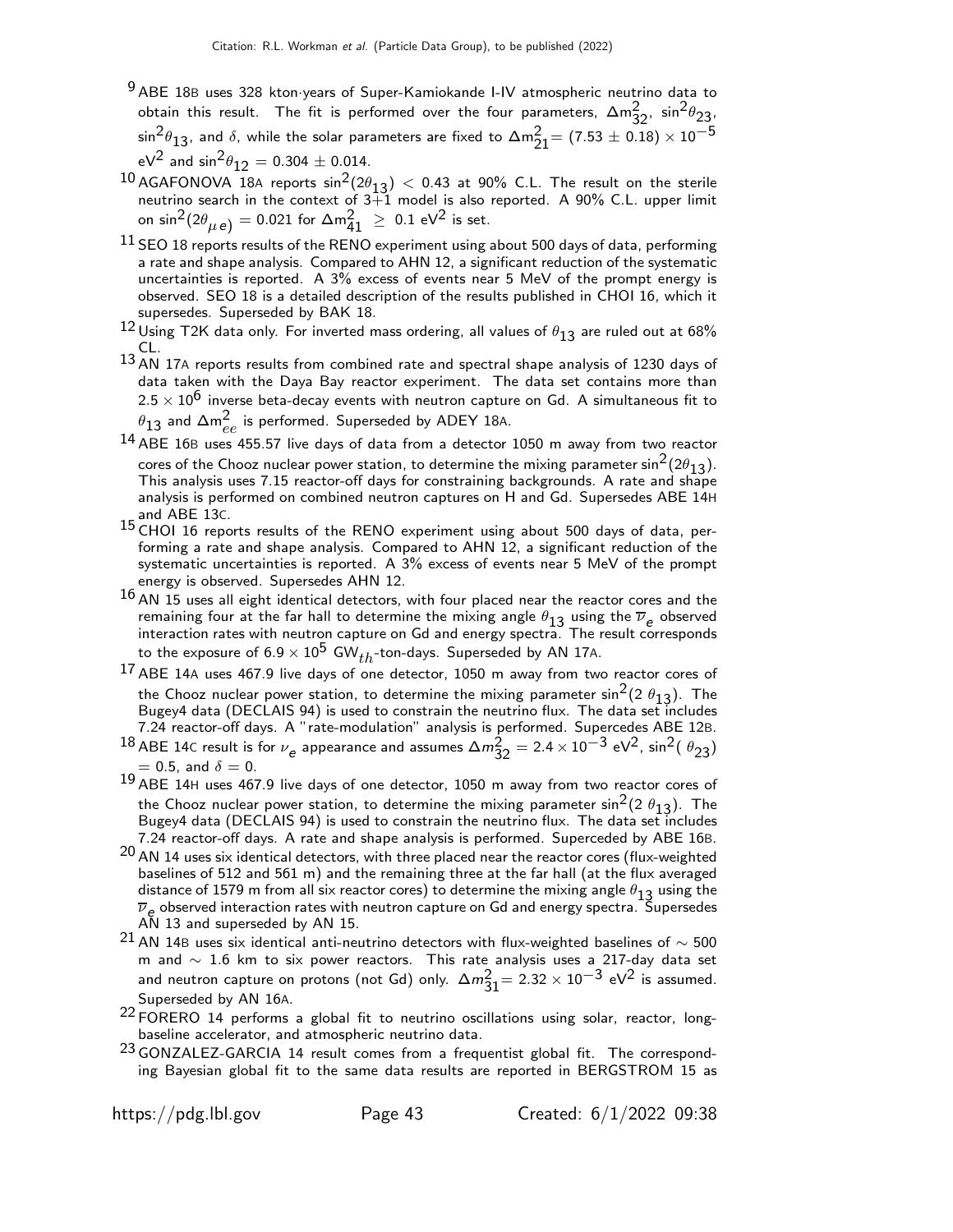- 9 ABE 18<sup>B</sup> uses 328 kton·years of Super-Kamiokande I-IV atmospheric neutrino data to obtain this result. The fit is performed over the four parameters,  $\Delta m_{32}^2$ ,  $\sin^2\theta_{23}$ .  $\sin^2\!\theta_{13}$ , and  $\delta$ , while the solar parameters are fixed to  $\Delta \mathsf{m}_{21}^2\!=\left(7.53\pm0.18\right)\times10^{-5}$  $eV^2$  and  $\sin^2\theta_{12} = 0.304 \pm 0.014$ .
- $^{10}$  AGAFONOVA 18A reports  $\sin^2(2\theta_{13}) < 0.43$  at 90% C.L. The result on the sterile neutrino search in the context of 3+1 model is also reported. A 90% C.L. upper limit on sin $^2(2\theta_{\mu\,\text{e}}^{})=0.021$  for  $\Delta\mathfrak{m}^2_{41}~\geq~0.1$  eV $^2$  is set.
- $11$  SEO 18 reports results of the RENO experiment using about 500 days of data, performing a rate and shape analysis. Compared to AHN 12, a significant reduction of the systematic uncertainties is reported. A 3% excess of events near 5 MeV of the prompt energy is observed. SEO 18 is a detailed description of the results published in CHOI 16, which it supersedes. Superseded by BAK 18.
- $^{12}$  Using T2K data only. For inverted mass ordering, all values of  $\theta_{13}$  are ruled out at 68% CL.
- 13 AN 17A reports results from combined rate and spectral shape analysis of 1230 days of data taken with the Daya Bay reactor experiment. The data set contains more than  $2.5 \times 10^6$  inverse beta-decay events with neutron capture on Gd. A simultaneous fit to  $\theta_{13}$  and  $\Delta\mathsf{m}_{ee}^2$  is performed. Superseded by ADEY 18A.
- <sup>14</sup> ABE 16B uses 455.57 live days of data from a detector 1050 m away from two reactor cores of the Chooz nuclear power station, to determine the mixing parameter  $\sin^2(2\theta_{13})$ . This analysis uses 7.15 reactor-off days for constraining backgrounds. A rate and shape analysis is performed on combined neutron captures on H and Gd. Supersedes ABE 14H and ABE 13C.
- 15 CHOI 16 reports results of the RENO experiment using about 500 days of data, performing a rate and shape analysis. Compared to AHN 12, a significant reduction of the systematic uncertainties is reported. A 3% excess of events near 5 MeV of the prompt energy is observed. Supersedes AHN 12.
- $16$  AN  $15$  uses all eight identical detectors, with four placed near the reactor cores and the remaining four at the far hall to determine the mixing angle  $\theta_{13}$  using the  $\overline{\nu}_e$  observed interaction rates with neutron capture on Gd and energy spectra. The result corresponds to the exposure of  $6.9 \times 10^5$  GW $_{th}$ -ton-days. Superseded by AN 17A.
- 17 ABE 14<sup>A</sup> uses 467.9 live days of one detector, 1050 m away from two reactor cores of the Chooz nuclear power station, to determine the mixing parameter sin $^2$ (2  $\theta_{13}$ ). The<br>Bugey4 data (DECLAIS 94) is used to constrain the neutrino flux. The data set includes 7.24 reactor-off days. A "rate-modulation" analysis is performed. Supercedes ABE 12B.
- <sup>18</sup> ABE 14C result is for  $\nu_e$  appearance and assumes  $\Delta m_{32}^2 = 2.4 \times 10^{-3}$  eV<sup>2</sup>, sin<sup>2</sup>(  $\theta_{23}$ )  $= 0.5$ , and  $\delta = 0$ .
- 19 ABE 14<sup>H</sup> uses 467.9 live days of one detector, 1050 m away from two reactor cores of the Chooz nuclear power station, to determine the mixing parameter sin<sup>2</sup>(2  $\theta_{13}$ ). The Bugey4 data (DECLAIS 94) is used to constrain the neutrino flux. The data set includes 7.24 reactor-off days. A rate and shape analysis is performed. Superceded by ABE 16B.
- $20$  AN 14 uses six identical detectors, with three placed near the reactor cores (flux-weighted baselines of 512 and 561 m) and the remaining three at the far hall (at the flux averaged distance of 1579 m from all six reactor cores) to determine the mixing angle  $\theta_{13}$  using the  $\overline{\nu}_e$  observed interaction rates with neutron capture on Gd and energy spectra. Supersedes AN 13 and superseded by AN 15.
- $^{21}$  AN 14B uses six identical anti-neutrino detectors with flux-weighted baselines of  $\sim$  500 m and  $∼$  1.6 km to six power reactors. This rate analysis uses a 217-day data set and neutron capture on protons (not Gd) only.  $\Delta m_{31}^2 = 2.32 \times 10^{-3} \text{ eV}^2$  is assumed. Superseded by AN 16A.
- $22$  FORERO 14 performs a global fit to neutrino oscillations using solar, reactor, longbaseline accelerator, and atmospheric neutrino data.
- <sup>23</sup> GONZALEZ-GARCIA 14 result comes from a frequentist global fit. The corresponding Bayesian global fit to the same data results are reported in BERGSTROM 15 as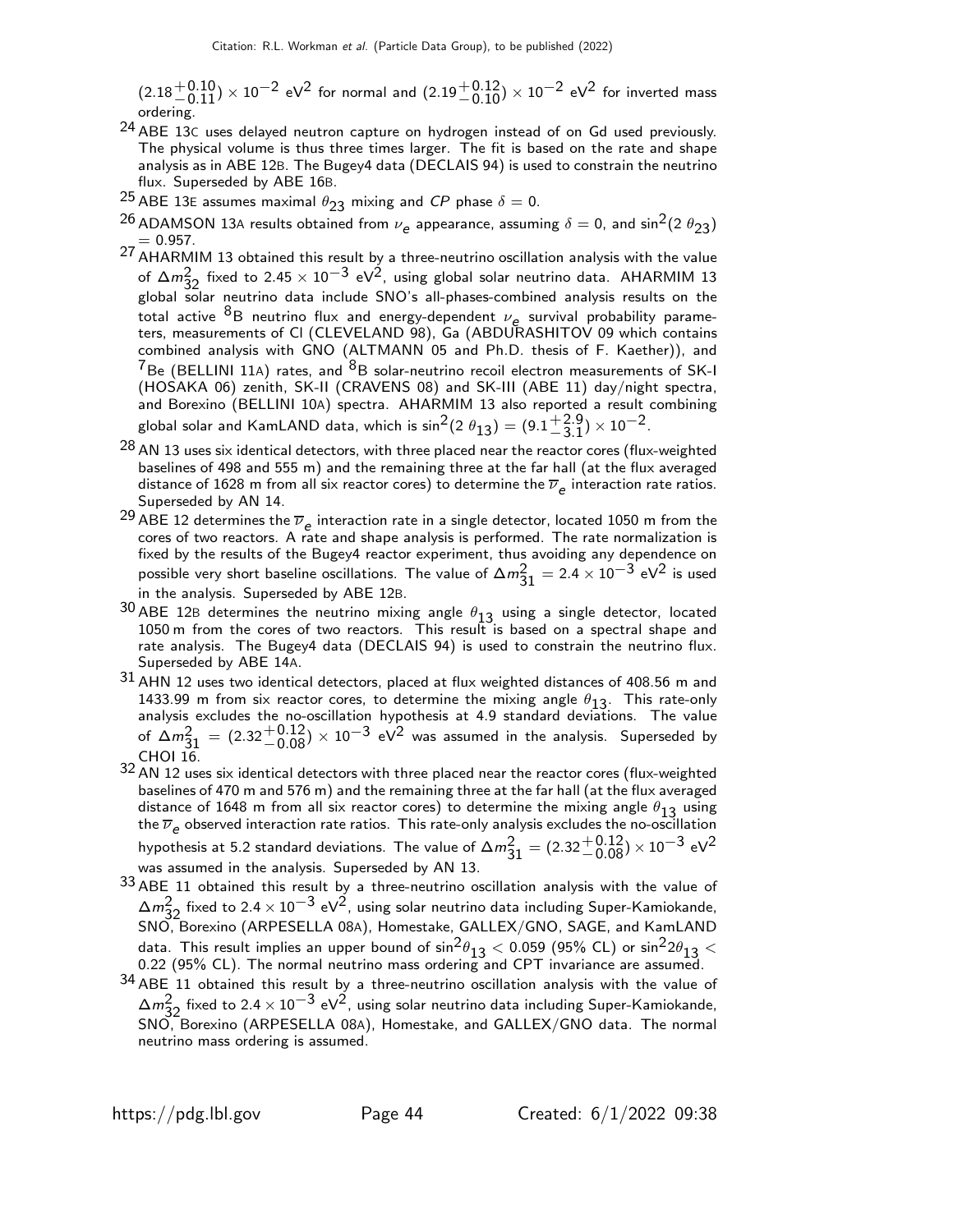$(2.18 + 0.10) \times 10^{-2}$  eV<sup>2</sup> for normal and  $(2.19 + 0.12) \times 10^{-2}$  eV<sup>2</sup> for inverted mass ordering.

- 24 ABE 13<sup>C</sup> uses delayed neutron capture on hydrogen instead of on Gd used previously. The physical volume is thus three times larger. The fit is based on the rate and shape analysis as in ABE 12B. The Bugey4 data (DECLAIS 94) is used to constrain the neutrino flux. Superseded by ABE 16B.
- 25 ABE 13E assumes maximal  $\theta_{23}$  mixing and CP phase  $\delta = 0$ .
- <sup>26</sup> ADAMSON 13A results obtained from  $\nu_e$  appearance, assuming  $\delta = 0$ , and  $\sin^2(2\theta_{23})$  $= 0.957.$
- 27 AHARMIM 13 obtained this result by a three-neutrino oscillation analysis with the value of  $\Delta m_{32}^2$  fixed to 2.45 × 10<sup>-3</sup> eV<sup>2</sup>, using global solar neutrino data. AHARMIM 13 global solar neutrino data include SNO's all-phases-combined analysis results on the total active  ${}^{8}B$  neutrino flux and energy-dependent  $\nu_e$  survival probability parameters, measurements of Cl (CLEVELAND 98), Ga (ABDURASHITOV 09 which contains combined analysis with GNO (ALTMANN 05 and Ph.D. thesis of F. Kaether)), and  $7Be$  (BELLINI 11A) rates, and  $8B$  solar-neutrino recoil electron measurements of SK-I (HOSAKA 06) zenith, SK-II (CRAVENS 08) and SK-III (ABE 11) day/night spectra, and Borexino (BELLINI 10A) spectra. AHARMIM 13 also reported a result combining global solar and KamLAND data, which is  $\sin^2(2 \theta_{13}) = (9.1\frac{+2.9}{-3.1}$  $^{+2.9}_{-3.1}$ ) × 10<sup>-2</sup>.
- $^{28}$  AN 13 uses six identical detectors, with three placed near the reactor cores (flux-weighted baselines of 498 and 555 m) and the remaining three at the far hall (at the flux averaged distance of 1628 m from all six reactor cores) to determine the  $\overline{\nu}_e$  interaction rate ratios. Superseded by AN 14.
- $^{29}$  ABE 12 determines the  $\overline{\nu}_e$  interaction rate in a single detector, located 1050 m from the cores of two reactors. A rate and shape analysis is performed. The rate normalization is fixed by the results of the Bugey4 reactor experiment, thus avoiding any dependence on possible very short baseline oscillations. The value of  $\Delta m_{31}^2 = 2.4 \times 10^{-3}$  eV<sup>2</sup> is used in the analysis. Superseded by ABE 12B.
- $30$  ABE 12B determines the neutrino mixing angle  $\theta_{13}$  using a single detector, located 1050 m from the cores of two reactors. This result is based on a spectral shape and rate analysis. The Bugey4 data (DECLAIS 94) is used to constrain the neutrino flux. Superseded by ABE 14A.
- $31$  AHN 12 uses two identical detectors, placed at flux weighted distances of 408.56 m and 1433.99 m from six reactor cores, to determine the mixing angle  $\theta_{13}$ . This rate-only analysis excludes the no-oscillation hypothesis at 4.9 standard deviations. The value of  $\Delta m_{31}^2 = (2.32 \frac{+0.12}{-0.08}) \times 10^{-3}$  eV<sup>2</sup> was assumed in the analysis. Superseded by CHOI 16.
- $32$  AN 12 uses six identical detectors with three placed near the reactor cores (flux-weighted baselines of 470 m and 576 m) and the remaining three at the far hall (at the flux averaged distance of 1648 m from all six reactor cores) to determine the mixing angle  $\theta_{13}$  using the  $\overline{\nu}_e$  observed interaction rate ratios. This rate-only analysis excludes the no-oscillation hypothesis at 5.2 standard deviations. The value of  $\Delta m_{31}^2 = (2.32 \frac{+0.12}{-0.08}) \times 10^{-3}$  eV<sup>2</sup> was assumed in the analysis. Superseded by AN 13.
- $33$  ABE 11 obtained this result by a three-neutrino oscillation analysis with the value of  $\Delta m_{22}^2$  fixed to 2.4 × 10<sup>-3</sup> eV<sup>2</sup>, using solar neutrino data including Super-Kamiokande, SNO, Borexino (ARPESELLA 08A), Homestake, GALLEX/GNO, SAGE, and KamLAND data. This result implies an upper bound of  $\sin^2\theta_{13} < 0.059$  (95% CL) or  $\sin^2 2\theta_{13} <$ 0.22 (95% CL). The normal neutrino mass ordering and CPT invariance are assumed.
- $34$  ABE 11 obtained this result by a three-neutrino oscillation analysis with the value of  $\Delta m_{32}^2$  fixed to 2.4 × 10<sup>−3</sup> eV<sup>2</sup>, using solar neutrino data including Super-Kamiokande, SNO, Borexino (ARPESELLA 08A), Homestake, and GALLEX/GNO data. The normal neutrino mass ordering is assumed.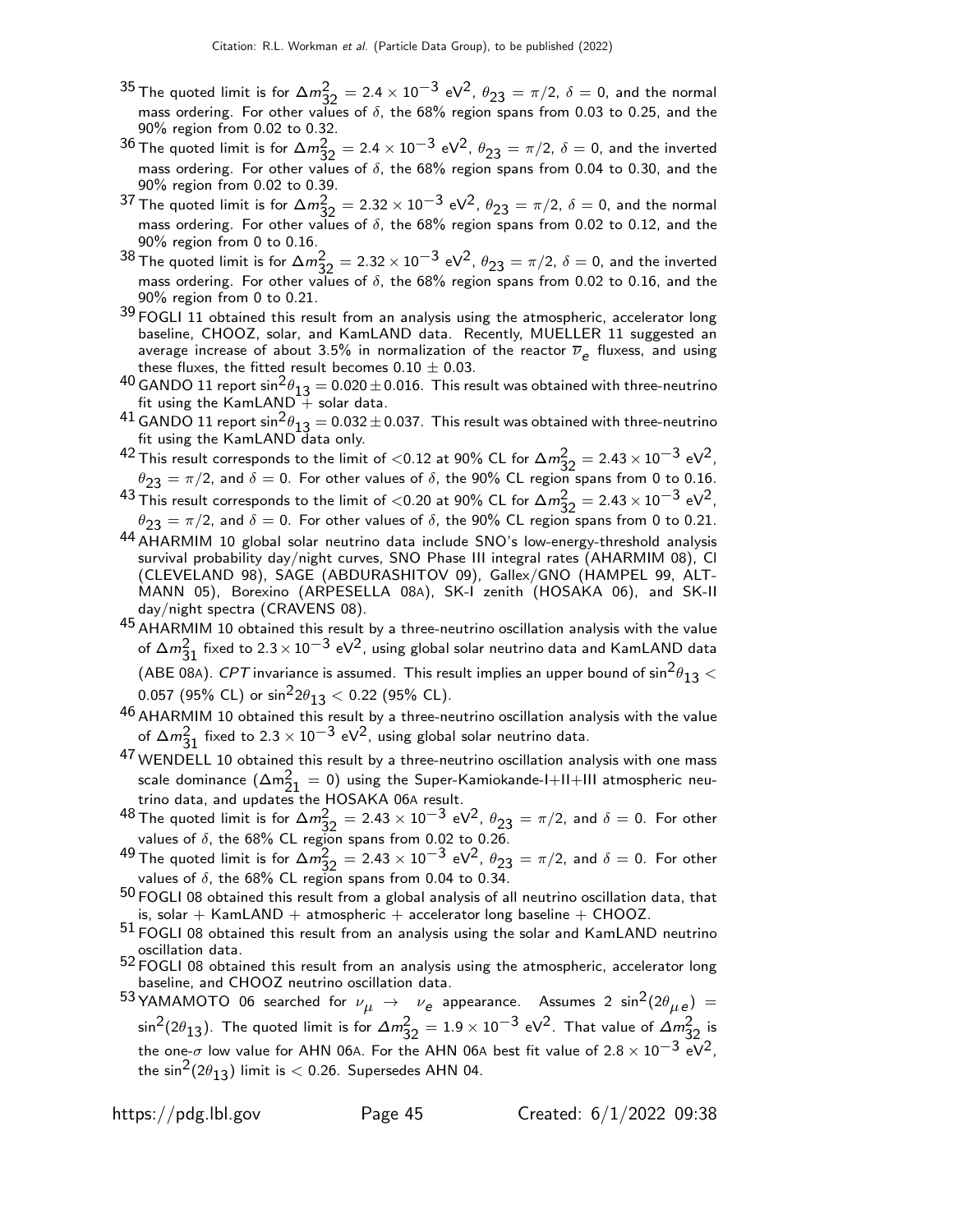- <sup>35</sup> The quoted limit is for Δ $m_{32}^2 = 2.4 \times 10^{-3}$  eV<sup>2</sup>,  $\theta_{23} = \pi/2$ ,  $\delta = 0$ , and the normal mass ordering. For other values of  $\delta$ , the 68% region spans from 0.03 to 0.25, and the 90% region from 0.02 to 0.32.
- 36 The quoted limit is for  $\Delta m_{32}^2 = 2.4 \times 10^{-3}$  eV<sup>2</sup>,  $\theta_{23} = \pi/2$ ,  $\delta = 0$ , and the inverted mass ordering. For other values of  $\delta$ , the 68% region spans from 0.04 to 0.30, and the 90% region from 0.02 to 0.39.
- 37 The quoted limit is for  $\Delta m_{32}^2 = 2.32 \times 10^{-3}$  eV<sup>2</sup>,  $\theta_{23} = \pi/2$ ,  $\delta = 0$ , and the normal mass ordering. For other values of  $\delta$ , the 68% region spans from 0.02 to 0.12, and the 90% region from 0 to 0.16.
- 38 The quoted limit is for  $\Delta m_{32}^2 = 2.32 \times 10^{-3}$  eV<sup>2</sup>,  $\theta_{23} = \pi/2$ ,  $\delta = 0$ , and the inverted mass ordering. For other values of  $\delta$ , the 68% region spans from 0.02 to 0.16, and the 90% region from 0 to 0.21.
- $39$  FOGLI 11 obtained this result from an analysis using the atmospheric, accelerator long baseline, CHOOZ, solar, and KamLAND data. Recently, MUELLER 11 suggested an average increase of about 3.5% in normalization of the reactor  $\overline{\nu}_e$  fluxess, and using these fluxes, the fitted result becomes  $0.10 \pm 0.03$ .
- 40 GANDO 11 report  $\sin^2 \theta_{13} = 0.020 \pm 0.016$ . This result was obtained with three-neutrino fit using the KamLAND  $+$  solar data.
- $^{41}$  GANDO 11 report  $\sin^2\theta_{13} = 0.032 \pm 0.037$ . This result was obtained with three-neutrino fit using the KamLAND data only.
- <sup>42</sup> This result corresponds to the limit of <0.12 at 90% CL for  $\Delta m_{32}^2 = 2.43 \times 10^{-3}$  eV<sup>2</sup>,  $\theta_{23} = \pi/2$ , and  $\delta = 0$ . For other values of  $\delta$ , the 90% CL region spans from 0 to 0.16.
- 43 This result corresponds to the limit of <0.20 at 90% CL for  $\Delta m_{32}^2 = 2.43 \times 10^{-3}$  eV<sup>2</sup>,  $\theta_{23} = \pi/2$ , and  $\delta = 0$ . For other values of  $\delta$ , the 90% CL region spans from 0 to 0.21.
- 44 AHARMIM 10 global solar neutrino data include SNO's low-energy-threshold analysis survival probability day/night curves, SNO Phase III integral rates (AHARMIM 08), Cl (CLEVELAND 98), SAGE (ABDURASHITOV 09), Gallex/GNO (HAMPEL 99, ALT-MANN 05), Borexino (ARPESELLA 08A), SK-I zenith (HOSAKA 06), and SK-II day/night spectra (CRAVENS 08).
- 45 AHARMIM 10 obtained this result by a three-neutrino oscillation analysis with the value of  $\Delta m_{31}^2$  fixed to 2.3 × 10 $^{-3}$  eV<sup>2</sup>, using global solar neutrino data and KamLAND data (ABE 08A). CPT invariance is assumed. This result implies an upper bound of  $\sin^2\!\theta_{13}<$ 0.057 (95% CL) or  $\sin^2 2\theta_{13}$  < 0.22 (95% CL).
- 46 AHARMIM 10 obtained this result by a three-neutrino oscillation analysis with the value of  $\Delta m_{31}^2$  fixed to 2.3  $\times$  10 $^{-3}$  eV<sup>2</sup>, using global solar neutrino data.
- 47 WENDELL 10 obtained this result by a three-neutrino oscillation analysis with one mass scale dominance  $(\Delta m_{21}^2 = 0)$  using the Super-Kamiokande-I+II+III atmospheric neutrino data, and updates the HOSAKA 06A result.
- $^{48}$  The quoted limit is for  $\Delta m_{32}^2 = 2.43 \times 10^{-3}$  eV<sup>2</sup>,  $\theta_{23} = \pi/2$ , and  $\delta = 0$ . For other values of  $\delta$ , the 68% CL region spans from 0.02 to 0.26.
- <sup>49</sup> The quoted limit is for  $\Delta m_{32}^2 = 2.43 \times 10^{-3}$  eV<sup>2</sup>,  $\theta_{23} = \pi/2$ , and  $\delta = 0$ . For other values of  $\delta$ , the 68% CL region spans from 0.04 to 0.34.
- $50$  FOGLI 08 obtained this result from a global analysis of all neutrino oscillation data, that is, solar  $+$  KamLAND  $+$  atmospheric  $+$  accelerator long baseline  $+$  CHOOZ.
- $51$  FOGLI 08 obtained this result from an analysis using the solar and KamLAND neutrino oscillation data.
- $52$  FOGLI 08 obtained this result from an analysis using the atmospheric, accelerator long baseline, and CHOOZ neutrino oscillation data.
- $^{53}$ YAMAMOTO 06 searched for  $\nu_{\mu}$   $\rightarrow$   $\nu_{\bm{e}}$  appearance. Assumes 2  $\sin^2(2\theta_{\mu\,\bm{e}})$   $=$  $\sin^2(2\theta_{13})$ . The quoted limit is for  $\Delta m^2_{32}=1.9\times 10^{-3}$  eV<sup>2</sup>. That value of  $\Delta m^2_{32}$  is the one- $\sigma$  low value for AHN 06A. For the AHN 06A best fit value of 2.8  $\times$  10<sup>-3</sup> eV<sup>2</sup>, the sin<sup>2</sup>(2 $\theta$ <sub>13</sub>) limit is < 0.26. Supersedes AHN 04.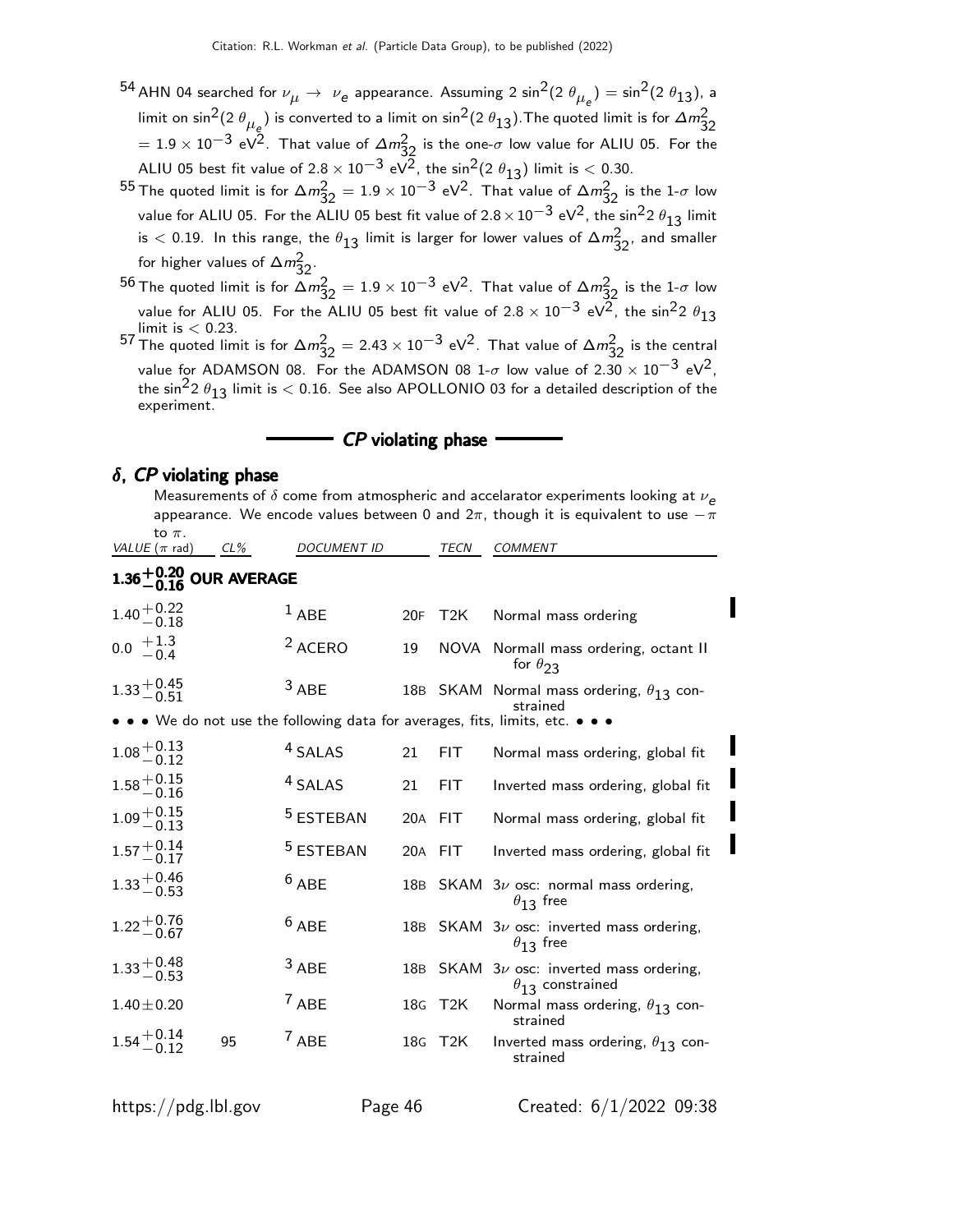- <sup>54</sup> AHN 04 searched for  $\nu_{\mu} \rightarrow \nu_e$  appearance. Assuming 2 sin<sup>2</sup>(2  $\theta_{\mu_e}$ ) = sin<sup>2</sup>(2  $\theta_{13}$ ), a limit on sin $^2$ (2  $\theta_{\mu_\varrho})$  is converted to a limit on sin $^2$ (2  $\theta_{13}$ ). The quoted limit is for  $\Delta m^2_{32}$  $= 1.9 \times 10^{-3}$  eV<sup>2</sup>. That value of  $\Delta m_{32}^2$  is the one- $\sigma$  low value for ALIU 05. For the ALIU 05 best fit value of  $2.8 \times 10^{-3}$  eV $\frac{2}{3}$ , the sin<sup>2</sup>(2  $\theta_{13}$ ) limit is < 0.30.
- $^{55}$  The quoted limit is for  $\Delta m_{32}^2 = 1.9 \times 10^{-3}$  eV<sup>2</sup>. That value of  $\Delta m_{32}^2$  is the 1- $\sigma$  low value for ALIU 05. For the ALIU 05 best fit value of  $2.8 \times 10^{-3}$  eV<sup>2</sup>, the sin<sup>2</sup>2  $\theta_{13}$  limit is  $<$  0.19. In this range, the  $\theta_{13}$  limit is larger for lower values of  $\Delta m^2_{32}$ , and smaller for higher values of  $\Delta m_{32}^2$ .

 $^{56}$  The quoted limit is for  $\Delta m^2_{32}=1.9\times 10^{-3}$  eV $^2$ . That value of  $\Delta m^2_{32}$  is the 1- $\sigma$  low value for ALIU 05. For the ALIU 05 best fit value of  $2.8 \times 10^{-3}$  eV<sup>2</sup>, the sin<sup>2</sup>2  $\theta_{13}$ limit is  $< 0.23$ . 57 The quoted limit is for  $\Delta m_{32}^2 = 2.43 \times 10^{-3} \text{ eV}^2$ . That value of  $\Delta m_{32}^2$  is the central

value for ADAMSON 08. For the ADAMSON 08 1- $\sigma$  low value of 2.30  $\times$  10<sup>-3</sup> eV<sup>2</sup>, the sin<sup>2</sup>2  $\theta_{13}$  limit is  $<$  0.16. See also APOLLONIO 03 for a detailed description of the experiment.

CP violating phase

#### $\delta$ , CP violating phase

|                                                 |     |                      |         |             | appearance. We encode values between 0 and $2\pi$ , though it is equivalent to use $-\pi$ |
|-------------------------------------------------|-----|----------------------|---------|-------------|-------------------------------------------------------------------------------------------|
| to $\pi$ .<br>VALUE $(\pi$ rad)                 | CL% | <b>DOCUMENT ID</b>   |         | <b>TECN</b> | <b>COMMENT</b>                                                                            |
| 1.36 $^{+0.20}_{-0.16}$ OUR AVERAGE             |     |                      |         |             |                                                                                           |
| $1.40 + 0.22$<br>$-0.18$                        |     | $1$ ABE              |         | 20F T2K     | Normal mass ordering                                                                      |
| $0.0 \begin{array}{c} +1.3 \\ -0.4 \end{array}$ |     | <sup>2</sup> ACERO   | 19      |             | NOVA Normall mass ordering, octant II<br>for $\theta_{23}$                                |
| $1.33 + 0.45$<br>-0.51                          |     | $3$ ABE              |         |             | 18B SKAM Normal mass ordering, $\theta_{13}$ con-<br>strained                             |
|                                                 |     |                      |         |             | • • • We do not use the following data for averages, fits, limits, etc. • • •             |
| $1.08 + 0.13$<br>$-0.12$                        |     | <sup>4</sup> SALAS   | 21      | FIT.        | Normal mass ordering, global fit                                                          |
| $1.58^{+0.15}_{-0.16}$                          |     | <sup>4</sup> SALAS   | 21      | FIT.        | Inverted mass ordering, global fit                                                        |
| $1.09 + 0.15$<br>$-0.13$                        |     | <sup>5</sup> ESTEBAN | 20A FIT |             | Normal mass ordering, global fit                                                          |
| $1.57 + 0.14$<br>-0.17                          |     | <sup>5</sup> ESTEBAN |         | 20A FIT     | Inverted mass ordering, global fit                                                        |
| $1.33 + 0.46$<br>-0.53                          |     | $6$ ABE              |         |             | 18B SKAM $3\nu$ osc: normal mass ordering,<br>$\theta_{13}$ free                          |
| $1.22 + 0.76$<br>-0.67                          |     | $6$ ABE              |         |             | 18B SKAM $3\nu$ osc: inverted mass ordering,<br>$\theta_{13}$ free                        |
| $1.33 + 0.48$<br>-0.53                          |     | $3$ ABE              |         |             | 18B SKAM $3\nu$ osc: inverted mass ordering,<br>$\theta_{13}$ constrained                 |
| $1.40 \pm 0.20$                                 |     | $7$ ABE              |         | 18G T2K     | Normal mass ordering, $\theta_{13}$ con-<br>strained                                      |
| $1.54^{+0.14}_{-0.12}$                          | 95  | $7$ ABE              |         | 18G T2K     | Inverted mass ordering, $\theta_{13}$ con-<br>strained                                    |

Measurements of  $\delta$  come from atmospheric and accelarator experiments looking at  $\nu_e$ appearance. We encode value  $\Omega$  and  $2\pi$ , though it is equivalent to use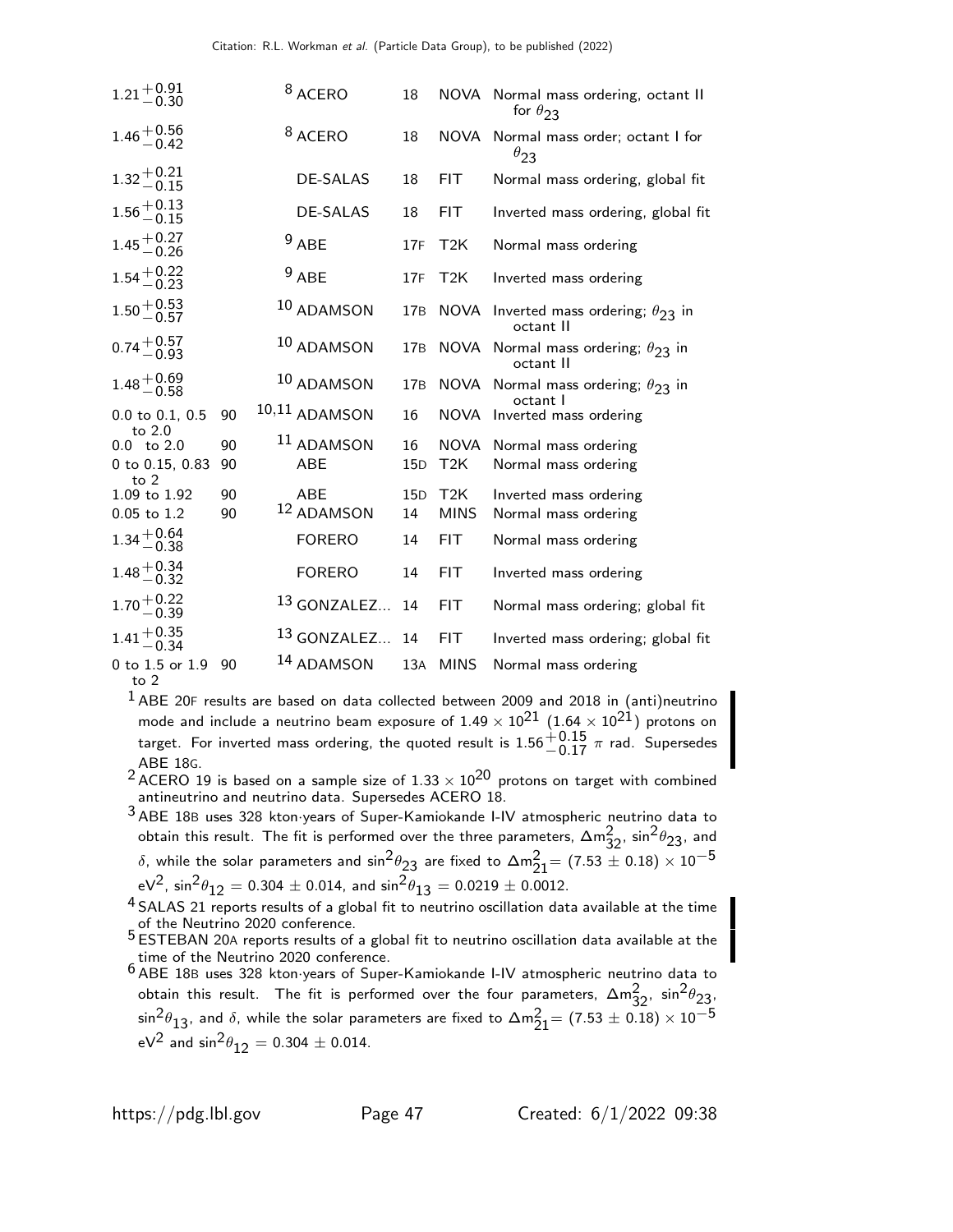| $1.21 + 0.91$<br>-0.30    |    | <sup>8</sup> ACERO     | 18  |                  | NOVA Normal mass ordering, octant II<br>for $\theta_{23}$  |
|---------------------------|----|------------------------|-----|------------------|------------------------------------------------------------|
| $1.46 + 0.56$<br>-0.42    |    | <sup>8</sup> ACERO     | 18  |                  | NOVA Normal mass order; octant I for<br>$\theta_{23}$      |
| $1.32 + 0.21$<br>$-0.15$  |    | <b>DE-SALAS</b>        | 18  | <b>FIT</b>       | Normal mass ordering, global fit                           |
| $1.56 + 0.13$<br>-0.15    |    | <b>DE-SALAS</b>        | 18  | <b>FIT</b>       | Inverted mass ordering, global fit                         |
| $1.45 + 0.27$<br>-0.26    |    | $9$ ABE                | 17F | T2K              | Normal mass ordering                                       |
| $1.54 + 0.22$<br>-0.23    |    | $9$ ABE                | 17F | T2K              | Inverted mass ordering                                     |
| $1.50 + 0.53$<br>-0.57    |    | 10 ADAMSON             | 17B |                  | NOVA Inverted mass ordering; $\theta_{23}$ in<br>octant II |
| $0.74 + 0.57$<br>0.93     |    | 10 ADAMSON             | 17B |                  | NOVA Normal mass ordering; $\theta_{23}$ in<br>octant II   |
| $1.48 + 0.69$<br>-0.58    |    | 10 ADAMSON             | 17B |                  | NOVA Normal mass ordering; $\theta_{23}$ in<br>octant I    |
| 0.0 to 0.1, 0.5<br>to 2.0 | 90 | 10,11 ADAMSON          | 16  |                  | NOVA Inverted mass ordering                                |
| $0.0 \text{ to } 2.0$     | 90 | <sup>11</sup> ADAMSON  | 16  | NOVA             | Normal mass ordering                                       |
| 0 to 0.15, 0.83<br>to $2$ | 90 | ABE                    | 15D | T <sub>2</sub> K | Normal mass ordering                                       |
| 1.09 to 1.92              | 90 | <b>ABE</b>             | 15D | T <sub>2</sub> K | Inverted mass ordering                                     |
| 0.05 to 1.2               | 90 | 12 ADAMSON             | 14  | <b>MINS</b>      | Normal mass ordering                                       |
| $1.34 + 0.64$<br>-0.38    |    | <b>FORERO</b>          | 14  | <b>FIT</b>       | Normal mass ordering                                       |
| $1.48 + 0.34$<br>-0.32    |    | <b>FORERO</b>          | 14  | <b>FIT</b>       | Inverted mass ordering                                     |
| $1.70 + 0.22$<br>-0.39    |    | 13 GONZALEZ            | 14  | <b>FIT</b>       | Normal mass ordering; global fit                           |
| $1.41 + 0.35$<br>$-0.34$  |    | <sup>13</sup> GONZALEZ | 14  | <b>FIT</b>       | Inverted mass ordering; global fit                         |
| 0 to 1.5 or 1.9 90        |    | 14 ADAMSON             | 13A | <b>MINS</b>      | Normal mass ordering                                       |
|                           |    |                        |     |                  |                                                            |

to 2

 $<sup>1</sup>$  ABE 20F results are based on data collected between 2009 and 2018 in (anti)neutrino</sup> mode and include a neutrino beam exposure of  $1.49 \times 10^{21}$   $(1.64 \times 10^{21})$  protons on target. For inverted mass ordering, the quoted result is  $1.56^{+0.15}_{-0.17}$   $\pi$  rad. Supersedes

 $^2$ ABE 18G.<br> $^2$ ACERO 19 is based on a sample size of 1.33  $\times$  10 $^{20}$  protons on target with combined antineutrino and neutrino data. Supersedes ACERO 18.

3 ABE 18<sup>B</sup> uses 328 kton·years of Super-Kamiokande I-IV atmospheric neutrino data to obtain this result. The fit is performed over the three parameters,  $\Delta m^2_{32}$ ,  $\sin^2\theta_{23}$ , and δ, while the solar parameters and  $\sin^2\theta_{23}$  are fixed to  $\Delta m^2_{21}$ = (7.53  $\pm$  0.18)  $\times$   $10^{-5}$  $eV^2$ , sin $^2\theta_{12} = 0.304 \pm 0.014$ , and sin $^2\theta_{13} = 0.0219 \pm 0.0012$ .

 $^4$  SALAS 21 reports results of a global fit to neutrino oscillation data available at the time of the Neutrino 2020 conference.

5 ESTEBAN 20<sup>A</sup> reports results of a global fit to neutrino oscillation data available at the time of the Neutrino 2020 conference.

6 ABE 18<sup>B</sup> uses 328 kton·years of Super-Kamiokande I-IV atmospheric neutrino data to obtain this result. The fit is performed over the four parameters,  $\Delta m_{32}^2$ ,  $\sin^2\theta_{23}$  $\sin^2\!\theta_{13}$ , and  $\delta$ , while the solar parameters are fixed to  $\Delta m^2_{21}$   $= (7.53 \pm 0.18) \times 10^{-5}$  $eV^2$  and  $sin^2\theta_{12} = 0.304 \pm 0.014$ .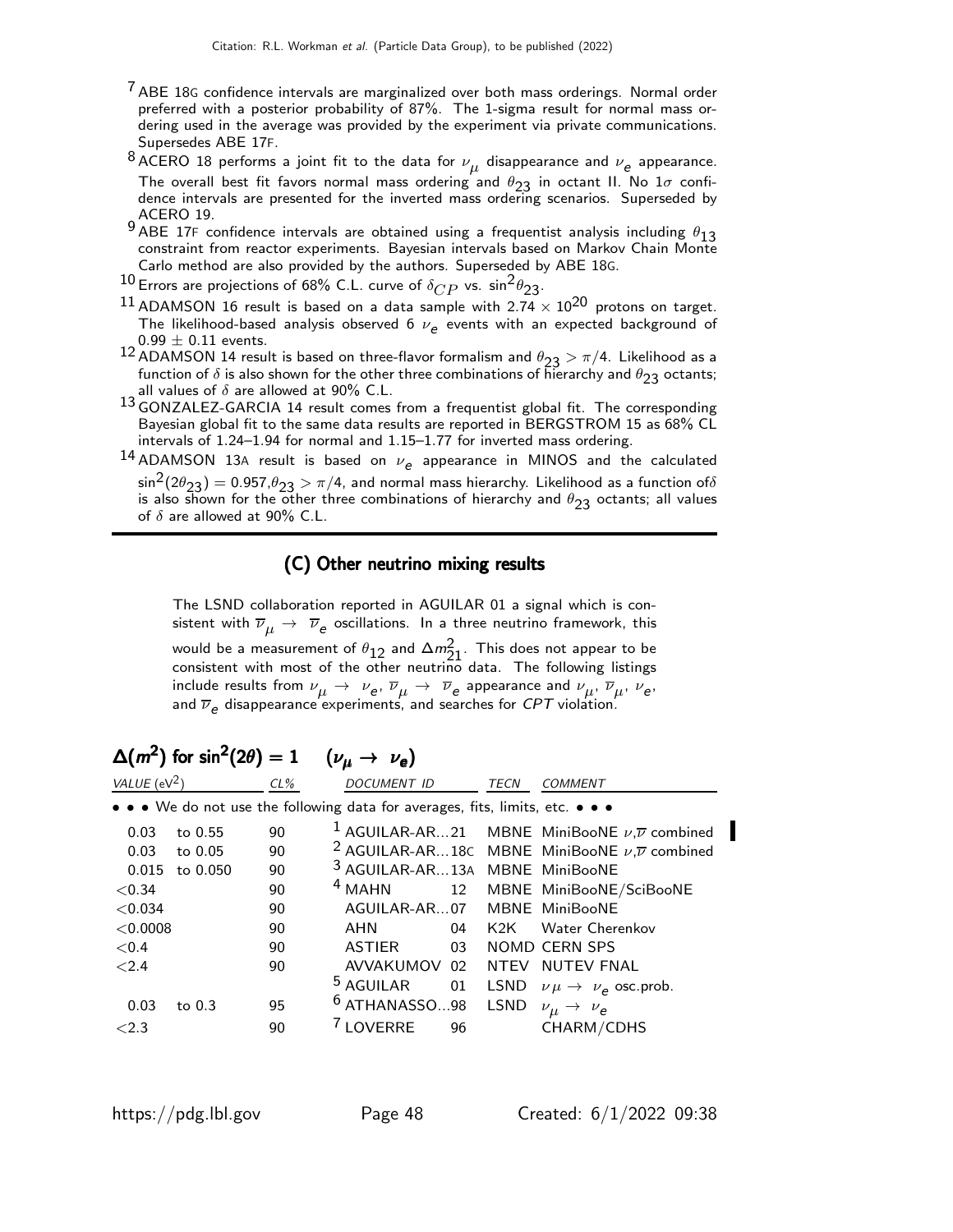- <sup>7</sup> ABE 18G confidence intervals are marginalized over both mass orderings. Normal order preferred with a posterior probability of 87%. The 1-sigma result for normal mass ordering used in the average was provided by the experiment via private communications. Supersedes ABE 17F.
- $^8$ ACERO 18 performs a joint fit to the data for  $\nu_{\boldsymbol{\mu}}$  disappearance and  $\nu_{\boldsymbol{e}}$  appearance. The overall best fit favors normal mass ordering and  $\theta_{23}$  in octant II. No  $1\sigma$  confidence intervals are presented for the inverted mass ordering scenarios. Superseded by ACERO 19.
- ABE 17F confidence intervals are obtained using a frequentist analysis including  $\theta_{13}$ constraint from reactor experiments. Bayesian intervals based on Markov Chain Monte Carlo method are also provided by the authors. Superseded by ABE 18G.
- $^{10}$  Errors are projections of 68% C.L. curve of  $\delta_{CP}$  vs.  $\sin^2\theta_{23}$ .
- <sup>11</sup> ADAMSON 16 result is based on a data sample with 2.74  $\times$  10<sup>20</sup> protons on target. The likelihood-based analysis observed 6  $\nu_e$  events with an expected background of  $0.99 \pm 0.11$  events.
- 12 ADAMSON 14 result is based on three-flavor formalism and  $\theta_{23} > \pi/4$ . Likelihood as a function of  $\delta$  is also shown for the other three combinations of hierarchy and  $\theta_{23}$  octants; all values of  $\delta$  are allowed at 90% C.L.
- 13 GONZALEZ-GARCIA 14 result comes from a frequentist global fit. The corresponding Bayesian global fit to the same data results are reported in BERGSTROM 15 as 68% CL intervals of 1.24–1.94 for normal and 1.15–1.77 for inverted mass ordering.
- $^{14}$  ADAMSON 13A result is based on  $\nu_e$  appearance in MINOS and the calculated  $\sin^2(2\theta_{23}) = 0.957, \theta_{23} > \pi/4$ , and normal mass hierarchy. Likelihood as a function of  $\delta$ is also shown for the other three combinations of hierarchy and  $\theta_{23}$  octants; all values of  $\delta$  are allowed at 90% C.L.

### (C) Other neutrino mixing results

The LSND collaboration reported in AGUILAR 01 a signal which is consistent with  $\overline{\nu}_{\mu} \, \rightarrow \, \overline{\nu}_{\mathsf{e}}$  oscillations. In a three neutrino framework, this would be a measurement of  $\theta_{12}$  and  $\Delta m_{21}^2$ . This does not appear to be consistent with most of the other neutrino data. The following listings include results from  $\nu_\mu\to\nu_e$ ,  $\overline{\nu}_\mu\to\nu_e$  appearance and  $\nu_\mu$ ,  $\overline{\nu}_\mu$ ,  $\nu_e$ , and  $\overline{\nu}_e$  disappearance experiments, and searches for  ${\it CPT}$  violation.

| — 1.                            | $\cdots$ $\cdots$ $\cdots$ |        |                                                                               |
|---------------------------------|----------------------------|--------|-------------------------------------------------------------------------------|
| <i>VALUE</i> (eV <sup>2</sup> ) |                            | $CL\%$ | <b>DOCUMENT ID</b><br><b>TECN</b><br><b>COMMENT</b>                           |
|                                 |                            |        | • • • We do not use the following data for averages, fits, limits, etc. • • • |
| 0.03                            | to 0.55                    | 90     | <sup>1</sup> AGUILAR-AR21 MBNE MiniBooNE $\nu$ , $\overline{\nu}$ combined    |
| 0.03                            | to 0.05                    | 90     | <sup>2</sup> AGUILAR-AR18C MBNE MiniBooNE $\nu$ , $\overline{\nu}$ combined   |
| 0.015                           | to 0.050                   | 90     | <sup>3</sup> AGUILAR-AR13A MBNE MiniBooNE                                     |
| < 0.34                          |                            | 90     | $4$ MAHN<br>12<br>MBNE MiniBooNE/SciBooNE                                     |
| < 0.034                         |                            | 90     | AGUILAR-AR07<br>MBNE MiniBooNE                                                |
| < 0.0008                        |                            | 90     | AHN<br><b>Water Cherenkov</b><br>04<br>K2K                                    |
| < 0.4                           |                            | 90     | <b>NOMD CERN SPS</b><br><b>ASTIER</b><br>03                                   |
| ${<}2.4$                        |                            | 90     | AVVAKUMOV 02<br>NTEV NUTEV FNAL                                               |
|                                 |                            |        | <sup>5</sup> AGUILAR<br>01<br>LSND<br>$\nu \mu \rightarrow \nu_e$ osc.prob.   |
| 0.03                            | to $0.3$                   | 95     | $6$ ATHANASSO98<br><b>LSND</b><br>$\nu_{\mu} \rightarrow \nu_{e}$             |
| ${<}2.3$                        |                            | 90     | <sup>7</sup> LOVERRE<br>96<br>CHARM/CDHS                                      |

# $\Delta(m^2)$  for sin $^2(2\theta)=1$  ( $\nu_\mu\rightarrow\nu_e$ )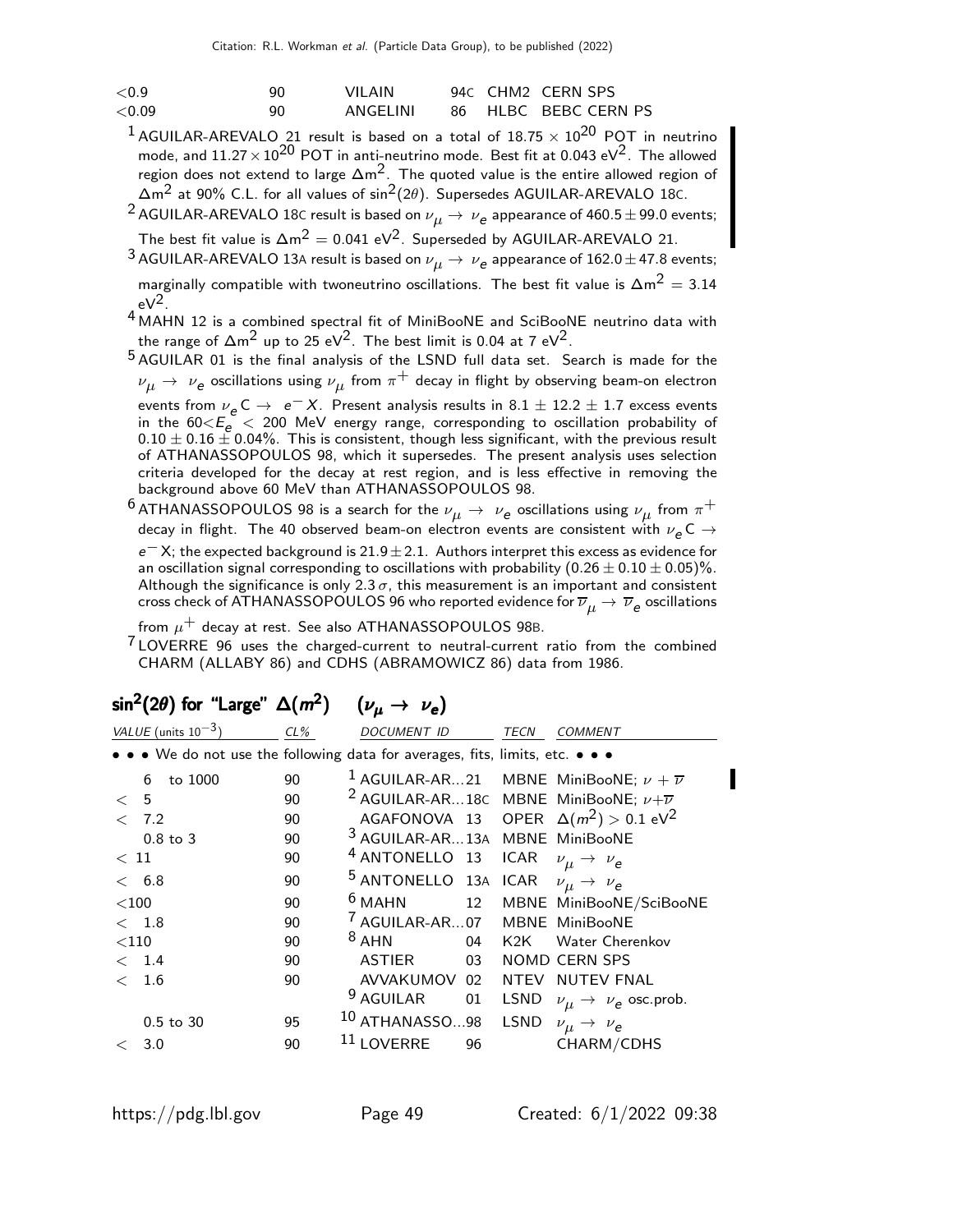| ${<}0.9$  | ۹N | VII AIN  |  | 94C CHM2 CERN SPS    |
|-----------|----|----------|--|----------------------|
| ${<}0.09$ | 90 | ANGELINI |  | 86 HLBC BEBC CERN PS |

- <sup>1</sup> AGUILAR-AREVALO 21 result is based on a total of  $18.75 \times 10^{20}$  POT in neutrino mode, and  $11.27 \times 10^{20}$  POT in anti-neutrino mode. Best fit at 0.043 eV<sup>2</sup>. The allowed region does not extend to large ∆m2. The quoted value is the entire allowed region of ∆m2 at 90% C.L. for all values of sin2(2θ). Supersedes AGUILAR-AREVALO 18C.
- $^2$  AGUILAR-AREVALO 18C result is based on  $\nu_{\mu} \rightarrow \ \nu_{\bm{e}}$  appearance of 460.5  $\pm$  99.0 events;

The best fit value is  $\Delta m^2 = 0.041 \text{ eV}^2$ . Superseded by AGUILAR-AREVALO 21.

 $^3$  AGUILAR-AREVALO 13A result is based on  $\nu_{\mu} \rightarrow \,\nu_{\bm{e}}$  appearance of 162.0  $\pm$  47.8 events; marginally compatible with twoneutrino oscillations. The best fit value is  $\Delta m^2 = 3.14$  $eV^2$ .

4 MAHN 12 is a combined spectral fit of MiniBooNE and SciBooNE neutrino data with the range of  $\Delta m^2$  up to 25 eV<sup>2</sup>. The best limit is 0.04 at 7 eV<sup>2</sup>.

5 AGUILAR 01 is the final analysis of the LSND full data set. Search is made for the  $\nu_{\mu}\rightarrow\,\,\nu_{\texttt{e}}$  oscillations using  $\nu_{\mu}$  from  $\pi^{+}$  decay in flight by observing beam-on electron events from  $\nu_e$  C  $\rightarrow$   $e^- X$ . Present analysis results in 8.1  $\pm$  12.2  $\pm$  1.7 excess events in the  $60< E_e < 200$  MeV energy range, corresponding to oscillation probability of  $0.10 \pm 0.16 \pm 0.04\%$ . This is consistent, though less significant, with the previous result of ATHANASSOPOULOS 98, which it supersedes. The present analysis uses selection criteria developed for the decay at rest region, and is less effective in removing the background above 60 MeV than ATHANASSOPOULOS 98.

 $^6$ ATHANASSOPOULOS 98 is a search for the  $\nu_\mu \rightarrow \ \nu_e$  oscillations using  $\nu_\mu$  from  $\pi^+$ decay in flight. The 40 observed beam-on electron events are consistent with  $\nu_{\bm e}$ C  $\rightarrow$  $e^- X$ ; the expected background is 21.9 $\pm$  2.1. Authors interpret this excess as evidence for an oscillation signal corresponding to oscillations with probability  $(0.26 \pm 0.10 \pm 0.05)\%$ . Although the significance is only 2.3  $\sigma$ , this measurement is an important and consistent cross check of ATHANASSOPOULOS 96 who reported evidence for  $\overline{\nu}_{\mu} \to \overline{\nu}_{\bm{e}}$  oscillations

from  $\mu^+$  decay at rest. See also ATHANASSOPOULOS 98B.

 $7$  LOVERRE 96 uses the charged-current to neutral-current ratio from the combined CHARM (ALLABY 86) and CDHS (ABRAMOWICZ 86) data from 1986.

|         | VALUE (units $10^{-3}$ )                                                      | CL% | <b>DOCUMENT ID</b>                        |    | TECN        | <b>COMMENT</b>                                                    |
|---------|-------------------------------------------------------------------------------|-----|-------------------------------------------|----|-------------|-------------------------------------------------------------------|
|         | • • • We do not use the following data for averages, fits, limits, etc. • • • |     |                                           |    |             |                                                                   |
|         | to 1000<br>6                                                                  | 90  |                                           |    |             | <sup>1</sup> AGUILAR-AR21 MBNE MiniBooNE; $\nu + \overline{\nu}$  |
| $\lt$   | 5                                                                             | 90  |                                           |    |             | <sup>2</sup> AGUILAR-AR18C MBNE MiniBooNE; $\nu + \overline{\nu}$ |
| $\lt$   | 7.2                                                                           | 90  |                                           |    |             | AGAFONOVA 13 OPER $\Delta(m^2) > 0.1$ eV <sup>2</sup>             |
|         | $0.8$ to $3$                                                                  | 90  | <sup>3</sup> AGUILAR-AR13A MBNE MiniBooNE |    |             |                                                                   |
| < 11    |                                                                               | 90  | <sup>4</sup> ANTONELLO 13                 |    | <b>ICAR</b> | $\nu_{\mu} \rightarrow \nu_{e}$                                   |
|         | < 6.8                                                                         | 90  | 5 ANTONELLO 13A ICAR                      |    |             | $\nu_{\mu} \rightarrow \nu_{e}$                                   |
| $<$ 100 |                                                                               | 90  | $6$ MAHN                                  | 12 |             | MBNE MiniBooNE/SciBooNE                                           |
|         | $<$ 1.8                                                                       | 90  | <sup>7</sup> AGUILAR-AR07                 |    |             | MBNE MiniBooNE                                                    |
| $<$ 110 |                                                                               | 90  | $8$ AHN                                   | 04 | K2K L       | <b>Water Cherenkov</b>                                            |
|         | $\langle$ 1.4                                                                 | 90  | ASTIER                                    | 03 |             | NOMD CERN SPS                                                     |
| $\lt$   | 1.6                                                                           | 90  | AVVAKUMOV 02                              |    |             | NTEV NUTEV FNAL                                                   |
|         |                                                                               |     | <sup>9</sup> AGUILAR                      | 01 |             | LSND $\nu_{\mu} \rightarrow \nu_{e}$ osc.prob.                    |
|         | $0.5$ to $30$                                                                 | 95  | 10 ATHANASSO98                            |    | <b>LSND</b> | $\nu_{\mu} \rightarrow \nu_{e}$                                   |
| $\,<\,$ | 3.0                                                                           | 90  | 11 LOVERRE                                | 96 |             | CHARM/CDHS                                                        |
|         |                                                                               |     |                                           |    |             |                                                                   |

# $\sin^2(2\theta)$  for "Large"  $\Delta(m^2)$   $(\nu_\mu \rightarrow \nu_e)$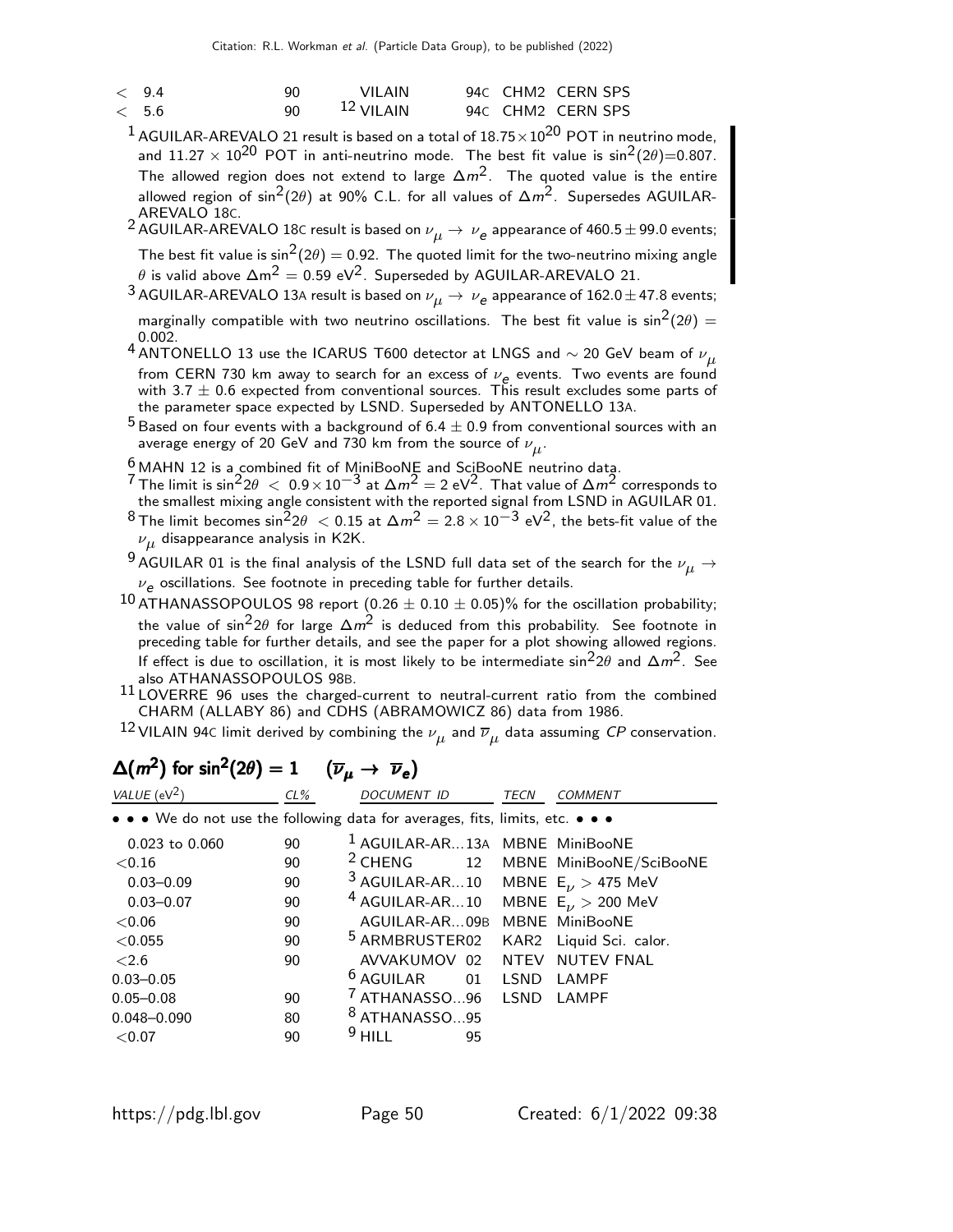| $\lt$ 9.4 | 90.          | VII AIN      |  | 94C CHM2 CERN SPS |
|-----------|--------------|--------------|--|-------------------|
| < 5.6     | $90^{\circ}$ | $12$ VII AIN |  | 94C CHM2 CERN SPS |

 $1$  AGUILAR-AREVALO 21 result is based on a total of  $18.75 \times 10^{20}$  POT in neutrino mode, and  $11.27 \times 10^{20}$  POT in anti-neutrino mode. The best fit value is  $\sin^2(2\theta) = 0.807$ . The allowed region does not extend to large  $\Delta m^2$ . The quoted value is the entire allowed region of sin<sup>2</sup>(2 $\theta$ ) at 90% C.L. for all values of  $\Delta m^2$ . Supersedes AGUILAR-AREVALO 18C.

 $^2$  AGUILAR-AREVALO 18C result is based on  $\nu_{\mu} \rightarrow \,\nu_{\bm{e}}$  appearance of 460.5  $\pm$  99.0 events; The best fit value is  $\sin^2(2\theta) = 0.92$ . The quoted limit for the two-neutrino mixing angle  $\theta$  is valid above  $\Delta m^2 = 0.59 \text{ eV}^2$ . Superseded by AGUILAR-AREVALO 21.

 $^3$  AGUILAR-AREVALO 13A result is based on  $\nu_{\mu} \rightarrow \,\nu_{\bm{e}}$  appearance of 162.0  $\pm$  47.8 events;

marginally compatible with two neutrino oscillations. The best fit value is  $\sin^2(2\theta) =$ 0.002.

4 ANTONELLO 13 use the ICARUS T600 detector at LNGS and  $\sim$  20 GeV beam of  $\nu_{\mu}$ from CERN 730 km away to search for an excess of  $\nu_e$  events. Two events are found with 3.7  $\pm$  0.6 expected from conventional sources. This result excludes some parts of the parameter space expected by LSND. Superseded by ANTONELLO 13A.

- $^5$  Based on four events with a background of 6.4  $\pm$  0.9 from conventional sources with an average energy of 20 GeV and 730 km from the source of  $\nu_{\mu}^{}.$
- $\frac{6}{7}$ MAHN 12 is a combined fit of MiniBooNE and SciBooNE neutrino data.
- 7 The limit is  $\sin^2 2\theta < 0.9 \times 10^{-3}$  at  $\Delta m^2 = 2 \text{ eV}^2$ . That value of  $\Delta m^2$  corresponds to the smallest mixing angle consistent with the reported signal from LSND in AGUILAR 01.
- <sup>8</sup> The limit becomes sin<sup>2</sup> $2\theta$  < 0.15 at  $\Delta m^2 = 2.8 \times 10^{-3}$  eV<sup>2</sup>, the bets-fit value of the  $\nu_{\mu}$  disappearance analysis in K2K.

 $^9$  AGUILAR 01 is the final analysis of the LSND full data set of the search for the  $\nu_\mu$   $\rightarrow$  $\nu_{\bm e}$  oscillations. See footnote in preceding table for further details.

- $^{10}$  ATHANASSOPOULOS 98 report (0.26  $\pm$  0.10  $\pm$  0.05)% for the oscillation probability; the value of  $\sin^22\theta$  for large  $\Delta m^2$  is deduced from this probability. See footnote in preceding table for further details, and see the paper for a plot showing allowed regions. If effect is due to oscillation, it is most likely to be intermediate sin<sup>2</sup>2 $\theta$  and  $\Delta m^2$ . See also ATHANASSOPOULOS 98B.
- $11$  LOVERRE 96 uses the charged-current to neutral-current ratio from the combined CHARM (ALLABY 86) and CDHS (ABRAMOWICZ 86) data from 1986.
- $^{12}$ VILAIN 94C limit derived by combining the  $\nu_{\mu}$  and  $\overline{\nu}_{\mu}$  data assuming  ${\it CP}$  conservation.

| VALUE ( $eV^2$ )                                                              | $CL\%$ | DOCUMENT ID                                        | TECN    | COMMENT                    |
|-------------------------------------------------------------------------------|--------|----------------------------------------------------|---------|----------------------------|
| • • • We do not use the following data for averages, fits, limits, etc. • • • |        |                                                    |         |                            |
| $0.023$ to $0.060$                                                            | 90     | <sup>1</sup> AGUILAR-AR13A MBNE MiniBooNE          |         |                            |
| ${<}0.16$                                                                     | 90     | $2$ CHENG                                          |         | 12 MBNE MiniBooNE/SciBooNE |
| $0.03 - 0.09$                                                                 | 90     | <sup>3</sup> AGUILAR-AR10 MBNE $E_{\nu}$ > 475 MeV |         |                            |
| $0.03 - 0.07$                                                                 | 90     | $4$ AGUILAR-AR10                                   |         | MBNE $E_{\nu} > 200$ MeV   |
| ${<}0.06$                                                                     | 90     | AGUILAR-AR09B                                      |         | MBNE MiniBooNE             |
| < 0.055                                                                       | 90     | <sup>5</sup> ARMBRUSTER02                          |         | KAR2 Liquid Sci. calor.    |
| < 2.6                                                                         | 90     | AVVAKUMOV 02                                       |         | NTEV NUTEV FNAL            |
| $0.03 - 0.05$                                                                 |        | $6$ AGUILAR                                        | 01 LSND | LAMPF                      |
| $0.05 - 0.08$                                                                 | 90     | <sup>7</sup> ATHANASSO96 LSND                      |         | LAMPF                      |
| $0.048 - 0.090$                                                               | 80     | <sup>8</sup> ATHANASSO95                           |         |                            |
| ${<}0.07$                                                                     | 90     | $9$ HILL<br>95                                     |         |                            |

#### $\Delta(m^2)$  for sin<sup>2</sup>(2 $\theta$ ) = 1 ( $\overline{\nu}_{\mu} \rightarrow \overline{\nu}_{e}$ )  $(\overline{\nu}_{\mu} \rightarrow \overline{\nu}_{e})$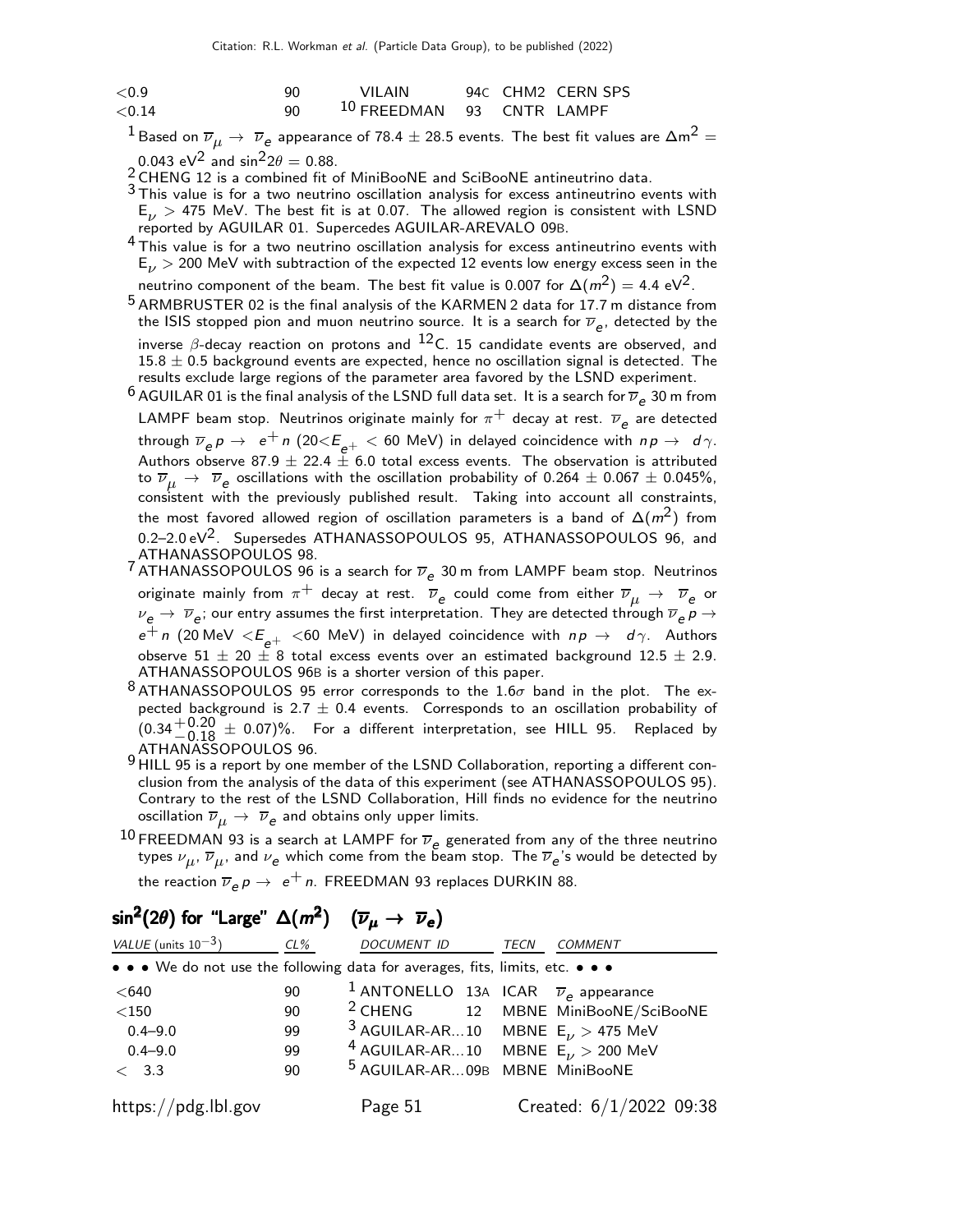| ${<}0.9$  | 90. | VII AIN                              |  | 94C CHM2 CERN SPS |
|-----------|-----|--------------------------------------|--|-------------------|
| ${<}0.14$ | 90  | <sup>10</sup> FREEDMAN 93 CNTR LAMPF |  |                   |

 $^1$ Based on  $\overline{\nu}_{\mu}\to\ \overline{\nu}_{e}$  appearance of 78.4  $\pm$  28.5 events. The best fit values are  $\Delta$ m $^2$   $=$ 0.043 eV<sup>2</sup> and  $\sin^2 2\theta = 0.88$ .

2 CHENG 12 is a combined fit of MiniBooNE and SciBooNE antineutrino data.

 $3$  This value is for a two neutrino oscillation analysis for excess antineutrino events with  $E_{\nu}$  > 475 MeV. The best fit is at 0.07. The allowed region is consistent with LSND reported by AGUILAR 01. Supercedes AGUILAR-AREVALO 09B.

- <sup>4</sup> This value is for a two neutrino oscillation analysis for excess antineutrino events with  $E_\nu >$  200 MeV with subtraction of the expected 12 events low energy excess seen in the neutrino component of the beam. The best fit value is 0.007 for  $\Delta(m^2) = 4.4 \text{ eV}^2$ .
- 5 ARMBRUSTER 02 is the final analysis of the KARMEN 2 data for 17.7 m distance from the ISIS stopped pion and muon neutrino source. It is a search for  $\overline{\nu}_e$ , detected by the inverse  $\beta$ -decay reaction on protons and  $^{12}$ C. 15 candidate events are observed, and  $15.8 \pm 0.5$  background events are expected, hence no oscillation signal is detected. The results exclude large regions of the parameter area favored by the LSND experiment.
- $^6$  AGUILAR 01 is the final analysis of the LSND full data set. It is a search for  $\overline{\nu}_e$  30 m from LAMPF beam stop. Neutrinos originate mainly for  $\pi^+$  decay at rest.  $\overline{\nu}_e$  are detected through  $\overline{\nu}_e p \rightarrow e^+ n$  (20 $\langle E_{e^+} \rangle \langle 60 \text{ MeV} \rangle$  in delayed coincidence with  $n p \rightarrow d \gamma$ . Authors observe 87.9  $\pm$  22.4  $\frac{1}{2}$  6.0 total excess events. The observation is attributed to  $\overline{\nu}_{\mu}$   $\rightarrow$   $\overline{\nu}_{e}$  oscillations with the oscillation probability of 0.264  $\pm$  0.067  $\pm$  0.045%, consistent with the previously published result. Taking into account all constraints, the most favored allowed region of oscillation parameters is a band of  $\Delta(m^2)$  from  $0.2-2.0 \text{ eV}^2$ . Supersedes ATHANASSOPOULOS 95, ATHANASSOPOULOS 96, and ATHANASSOPOULOS 98.
- <sup>7</sup> ATHANASSOPOULOS 96 is a search for  $\overline{\nu}_e$  30 m from LAMPF beam stop. Neutrinos originate mainly from  $\pi^+$  decay at rest.  $\overline{\nu}_e$  could come from either  $\overline{\nu}_\mu$   $\to$   $\overline{\nu}_e$  or  $\nu_e\to~\overline{\nu}_e$ ; our entry assumes the first interpretation. They are detected through  $\overline{\nu}_e$   $\rho$   $\to$  $e^+$  n (20 MeV  $\lt E$   $\ge$   $\pm$   $\lt$  60 MeV) in delayed coincidence with  $np \to d\gamma$ . Authors observe  $51 \pm 20 \pm 8$  total excess events over an estimated background  $12.5 \pm 2.9$ . ATHANASSOPOULOS 96B is a shorter version of this paper.
- 8 ATHANASSOPOULOS 95 error corresponds to the  $1.6\sigma$  band in the plot. The expected background is 2.7  $\pm$  0.4 events. Corresponds to an oscillation probability of  $(0.34 + 0.20 \pm 0.07)\%$ . For a different interpretation, see HILL 95. Replaced by ATHANASSOPOULOS 96.
- 9 HILL 95 is a report by one member of the LSND Collaboration, reporting a different conclusion from the analysis of the data of this experiment (see ATHANASSOPOULOS 95). Contrary to the rest of the LSND Collaboration, Hill finds no evidence for the neutrino oscillation  $\overline{\nu}_{\mu} \rightarrow \ \overline{\nu}_{\mathsf{e}}$  and obtains only upper limits.
- 10 FREEDMAN 93 is a search at LAMPF for  $\overline{\nu}_e$  generated from any of the three neutrino types  $\nu_{\bm{\mu}},\,\overline{\nu}_{\bm{\mu}},$  and  $\nu_{\bm{e}}$  which come from the beam stop. The  $\overline{\nu}_{\bm{e}}$ 's would be detected by the reaction  $\overline{\nu}_e \rho \rightarrow \; e^+ \,$ n. <code>FREEDMAN</code> 93 replaces <code>DURKIN</code> 88.

| VALUE (units $10^{-3}$ )                                                      | CL% | DOCUMENT ID                                                   | <b>TECN</b> | <b>COMMENT</b>                                |
|-------------------------------------------------------------------------------|-----|---------------------------------------------------------------|-------------|-----------------------------------------------|
| • • • We do not use the following data for averages, fits, limits, etc. • • • |     |                                                               |             |                                               |
| < 640                                                                         | 90  | <sup>1</sup> ANTONELLO 13A ICAR $\overline{\nu}_e$ appearance |             |                                               |
| $<$ 150                                                                       | 90  |                                                               |             | <sup>2</sup> CHENG 12 MBNE MiniBooNE/SciBooNE |
| $0.4 - 9.0$                                                                   | 99  | <sup>3</sup> AGUILAR-AR10 MBNE $E_{\nu}$ > 475 MeV            |             |                                               |
| $0.4 - 9.0$                                                                   | 99  | <sup>4</sup> AGUILAR-AR10 MBNE $E_V$ > 200 MeV                |             |                                               |
| < 3.3                                                                         | 90  | <sup>5</sup> AGUILAR-AR09B MBNE MiniBooNE                     |             |                                               |
| https://pdg.lbl.gov                                                           |     | Page 51                                                       |             | Created: $6/1/2022$ 09:38                     |

# $\mathsf{sin}^2(2\theta)$  for "Large"  $\Delta(m^2)$   $\ (\overline{\nu}_\mu\rightarrow\ \overline{\nu}_{\mathsf{e}})$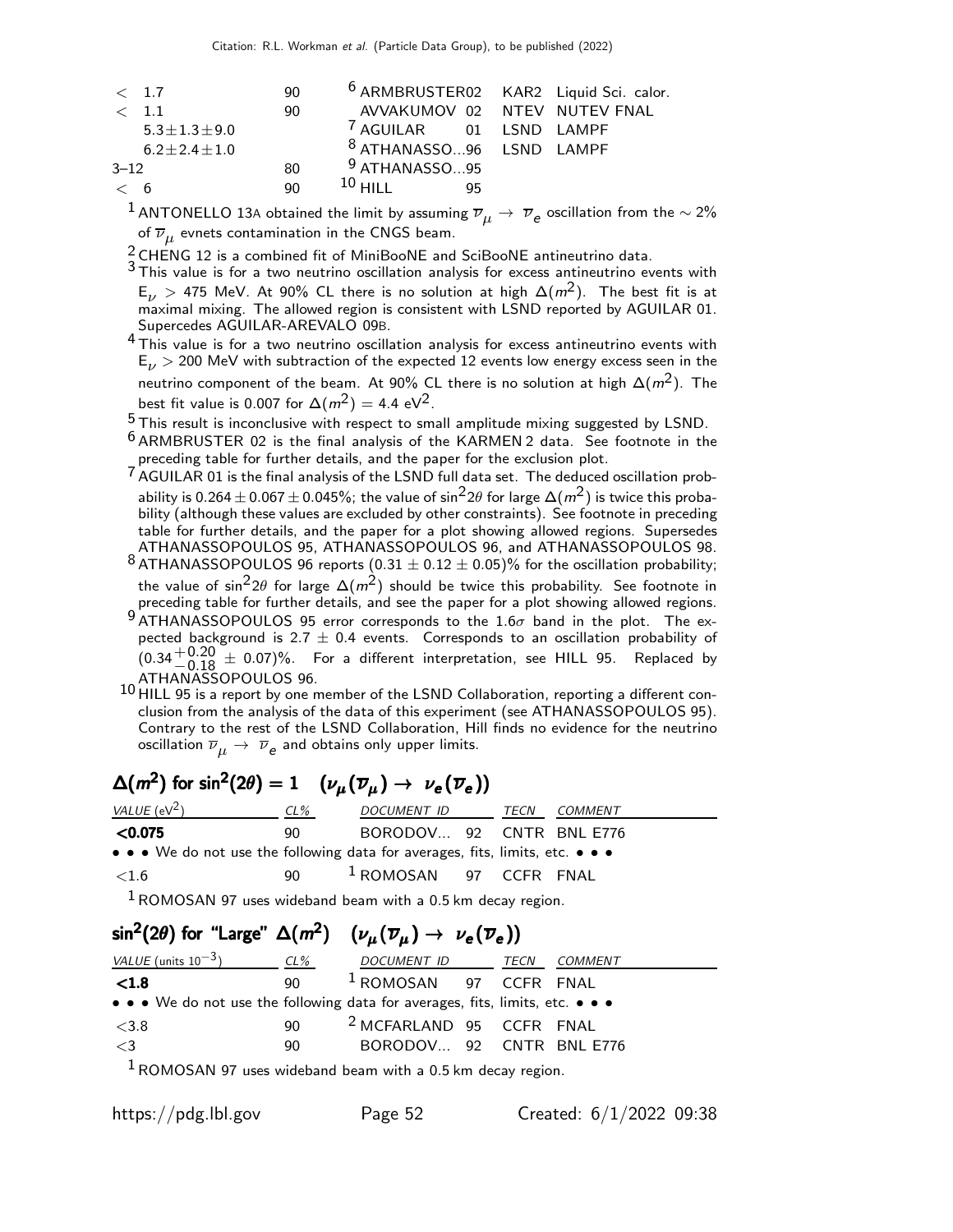| < 1.7                 | 90 | <sup>6</sup> ARMBRUSTER02 KAR2 Liquid Sci. calor. |  |
|-----------------------|----|---------------------------------------------------|--|
| $\langle$ 1.1         | 90 | AVVAKUMOV 02 NTEV NUTEV FNAL                      |  |
| $5.3 \pm 1.3 \pm 9.0$ |    | <sup>7</sup> AGUILAR 01 LSND LAMPF                |  |
| $6.2 \pm 2.4 \pm 1.0$ |    | <sup>8</sup> ATHANASSO96 LSND LAMPF               |  |
| $3 - 12$              | 80 | $9$ ATHANASSO95                                   |  |
| $\lt$ 6               | 90 | $10$ HILL<br>95                                   |  |

 $^1$  ANTONELLO 13A obtained the limit by assuming  $\overline{\nu}_\mu \to\ \overline{\nu}_e$  oscillation from the  $\sim$  2% of  $\overline{\nu}_{\mu}$  evnets contamination in the CNGS beam.

 $\frac{2}{3}$ CHENG 12 is a combined fit of MiniBooNE and SciBooNE antineutrino data.

3 This value is for a two neutrino oscillation analysis for excess antineutrino events with  $E_{\nu}$   $>$  475 MeV. At 90% CL there is no solution at high  $\Delta(m^2)$ . The best fit is at maximal mixing. The allowed region is consistent with LSND reported by AGUILAR 01. Supercedes AGUILAR-AREVALO 09B.

<sup>4</sup> This value is for a two neutrino oscillation analysis for excess antineutrino events with  $E_{\nu}$  > 200 MeV with subtraction of the expected 12 events low energy excess seen in the neutrino component of the beam. At 90% CL there is no solution at high  $\Delta(m^2)$ . The best fit value is 0.007 for  $\Delta(m^2) = 4.4 \text{ eV}^2$ .

5 This result is inconclusive with respect to small amplitude mixing suggested by LSND.

<sup>6</sup> ARMBRUSTER 02 is the final analysis of the KARMEN 2 data. See footnote in the preceding table for further details, and the paper for the exclusion plot.

- 7 AGUILAR 01 is the final analysis of the LSND full data set. The deduced oscillation probability is 0.264  $\pm$  0.067  $\pm$  0.045%; the value of sin<sup>2</sup>2 $\theta$  for large  $\Delta(m^2)$  is twice this probability (although these values are excluded by other constraints). See footnote in preceding table for further details, and the paper for a plot showing allowed regions. Supersedes ATHANASSOPOULOS 95, ATHANASSOPOULOS 96, and ATHANASSOPOULOS 98.
- <sup>8</sup> ATHANASSOPOULOS 96 reports  $(0.31 \pm 0.12 \pm 0.05)\%$  for the oscillation probability; the value of sin<sup>2</sup>2 $\theta$  for large  $\Delta(m^2)$  should be twice this probability. See footnote in preceding table for further details, and see the paper for a plot showing allowed regions.
- $9$  ATHANASSOPOULOS 95 error corresponds to the 1.6 $\sigma$  band in the plot. The expected background is 2.7  $\pm$  0.4 events. Corresponds to an oscillation probability of  $(0.34 + 0.20 \pm 0.07)$ %. For a different interpretation, see HILL 95. Replaced by
- ATHANASSOPOULOS 96. 10 HILL 95 is a report by one member of the LSND Collaboration, reporting a different conclusion from the analysis of the data of this experiment (see ATHANASSOPOULOS 95). Contrary to the rest of the LSND Collaboration, Hill finds no evidence for the neutrino oscillation  $\overline{\nu}_{\mu} \rightarrow \ \overline{\nu}_{\mathsf{e}}$  and obtains only upper limits.

# $\Delta(m^2)$  for sin $^2(2\theta)=1$  ( $\nu_\mu(\overline{\nu}_\mu)\rightarrow\nu_{\bf e}(\overline{\nu}_{\bf e}))$

| VALUE ( $eV^2$ )                                                                                                      | $CL\%$ | DOCUMENT ID              | TECN | <i>COMMENT</i> |
|-----------------------------------------------------------------------------------------------------------------------|--------|--------------------------|------|----------------|
| < 0.075                                                                                                               | 90.    | BORODOV 92 CNTR BNL E776 |      |                |
| $\bullet \bullet \bullet$ We do not use the following data for averages, fits, limits, etc. $\bullet \bullet \bullet$ |        |                          |      |                |
| $\leq 1.6$                                                                                                            | 90.    | $1$ ROMOSAN 97 CCFR FNAL |      |                |

 $1$  ROMOSAN 97 uses wideband beam with a 0.5 km decay region.

## $\mathsf{sin}^2(2\theta)$  for "Large"  $\Delta(m^2) \quad (\nu_\mu(\overline{\nu}_\mu) \rightarrow~\nu_{\scriptsize{\mathbf{e}}}(\overline{\nu}_{\scriptsize{\mathbf{e}}}))$ VALUE (units  $10^{-3}$ ) CL% DOCUMENT ID TECN COMMENT  $\textsf{\small <1.8} \qquad \qquad \textsf{\small 90} \qquad \textsf{\small 1}$ ROMOSAN 97 CCFR FNAL • • • We do not use the following data for averages, fits, limits, etc.  $<$ 3.8  $<$ 90  $<sup>2</sup>$  MCFARLAND 95 CCFR FNAL</sup>  $<$ 3 90 BORODOV... 92 CNTR BNL E776  $1$  ROMOSAN 97 uses wideband beam with a 0.5 km decay region.

https://pdg.lbl.gov Page 52 Created: 6/1/2022 09:38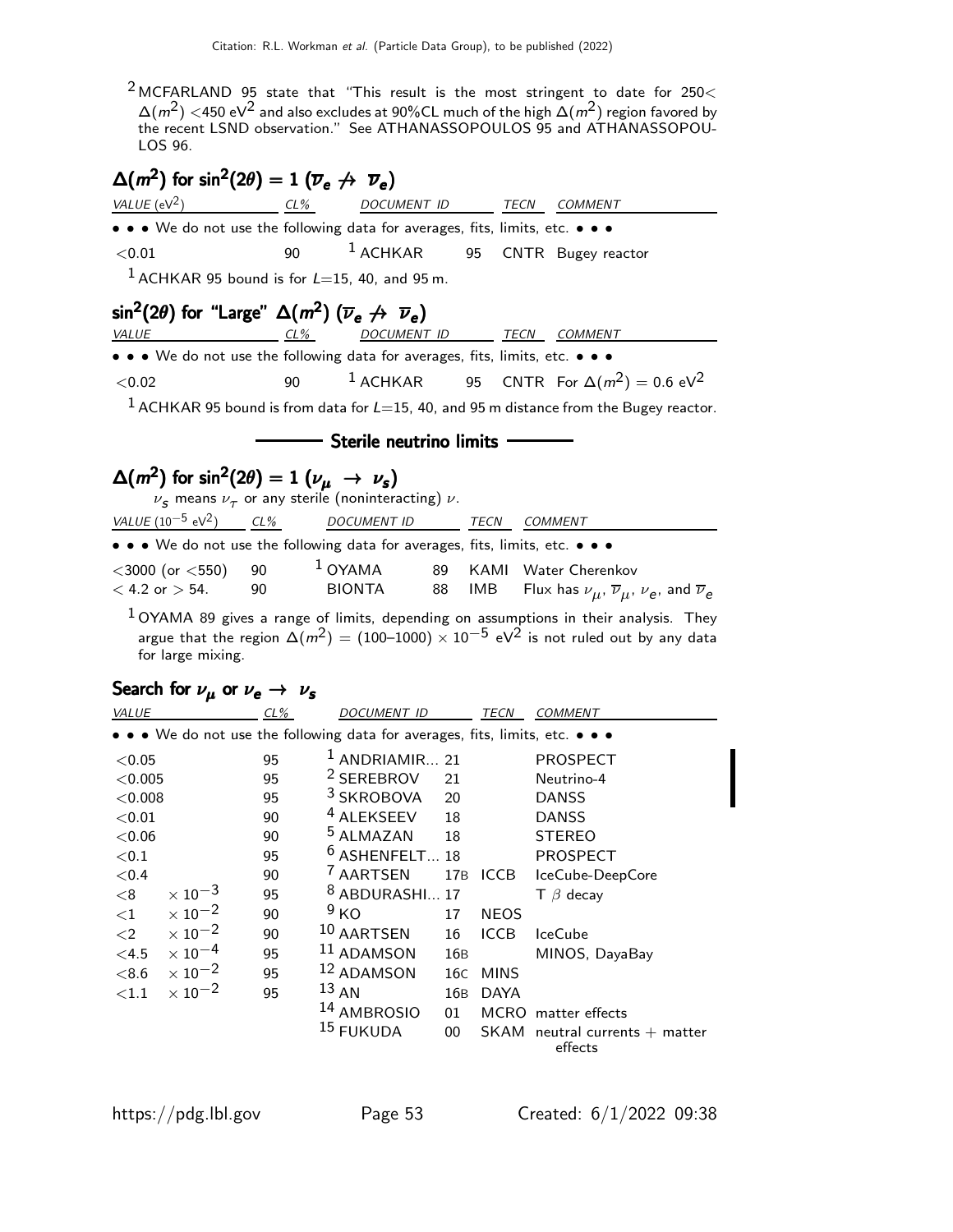$2$  MCFARLAND 95 state that "This result is the most stringent to date for 250 $<$  $\Delta(m^2)$   $<$ 450 eV $^2$  and also excludes at 90%CL much of the high  $\Delta(m^2)$  region favored by the recent LSND observation." See ATHANASSOPOULOS 95 and ATHANASSOPOU-LOS 96.

# $\Delta(m^2)$  for sin<sup>2</sup>(2 $\theta$ ) = 1 ( $\overline{\nu}_e \not\rightarrow \overline{\nu}_e$ )

| VALUE ( $eV^2$ )                                                                                    | $CL\%$   | DOCUMENT ID                                                                 |     | <b>TECN</b> | <b>COMMENT</b>                                                                                               |
|-----------------------------------------------------------------------------------------------------|----------|-----------------------------------------------------------------------------|-----|-------------|--------------------------------------------------------------------------------------------------------------|
|                                                                                                     |          | • • We do not use the following data for averages, fits, limits, etc. • • • |     |             |                                                                                                              |
| < 0.01                                                                                              | 90       | $1$ ACHKAR                                                                  | 95  |             | CNTR Bugey reactor                                                                                           |
|                                                                                                     |          | $1$ ACHKAR 95 bound is for $L=15$ , 40, and 95 m.                           |     |             |                                                                                                              |
| $\sin^2(2\theta)$ for "Large" $\Delta(m^2)$ ( $\overline{\nu}_e \not\rightarrow \overline{\nu}_e$ ) |          |                                                                             |     |             |                                                                                                              |
| <b>VALUE</b>                                                                                        | $CL\%$   |                                                                             |     |             | DOCUMENT ID TECN COMMENT                                                                                     |
| • • • We do not use the following data for averages, fits, limits, etc. • • •                       |          |                                                                             |     |             |                                                                                                              |
| < 0.02                                                                                              | 90       | $1$ ACHKAR                                                                  |     |             | 95 CNTR For $\Delta(m^2) = 0.6 \text{ eV}^2$                                                                 |
|                                                                                                     |          |                                                                             |     |             | $1$ ACHKAR 95 bound is from data for $L=15$ , 40, and 95 m distance from the Bugey reactor.                  |
|                                                                                                     |          |                                                                             |     |             |                                                                                                              |
|                                                                                                     |          | Sterile neutrino limits                                                     |     |             |                                                                                                              |
| $\Delta(m^2)$ for sin <sup>2</sup> (2 $\theta$ ) = 1 ( $\nu_\mu \rightarrow \nu_s$ )                |          |                                                                             |     |             |                                                                                                              |
|                                                                                                     |          | $\nu_s$ means $\nu_{\tau}$ or any sterile (noninteracting) $\nu$ .          |     |             |                                                                                                              |
| VALUE $(10^{-5} \text{ eV}^2)$ CL%                                                                  |          | DOCUMENT ID TECN COMMENT                                                    |     |             |                                                                                                              |
| • • • We do not use the following data for averages, fits, limits, etc. • • •                       |          |                                                                             |     |             |                                                                                                              |
| $<$ 3000 (or $<$ 550)                                                                               | 90       | $1$ OYAMA                                                                   | 89  | KAMI        | Water Cherenkov                                                                                              |
| $< 4.2$ or $> 54$ .                                                                                 | 90       | <b>BIONTA</b>                                                               | 88  | IMB         | Flux has $\nu_{\mu}$ , $\overline{\nu}_{\mu}$ , $\nu_{e}$ , and $\overline{\nu}_{e}$                         |
|                                                                                                     |          |                                                                             |     |             | $1$ OYAMA 89 gives a range of limits, depending on assumptions in their analysis. They                       |
|                                                                                                     |          |                                                                             |     |             | argue that the region $\Delta(m^2) = (100-1000) \times 10^{-5}$ eV <sup>2</sup> is not ruled out by any data |
| for large mixing.                                                                                   |          |                                                                             |     |             |                                                                                                              |
| Search for $\nu_{\mu}$ or $\nu_{e} \rightarrow \nu_{s}$                                             |          |                                                                             |     |             |                                                                                                              |
| $CL\%$<br><b>VALUE</b>                                                                              |          | DOCUMENT ID TECN                                                            |     |             | COMMENT                                                                                                      |
| • • • We do not use the following data for averages, fits, limits, etc. • • •                       |          |                                                                             |     |             |                                                                                                              |
| < 0.05                                                                                              |          | $1$ ANDRIAMIR 21                                                            |     |             |                                                                                                              |
| < 0.005                                                                                             | 95<br>95 | <sup>2</sup> SEREBROV                                                       | 21  |             | PROSPECT<br>Neutrino-4                                                                                       |
| < 0.008                                                                                             | 95       | 3 SKROBOVA                                                                  | 20  |             | <b>DANSS</b>                                                                                                 |
| < 0.01                                                                                              | 90       | <sup>4</sup> ALEKSEEV                                                       | 18  |             | <b>DANSS</b>                                                                                                 |
| ${<}0.06$                                                                                           | 90       | <sup>5</sup> ALMAZAN                                                        | 18  |             | <b>STEREO</b>                                                                                                |
| < 0.1                                                                                               | 95       | $^{\circ}$ ALMAZAN 18<br><sup>6</sup> ASHENFELT 18                          |     |             | PROSPECT                                                                                                     |
| < 0.4                                                                                               | 90       | <sup>7</sup> AARTSEN                                                        | 17B | <b>ICCB</b> | IceCube-DeepCore                                                                                             |
| $\times$ 10 <sup>-3</sup><br>< 8                                                                    | 95       | <sup>8</sup> ABDURASHI 17                                                   |     |             | $T \beta$ decay                                                                                              |
| $\times$ 10 <sup>-2</sup><br>${<}1$                                                                 | 90       | 9 <sub>KO</sub>                                                             | 17  | <b>NEOS</b> |                                                                                                              |
| $\times 10^{-2}$<br>$\leq$ 2                                                                        | 90       | 10 AARTSEN                                                                  | 16  | <b>ICCB</b> | <b>IceCube</b>                                                                                               |

| $\langle 2 \times 10^{-2} \rangle$  | 90 | <sup>10</sup> AARTSEN 16 ICCB IceCube         |     |          |                                   |
|-------------------------------------|----|-----------------------------------------------|-----|----------|-----------------------------------|
| $<$ 4.5 $\times$ 10 $^{-4}$         | 95 | $11$ ADAMSON                                  | 16B |          | MINOS, DayaBay                    |
|                                     | 95 | <sup>12</sup> ADAMSON 16C MINS                |     |          |                                   |
| ${<}1.1 \phantom{00}\times 10^{-2}$ | 95 | $^{13}$ AN                                    |     | 16B DAYA |                                   |
|                                     |    | <sup>14</sup> AMBROSIO 01 MCRO matter effects |     |          |                                   |
|                                     |    | <sup>15</sup> FUKUDA                          |     |          | 00 SKAM neutral currents + matter |
|                                     |    |                                               |     |          | effects                           |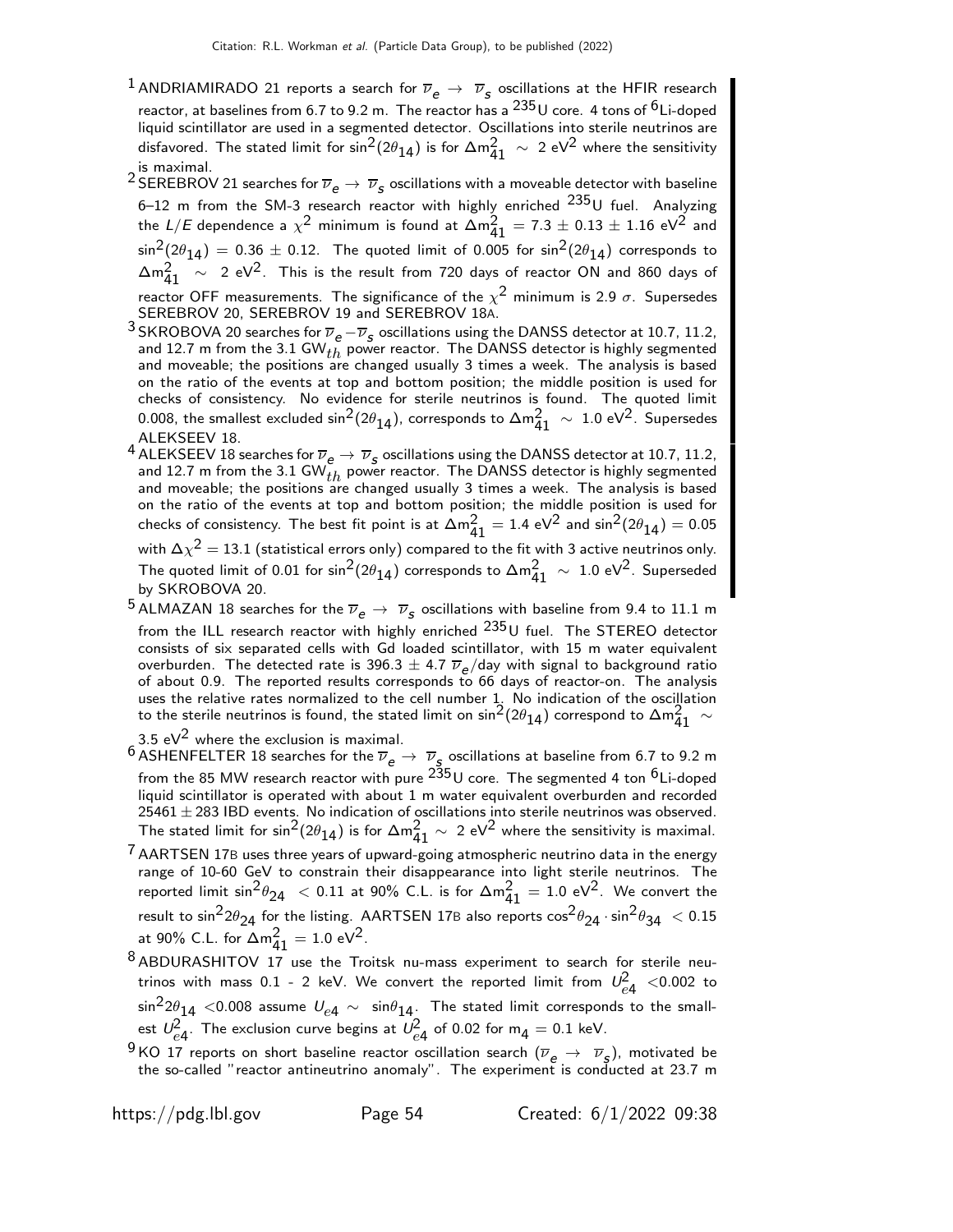- <sup>1</sup> ANDRIAMIRADO 21 reports a search for  $\overline{\nu}_e \rightarrow \overline{\nu}_s$  oscillations at the HFIR research reactor, at baselines from 6.7 to 9.2 m. The reactor has a  $^{235}$ U core. 4 tons of  $^6$ Li-doped liquid scintillator are used in a segmented detector. Oscillations into sterile neutrinos are disfavored. The stated limit for sin $^2$ (2 $\theta_{\bf 14}$ ) is for  $\Delta \mathsf{m}^2_{\bf 41}~\sim~$  2 eV $^2$  where the sensitivity is maximal.
- $^2$  SEREBROV 21 searches for  $\overline{\nu}_e\to\overline{\nu}_s$  oscillations with a moveable detector with baseline 6–12 m from the SM-3 research reactor with highly enriched  $^{235}$ U fuel. Analyzing the L/E dependence a  $\chi^2$  minimum is found at  $\Delta m_{41}^2 = 7.3 \pm 0.13 \pm 1.16 \text{ eV}^2$  and  $\sin^2(2\theta_{14}) = 0.36 \pm 0.12$ . The quoted limit of 0.005 for  $\sin^2(2\theta_{14})$  corresponds to  $\Delta m_{41}^2$  ∼ 2 eV<sup>2</sup>. This is the result from 720 days of reactor ON and 860 days of reactor OFF measurements. The significance of the  $\chi^2$  minimum is 2.9  $\sigma$ . Supersedes SEREBROV 20, SEREBROV 19 and SEREBROV 18A.
- <sup>3</sup> SKROBOVA 20 searches for  $\overline{\nu}_e \overline{\nu}_s$  oscillations using the DANSS detector at 10.7, 11.2, and 12.7 m from the 3.1 GW $_{th}$  power reactor. The DANSS detector is highly segmented and moveable; the positions are changed usually 3 times a week. The analysis is based on the ratio of the events at top and bottom position; the middle position is used for checks of consistency. No evidence for sterile neutrinos is found. The quoted limit 0.008, the smallest excluded sin<sup>2</sup>(2 $\theta_{14}$ ), corresponds to  $\Delta m^2_{41}~\sim~1.0$  eV<sup>2</sup>. Supersedes ALEKSEEV 18.
- 4 ALEKSEEV 18 searches for  $\overline{\nu}_e \to \overline{\nu}_s$  oscillations using the DANSS detector at 10.7, 11.2, and 12.7 m from the 3.1 GW $_{th}^{2}$  power reactor. The DANSS detector is highly segmented and moveable; the positions are changed usually 3 times a week. The analysis is based on the ratio of the events at top and bottom position; the middle position is used for checks of consistency. The best fit point is at  $\Delta m^2_{41}=1.4$  eV $^2$  and  $\sin^2(2\theta_{14})=0.05$

with  $\Delta\chi^2=13.1$  (statistical errors only) compared to the fit with 3 active neutrinos only. The quoted limit of 0.01 for  $\sin^2(2\theta_{14})$  corresponds to  $\Delta m^2_{41} ~\sim~ 1.0$  eV<sup>2</sup>. Superseded by SKROBOVA 20.

- $^5$ ALMAZAN 18 searches for the  $\overline{\nu}_e \rightarrow \overline{\nu}_s$  oscillations with baseline from 9.4 to 11.1 m from the ILL research reactor with highly enriched  $^{235}$ U fuel. The STEREO detector consists of six separated cells with Gd loaded scintillator, with 15 m water equivalent overburden. The detected rate is 396.3  $\pm$  4.7  $\overline{\nu}_e$ /day with signal to background ratio of about 0.9. The reported results corresponds to 66 days of reactor-on. The analysis uses the relative rates normalized to the cell number  $1$ . No indication of the oscillation to the sterile neutrinos is found, the stated limit on  $\sin^2(2\theta_{14})$  correspond to  $\Delta m^2_{41}$   $\sim$
- 3.5 e $V^2$  where the exclusion is maximal.
- <sup>6</sup> ASHENFELTER 18 searches for the  $\overline{\nu}_e \rightarrow \overline{\nu}_s$  oscillations at baseline from 6.7 to 9.2 m from the 85 MW research reactor with pure  $^{235}$ U core. The segmented 4 ton  $^{6}$ Li-doped liquid scintillator is operated with about 1 m water equivalent overburden and recorded 25461  $\pm$  283 IBD events. No indication of oscillations into sterile neutrinos was observed. The stated limit for  $\sin^2(2\theta_{14})$  is for  $\Delta m^2_{41}\sim 2$  eV $^2$  where the sensitivity is maximal.
- $\frac{7}{7}$  AARTSEN 17B uses three years of upward-going atmospheric neutrino data in the energy range of 10-60 GeV to constrain their disappearance into light sterile neutrinos. The reported limit  $\sin^2\theta_{24}$  < 0.11 at 90% C.L. is for  $\Delta m_{41}^2 = 1.0 \text{ eV}^2$ . We convert the result to sin ${}^{2}2\theta_{24}$  for the listing. AARTSEN 17B also reports  $\cos^{2}\theta_{24}\cdot\sin^{2}\theta_{34}~< 0.15$ at 90% C.L. for  $\Delta m_{41}^2 = 1.0 \text{ eV}^2$ .
- 8 ABDURASHITOV 17 use the Troitsk nu-mass experiment to search for sterile neutrinos with mass 0.1 - 2 keV. We convert the reported limit from  $U_{e4}^2$  <0.002 to  $\sin^2 2\theta_{14}$  <0.008 assume  $U_{e4} \sim \sin \theta_{14}$ . The stated limit corresponds to the smallest  $\mathcal{U}_{e4}^2$ . The exclusion curve begins at  $\mathcal{U}_{e4}^2$  of 0.02 for  $\mathsf{m}_4 = \mathsf{0.1}$  keV.
- <sup>9</sup> KO 17 reports on short baseline reactor oscillation search  $(\overline{\nu}_e \rightarrow \overline{\nu}_s)$ , motivated be the so-called "reactor antineutrino anomaly". The experiment is conducted at 23.7 m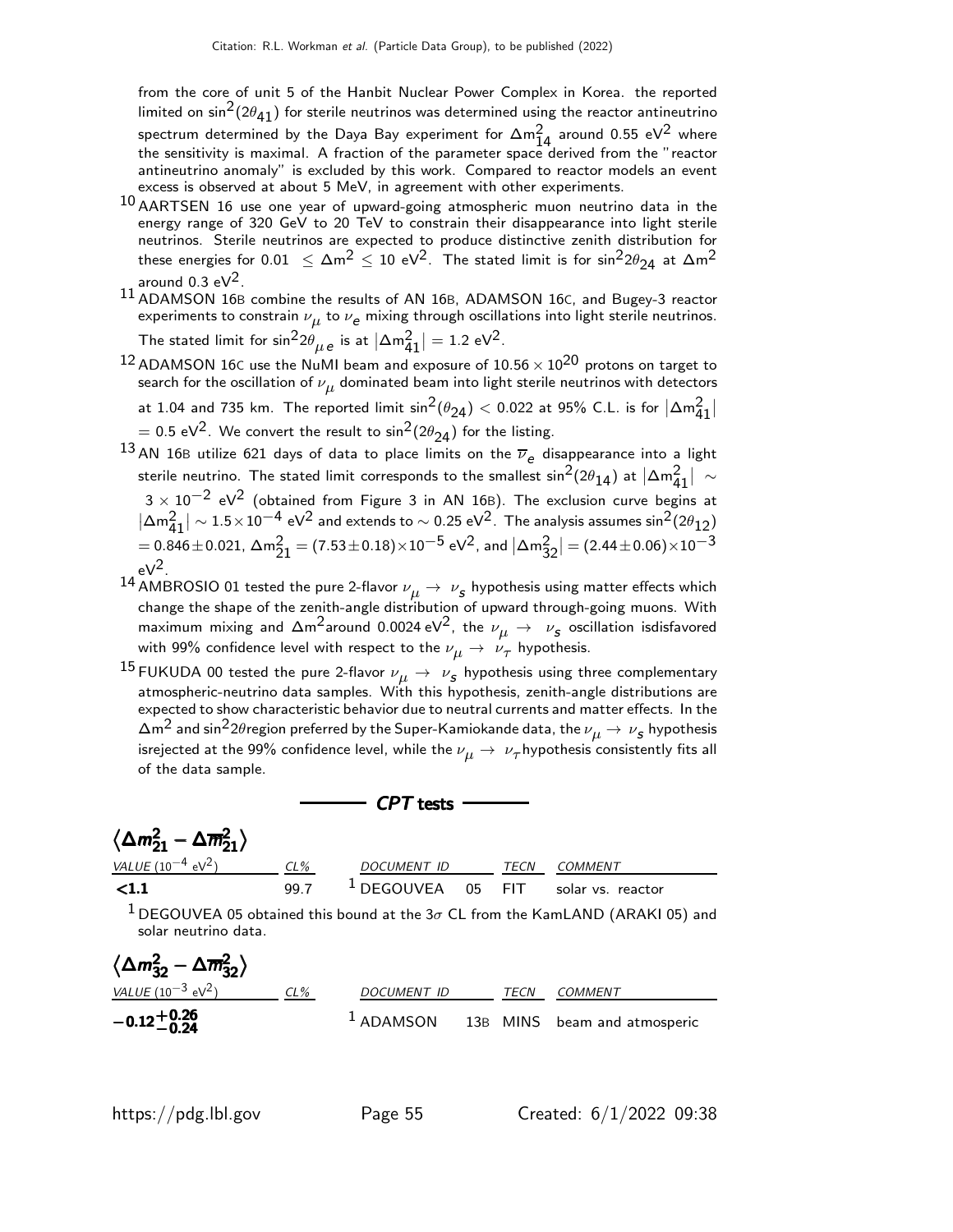from the core of unit 5 of the Hanbit Nuclear Power Complex in Korea. the reported limited on sin<sup>2</sup>(2 $\theta$ <sub>41</sub>) for sterile neutrinos was determined using the reactor antineutrino spectrum determined by the Daya Bay experiment for  $\Delta m^2_{14}$  around 0.55 eV<sup>2</sup> where the sensitivity is maximal. A fraction of the parameter space derived from the "reactor antineutrino anomaly" is excluded by this work. Compared to reactor models an event excess is observed at about 5 MeV, in agreement with other experiments.

- $^{10}$  AARTSEN 16 use one year of upward-going atmospheric muon neutrino data in the energy range of 320 GeV to 20 TeV to constrain their disappearance into light sterile neutrinos. Sterile neutrinos are expected to produce distinctive zenith distribution for these energies for 0.01  $\leq \Delta m^2 \leq 10 \text{ eV}^2$ . The stated limit is for sin $^2$ 2 $\theta_{24}$  at  $\Delta m^2$ around 0.3 e $V^2$ .
- $11$  ADAMSON 16B combine the results of AN 16B, ADAMSON 16C, and Bugey-3 reactor experiments to constrain  $\nu_{\mu}$  to  $\nu_{\bm{e}}$  mixing through oscillations into light sterile neutrinos. The stated limit for  $\sin^2 2\theta_{\mu} e$  is at  $|\Delta m^2_{41}| = 1.2 \text{ eV}^2$ .
- $^{12}$  ADAMSON 16C use the NuMI beam and exposure of 10.56  $\times\ 10^{20}$  protons on target to search for the oscillation of  $\nu_{\mu}$  dominated beam into light sterile neutrinos with detectors at 1.04 and 735 km. The reported limit  $\sin^2(\theta_{24})$   $<$  0.022 at 95% C.L. is for  $|\Delta m^2_{41}|$  $=$  0.5 eV<sup>2</sup>. We convert the result to sin $^{2}$ (2 $\theta_{24}$ ) for the listing.
- 13 AN 16B utilize 621 days of data to place limits on the  $\overline{\nu}_e$  disappearance into a light sterile neutrino. The stated limit corresponds to the smallest  $\sin^2(2\theta_{14})$  at  $|\Delta \mathsf{m}_{41}^2| \, \sim$  $3\times 10^{-2}$  eV $^2$  (obtained from Figure 3 in AN 16B). The exclusion curve begins at  $|\Delta m^2_{41}| \sim 1.5 \times 10^{-4}$  eV<sup>2</sup> and extends to  $\sim 0.25$  eV<sup>2</sup>. The analysis assumes sin<sup>2</sup>(2θ<sub>12)</sub>  $=$  0.846 $\pm$  0.021,  $\Delta$ m $^{2}_{21}$   $=$  (7.53 $\pm$  0.18) $\times10^{-5}$  eV $^{2}$ , and  $|\Delta$ m $^{2}_{32}|$   $=$  (2.44 $\pm$  0.06) $\times10^{-3}$  $eV^2$
- $^{14}$  AMBROSIO 01 tested the pure 2-flavor  $\nu_{\boldsymbol{\mu}}\rightarrow\ \nu_{\boldsymbol{s}}$  hypothesis using matter effects which change the shape of the zenith-angle distribution of upward through-going muons. With maximum mixing and  $\Delta$ m $^2$ around 0.0024 eV $^2$ , the  $\nu_{\mu} \rightarrow \nu_{\bm{s}}$  oscillation isdisfavored with 99% confidence level with respect to the  $\nu_{\mu}\rightarrow~\nu_{\tau}$  hypothesis.
- $^{15}$ FUKUDA 00 tested the pure 2-flavor  $\nu_{\mu}\rightarrow\ \nu_{\rho}$  hypothesis using three complementary atmospheric-neutrino data samples. With this hypothesis, zenith-angle distributions are expected to show characteristic behavior due to neutral currents and matter effects. In the  $\Delta {\sf m}^2$  and sin $^2$ 2 $\theta$ region preferred by the Super-Kamiokande data, the  $\nu_{\boldsymbol{\mu}} \to \nu_{\boldsymbol{\mathcal{S}}}$  hypothesis isrejected at the 99% confidence level, while the  $\nu_{\mu}\rightarrow~\nu_{\tau}$ hypothesis consistently fits all of the data sample.

 $CDT$  tests

| CP / Tests                                                     |        |                                       |      |         |  |
|----------------------------------------------------------------|--------|---------------------------------------|------|---------|--|
| $\langle \Delta m_{21}^2 - \Delta \overline{m}_{21}^2 \rangle$ |        |                                       |      |         |  |
| <i>VALUE</i> (10 <sup>-4</sup> eV <sup>2</sup> )               | $CL\%$ | <i>DOCUMENT ID</i>                    | TECN | COMMENT |  |
| < 1.1                                                          | 99.7   | $1$ DEGOUVEA 05 FIT solar vs. reactor |      |         |  |
|                                                                |        | $\frac{1}{1}$                         |      |         |  |

<sup>1</sup> DEGOUVEA 05 obtained this bound at the  $3\sigma$  CL from the KamLAND (ARAKI 05) and solar neutrino data.

| $\langle \Delta m_{32}^2 - \Delta \overline{m}_{32}^2 \rangle$ |     |             |      |                                                   |
|----------------------------------------------------------------|-----|-------------|------|---------------------------------------------------|
| <i>VALUE</i> (10 $^{-3}$ eV <sup>2</sup> )                     | CL% | DOCUMENT ID | TECN | <i>COMMENT</i>                                    |
| $-0.12^{+0.26}_{-0.24}$                                        |     |             |      | <sup>1</sup> ADAMSON 13B MINS beam and atmosperic |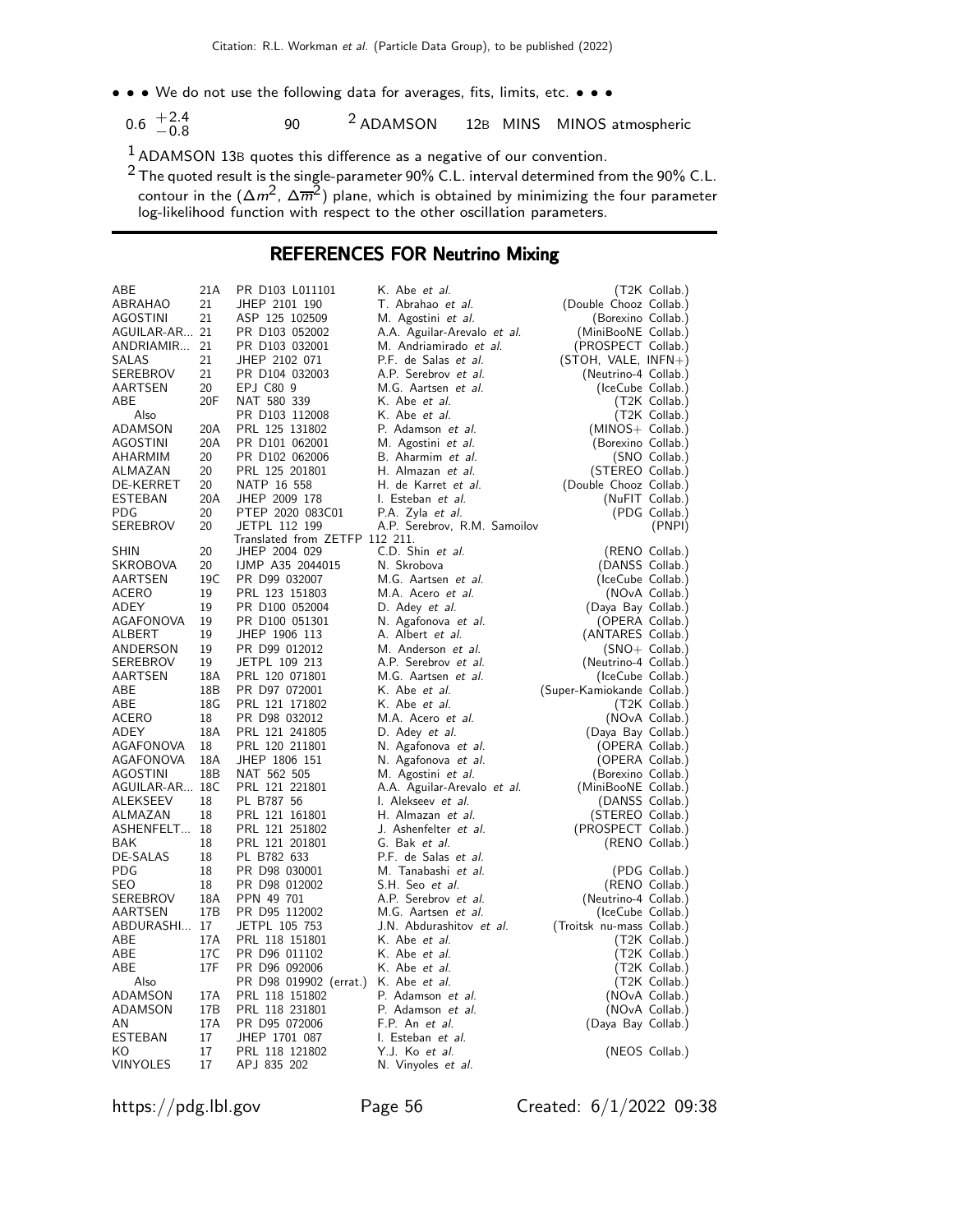- • We do not use the following data for averages, fits, limits, etc. •
	- $0.6 \tfrac{+2.4}{0.8}$  $-0.8$ 90 2 ADAMSON 12<sup>B</sup> MINS MINOS atmospheric

1 ADAMSON 13<sup>B</sup> quotes this difference as a negative of our convention.

 $^2$  The quoted result is the single-parameter 90% C.L. interval determined from the 90% C.L. contour in the  $(\Delta m^2,\, \Delta \overline{m}^2)$  plane, which is obtained by minimizing the four parameter log-likelihood function with respect to the other oscillation parameters.

#### REFERENCES FOR Neutrino Mixing

| ABE<br>ABRAHAO<br><b>AGOSTINI</b><br>AGUILAR-AR 21<br>ANDRIAMIR 21<br>SALAS<br>SEREBROV<br>AARTSEN<br>ABE<br>Also<br>ADAMSON<br><b>AGOSTINI</b><br>AHARMIM<br>ALMAZAN<br>DE-KERRET<br>ESTEBAN | 21A<br>21<br>21<br>21<br>21<br>20<br>20F<br>20A<br>20A<br>20<br>20<br>20<br>20A<br>20 | PR D103 L011101<br>JHEP 2101 190<br>ASP 125 102509<br>PR D103 052002<br>PR D103 032001<br>JHEP 2102 071<br>PR D104 032003<br>EPJ C80 9<br>NAT 580 339<br>PR D103 112008<br>PRL 125 131802<br>PR D101 062001<br>PR D102 062006<br>PRL 125 201801<br>NATP 16 558<br>JHEP 2009 178<br>PTEP 2020 083C01 | K. Abe et al.<br>T. Abrahao et al.<br>M. Agostini et al.<br>A.A. Aguilar-Arevalo et al.<br>M. Andriamirado et al.<br>P.F. de Salas et al.<br>A.P. Serebrov et al.<br>M.G. Aartsen et al.<br>K. Abe <i>et al.</i><br>K. Abe et al.<br>P. Adamson et al.<br>M. Agostini et al.<br>B. Aharmim et al.<br>H. Almazan et al.<br>H. de Karret et al.<br>I. Esteban et al. | (Double Chooz Collab.)<br>(Borexino Collab.)<br>(MiniBooNE Collab.)<br>(PROSPECT Collab.)<br>$(STOH, VALE, INFN+)$<br>(Neutrino-4 Collab.)<br>(IceCube Collab.)<br>(MINOS+ Collab.)<br>(Borexino Collab.)<br>(STEREO Collab.)<br>(Double Chooz Collab.) | (T2K Collab.)<br>(T2K Collab.)<br>(T2K Collab.)<br>(SNO Collab.)<br>(NuFIT Collab.) |
|-----------------------------------------------------------------------------------------------------------------------------------------------------------------------------------------------|---------------------------------------------------------------------------------------|-----------------------------------------------------------------------------------------------------------------------------------------------------------------------------------------------------------------------------------------------------------------------------------------------------|--------------------------------------------------------------------------------------------------------------------------------------------------------------------------------------------------------------------------------------------------------------------------------------------------------------------------------------------------------------------|---------------------------------------------------------------------------------------------------------------------------------------------------------------------------------------------------------------------------------------------------------|-------------------------------------------------------------------------------------|
| PDG<br>SEREBROV                                                                                                                                                                               | 20                                                                                    | JETPL 112 199                                                                                                                                                                                                                                                                                       | P.A. Zyla et al.<br>A.P. Serebrov, R.M. Samoilov                                                                                                                                                                                                                                                                                                                   |                                                                                                                                                                                                                                                         | (PDG Collab.)<br>(PNPI)                                                             |
|                                                                                                                                                                                               |                                                                                       | Translated from ZETFP 112 211.                                                                                                                                                                                                                                                                      |                                                                                                                                                                                                                                                                                                                                                                    |                                                                                                                                                                                                                                                         |                                                                                     |
| SHIN                                                                                                                                                                                          | 20                                                                                    | JHEP 2004 029                                                                                                                                                                                                                                                                                       | C.D. Shin et al.                                                                                                                                                                                                                                                                                                                                                   |                                                                                                                                                                                                                                                         | (RENO Collab.)                                                                      |
| SKROBOVA                                                                                                                                                                                      | 20                                                                                    | IJMP A35 2044015                                                                                                                                                                                                                                                                                    | N. Skrobova                                                                                                                                                                                                                                                                                                                                                        | (DANSS Collab.)                                                                                                                                                                                                                                         |                                                                                     |
| AARTSEN                                                                                                                                                                                       | 19C<br>19                                                                             | PR D99 032007                                                                                                                                                                                                                                                                                       | M.G. Aartsen et al.                                                                                                                                                                                                                                                                                                                                                | (IceCube Collab.)                                                                                                                                                                                                                                       |                                                                                     |
| ACERO<br>ADEY                                                                                                                                                                                 | 19                                                                                    | PRL 123 151803<br>PR D100 052004                                                                                                                                                                                                                                                                    | M.A. Acero <i>et al.</i><br>D. Adey et al.                                                                                                                                                                                                                                                                                                                         | (Daya Bay Collab.)                                                                                                                                                                                                                                      | (NOvA Collab.)                                                                      |
| AGAFONOVA                                                                                                                                                                                     | 19                                                                                    | PR D100 051301                                                                                                                                                                                                                                                                                      | N. Agafonova et al.                                                                                                                                                                                                                                                                                                                                                | (OPERA Collab.)                                                                                                                                                                                                                                         |                                                                                     |
| ALBERT                                                                                                                                                                                        | 19                                                                                    | JHEP 1906 113                                                                                                                                                                                                                                                                                       | A. Albert et al.                                                                                                                                                                                                                                                                                                                                                   | (ANTARES Collab.)                                                                                                                                                                                                                                       |                                                                                     |
| ANDERSON                                                                                                                                                                                      | 19                                                                                    | PR D99 012012                                                                                                                                                                                                                                                                                       | M. Anderson et al.                                                                                                                                                                                                                                                                                                                                                 |                                                                                                                                                                                                                                                         | $(SNO+$ Collab.)                                                                    |
| SEREBROV                                                                                                                                                                                      | 19                                                                                    | JETPL 109 213                                                                                                                                                                                                                                                                                       | A.P. Serebrov et al.                                                                                                                                                                                                                                                                                                                                               | (Neutrino-4 Collab.)                                                                                                                                                                                                                                    |                                                                                     |
| AARTSEN                                                                                                                                                                                       | 18A                                                                                   | PRL 120 071801                                                                                                                                                                                                                                                                                      | M.G. Aartsen et al.                                                                                                                                                                                                                                                                                                                                                | (IceCube Collab.)                                                                                                                                                                                                                                       |                                                                                     |
| ABE                                                                                                                                                                                           | 18B                                                                                   | PR D97 072001                                                                                                                                                                                                                                                                                       | K. Abe et al.                                                                                                                                                                                                                                                                                                                                                      | (Super-Kamiokande Collab.)                                                                                                                                                                                                                              |                                                                                     |
| ABE                                                                                                                                                                                           | 18G                                                                                   | PRL 121 171802                                                                                                                                                                                                                                                                                      | K. Abe <i>et al.</i>                                                                                                                                                                                                                                                                                                                                               |                                                                                                                                                                                                                                                         | (T2K Collab.)                                                                       |
| ACERO                                                                                                                                                                                         | 18                                                                                    | PR D98 032012                                                                                                                                                                                                                                                                                       | M.A. Acero <i>et al.</i>                                                                                                                                                                                                                                                                                                                                           |                                                                                                                                                                                                                                                         | (NOvA Collab.)                                                                      |
| ADEY                                                                                                                                                                                          | 18A                                                                                   | PRL 121 241805                                                                                                                                                                                                                                                                                      | D. Adey et al.                                                                                                                                                                                                                                                                                                                                                     | (Daya Bay Collab.)                                                                                                                                                                                                                                      |                                                                                     |
| AGAFONOVA                                                                                                                                                                                     | 18                                                                                    | PRL 120 211801                                                                                                                                                                                                                                                                                      | N. Agafonova et al.                                                                                                                                                                                                                                                                                                                                                | (OPERA Collab.)                                                                                                                                                                                                                                         |                                                                                     |
| AGAFONOVA                                                                                                                                                                                     | 18A                                                                                   | JHEP 1806 151                                                                                                                                                                                                                                                                                       | N. Agafonova et al.                                                                                                                                                                                                                                                                                                                                                | (OPERA Collab.)                                                                                                                                                                                                                                         |                                                                                     |
| AGOSTINI                                                                                                                                                                                      | 18B                                                                                   | NAT 562 505                                                                                                                                                                                                                                                                                         | M. Agostini et al.                                                                                                                                                                                                                                                                                                                                                 | (Borexino Collab.)                                                                                                                                                                                                                                      |                                                                                     |
| AGUILAR-AR 18C<br>ALEKSEEV                                                                                                                                                                    | 18                                                                                    | PRL 121 221801<br>PL B787 56                                                                                                                                                                                                                                                                        | A.A. Aguilar-Arevalo et al.<br>I. Alekseev et al.                                                                                                                                                                                                                                                                                                                  | (MiniBooNE Collab.)<br>(DANSS Collab.)                                                                                                                                                                                                                  |                                                                                     |
| ALMAZAN                                                                                                                                                                                       | 18                                                                                    | PRL 121 161801                                                                                                                                                                                                                                                                                      | H. Almazan et al.                                                                                                                                                                                                                                                                                                                                                  | (STEREO Collab.)                                                                                                                                                                                                                                        |                                                                                     |
| ASHENFELT 18                                                                                                                                                                                  |                                                                                       | PRL 121 251802                                                                                                                                                                                                                                                                                      | J. Ashenfelter et al.                                                                                                                                                                                                                                                                                                                                              | (PROSPECT Collab.)                                                                                                                                                                                                                                      |                                                                                     |
| BAK                                                                                                                                                                                           | 18                                                                                    | PRL 121 201801                                                                                                                                                                                                                                                                                      | G. Bak et al.                                                                                                                                                                                                                                                                                                                                                      |                                                                                                                                                                                                                                                         | (RENO Collab.)                                                                      |
| DE-SALAS                                                                                                                                                                                      | 18                                                                                    | PL B782 633                                                                                                                                                                                                                                                                                         | P.F. de Salas et al.                                                                                                                                                                                                                                                                                                                                               |                                                                                                                                                                                                                                                         |                                                                                     |
| PDG                                                                                                                                                                                           | 18                                                                                    | PR D98 030001                                                                                                                                                                                                                                                                                       | M. Tanabashi et al.                                                                                                                                                                                                                                                                                                                                                |                                                                                                                                                                                                                                                         | (PDG Collab.)                                                                       |
| SEO                                                                                                                                                                                           | 18                                                                                    | PR D98 012002                                                                                                                                                                                                                                                                                       | S.H. Seo et al.                                                                                                                                                                                                                                                                                                                                                    |                                                                                                                                                                                                                                                         | (RENO Collab.)                                                                      |
| SEREBROV                                                                                                                                                                                      | 18A                                                                                   | PPN 49 701                                                                                                                                                                                                                                                                                          | A.P. Serebrov et al.                                                                                                                                                                                                                                                                                                                                               | (Neutrino-4 Collab.)                                                                                                                                                                                                                                    |                                                                                     |
| AARTSEN                                                                                                                                                                                       | 17B                                                                                   | PR D95 112002                                                                                                                                                                                                                                                                                       | M.G. Aartsen et al.                                                                                                                                                                                                                                                                                                                                                | (IceCube Collab.)                                                                                                                                                                                                                                       |                                                                                     |
| ABDURASHI 17                                                                                                                                                                                  |                                                                                       | JETPL 105 753                                                                                                                                                                                                                                                                                       | J.N. Abdurashitov et al.                                                                                                                                                                                                                                                                                                                                           | (Troitsk nu-mass Collab.)                                                                                                                                                                                                                               |                                                                                     |
| ABE                                                                                                                                                                                           | 17A                                                                                   | PRL 118 151801                                                                                                                                                                                                                                                                                      | K. Abe et al.                                                                                                                                                                                                                                                                                                                                                      |                                                                                                                                                                                                                                                         | (T2K Collab.)                                                                       |
| ABE<br>ABE                                                                                                                                                                                    | 17C<br>17F                                                                            | PR D96 011102                                                                                                                                                                                                                                                                                       | K. Abe <i>et al.</i>                                                                                                                                                                                                                                                                                                                                               |                                                                                                                                                                                                                                                         | (T2K Collab.)                                                                       |
| Also                                                                                                                                                                                          |                                                                                       | PR D96 092006<br>PR D98 019902 (errat.)                                                                                                                                                                                                                                                             | K. Abe et al.<br>K. Abe et al.                                                                                                                                                                                                                                                                                                                                     |                                                                                                                                                                                                                                                         | (T2K Collab.)<br>(T2K Collab.)                                                      |
| ADAMSON                                                                                                                                                                                       | 17A                                                                                   | PRL 118 151802                                                                                                                                                                                                                                                                                      | P. Adamson et al.                                                                                                                                                                                                                                                                                                                                                  |                                                                                                                                                                                                                                                         | (NOvA Collab.)                                                                      |
| ADAMSON                                                                                                                                                                                       | 17 <sub>B</sub>                                                                       | PRL 118 231801                                                                                                                                                                                                                                                                                      | P. Adamson et al.                                                                                                                                                                                                                                                                                                                                                  |                                                                                                                                                                                                                                                         | (NOvA Collab.)                                                                      |
| AN                                                                                                                                                                                            | 17A                                                                                   | PR D95 072006                                                                                                                                                                                                                                                                                       | F.P. An et al.                                                                                                                                                                                                                                                                                                                                                     | (Daya Bay Collab.)                                                                                                                                                                                                                                      |                                                                                     |
| ESTEBAN                                                                                                                                                                                       | 17                                                                                    | JHEP 1701 087                                                                                                                                                                                                                                                                                       | I. Esteban et al.                                                                                                                                                                                                                                                                                                                                                  |                                                                                                                                                                                                                                                         |                                                                                     |
| ΚO                                                                                                                                                                                            | 17                                                                                    | PRL 118 121802                                                                                                                                                                                                                                                                                      | Y.J. Ko et al.                                                                                                                                                                                                                                                                                                                                                     |                                                                                                                                                                                                                                                         | (NEOS Collab.)                                                                      |
| <b>VINYOLES</b>                                                                                                                                                                               | 17                                                                                    | APJ 835 202                                                                                                                                                                                                                                                                                         | N. Vinyoles et al.                                                                                                                                                                                                                                                                                                                                                 |                                                                                                                                                                                                                                                         |                                                                                     |

https://pdg.lbl.gov Page 56 Created: 6/1/2022 09:38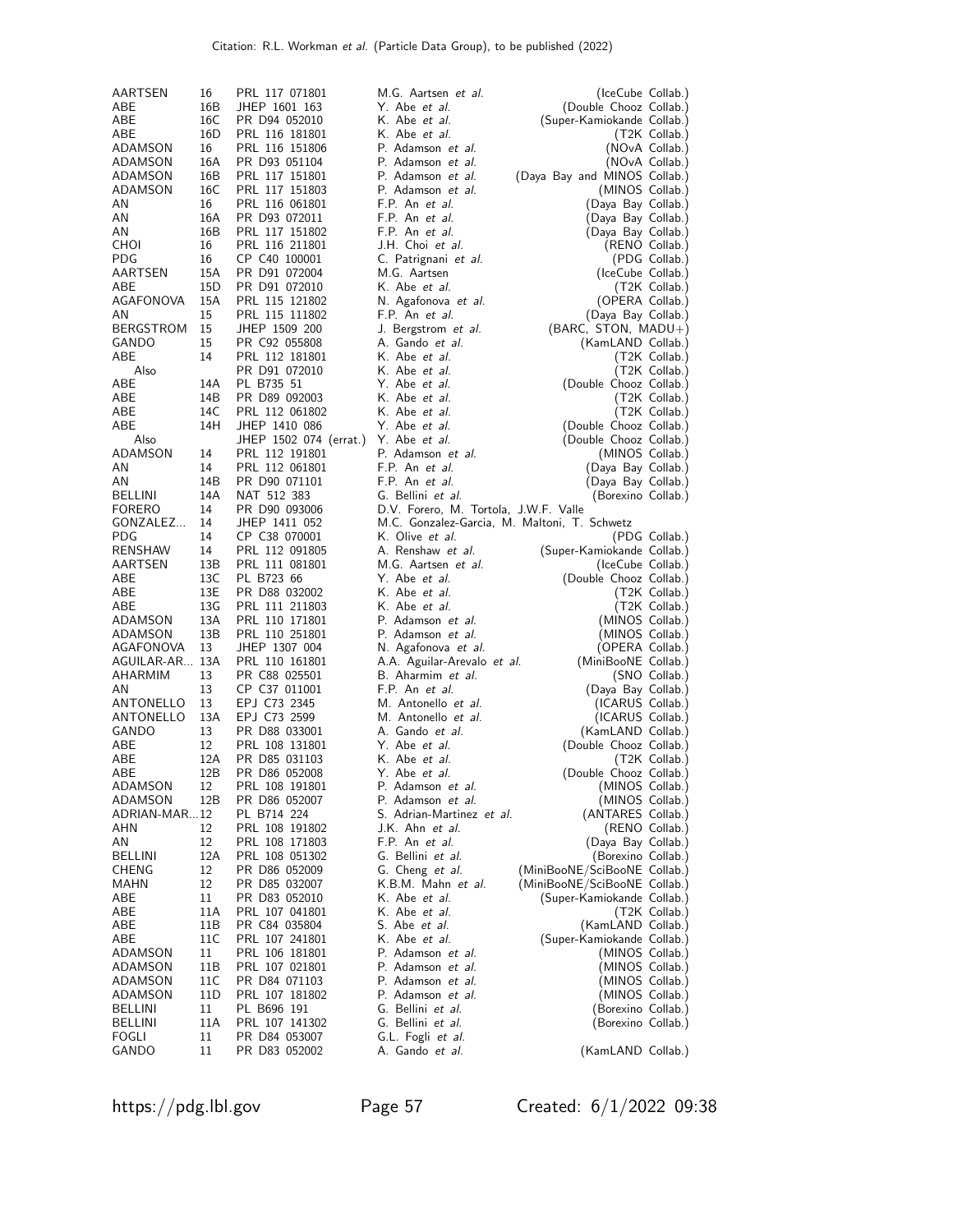| AARTSEN             | 16              | PRL 117 071801                   | M.G. Aartsen <i>et al.</i>                     | (IceCube Collab.)                               |                           |
|---------------------|-----------------|----------------------------------|------------------------------------------------|-------------------------------------------------|---------------------------|
| ABE                 | 16B             | JHEP 1601 163                    | Y. Abe et al.                                  | (Double Chooz Collab.)                          |                           |
| ABE                 | 16C             | PR D94 052010                    | K. Abe <i>et al.</i>                           | (Super-Kamiokande Collab.)                      |                           |
| ABE                 | 16 <sub>D</sub> | PRL 116 181801                   | K. Abe et al.                                  |                                                 | (T2K Collab.)             |
| ADAMSON             | 16              | PRL 116 151806                   | P. Adamson et al.                              | (NOvA Collab.)                                  |                           |
| ADAMSON             | 16A             | PR D93 051104                    | P. Adamson et al.                              | (NOvA Collab.)                                  |                           |
| ADAMSON             | 16B             | PRL 117 151801                   | P. Adamson et al.                              | (Daya Bay and MINOS Collab.)                    |                           |
| ADAMSON             | 16C             | PRL 117 151803                   | P. Adamson et al.                              | (MINOS Collab.)                                 |                           |
| AN                  | 16              | PRL 116 061801                   | F.P. An et al.                                 | (Daya Bay Collab.)                              |                           |
| AN                  | 16A             | PR D93 072011                    | F.P. An et al.                                 | (Daya Bay Collab.)                              |                           |
| AN                  | 16B             | PRL 117 151802                   | F.P. An et al.                                 | (Daya Bay Collab.)                              |                           |
| CHOI                | 16              | PRL 116 211801                   | J.H. Choi et al.                               | (RENO Collab.)                                  |                           |
| <b>PDG</b>          | 16<br>15A       | CP C40 100001                    | C. Patrignani et al.                           | (IceCube Collab.)                               | (PDG Collab.)             |
| AARTSEN<br>ABE      | 15D             | PR D91 072004<br>PR D91 072010   | M.G. Aartsen<br>K. Abe <i>et al.</i>           |                                                 | (T2K Collab.)             |
| AGAFONOVA           | 15A             | PRL 115 121802                   | N. Agafonova et al.                            | (OPERA Collab.)                                 |                           |
| ΑN                  | 15              | PRL 115 111802                   | F.P. An et al.                                 | (Daya Bay Collab.)                              |                           |
| <b>BERGSTROM</b>    | 15              | JHEP 1509 200                    | J. Bergstrom et al.                            | (BARC, STON, MADU+)                             |                           |
| GANDO               | 15              | PR C92 055808                    | A. Gando et al.                                | (KamLAND Collab.)                               |                           |
| ABE                 | 14              | PRL 112 181801                   | K. Abe <i>et al.</i>                           |                                                 | (T2K Collab.)             |
| Also                |                 | PR D91 072010                    | K. Abe et al.                                  |                                                 | (T2K Collab.)             |
| ABE                 | 14A             | PL B735 51                       | Y. Abe et al.                                  | (Double Chooz Collab.)                          |                           |
| ABE                 | 14B             | PR D89 092003                    | K. Abe et al.                                  |                                                 | (T2K Collab.)             |
| ABE                 | 14C             | PRL 112 061802                   | K. Abe <i>et al.</i>                           |                                                 | (T2K Collab.)             |
| ABE                 | 14H             | JHEP 1410 086                    | Y. Abe <i>et al.</i>                           | (Double Chooz Collab.)                          |                           |
| Also                |                 | JHEP 1502 074 (errat.)           | Y. Abe et al.                                  | (Double Chooz Collab.)                          |                           |
| ADAMSON             | 14              | PRL 112 191801                   | P. Adamson et al.                              | (MINOS Collab.)                                 |                           |
| ΑN                  | 14              | PRL 112 061801                   | F.P. An et al.                                 | (Daya Bay Collab.)                              |                           |
| ΑN                  | 14B             | PR D90 071101                    | F.P. An et al.                                 | (Daya Bay Collab.)                              |                           |
| BELLINI             | 14A             | NAT 512 383                      | G. Bellini et al.                              | (Borexino Collab.)                              |                           |
| <b>FORERO</b>       | 14              | PR D90 093006                    | D.V. Forero, M. Tortola, J.W.F. Valle          |                                                 |                           |
| GONZALEZ            | 14              | JHEP 1411 052                    | M.C. Gonzalez-Garcia, M. Maltoni, T. Schwetz   |                                                 |                           |
| <b>PDG</b>          | 14              | CP C38 070001                    | K. Olive et al.                                |                                                 | (PDG Collab.)             |
| RENSHAW<br>AARTSEN  | 14<br>13B       | PRL 112 091805<br>PRL 111 081801 | A. Renshaw et al.<br>M.G. Aartsen et al.       | (Super-Kamiokande Collab.)<br>(IceCube Collab.) |                           |
| ABE                 | 13C             | PL B723 66                       | Y. Abe <i>et al.</i>                           | (Double Chooz Collab.)                          |                           |
| ABE                 | 13E             | PR D88 032002                    | K. Abe <i>et al.</i>                           |                                                 | (T2K Collab.)             |
| ABE                 | 13G             | PRL 111 211803                   | K. Abe et al.                                  |                                                 | (T2K Collab.)             |
| ADAMSON             | 13A             | PRL 110 171801                   | P. Adamson et al.                              | (MINOS Collab.)                                 |                           |
| ADAMSON             | 13B             | PRL 110 251801                   | P. Adamson et al.                              | (MINOS Collab.)                                 |                           |
| AGAFONOVA           | 13              | JHEP 1307 004                    | N. Agafonova et al.                            | (OPERA Collab.)                                 |                           |
| AGUILAR-AR 13A      |                 | PRL 110 161801                   | A.A. Aguilar-Arevalo et al.                    | (MiniBooNE Collab.)                             |                           |
| AHARMIM             | 13              | PR C88 025501                    | B. Aharmim et al.                              |                                                 | (SNO Collab.)             |
| AN                  | 13              | CP C37 011001                    | F.P. An et al.                                 | (Daya Bay Collab.)                              |                           |
| ANTONELLO           | 13              | EPJ C73 2345                     | M. Antonello et al.                            | (ICARUS Collab.)                                |                           |
| ANTONELLO           | 13A             | EPJ C73 2599                     | M. Antonello et al.                            | (ICARUS Collab.)                                |                           |
| GANDO               | 13              | PR D88 033001                    | A. Gando et al.                                | (KamLAND Collab.)                               |                           |
| ABE                 | 12              | PRL 108 131801                   | Y. Abe et al.                                  | (Double Chooz Collab.)                          |                           |
| ABE                 | 12A             | PR D85 031103                    | K. Abe <i>et al.</i>                           |                                                 | (T2K Collab.)             |
| ABE                 | 12B             | PR D86 052008                    | Y. Abe et al.                                  | (Double Chooz Collab.)                          |                           |
| ADAMSON             | 12<br>12B       | PRL 108 191801                   | P. Adamson et al.                              | (MINOS Collab.)                                 |                           |
| ADAMSON             |                 | PR D86 052007                    | P. Adamson et al.<br>S. Adrian-Martinez et al. | (MINOS Collab.)<br>(ANTARES Collab.)            |                           |
| ADRIAN-MAR12<br>AHN | 12              | PL B714 224<br>PRL 108 191802    | J.K. Ahn et al.                                | (RENO Collab.)                                  |                           |
| AN                  | 12              | PRL 108 171803                   | F.P. An et al.                                 | (Daya Bay Collab.)                              |                           |
| BELLINI             | 12A             | PRL 108 051302                   | G. Bellini et al.                              | (Borexino Collab.)                              |                           |
| CHENG               | 12              | PR D86 052009                    | G. Cheng et al.                                | (MiniBooNE/SciBooNE Collab.)                    |                           |
| MAHN                | 12              | PR D85 032007                    | K.B.M. Mahn et al.                             | (MiniBooNE/SciBooNE Collab.)                    |                           |
| ABE                 | 11              | PR D83 052010                    | K. Abe et al.                                  | (Super-Kamiokande Collab.)                      |                           |
| ABE                 | 11A             | PRL 107 041801                   | K. Abe et al.                                  |                                                 | (T <sub>2K</sub> Collab.) |
| ABE                 | 11B             | PR C84 035804                    | S. Abe et al.                                  | (KamLAND Collab.)                               |                           |
| ABE                 | 11C             | PRL 107 241801                   | K. Abe et al.                                  | (Super-Kamiokande Collab.)                      |                           |
| ADAMSON             | 11              | PRL 106 181801                   | P. Adamson et al.                              | (MINOS Collab.)                                 |                           |
| ADAMSON             | 11B             | PRL 107 021801                   | P. Adamson et al.                              | (MINOS Collab.)                                 |                           |
| ADAMSON             | 11C             | PR D84 071103                    | P. Adamson et al.                              | (MINOS Collab.)                                 |                           |
| ADAMSON             | 11D             | PRL 107 181802                   | P. Adamson et al.                              | (MINOS Collab.)                                 |                           |
| BELLINI             | 11              | PL B696 191                      | G. Bellini et al.                              | (Borexino Collab.)                              |                           |
| BELLINI             | 11A             | PRL 107 141302                   | G. Bellini <i>et al.</i>                       | (Borexino Collab.)                              |                           |
| FOGLI               | 11              | PR D84 053007                    | G.L. Fogli et al.                              |                                                 |                           |
| GANDO               | 11              | PR D83 052002                    | A. Gando et al.                                | (KamLAND Collab.)                               |                           |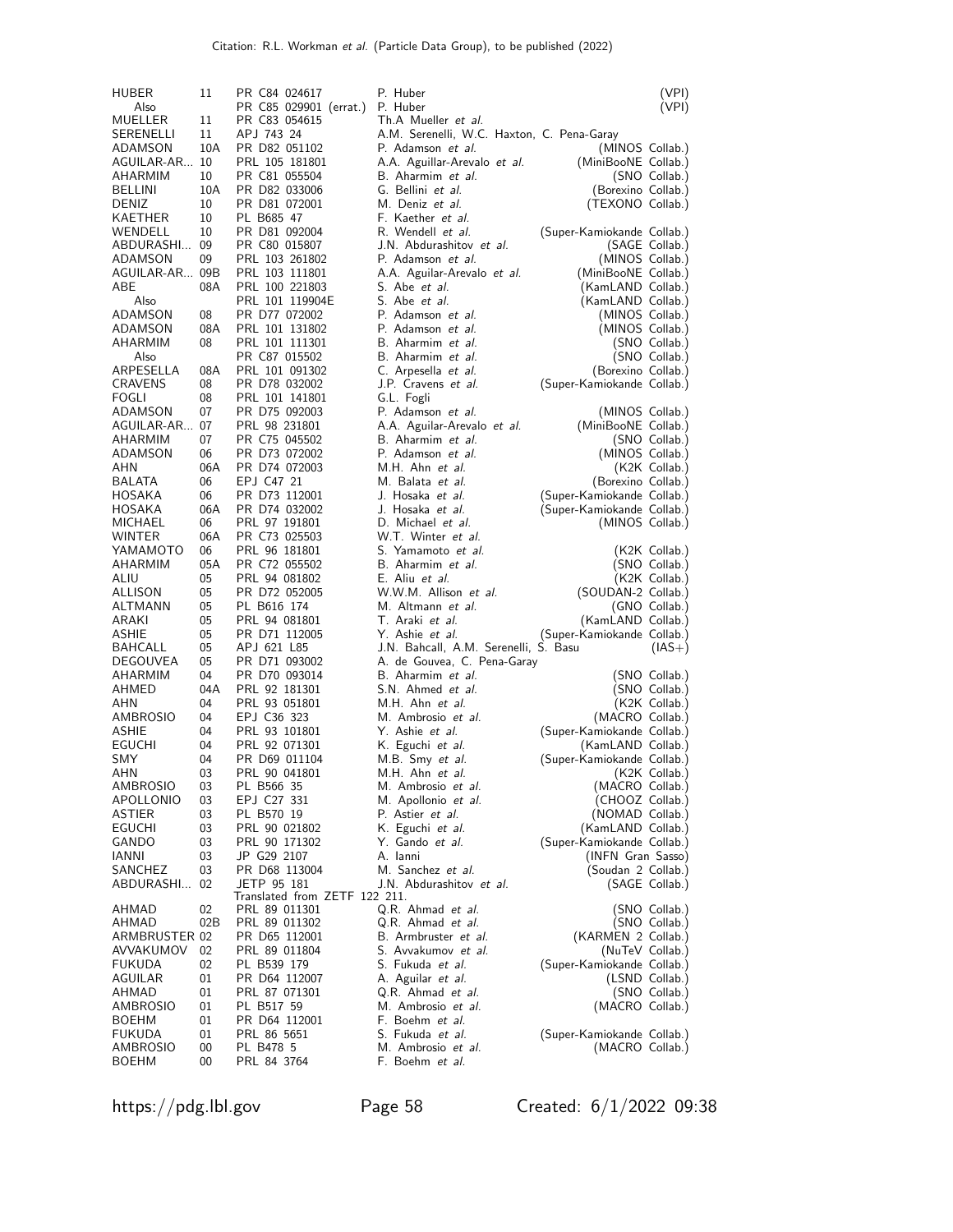| HUBER<br>Also              | 11        | PR C84 024617<br>PR C85 029901 (errat.) | P. Huber<br>P. Huber                                              | (VPI)<br>(VPI)                                |
|----------------------------|-----------|-----------------------------------------|-------------------------------------------------------------------|-----------------------------------------------|
| MUELLER<br>SERENELLI       | 11<br>11  | PR C83 054615<br>APJ 743 24             | Th.A Mueller et al.<br>A.M. Serenelli, W.C. Haxton, C. Pena-Garay |                                               |
| ADAMSON                    | 10A       | PR D82 051102                           | P. Adamson et al.                                                 | (MINOS Collab.)                               |
| AGUILAR-AR 10              |           | PRL 105 181801                          | A.A. Aguillar-Arevalo et al.                                      | (MiniBooNE Collab.)                           |
| AHARMIM                    | 10        | PR C81 055504                           | B. Aharmim et al.                                                 | (SNO Collab.)                                 |
| BELLINI                    | 10A       | PR D82 033006                           | G. Bellini <i>et al.</i>                                          | (Borexino Collab.)                            |
| <b>DENIZ</b><br>KAETHER    | 10        | PR D81 072001                           | M. Deniz <i>et al.</i>                                            | (TEXONO Collab.)                              |
| WENDELL                    | 10<br>10  | PL B685 47<br>PR D81 092004             | F. Kaether <i>et al.</i><br>R. Wendell et al.                     | (Super-Kamiokande Collab.)                    |
| ABDURASHI                  | 09        | PR C80 015807                           | J.N. Abdurashitov et al.                                          | (SAGE Collab.)                                |
| ADAMSON                    | 09        | PRL 103 261802                          | P. Adamson et al.                                                 | (MINOS Collab.)                               |
| AGUILAR-AR 09B             |           | PRL 103 111801                          | A.A. Aguilar-Arevalo et al.                                       | (MiniBooNE Collab.)                           |
| ABE                        | 08A       | PRL 100 221803                          | S. Abe <i>et al.</i>                                              | (KamLAND Collab.)                             |
| Also                       |           | PRL 101 119904E                         | S. Abe <i>et al.</i><br>P. Adamson et al.                         | (KamLAND Collab.)                             |
| ADAMSON<br>ADAMSON         | 08<br>08A | PR D77 072002<br>PRL 101 131802         | P. Adamson et al.                                                 | (MINOS Collab.)<br>(MINOS Collab.)            |
| AHARMIM                    | 08        | PRL 101 111301                          | B. Aharmim et al.                                                 | (SNO Collab.)                                 |
| Also                       |           | PR C87 015502                           | B. Aharmim et al.                                                 | (SNO Collab.)                                 |
| ARPESELLA                  | 08A       | PRL 101 091302                          | C. Arpesella <i>et al.</i>                                        | (Borexino Collab.)                            |
| CRAVENS                    | 08        | PR D78 032002                           | J.P. Cravens et al.                                               | (Super-Kamiokande Collab.)                    |
| FOGLI                      | 08        | PRL 101 141801                          | G.L. Fogli                                                        |                                               |
| ADAMSON<br>AGUILAR-AR      | 07<br>07  | PR D75 092003<br>PRL 98 231801          | P. Adamson et al.<br>A.A. Aguilar-Arevalo et al.                  | (MINOS Collab.)<br>(MiniBooNE Collab.)        |
| AHARMIM                    | 07        | PR C75 045502                           | B. Aharmim et al.                                                 | (SNO Collab.)                                 |
| ADAMSON                    | 06        | PR D73 072002                           | P. Adamson et al.                                                 | (MINOS Collab.)                               |
| AHN                        | 06A       | PR D74 072003                           | M.H. Ahn et al.                                                   | (K2K Collab.)                                 |
| BALATA                     | 06        | EPJ C47 21                              | M. Balata <i>et al.</i>                                           | (Borexino Collab.)                            |
| HOSAKA                     | 06        | PR D73 112001                           | J. Hosaka <i>et al.</i>                                           | (Super-Kamiokande Collab.)                    |
| HOSAKA<br>MICHAEL          | 06A<br>06 | PR D74 032002<br>PRL 97 191801          | J. Hosaka <i>et al.</i><br>D. Michael et al.                      | (Super-Kamiokande Collab.)<br>(MINOS Collab.) |
| WINTER                     | 06A       | PR C73 025503                           | W.T. Winter et al.                                                |                                               |
| YAMAMOTO                   | 06        | PRL 96 181801                           | S. Yamamoto et al.                                                | (K2K Collab.)                                 |
| AHARMIM                    | 05A       | PR C72 055502                           | B. Aharmim et al.                                                 | (SNO Collab.)                                 |
| ALIU                       | 05        | PRL 94 081802                           | E. Aliu et al.                                                    | (K2K Collab.)                                 |
| ALLISON                    | 05        | PR D72 052005                           | W.W.M. Allison et al.                                             | (SOUDAN-2 Collab.)                            |
| ALTMANN<br>ARAKI           | 05<br>05  | PL B616 174<br>PRL 94 081801            | M. Altmann et al.<br>T. Araki et al.                              | (GNO Collab.)<br>(KamLAND Collab.)            |
| ASHIE                      | 05        | PR D71 112005                           | Y. Ashie <i>et al.</i>                                            | (Super-Kamiokande Collab.)                    |
| BAHCALL                    | 05        | APJ 621 L85                             | J.N. Bahcall, A.M. Serenelli, S. Basu                             | $(IAS+)$                                      |
| DEGOUVEA                   | 05        | PR D71 093002                           | A. de Gouvea, C. Pena-Garay                                       |                                               |
| AHARMIM                    | 04        | PR D70 093014                           | B. Aharmim et al.                                                 | (SNO Collab.)                                 |
| AHMED<br>AHN               | 04A<br>04 | PRL 92 181301<br>PRL 93 051801          | S.N. Ahmed et al.<br>M.H. Ahn et al.                              | (SNO Collab.)<br>(K2K Collab.)                |
| <b>AMBROSIO</b>            | 04        | EPJ C36 323                             | M. Ambrosio et al.                                                | (MACRO Collab.)                               |
| <b>ASHIE</b>               | 04        | PRL 93 101801                           | Y. Ashie et al.                                                   | (Super-Kamiokande Collab.)                    |
| EGUCHI                     | 04        | PRL 92 071301                           | K. Eguchi <i>et al.</i>                                           | (KamLAND Collab.)                             |
| SMY                        | 04        | PR D69 011104                           | M.B. Smy et al.                                                   | (Super-Kamiokande Collab.)                    |
| AHN                        | 03        | PRL 90 041801                           | M.H. Ahn et al.<br>M. Ambrosio et al.                             | (K2K Collab.)                                 |
| AMBROSIO<br>APOLLONIO      | 03<br>03  | PL B566 35<br>EPJ C27 331               | M. Apollonio et al.                                               | (MACRO Collab.)<br>(CHOOZ Collab.)            |
| ASTIER                     | 03        | PL B570 19                              | P. Astier <i>et al.</i>                                           | (NOMAD Collab.)                               |
| EGUCHI                     | 03        | PRL 90 021802                           | K. Eguchi et al.                                                  | (KamLAND Collab.)                             |
| GANDO                      | 03        | PRL 90 171302                           | Y. Gando et al.                                                   | (Super-Kamiokande Collab.)                    |
| IANNI                      | 03        | JP G29 2107                             | A. Ianni                                                          | (INFN Gran Sasso)                             |
| SANCHEZ<br>ABDURASHI       | 03<br>02  | PR D68 113004<br>JETP 95 181            | M. Sanchez <i>et al.</i><br>J.N. Abdurashitov et al.              | (Soudan 2 Collab.)<br>(SAGE Collab.)          |
|                            |           | Translated from ZETF 122 211.           |                                                                   |                                               |
| AHMAD                      | 02        | PRL 89 011301                           | Q.R. Ahmad <i>et al.</i>                                          | (SNO Collab.)                                 |
| AHMAD                      | 02B       | PRL 89 011302                           | Q.R. Ahmad et al.                                                 | (SNO Collab.)                                 |
| ARMBRUSTER 02<br>AVVAKUMOV | 02        | PR D65 112001<br>PRL 89 011804          | B. Armbruster et al.<br>S. Avvakumov <i>et al.</i>                | (KARMEN 2 Collab.)<br>(NuTeV Collab.)         |
| FUKUDA                     | 02        | PL B539 179                             | S. Fukuda <i>et al.</i>                                           | (Super-Kamiokande Collab.)                    |
| AGUILAR                    | 01        | PR D64 112007                           | A. Aguilar et al.                                                 | (LSND Collab.)                                |
| AHMAD                      | 01        | PRL 87 071301                           | Q.R. Ahmad <i>et al.</i>                                          | (SNO Collab.)                                 |
| AMBROSIO                   | 01        | PL B517 59                              | M. Ambrosio et al.                                                | (MACRO Collab.)                               |
| BOEHM<br>FUKUDA            | 01<br>01  | PR D64 112001                           | F. Boehm <i>et al.</i><br>S. Fukuda <i>et al</i> .                |                                               |
| AMBROSIO                   | 00        | PRL 86 5651<br>PL B478 5                | M. Ambrosio et al.                                                | (Super-Kamiokande Collab.)<br>(MACRO Collab.) |
| <b>BOEHM</b>               | 00        | PRL 84 3764                             | F. Boehm <i>et al.</i>                                            |                                               |

https://pdg.lbl.gov Page 58 Created: 6/1/2022 09:38